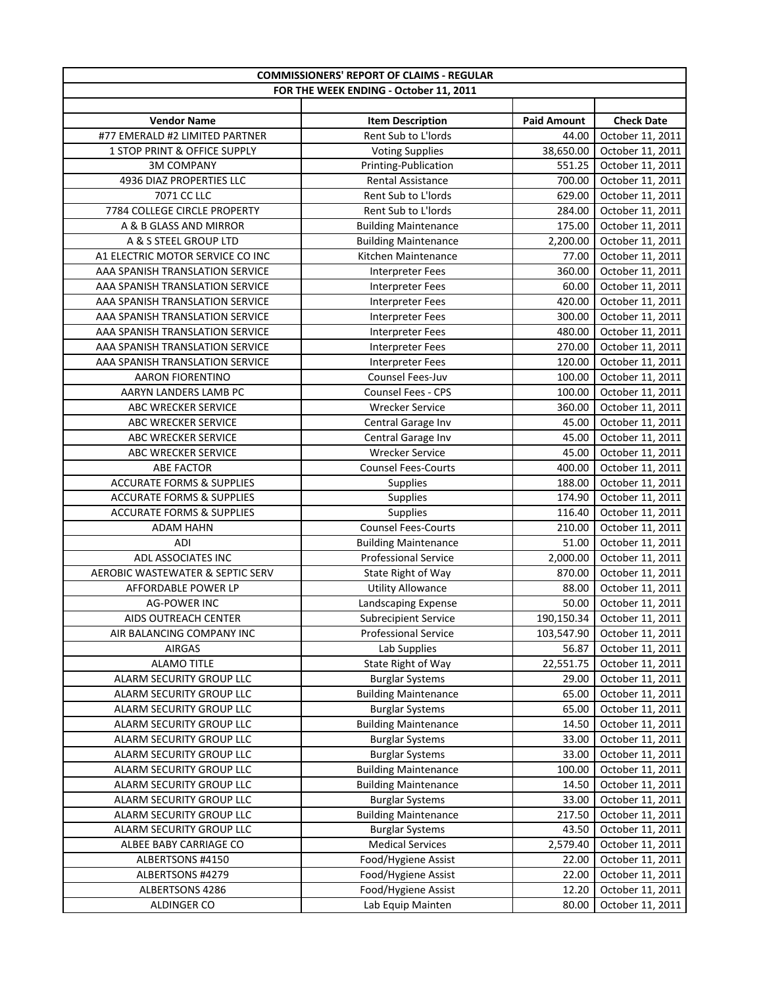| <b>COMMISSIONERS' REPORT OF CLAIMS - REGULAR</b> |                                                       |                    |                   |  |
|--------------------------------------------------|-------------------------------------------------------|--------------------|-------------------|--|
|                                                  | FOR THE WEEK ENDING - October 11, 2011                |                    |                   |  |
|                                                  |                                                       |                    |                   |  |
| <b>Vendor Name</b>                               | <b>Item Description</b>                               | <b>Paid Amount</b> | <b>Check Date</b> |  |
| #77 EMERALD #2 LIMITED PARTNER                   | Rent Sub to L'Iords                                   | 44.00              | October 11, 2011  |  |
| 1 STOP PRINT & OFFICE SUPPLY                     | <b>Voting Supplies</b>                                | 38,650.00          | October 11, 2011  |  |
| <b>3M COMPANY</b>                                | Printing-Publication                                  | 551.25             | October 11, 2011  |  |
| 4936 DIAZ PROPERTIES LLC                         | Rental Assistance                                     | 700.00             | October 11, 2011  |  |
| 7071 CC LLC                                      | Rent Sub to L'Iords                                   | 629.00             | October 11, 2011  |  |
| 7784 COLLEGE CIRCLE PROPERTY                     | Rent Sub to L'Iords                                   | 284.00             | October 11, 2011  |  |
| A & B GLASS AND MIRROR                           | <b>Building Maintenance</b>                           | 175.00             | October 11, 2011  |  |
| A & S STEEL GROUP LTD                            | <b>Building Maintenance</b>                           | 2,200.00           | October 11, 2011  |  |
| A1 ELECTRIC MOTOR SERVICE CO INC                 | Kitchen Maintenance                                   | 77.00              | October 11, 2011  |  |
| AAA SPANISH TRANSLATION SERVICE                  | Interpreter Fees                                      | 360.00             | October 11, 2011  |  |
| AAA SPANISH TRANSLATION SERVICE                  | <b>Interpreter Fees</b>                               | 60.00              | October 11, 2011  |  |
| AAA SPANISH TRANSLATION SERVICE                  | <b>Interpreter Fees</b>                               | 420.00             | October 11, 2011  |  |
| AAA SPANISH TRANSLATION SERVICE                  | <b>Interpreter Fees</b>                               | 300.00             | October 11, 2011  |  |
| AAA SPANISH TRANSLATION SERVICE                  | <b>Interpreter Fees</b>                               | 480.00             | October 11, 2011  |  |
| AAA SPANISH TRANSLATION SERVICE                  | <b>Interpreter Fees</b>                               | 270.00             | October 11, 2011  |  |
| AAA SPANISH TRANSLATION SERVICE                  | Interpreter Fees                                      | 120.00             | October 11, 2011  |  |
| AARON FIORENTINO                                 | Counsel Fees-Juv                                      | 100.00             | October 11, 2011  |  |
| AARYN LANDERS LAMB PC                            | Counsel Fees - CPS                                    | 100.00             | October 11, 2011  |  |
| <b>ABC WRECKER SERVICE</b>                       | <b>Wrecker Service</b>                                | 360.00             | October 11, 2011  |  |
| ABC WRECKER SERVICE                              | Central Garage Inv                                    | 45.00              | October 11, 2011  |  |
| ABC WRECKER SERVICE                              | Central Garage Inv                                    | 45.00              | October 11, 2011  |  |
| ABC WRECKER SERVICE                              | <b>Wrecker Service</b>                                | 45.00              | October 11, 2011  |  |
| <b>ABE FACTOR</b>                                | <b>Counsel Fees-Courts</b>                            | 400.00             | October 11, 2011  |  |
| <b>ACCURATE FORMS &amp; SUPPLIES</b>             | Supplies                                              | 188.00             | October 11, 2011  |  |
| <b>ACCURATE FORMS &amp; SUPPLIES</b>             | Supplies                                              | 174.90             | October 11, 2011  |  |
| <b>ACCURATE FORMS &amp; SUPPLIES</b>             | Supplies                                              | 116.40             | October 11, 2011  |  |
| <b>ADAM HAHN</b>                                 | <b>Counsel Fees-Courts</b>                            | 210.00             | October 11, 2011  |  |
| ADI                                              | <b>Building Maintenance</b>                           | 51.00              | October 11, 2011  |  |
| ADL ASSOCIATES INC                               | Professional Service                                  | 2,000.00           | October 11, 2011  |  |
| <b>AEROBIC WASTEWATER &amp; SEPTIC SERV</b>      | State Right of Way                                    | 870.00             | October 11, 2011  |  |
| AFFORDABLE POWER LP                              | <b>Utility Allowance</b>                              | 88.00              | October 11, 2011  |  |
| <b>AG-POWER INC</b>                              | Landscaping Expense                                   | 50.00              | October 11, 2011  |  |
| AIDS OUTREACH CENTER                             | <b>Subrecipient Service</b>                           | 190,150.34         | October 11, 2011  |  |
| AIR BALANCING COMPANY INC                        | <b>Professional Service</b>                           | 103,547.90         | October 11, 2011  |  |
| AIRGAS                                           | Lab Supplies                                          | 56.87              | October 11, 2011  |  |
| <b>ALAMO TITLE</b>                               | State Right of Way                                    | 22,551.75          | October 11, 2011  |  |
| ALARM SECURITY GROUP LLC                         | <b>Burglar Systems</b>                                | 29.00              | October 11, 2011  |  |
| ALARM SECURITY GROUP LLC                         | <b>Building Maintenance</b>                           | 65.00              | October 11, 2011  |  |
| ALARM SECURITY GROUP LLC                         | <b>Burglar Systems</b>                                | 65.00              | October 11, 2011  |  |
| ALARM SECURITY GROUP LLC                         | <b>Building Maintenance</b>                           | 14.50              | October 11, 2011  |  |
| ALARM SECURITY GROUP LLC                         | <b>Burglar Systems</b>                                | 33.00              | October 11, 2011  |  |
|                                                  |                                                       | 33.00              |                   |  |
| ALARM SECURITY GROUP LLC                         | <b>Burglar Systems</b><br><b>Building Maintenance</b> |                    | October 11, 2011  |  |
| ALARM SECURITY GROUP LLC                         | <b>Building Maintenance</b>                           | 100.00             | October 11, 2011  |  |
| ALARM SECURITY GROUP LLC                         |                                                       | 14.50              | October 11, 2011  |  |
| ALARM SECURITY GROUP LLC                         | <b>Burglar Systems</b>                                | 33.00              | October 11, 2011  |  |
| ALARM SECURITY GROUP LLC                         | <b>Building Maintenance</b>                           | 217.50             | October 11, 2011  |  |
| ALARM SECURITY GROUP LLC                         | <b>Burglar Systems</b>                                | 43.50              | October 11, 2011  |  |
| ALBEE BABY CARRIAGE CO                           | <b>Medical Services</b>                               | 2,579.40           | October 11, 2011  |  |
| ALBERTSONS #4150                                 | Food/Hygiene Assist                                   | 22.00              | October 11, 2011  |  |
| ALBERTSONS #4279                                 | Food/Hygiene Assist                                   | 22.00              | October 11, 2011  |  |
| ALBERTSONS 4286                                  | Food/Hygiene Assist                                   | 12.20              | October 11, 2011  |  |
| ALDINGER CO                                      | Lab Equip Mainten                                     | 80.00              | October 11, 2011  |  |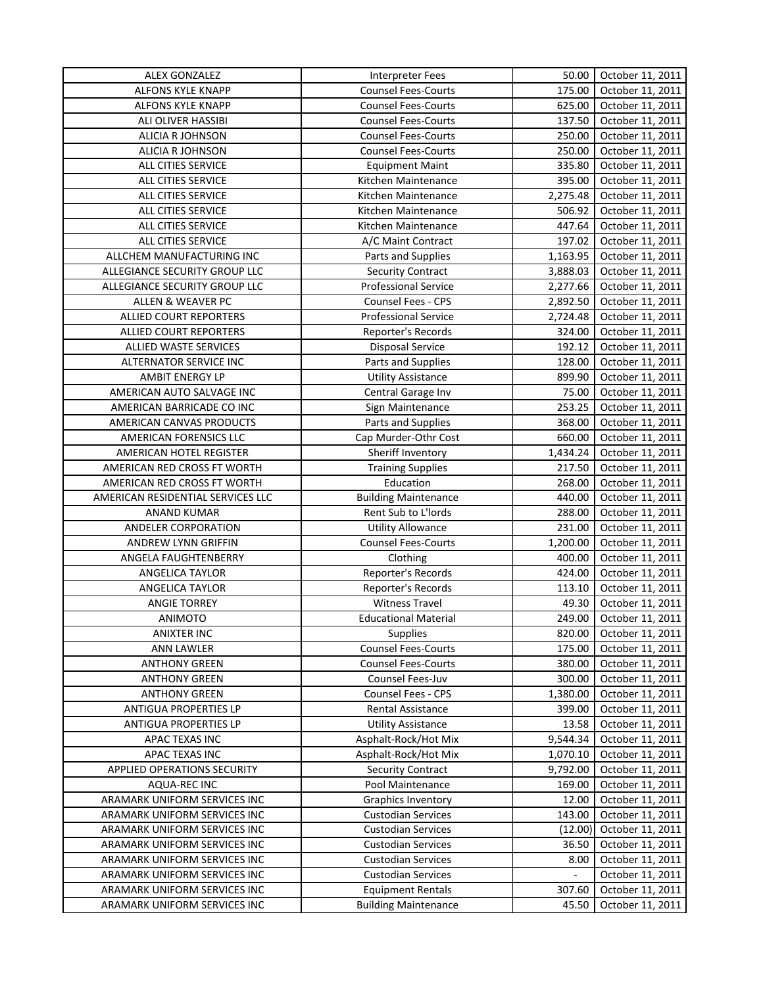| <b>ALEX GONZALEZ</b>              | Interpreter Fees            | 50.00          | October 11, 2011 |
|-----------------------------------|-----------------------------|----------------|------------------|
| ALFONS KYLE KNAPP                 | <b>Counsel Fees-Courts</b>  | 175.00         | October 11, 2011 |
| ALFONS KYLE KNAPP                 | <b>Counsel Fees-Courts</b>  | 625.00         | October 11, 2011 |
| ALI OLIVER HASSIBI                | <b>Counsel Fees-Courts</b>  | 137.50         | October 11, 2011 |
| ALICIA R JOHNSON                  | <b>Counsel Fees-Courts</b>  | 250.00         | October 11, 2011 |
| <b>ALICIA R JOHNSON</b>           | <b>Counsel Fees-Courts</b>  | 250.00         | October 11, 2011 |
| ALL CITIES SERVICE                | <b>Equipment Maint</b>      | 335.80         | October 11, 2011 |
| ALL CITIES SERVICE                | Kitchen Maintenance         | 395.00         | October 11, 2011 |
| ALL CITIES SERVICE                | Kitchen Maintenance         | 2,275.48       | October 11, 2011 |
| ALL CITIES SERVICE                | Kitchen Maintenance         | 506.92         | October 11, 2011 |
| ALL CITIES SERVICE                | Kitchen Maintenance         | 447.64         | October 11, 2011 |
| ALL CITIES SERVICE                | A/C Maint Contract          | 197.02         | October 11, 2011 |
| ALLCHEM MANUFACTURING INC         | Parts and Supplies          | 1,163.95       | October 11, 2011 |
| ALLEGIANCE SECURITY GROUP LLC     | <b>Security Contract</b>    | 3,888.03       | October 11, 2011 |
| ALLEGIANCE SECURITY GROUP LLC     | <b>Professional Service</b> | 2,277.66       | October 11, 2011 |
| ALLEN & WEAVER PC                 | Counsel Fees - CPS          | 2,892.50       | October 11, 2011 |
| ALLIED COURT REPORTERS            | Professional Service        | 2,724.48       | October 11, 2011 |
| <b>ALLIED COURT REPORTERS</b>     | Reporter's Records          | 324.00         | October 11, 2011 |
| <b>ALLIED WASTE SERVICES</b>      | Disposal Service            | 192.12         | October 11, 2011 |
| ALTERNATOR SERVICE INC            | Parts and Supplies          | 128.00         | October 11, 2011 |
| <b>AMBIT ENERGY LP</b>            | <b>Utility Assistance</b>   | 899.90         | October 11, 2011 |
| AMERICAN AUTO SALVAGE INC         | Central Garage Inv          | 75.00          | October 11, 2011 |
| AMERICAN BARRICADE CO INC         | Sign Maintenance            | 253.25         | October 11, 2011 |
| AMERICAN CANVAS PRODUCTS          |                             | 368.00         | October 11, 2011 |
|                                   | Parts and Supplies          |                |                  |
| AMERICAN FORENSICS LLC            | Cap Murder-Othr Cost        | 660.00         | October 11, 2011 |
| AMERICAN HOTEL REGISTER           | Sheriff Inventory           | 1,434.24       | October 11, 2011 |
| AMERICAN RED CROSS FT WORTH       | <b>Training Supplies</b>    | 217.50         | October 11, 2011 |
| AMERICAN RED CROSS FT WORTH       | Education                   | 268.00         | October 11, 2011 |
| AMERICAN RESIDENTIAL SERVICES LLC | <b>Building Maintenance</b> | 440.00         | October 11, 2011 |
| <b>ANAND KUMAR</b>                | Rent Sub to L'Iords         | 288.00         | October 11, 2011 |
| ANDELER CORPORATION               | <b>Utility Allowance</b>    | 231.00         | October 11, 2011 |
| ANDREW LYNN GRIFFIN               | <b>Counsel Fees-Courts</b>  | 1,200.00       | October 11, 2011 |
| ANGELA FAUGHTENBERRY              | Clothing                    | 400.00         | October 11, 2011 |
| ANGELICA TAYLOR                   | Reporter's Records          | 424.00         | October 11, 2011 |
| ANGELICA TAYLOR                   | Reporter's Records          | 113.10         | October 11, 2011 |
| <b>ANGIE TORREY</b>               | <b>Witness Travel</b>       | 49.30          | October 11, 2011 |
| <b>ANIMOTO</b>                    | <b>Educational Material</b> | 249.00         | October 11, 2011 |
| <b>ANIXTER INC</b>                | Supplies                    | 820.00         | October 11, 2011 |
| <b>ANN LAWLER</b>                 | <b>Counsel Fees-Courts</b>  | 175.00         | October 11, 2011 |
| <b>ANTHONY GREEN</b>              | <b>Counsel Fees-Courts</b>  | 380.00         | October 11, 2011 |
| <b>ANTHONY GREEN</b>              | Counsel Fees-Juv            | 300.00         | October 11, 2011 |
| <b>ANTHONY GREEN</b>              | Counsel Fees - CPS          | 1,380.00       | October 11, 2011 |
| ANTIGUA PROPERTIES LP             | Rental Assistance           | 399.00         | October 11, 2011 |
| ANTIGUA PROPERTIES LP             | <b>Utility Assistance</b>   | 13.58          | October 11, 2011 |
| APAC TEXAS INC                    | Asphalt-Rock/Hot Mix        | 9,544.34       | October 11, 2011 |
| APAC TEXAS INC                    | Asphalt-Rock/Hot Mix        | 1,070.10       | October 11, 2011 |
| APPLIED OPERATIONS SECURITY       | <b>Security Contract</b>    | 9,792.00       | October 11, 2011 |
| AQUA-REC INC                      | Pool Maintenance            | 169.00         | October 11, 2011 |
| ARAMARK UNIFORM SERVICES INC      | <b>Graphics Inventory</b>   | 12.00          | October 11, 2011 |
| ARAMARK UNIFORM SERVICES INC      | <b>Custodian Services</b>   | 143.00         | October 11, 2011 |
| ARAMARK UNIFORM SERVICES INC      | <b>Custodian Services</b>   | (12.00)        | October 11, 2011 |
| ARAMARK UNIFORM SERVICES INC      | <b>Custodian Services</b>   | 36.50          | October 11, 2011 |
| ARAMARK UNIFORM SERVICES INC      | <b>Custodian Services</b>   | 8.00           | October 11, 2011 |
| ARAMARK UNIFORM SERVICES INC      | <b>Custodian Services</b>   | $\blacksquare$ | October 11, 2011 |
| ARAMARK UNIFORM SERVICES INC      | <b>Equipment Rentals</b>    | 307.60         | October 11, 2011 |
| ARAMARK UNIFORM SERVICES INC      | <b>Building Maintenance</b> | 45.50          | October 11, 2011 |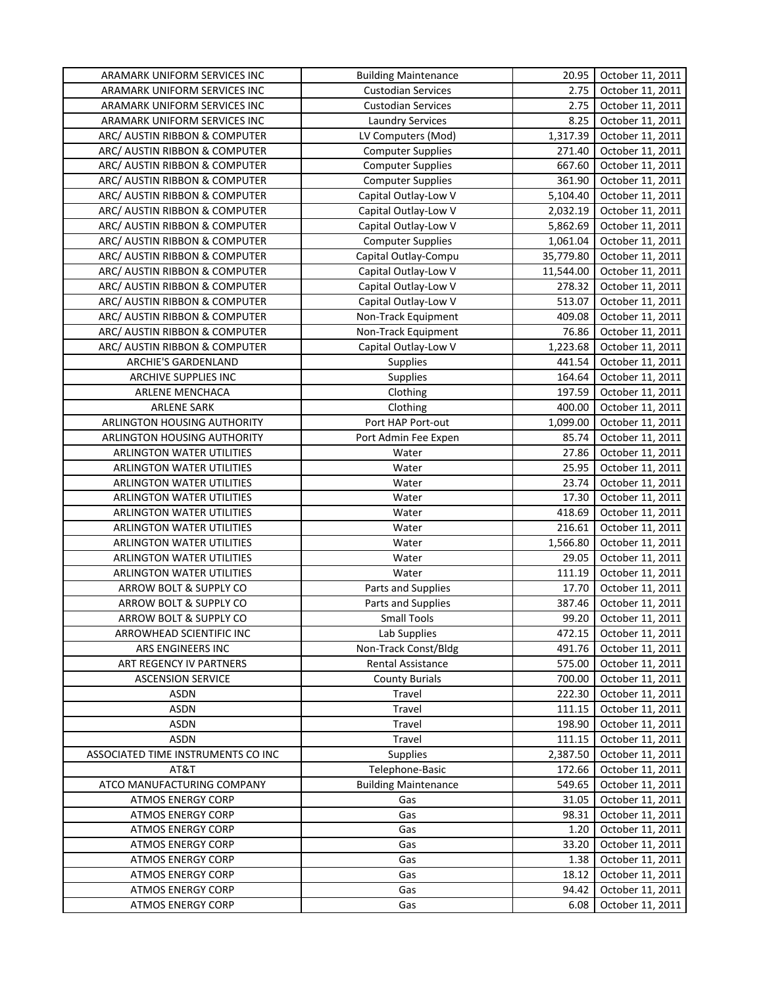| ARAMARK UNIFORM SERVICES INC                         | <b>Building Maintenance</b> | 20.95         | October 11, 2011                     |
|------------------------------------------------------|-----------------------------|---------------|--------------------------------------|
| ARAMARK UNIFORM SERVICES INC                         | <b>Custodian Services</b>   | 2.75          | October 11, 2011                     |
| ARAMARK UNIFORM SERVICES INC                         | <b>Custodian Services</b>   | 2.75          | October 11, 2011                     |
| ARAMARK UNIFORM SERVICES INC                         | <b>Laundry Services</b>     | 8.25          | October 11, 2011                     |
| ARC/ AUSTIN RIBBON & COMPUTER                        | LV Computers (Mod)          | 1,317.39      | October 11, 2011                     |
| ARC/ AUSTIN RIBBON & COMPUTER                        | <b>Computer Supplies</b>    | 271.40        | October 11, 2011                     |
| ARC/ AUSTIN RIBBON & COMPUTER                        | <b>Computer Supplies</b>    | 667.60        | October 11, 2011                     |
| ARC/ AUSTIN RIBBON & COMPUTER                        | <b>Computer Supplies</b>    | 361.90        | October 11, 2011                     |
| ARC/ AUSTIN RIBBON & COMPUTER                        | Capital Outlay-Low V        | 5,104.40      | October 11, 2011                     |
| ARC/ AUSTIN RIBBON & COMPUTER                        | Capital Outlay-Low V        | 2,032.19      | October 11, 2011                     |
| ARC/ AUSTIN RIBBON & COMPUTER                        | Capital Outlay-Low V        | 5,862.69      | October 11, 2011                     |
| ARC/ AUSTIN RIBBON & COMPUTER                        | <b>Computer Supplies</b>    | 1,061.04      | October 11, 2011                     |
| ARC/ AUSTIN RIBBON & COMPUTER                        | Capital Outlay-Compu        | 35,779.80     | October 11, 2011                     |
| ARC/ AUSTIN RIBBON & COMPUTER                        | Capital Outlay-Low V        | 11,544.00     | October 11, 2011                     |
| ARC/ AUSTIN RIBBON & COMPUTER                        | Capital Outlay-Low V        | 278.32        | October 11, 2011                     |
| ARC/ AUSTIN RIBBON & COMPUTER                        | Capital Outlay-Low V        | 513.07        | October 11, 2011                     |
| ARC/ AUSTIN RIBBON & COMPUTER                        | Non-Track Equipment         | 409.08        | October 11, 2011                     |
| ARC/ AUSTIN RIBBON & COMPUTER                        | Non-Track Equipment         | 76.86         | October 11, 2011                     |
| ARC/ AUSTIN RIBBON & COMPUTER                        | Capital Outlay-Low V        | 1,223.68      | October 11, 2011                     |
| ARCHIE'S GARDENLAND                                  | Supplies                    | 441.54        | October 11, 2011                     |
| ARCHIVE SUPPLIES INC                                 | <b>Supplies</b>             | 164.64        | October 11, 2011                     |
|                                                      |                             | 197.59        | October 11, 2011                     |
| ARLENE MENCHACA                                      | Clothing                    |               |                                      |
| <b>ARLENE SARK</b>                                   | Clothing                    | 400.00        | October 11, 2011                     |
| ARLINGTON HOUSING AUTHORITY                          | Port HAP Port-out           | 1,099.00      | October 11, 2011                     |
| ARLINGTON HOUSING AUTHORITY                          | Port Admin Fee Expen        | 85.74         | October 11, 2011                     |
| ARLINGTON WATER UTILITIES                            | Water                       | 27.86         | October 11, 2011                     |
| ARLINGTON WATER UTILITIES                            | Water                       | 25.95         | October 11, 2011                     |
| ARLINGTON WATER UTILITIES                            | Water                       | 23.74         | October 11, 2011                     |
|                                                      |                             |               |                                      |
| ARLINGTON WATER UTILITIES                            | Water                       | 17.30         | October 11, 2011                     |
| ARLINGTON WATER UTILITIES                            | Water                       | 418.69        | October 11, 2011                     |
| <b>ARLINGTON WATER UTILITIES</b>                     | Water                       | 216.61        | October 11, 2011                     |
| ARLINGTON WATER UTILITIES                            | Water                       | 1,566.80      | October 11, 2011                     |
| ARLINGTON WATER UTILITIES                            | Water                       | 29.05         | October 11, 2011                     |
| ARLINGTON WATER UTILITIES                            | Water                       | 111.19        | October 11, 2011                     |
| ARROW BOLT & SUPPLY CO                               | Parts and Supplies          | 17.70         | October 11, 2011                     |
| ARROW BOLT & SUPPLY CO                               | Parts and Supplies          | 387.46        | October 11, 2011                     |
| ARROW BOLT & SUPPLY CO                               | <b>Small Tools</b>          | 99.20         | October 11, 2011                     |
| ARROWHEAD SCIENTIFIC INC                             | Lab Supplies                | 472.15        | October 11, 2011                     |
| ARS ENGINEERS INC                                    | Non-Track Const/Bldg        | 491.76        | October 11, 2011                     |
| ART REGENCY IV PARTNERS                              | Rental Assistance           | 575.00        | October 11, 2011                     |
| <b>ASCENSION SERVICE</b>                             | <b>County Burials</b>       | 700.00        | October 11, 2011                     |
| <b>ASDN</b>                                          | Travel                      | 222.30        | October 11, 2011                     |
| <b>ASDN</b>                                          | Travel                      | 111.15        | October 11, 2011                     |
| <b>ASDN</b>                                          | Travel                      | 198.90        | October 11, 2011                     |
| <b>ASDN</b>                                          | Travel                      | 111.15        | October 11, 2011                     |
| ASSOCIATED TIME INSTRUMENTS CO INC                   | Supplies                    | 2,387.50      | October 11, 2011                     |
| AT&T                                                 | Telephone-Basic             | 172.66        | October 11, 2011                     |
| ATCO MANUFACTURING COMPANY                           | <b>Building Maintenance</b> | 549.65        | October 11, 2011                     |
| <b>ATMOS ENERGY CORP</b>                             | Gas                         | 31.05         | October 11, 2011                     |
| <b>ATMOS ENERGY CORP</b>                             | Gas                         | 98.31         | October 11, 2011                     |
| <b>ATMOS ENERGY CORP</b>                             | Gas                         | 1.20          | October 11, 2011                     |
| <b>ATMOS ENERGY CORP</b>                             | Gas                         | 33.20         | October 11, 2011                     |
| <b>ATMOS ENERGY CORP</b>                             | Gas                         | 1.38          | October 11, 2011                     |
| <b>ATMOS ENERGY CORP</b>                             | Gas                         | 18.12         | October 11, 2011                     |
| <b>ATMOS ENERGY CORP</b><br><b>ATMOS ENERGY CORP</b> | Gas<br>Gas                  | 94.42<br>6.08 | October 11, 2011<br>October 11, 2011 |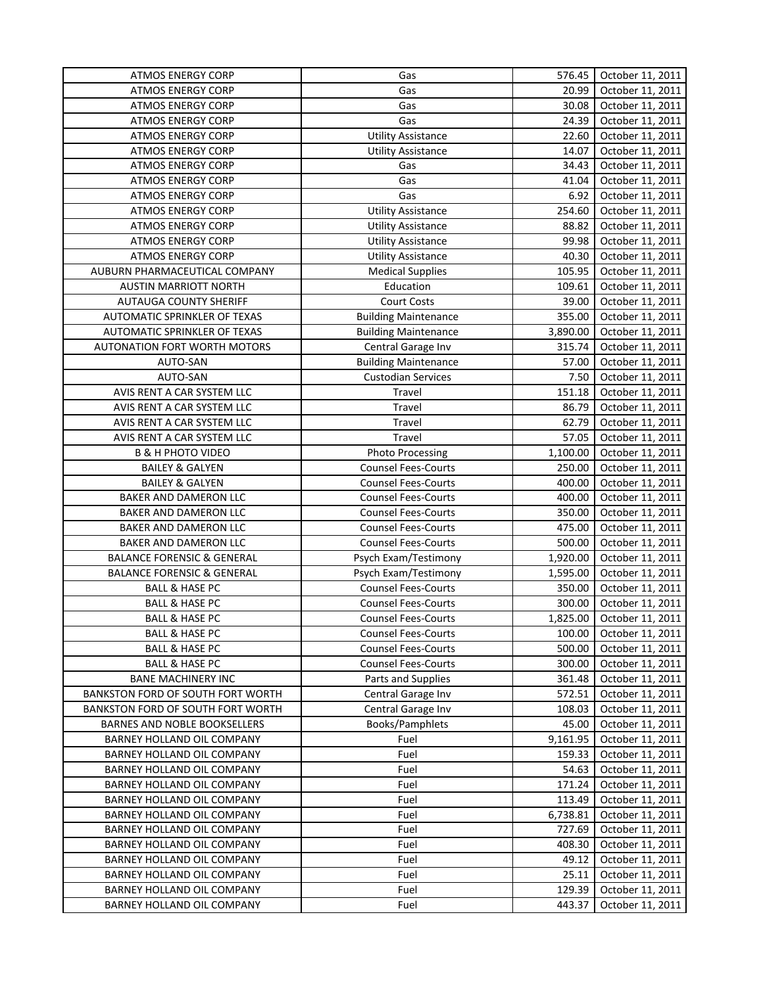| <b>ATMOS ENERGY CORP</b><br>Gas<br>20.99<br>October 11, 2011<br>Gas<br>30.08<br><b>ATMOS ENERGY CORP</b><br>October 11, 2011<br>Gas<br><b>ATMOS ENERGY CORP</b><br>24.39<br>October 11, 2011<br><b>Utility Assistance</b><br><b>ATMOS ENERGY CORP</b><br>22.60<br>October 11, 2011<br><b>ATMOS ENERGY CORP</b><br><b>Utility Assistance</b><br>14.07<br>October 11, 2011<br>34.43<br><b>ATMOS ENERGY CORP</b><br>Gas<br>October 11, 2011<br>Gas<br>41.04<br><b>ATMOS ENERGY CORP</b><br>October 11, 2011<br>6.92<br>Gas<br>October 11, 2011<br><b>ATMOS ENERGY CORP</b><br>254.60<br><b>Utility Assistance</b><br><b>ATMOS ENERGY CORP</b><br>October 11, 2011<br><b>ATMOS ENERGY CORP</b><br><b>Utility Assistance</b><br>88.82<br>October 11, 2011<br><b>Utility Assistance</b><br>99.98<br>October 11, 2011<br><b>ATMOS ENERGY CORP</b><br>40.30<br>October 11, 2011<br><b>ATMOS ENERGY CORP</b><br><b>Utility Assistance</b><br>AUBURN PHARMACEUTICAL COMPANY<br><b>Medical Supplies</b><br>105.95<br>October 11, 2011<br><b>AUSTIN MARRIOTT NORTH</b><br>Education<br>109.61<br>October 11, 2011<br><b>AUTAUGA COUNTY SHERIFF</b><br>Court Costs<br>39.00<br>October 11, 2011<br>355.00<br>October 11, 2011<br>AUTOMATIC SPRINKLER OF TEXAS<br><b>Building Maintenance</b><br>3,890.00<br>AUTOMATIC SPRINKLER OF TEXAS<br><b>Building Maintenance</b><br>October 11, 2011<br><b>AUTONATION FORT WORTH MOTORS</b><br>Central Garage Inv<br>315.74<br>October 11, 2011<br><b>Building Maintenance</b><br>AUTO-SAN<br>57.00<br>October 11, 2011<br>AUTO-SAN<br><b>Custodian Services</b><br>7.50<br>October 11, 2011<br>151.18<br>AVIS RENT A CAR SYSTEM LLC<br>Travel<br>October 11, 2011<br>AVIS RENT A CAR SYSTEM LLC<br>86.79<br>October 11, 2011<br>Travel<br>October 11, 2011<br>AVIS RENT A CAR SYSTEM LLC<br>Travel<br>62.79<br>AVIS RENT A CAR SYSTEM LLC<br>Travel<br>57.05<br>October 11, 2011<br>October 11, 2011<br><b>B &amp; H PHOTO VIDEO</b><br>Photo Processing<br>1,100.00<br><b>Counsel Fees-Courts</b><br>250.00<br>October 11, 2011<br><b>BAILEY &amp; GALYEN</b><br><b>Counsel Fees-Courts</b><br>October 11, 2011<br><b>BAILEY &amp; GALYEN</b><br>400.00<br><b>Counsel Fees-Courts</b><br>400.00<br>October 11, 2011<br>BAKER AND DAMERON LLC<br>BAKER AND DAMERON LLC<br><b>Counsel Fees-Courts</b><br>350.00<br>October 11, 2011<br>475.00<br>BAKER AND DAMERON LLC<br><b>Counsel Fees-Courts</b><br>October 11, 2011<br><b>Counsel Fees-Courts</b><br>500.00<br>BAKER AND DAMERON LLC<br>October 11, 2011<br>1,920.00<br><b>BALANCE FORENSIC &amp; GENERAL</b><br>Psych Exam/Testimony<br>October 11, 2011<br><b>BALANCE FORENSIC &amp; GENERAL</b><br>Psych Exam/Testimony<br>1,595.00<br>October 11, 2011<br>350.00<br><b>BALL &amp; HASE PC</b><br><b>Counsel Fees-Courts</b><br>October 11, 2011<br><b>Counsel Fees-Courts</b><br>300.00<br><b>BALL &amp; HASE PC</b><br>October 11, 2011<br>1,825.00<br><b>BALL &amp; HASE PC</b><br>October 11, 2011<br><b>Counsel Fees-Courts</b><br><b>Counsel Fees-Courts</b><br>100.00<br>October 11, 2011<br><b>BALL &amp; HASE PC</b><br>500.00<br><b>BALL &amp; HASE PC</b><br><b>Counsel Fees-Courts</b><br>October 11, 2011<br><b>BALL &amp; HASE PC</b><br><b>Counsel Fees-Courts</b><br>300.00<br>October 11, 2011<br><b>BANE MACHINERY INC</b><br>Parts and Supplies<br>361.48<br>October 11, 2011<br>Central Garage Inv<br>572.51<br>October 11, 2011<br>BANKSTON FORD OF SOUTH FORT WORTH<br>Central Garage Inv<br>BANKSTON FORD OF SOUTH FORT WORTH<br>108.03<br>October 11, 2011<br>Books/Pamphlets<br>BARNES AND NOBLE BOOKSELLERS<br>45.00<br>October 11, 2011<br>9,161.95<br>BARNEY HOLLAND OIL COMPANY<br>Fuel<br>October 11, 2011<br>BARNEY HOLLAND OIL COMPANY<br>159.33<br>Fuel<br>October 11, 2011<br>BARNEY HOLLAND OIL COMPANY<br>Fuel<br>October 11, 2011<br>54.63<br>171.24<br>BARNEY HOLLAND OIL COMPANY<br>Fuel<br>October 11, 2011<br>October 11, 2011<br>BARNEY HOLLAND OIL COMPANY<br>Fuel<br>113.49<br>BARNEY HOLLAND OIL COMPANY<br>Fuel<br>6,738.81<br>October 11, 2011<br>BARNEY HOLLAND OIL COMPANY<br>Fuel<br>727.69<br>October 11, 2011<br>BARNEY HOLLAND OIL COMPANY<br>October 11, 2011<br>Fuel<br>408.30<br>BARNEY HOLLAND OIL COMPANY<br>Fuel<br>49.12<br>October 11, 2011<br>BARNEY HOLLAND OIL COMPANY<br>Fuel<br>25.11<br>October 11, 2011<br>BARNEY HOLLAND OIL COMPANY<br>Fuel<br>129.39<br>October 11, 2011<br>BARNEY HOLLAND OIL COMPANY<br>443.37<br>October 11, 2011<br>Fuel | <b>ATMOS ENERGY CORP</b> | Gas | 576.45 | October 11, 2011 |
|-------------------------------------------------------------------------------------------------------------------------------------------------------------------------------------------------------------------------------------------------------------------------------------------------------------------------------------------------------------------------------------------------------------------------------------------------------------------------------------------------------------------------------------------------------------------------------------------------------------------------------------------------------------------------------------------------------------------------------------------------------------------------------------------------------------------------------------------------------------------------------------------------------------------------------------------------------------------------------------------------------------------------------------------------------------------------------------------------------------------------------------------------------------------------------------------------------------------------------------------------------------------------------------------------------------------------------------------------------------------------------------------------------------------------------------------------------------------------------------------------------------------------------------------------------------------------------------------------------------------------------------------------------------------------------------------------------------------------------------------------------------------------------------------------------------------------------------------------------------------------------------------------------------------------------------------------------------------------------------------------------------------------------------------------------------------------------------------------------------------------------------------------------------------------------------------------------------------------------------------------------------------------------------------------------------------------------------------------------------------------------------------------------------------------------------------------------------------------------------------------------------------------------------------------------------------------------------------------------------------------------------------------------------------------------------------------------------------------------------------------------------------------------------------------------------------------------------------------------------------------------------------------------------------------------------------------------------------------------------------------------------------------------------------------------------------------------------------------------------------------------------------------------------------------------------------------------------------------------------------------------------------------------------------------------------------------------------------------------------------------------------------------------------------------------------------------------------------------------------------------------------------------------------------------------------------------------------------------------------------------------------------------------------------------------------------------------------------------------------------------------------------------------------------------------------------------------------------------------------------------------------------------------------------------------------------------------------------------------------------------------------------------------------------------------------------------------------------------------------------------------------------------------------------------------------------------------------------------------------------------------------------------------------------------------------------------------------------------------------------------------------------------------------------------------------------------------------------------------------------------------|--------------------------|-----|--------|------------------|
|                                                                                                                                                                                                                                                                                                                                                                                                                                                                                                                                                                                                                                                                                                                                                                                                                                                                                                                                                                                                                                                                                                                                                                                                                                                                                                                                                                                                                                                                                                                                                                                                                                                                                                                                                                                                                                                                                                                                                                                                                                                                                                                                                                                                                                                                                                                                                                                                                                                                                                                                                                                                                                                                                                                                                                                                                                                                                                                                                                                                                                                                                                                                                                                                                                                                                                                                                                                                                                                                                                                                                                                                                                                                                                                                                                                                                                                                                                                                                                                                                                                                                                                                                                                                                                                                                                                                                                                                                                                                                                       |                          |     |        |                  |
|                                                                                                                                                                                                                                                                                                                                                                                                                                                                                                                                                                                                                                                                                                                                                                                                                                                                                                                                                                                                                                                                                                                                                                                                                                                                                                                                                                                                                                                                                                                                                                                                                                                                                                                                                                                                                                                                                                                                                                                                                                                                                                                                                                                                                                                                                                                                                                                                                                                                                                                                                                                                                                                                                                                                                                                                                                                                                                                                                                                                                                                                                                                                                                                                                                                                                                                                                                                                                                                                                                                                                                                                                                                                                                                                                                                                                                                                                                                                                                                                                                                                                                                                                                                                                                                                                                                                                                                                                                                                                                       |                          |     |        |                  |
|                                                                                                                                                                                                                                                                                                                                                                                                                                                                                                                                                                                                                                                                                                                                                                                                                                                                                                                                                                                                                                                                                                                                                                                                                                                                                                                                                                                                                                                                                                                                                                                                                                                                                                                                                                                                                                                                                                                                                                                                                                                                                                                                                                                                                                                                                                                                                                                                                                                                                                                                                                                                                                                                                                                                                                                                                                                                                                                                                                                                                                                                                                                                                                                                                                                                                                                                                                                                                                                                                                                                                                                                                                                                                                                                                                                                                                                                                                                                                                                                                                                                                                                                                                                                                                                                                                                                                                                                                                                                                                       |                          |     |        |                  |
|                                                                                                                                                                                                                                                                                                                                                                                                                                                                                                                                                                                                                                                                                                                                                                                                                                                                                                                                                                                                                                                                                                                                                                                                                                                                                                                                                                                                                                                                                                                                                                                                                                                                                                                                                                                                                                                                                                                                                                                                                                                                                                                                                                                                                                                                                                                                                                                                                                                                                                                                                                                                                                                                                                                                                                                                                                                                                                                                                                                                                                                                                                                                                                                                                                                                                                                                                                                                                                                                                                                                                                                                                                                                                                                                                                                                                                                                                                                                                                                                                                                                                                                                                                                                                                                                                                                                                                                                                                                                                                       |                          |     |        |                  |
|                                                                                                                                                                                                                                                                                                                                                                                                                                                                                                                                                                                                                                                                                                                                                                                                                                                                                                                                                                                                                                                                                                                                                                                                                                                                                                                                                                                                                                                                                                                                                                                                                                                                                                                                                                                                                                                                                                                                                                                                                                                                                                                                                                                                                                                                                                                                                                                                                                                                                                                                                                                                                                                                                                                                                                                                                                                                                                                                                                                                                                                                                                                                                                                                                                                                                                                                                                                                                                                                                                                                                                                                                                                                                                                                                                                                                                                                                                                                                                                                                                                                                                                                                                                                                                                                                                                                                                                                                                                                                                       |                          |     |        |                  |
|                                                                                                                                                                                                                                                                                                                                                                                                                                                                                                                                                                                                                                                                                                                                                                                                                                                                                                                                                                                                                                                                                                                                                                                                                                                                                                                                                                                                                                                                                                                                                                                                                                                                                                                                                                                                                                                                                                                                                                                                                                                                                                                                                                                                                                                                                                                                                                                                                                                                                                                                                                                                                                                                                                                                                                                                                                                                                                                                                                                                                                                                                                                                                                                                                                                                                                                                                                                                                                                                                                                                                                                                                                                                                                                                                                                                                                                                                                                                                                                                                                                                                                                                                                                                                                                                                                                                                                                                                                                                                                       |                          |     |        |                  |
|                                                                                                                                                                                                                                                                                                                                                                                                                                                                                                                                                                                                                                                                                                                                                                                                                                                                                                                                                                                                                                                                                                                                                                                                                                                                                                                                                                                                                                                                                                                                                                                                                                                                                                                                                                                                                                                                                                                                                                                                                                                                                                                                                                                                                                                                                                                                                                                                                                                                                                                                                                                                                                                                                                                                                                                                                                                                                                                                                                                                                                                                                                                                                                                                                                                                                                                                                                                                                                                                                                                                                                                                                                                                                                                                                                                                                                                                                                                                                                                                                                                                                                                                                                                                                                                                                                                                                                                                                                                                                                       |                          |     |        |                  |
|                                                                                                                                                                                                                                                                                                                                                                                                                                                                                                                                                                                                                                                                                                                                                                                                                                                                                                                                                                                                                                                                                                                                                                                                                                                                                                                                                                                                                                                                                                                                                                                                                                                                                                                                                                                                                                                                                                                                                                                                                                                                                                                                                                                                                                                                                                                                                                                                                                                                                                                                                                                                                                                                                                                                                                                                                                                                                                                                                                                                                                                                                                                                                                                                                                                                                                                                                                                                                                                                                                                                                                                                                                                                                                                                                                                                                                                                                                                                                                                                                                                                                                                                                                                                                                                                                                                                                                                                                                                                                                       |                          |     |        |                  |
|                                                                                                                                                                                                                                                                                                                                                                                                                                                                                                                                                                                                                                                                                                                                                                                                                                                                                                                                                                                                                                                                                                                                                                                                                                                                                                                                                                                                                                                                                                                                                                                                                                                                                                                                                                                                                                                                                                                                                                                                                                                                                                                                                                                                                                                                                                                                                                                                                                                                                                                                                                                                                                                                                                                                                                                                                                                                                                                                                                                                                                                                                                                                                                                                                                                                                                                                                                                                                                                                                                                                                                                                                                                                                                                                                                                                                                                                                                                                                                                                                                                                                                                                                                                                                                                                                                                                                                                                                                                                                                       |                          |     |        |                  |
|                                                                                                                                                                                                                                                                                                                                                                                                                                                                                                                                                                                                                                                                                                                                                                                                                                                                                                                                                                                                                                                                                                                                                                                                                                                                                                                                                                                                                                                                                                                                                                                                                                                                                                                                                                                                                                                                                                                                                                                                                                                                                                                                                                                                                                                                                                                                                                                                                                                                                                                                                                                                                                                                                                                                                                                                                                                                                                                                                                                                                                                                                                                                                                                                                                                                                                                                                                                                                                                                                                                                                                                                                                                                                                                                                                                                                                                                                                                                                                                                                                                                                                                                                                                                                                                                                                                                                                                                                                                                                                       |                          |     |        |                  |
|                                                                                                                                                                                                                                                                                                                                                                                                                                                                                                                                                                                                                                                                                                                                                                                                                                                                                                                                                                                                                                                                                                                                                                                                                                                                                                                                                                                                                                                                                                                                                                                                                                                                                                                                                                                                                                                                                                                                                                                                                                                                                                                                                                                                                                                                                                                                                                                                                                                                                                                                                                                                                                                                                                                                                                                                                                                                                                                                                                                                                                                                                                                                                                                                                                                                                                                                                                                                                                                                                                                                                                                                                                                                                                                                                                                                                                                                                                                                                                                                                                                                                                                                                                                                                                                                                                                                                                                                                                                                                                       |                          |     |        |                  |
|                                                                                                                                                                                                                                                                                                                                                                                                                                                                                                                                                                                                                                                                                                                                                                                                                                                                                                                                                                                                                                                                                                                                                                                                                                                                                                                                                                                                                                                                                                                                                                                                                                                                                                                                                                                                                                                                                                                                                                                                                                                                                                                                                                                                                                                                                                                                                                                                                                                                                                                                                                                                                                                                                                                                                                                                                                                                                                                                                                                                                                                                                                                                                                                                                                                                                                                                                                                                                                                                                                                                                                                                                                                                                                                                                                                                                                                                                                                                                                                                                                                                                                                                                                                                                                                                                                                                                                                                                                                                                                       |                          |     |        |                  |
|                                                                                                                                                                                                                                                                                                                                                                                                                                                                                                                                                                                                                                                                                                                                                                                                                                                                                                                                                                                                                                                                                                                                                                                                                                                                                                                                                                                                                                                                                                                                                                                                                                                                                                                                                                                                                                                                                                                                                                                                                                                                                                                                                                                                                                                                                                                                                                                                                                                                                                                                                                                                                                                                                                                                                                                                                                                                                                                                                                                                                                                                                                                                                                                                                                                                                                                                                                                                                                                                                                                                                                                                                                                                                                                                                                                                                                                                                                                                                                                                                                                                                                                                                                                                                                                                                                                                                                                                                                                                                                       |                          |     |        |                  |
|                                                                                                                                                                                                                                                                                                                                                                                                                                                                                                                                                                                                                                                                                                                                                                                                                                                                                                                                                                                                                                                                                                                                                                                                                                                                                                                                                                                                                                                                                                                                                                                                                                                                                                                                                                                                                                                                                                                                                                                                                                                                                                                                                                                                                                                                                                                                                                                                                                                                                                                                                                                                                                                                                                                                                                                                                                                                                                                                                                                                                                                                                                                                                                                                                                                                                                                                                                                                                                                                                                                                                                                                                                                                                                                                                                                                                                                                                                                                                                                                                                                                                                                                                                                                                                                                                                                                                                                                                                                                                                       |                          |     |        |                  |
|                                                                                                                                                                                                                                                                                                                                                                                                                                                                                                                                                                                                                                                                                                                                                                                                                                                                                                                                                                                                                                                                                                                                                                                                                                                                                                                                                                                                                                                                                                                                                                                                                                                                                                                                                                                                                                                                                                                                                                                                                                                                                                                                                                                                                                                                                                                                                                                                                                                                                                                                                                                                                                                                                                                                                                                                                                                                                                                                                                                                                                                                                                                                                                                                                                                                                                                                                                                                                                                                                                                                                                                                                                                                                                                                                                                                                                                                                                                                                                                                                                                                                                                                                                                                                                                                                                                                                                                                                                                                                                       |                          |     |        |                  |
|                                                                                                                                                                                                                                                                                                                                                                                                                                                                                                                                                                                                                                                                                                                                                                                                                                                                                                                                                                                                                                                                                                                                                                                                                                                                                                                                                                                                                                                                                                                                                                                                                                                                                                                                                                                                                                                                                                                                                                                                                                                                                                                                                                                                                                                                                                                                                                                                                                                                                                                                                                                                                                                                                                                                                                                                                                                                                                                                                                                                                                                                                                                                                                                                                                                                                                                                                                                                                                                                                                                                                                                                                                                                                                                                                                                                                                                                                                                                                                                                                                                                                                                                                                                                                                                                                                                                                                                                                                                                                                       |                          |     |        |                  |
|                                                                                                                                                                                                                                                                                                                                                                                                                                                                                                                                                                                                                                                                                                                                                                                                                                                                                                                                                                                                                                                                                                                                                                                                                                                                                                                                                                                                                                                                                                                                                                                                                                                                                                                                                                                                                                                                                                                                                                                                                                                                                                                                                                                                                                                                                                                                                                                                                                                                                                                                                                                                                                                                                                                                                                                                                                                                                                                                                                                                                                                                                                                                                                                                                                                                                                                                                                                                                                                                                                                                                                                                                                                                                                                                                                                                                                                                                                                                                                                                                                                                                                                                                                                                                                                                                                                                                                                                                                                                                                       |                          |     |        |                  |
|                                                                                                                                                                                                                                                                                                                                                                                                                                                                                                                                                                                                                                                                                                                                                                                                                                                                                                                                                                                                                                                                                                                                                                                                                                                                                                                                                                                                                                                                                                                                                                                                                                                                                                                                                                                                                                                                                                                                                                                                                                                                                                                                                                                                                                                                                                                                                                                                                                                                                                                                                                                                                                                                                                                                                                                                                                                                                                                                                                                                                                                                                                                                                                                                                                                                                                                                                                                                                                                                                                                                                                                                                                                                                                                                                                                                                                                                                                                                                                                                                                                                                                                                                                                                                                                                                                                                                                                                                                                                                                       |                          |     |        |                  |
|                                                                                                                                                                                                                                                                                                                                                                                                                                                                                                                                                                                                                                                                                                                                                                                                                                                                                                                                                                                                                                                                                                                                                                                                                                                                                                                                                                                                                                                                                                                                                                                                                                                                                                                                                                                                                                                                                                                                                                                                                                                                                                                                                                                                                                                                                                                                                                                                                                                                                                                                                                                                                                                                                                                                                                                                                                                                                                                                                                                                                                                                                                                                                                                                                                                                                                                                                                                                                                                                                                                                                                                                                                                                                                                                                                                                                                                                                                                                                                                                                                                                                                                                                                                                                                                                                                                                                                                                                                                                                                       |                          |     |        |                  |
|                                                                                                                                                                                                                                                                                                                                                                                                                                                                                                                                                                                                                                                                                                                                                                                                                                                                                                                                                                                                                                                                                                                                                                                                                                                                                                                                                                                                                                                                                                                                                                                                                                                                                                                                                                                                                                                                                                                                                                                                                                                                                                                                                                                                                                                                                                                                                                                                                                                                                                                                                                                                                                                                                                                                                                                                                                                                                                                                                                                                                                                                                                                                                                                                                                                                                                                                                                                                                                                                                                                                                                                                                                                                                                                                                                                                                                                                                                                                                                                                                                                                                                                                                                                                                                                                                                                                                                                                                                                                                                       |                          |     |        |                  |
|                                                                                                                                                                                                                                                                                                                                                                                                                                                                                                                                                                                                                                                                                                                                                                                                                                                                                                                                                                                                                                                                                                                                                                                                                                                                                                                                                                                                                                                                                                                                                                                                                                                                                                                                                                                                                                                                                                                                                                                                                                                                                                                                                                                                                                                                                                                                                                                                                                                                                                                                                                                                                                                                                                                                                                                                                                                                                                                                                                                                                                                                                                                                                                                                                                                                                                                                                                                                                                                                                                                                                                                                                                                                                                                                                                                                                                                                                                                                                                                                                                                                                                                                                                                                                                                                                                                                                                                                                                                                                                       |                          |     |        |                  |
|                                                                                                                                                                                                                                                                                                                                                                                                                                                                                                                                                                                                                                                                                                                                                                                                                                                                                                                                                                                                                                                                                                                                                                                                                                                                                                                                                                                                                                                                                                                                                                                                                                                                                                                                                                                                                                                                                                                                                                                                                                                                                                                                                                                                                                                                                                                                                                                                                                                                                                                                                                                                                                                                                                                                                                                                                                                                                                                                                                                                                                                                                                                                                                                                                                                                                                                                                                                                                                                                                                                                                                                                                                                                                                                                                                                                                                                                                                                                                                                                                                                                                                                                                                                                                                                                                                                                                                                                                                                                                                       |                          |     |        |                  |
|                                                                                                                                                                                                                                                                                                                                                                                                                                                                                                                                                                                                                                                                                                                                                                                                                                                                                                                                                                                                                                                                                                                                                                                                                                                                                                                                                                                                                                                                                                                                                                                                                                                                                                                                                                                                                                                                                                                                                                                                                                                                                                                                                                                                                                                                                                                                                                                                                                                                                                                                                                                                                                                                                                                                                                                                                                                                                                                                                                                                                                                                                                                                                                                                                                                                                                                                                                                                                                                                                                                                                                                                                                                                                                                                                                                                                                                                                                                                                                                                                                                                                                                                                                                                                                                                                                                                                                                                                                                                                                       |                          |     |        |                  |
|                                                                                                                                                                                                                                                                                                                                                                                                                                                                                                                                                                                                                                                                                                                                                                                                                                                                                                                                                                                                                                                                                                                                                                                                                                                                                                                                                                                                                                                                                                                                                                                                                                                                                                                                                                                                                                                                                                                                                                                                                                                                                                                                                                                                                                                                                                                                                                                                                                                                                                                                                                                                                                                                                                                                                                                                                                                                                                                                                                                                                                                                                                                                                                                                                                                                                                                                                                                                                                                                                                                                                                                                                                                                                                                                                                                                                                                                                                                                                                                                                                                                                                                                                                                                                                                                                                                                                                                                                                                                                                       |                          |     |        |                  |
|                                                                                                                                                                                                                                                                                                                                                                                                                                                                                                                                                                                                                                                                                                                                                                                                                                                                                                                                                                                                                                                                                                                                                                                                                                                                                                                                                                                                                                                                                                                                                                                                                                                                                                                                                                                                                                                                                                                                                                                                                                                                                                                                                                                                                                                                                                                                                                                                                                                                                                                                                                                                                                                                                                                                                                                                                                                                                                                                                                                                                                                                                                                                                                                                                                                                                                                                                                                                                                                                                                                                                                                                                                                                                                                                                                                                                                                                                                                                                                                                                                                                                                                                                                                                                                                                                                                                                                                                                                                                                                       |                          |     |        |                  |
|                                                                                                                                                                                                                                                                                                                                                                                                                                                                                                                                                                                                                                                                                                                                                                                                                                                                                                                                                                                                                                                                                                                                                                                                                                                                                                                                                                                                                                                                                                                                                                                                                                                                                                                                                                                                                                                                                                                                                                                                                                                                                                                                                                                                                                                                                                                                                                                                                                                                                                                                                                                                                                                                                                                                                                                                                                                                                                                                                                                                                                                                                                                                                                                                                                                                                                                                                                                                                                                                                                                                                                                                                                                                                                                                                                                                                                                                                                                                                                                                                                                                                                                                                                                                                                                                                                                                                                                                                                                                                                       |                          |     |        |                  |
|                                                                                                                                                                                                                                                                                                                                                                                                                                                                                                                                                                                                                                                                                                                                                                                                                                                                                                                                                                                                                                                                                                                                                                                                                                                                                                                                                                                                                                                                                                                                                                                                                                                                                                                                                                                                                                                                                                                                                                                                                                                                                                                                                                                                                                                                                                                                                                                                                                                                                                                                                                                                                                                                                                                                                                                                                                                                                                                                                                                                                                                                                                                                                                                                                                                                                                                                                                                                                                                                                                                                                                                                                                                                                                                                                                                                                                                                                                                                                                                                                                                                                                                                                                                                                                                                                                                                                                                                                                                                                                       |                          |     |        |                  |
|                                                                                                                                                                                                                                                                                                                                                                                                                                                                                                                                                                                                                                                                                                                                                                                                                                                                                                                                                                                                                                                                                                                                                                                                                                                                                                                                                                                                                                                                                                                                                                                                                                                                                                                                                                                                                                                                                                                                                                                                                                                                                                                                                                                                                                                                                                                                                                                                                                                                                                                                                                                                                                                                                                                                                                                                                                                                                                                                                                                                                                                                                                                                                                                                                                                                                                                                                                                                                                                                                                                                                                                                                                                                                                                                                                                                                                                                                                                                                                                                                                                                                                                                                                                                                                                                                                                                                                                                                                                                                                       |                          |     |        |                  |
|                                                                                                                                                                                                                                                                                                                                                                                                                                                                                                                                                                                                                                                                                                                                                                                                                                                                                                                                                                                                                                                                                                                                                                                                                                                                                                                                                                                                                                                                                                                                                                                                                                                                                                                                                                                                                                                                                                                                                                                                                                                                                                                                                                                                                                                                                                                                                                                                                                                                                                                                                                                                                                                                                                                                                                                                                                                                                                                                                                                                                                                                                                                                                                                                                                                                                                                                                                                                                                                                                                                                                                                                                                                                                                                                                                                                                                                                                                                                                                                                                                                                                                                                                                                                                                                                                                                                                                                                                                                                                                       |                          |     |        |                  |
|                                                                                                                                                                                                                                                                                                                                                                                                                                                                                                                                                                                                                                                                                                                                                                                                                                                                                                                                                                                                                                                                                                                                                                                                                                                                                                                                                                                                                                                                                                                                                                                                                                                                                                                                                                                                                                                                                                                                                                                                                                                                                                                                                                                                                                                                                                                                                                                                                                                                                                                                                                                                                                                                                                                                                                                                                                                                                                                                                                                                                                                                                                                                                                                                                                                                                                                                                                                                                                                                                                                                                                                                                                                                                                                                                                                                                                                                                                                                                                                                                                                                                                                                                                                                                                                                                                                                                                                                                                                                                                       |                          |     |        |                  |
|                                                                                                                                                                                                                                                                                                                                                                                                                                                                                                                                                                                                                                                                                                                                                                                                                                                                                                                                                                                                                                                                                                                                                                                                                                                                                                                                                                                                                                                                                                                                                                                                                                                                                                                                                                                                                                                                                                                                                                                                                                                                                                                                                                                                                                                                                                                                                                                                                                                                                                                                                                                                                                                                                                                                                                                                                                                                                                                                                                                                                                                                                                                                                                                                                                                                                                                                                                                                                                                                                                                                                                                                                                                                                                                                                                                                                                                                                                                                                                                                                                                                                                                                                                                                                                                                                                                                                                                                                                                                                                       |                          |     |        |                  |
|                                                                                                                                                                                                                                                                                                                                                                                                                                                                                                                                                                                                                                                                                                                                                                                                                                                                                                                                                                                                                                                                                                                                                                                                                                                                                                                                                                                                                                                                                                                                                                                                                                                                                                                                                                                                                                                                                                                                                                                                                                                                                                                                                                                                                                                                                                                                                                                                                                                                                                                                                                                                                                                                                                                                                                                                                                                                                                                                                                                                                                                                                                                                                                                                                                                                                                                                                                                                                                                                                                                                                                                                                                                                                                                                                                                                                                                                                                                                                                                                                                                                                                                                                                                                                                                                                                                                                                                                                                                                                                       |                          |     |        |                  |
|                                                                                                                                                                                                                                                                                                                                                                                                                                                                                                                                                                                                                                                                                                                                                                                                                                                                                                                                                                                                                                                                                                                                                                                                                                                                                                                                                                                                                                                                                                                                                                                                                                                                                                                                                                                                                                                                                                                                                                                                                                                                                                                                                                                                                                                                                                                                                                                                                                                                                                                                                                                                                                                                                                                                                                                                                                                                                                                                                                                                                                                                                                                                                                                                                                                                                                                                                                                                                                                                                                                                                                                                                                                                                                                                                                                                                                                                                                                                                                                                                                                                                                                                                                                                                                                                                                                                                                                                                                                                                                       |                          |     |        |                  |
|                                                                                                                                                                                                                                                                                                                                                                                                                                                                                                                                                                                                                                                                                                                                                                                                                                                                                                                                                                                                                                                                                                                                                                                                                                                                                                                                                                                                                                                                                                                                                                                                                                                                                                                                                                                                                                                                                                                                                                                                                                                                                                                                                                                                                                                                                                                                                                                                                                                                                                                                                                                                                                                                                                                                                                                                                                                                                                                                                                                                                                                                                                                                                                                                                                                                                                                                                                                                                                                                                                                                                                                                                                                                                                                                                                                                                                                                                                                                                                                                                                                                                                                                                                                                                                                                                                                                                                                                                                                                                                       |                          |     |        |                  |
|                                                                                                                                                                                                                                                                                                                                                                                                                                                                                                                                                                                                                                                                                                                                                                                                                                                                                                                                                                                                                                                                                                                                                                                                                                                                                                                                                                                                                                                                                                                                                                                                                                                                                                                                                                                                                                                                                                                                                                                                                                                                                                                                                                                                                                                                                                                                                                                                                                                                                                                                                                                                                                                                                                                                                                                                                                                                                                                                                                                                                                                                                                                                                                                                                                                                                                                                                                                                                                                                                                                                                                                                                                                                                                                                                                                                                                                                                                                                                                                                                                                                                                                                                                                                                                                                                                                                                                                                                                                                                                       |                          |     |        |                  |
|                                                                                                                                                                                                                                                                                                                                                                                                                                                                                                                                                                                                                                                                                                                                                                                                                                                                                                                                                                                                                                                                                                                                                                                                                                                                                                                                                                                                                                                                                                                                                                                                                                                                                                                                                                                                                                                                                                                                                                                                                                                                                                                                                                                                                                                                                                                                                                                                                                                                                                                                                                                                                                                                                                                                                                                                                                                                                                                                                                                                                                                                                                                                                                                                                                                                                                                                                                                                                                                                                                                                                                                                                                                                                                                                                                                                                                                                                                                                                                                                                                                                                                                                                                                                                                                                                                                                                                                                                                                                                                       |                          |     |        |                  |
|                                                                                                                                                                                                                                                                                                                                                                                                                                                                                                                                                                                                                                                                                                                                                                                                                                                                                                                                                                                                                                                                                                                                                                                                                                                                                                                                                                                                                                                                                                                                                                                                                                                                                                                                                                                                                                                                                                                                                                                                                                                                                                                                                                                                                                                                                                                                                                                                                                                                                                                                                                                                                                                                                                                                                                                                                                                                                                                                                                                                                                                                                                                                                                                                                                                                                                                                                                                                                                                                                                                                                                                                                                                                                                                                                                                                                                                                                                                                                                                                                                                                                                                                                                                                                                                                                                                                                                                                                                                                                                       |                          |     |        |                  |
|                                                                                                                                                                                                                                                                                                                                                                                                                                                                                                                                                                                                                                                                                                                                                                                                                                                                                                                                                                                                                                                                                                                                                                                                                                                                                                                                                                                                                                                                                                                                                                                                                                                                                                                                                                                                                                                                                                                                                                                                                                                                                                                                                                                                                                                                                                                                                                                                                                                                                                                                                                                                                                                                                                                                                                                                                                                                                                                                                                                                                                                                                                                                                                                                                                                                                                                                                                                                                                                                                                                                                                                                                                                                                                                                                                                                                                                                                                                                                                                                                                                                                                                                                                                                                                                                                                                                                                                                                                                                                                       |                          |     |        |                  |
|                                                                                                                                                                                                                                                                                                                                                                                                                                                                                                                                                                                                                                                                                                                                                                                                                                                                                                                                                                                                                                                                                                                                                                                                                                                                                                                                                                                                                                                                                                                                                                                                                                                                                                                                                                                                                                                                                                                                                                                                                                                                                                                                                                                                                                                                                                                                                                                                                                                                                                                                                                                                                                                                                                                                                                                                                                                                                                                                                                                                                                                                                                                                                                                                                                                                                                                                                                                                                                                                                                                                                                                                                                                                                                                                                                                                                                                                                                                                                                                                                                                                                                                                                                                                                                                                                                                                                                                                                                                                                                       |                          |     |        |                  |
|                                                                                                                                                                                                                                                                                                                                                                                                                                                                                                                                                                                                                                                                                                                                                                                                                                                                                                                                                                                                                                                                                                                                                                                                                                                                                                                                                                                                                                                                                                                                                                                                                                                                                                                                                                                                                                                                                                                                                                                                                                                                                                                                                                                                                                                                                                                                                                                                                                                                                                                                                                                                                                                                                                                                                                                                                                                                                                                                                                                                                                                                                                                                                                                                                                                                                                                                                                                                                                                                                                                                                                                                                                                                                                                                                                                                                                                                                                                                                                                                                                                                                                                                                                                                                                                                                                                                                                                                                                                                                                       |                          |     |        |                  |
|                                                                                                                                                                                                                                                                                                                                                                                                                                                                                                                                                                                                                                                                                                                                                                                                                                                                                                                                                                                                                                                                                                                                                                                                                                                                                                                                                                                                                                                                                                                                                                                                                                                                                                                                                                                                                                                                                                                                                                                                                                                                                                                                                                                                                                                                                                                                                                                                                                                                                                                                                                                                                                                                                                                                                                                                                                                                                                                                                                                                                                                                                                                                                                                                                                                                                                                                                                                                                                                                                                                                                                                                                                                                                                                                                                                                                                                                                                                                                                                                                                                                                                                                                                                                                                                                                                                                                                                                                                                                                                       |                          |     |        |                  |
|                                                                                                                                                                                                                                                                                                                                                                                                                                                                                                                                                                                                                                                                                                                                                                                                                                                                                                                                                                                                                                                                                                                                                                                                                                                                                                                                                                                                                                                                                                                                                                                                                                                                                                                                                                                                                                                                                                                                                                                                                                                                                                                                                                                                                                                                                                                                                                                                                                                                                                                                                                                                                                                                                                                                                                                                                                                                                                                                                                                                                                                                                                                                                                                                                                                                                                                                                                                                                                                                                                                                                                                                                                                                                                                                                                                                                                                                                                                                                                                                                                                                                                                                                                                                                                                                                                                                                                                                                                                                                                       |                          |     |        |                  |
|                                                                                                                                                                                                                                                                                                                                                                                                                                                                                                                                                                                                                                                                                                                                                                                                                                                                                                                                                                                                                                                                                                                                                                                                                                                                                                                                                                                                                                                                                                                                                                                                                                                                                                                                                                                                                                                                                                                                                                                                                                                                                                                                                                                                                                                                                                                                                                                                                                                                                                                                                                                                                                                                                                                                                                                                                                                                                                                                                                                                                                                                                                                                                                                                                                                                                                                                                                                                                                                                                                                                                                                                                                                                                                                                                                                                                                                                                                                                                                                                                                                                                                                                                                                                                                                                                                                                                                                                                                                                                                       |                          |     |        |                  |
|                                                                                                                                                                                                                                                                                                                                                                                                                                                                                                                                                                                                                                                                                                                                                                                                                                                                                                                                                                                                                                                                                                                                                                                                                                                                                                                                                                                                                                                                                                                                                                                                                                                                                                                                                                                                                                                                                                                                                                                                                                                                                                                                                                                                                                                                                                                                                                                                                                                                                                                                                                                                                                                                                                                                                                                                                                                                                                                                                                                                                                                                                                                                                                                                                                                                                                                                                                                                                                                                                                                                                                                                                                                                                                                                                                                                                                                                                                                                                                                                                                                                                                                                                                                                                                                                                                                                                                                                                                                                                                       |                          |     |        |                  |
|                                                                                                                                                                                                                                                                                                                                                                                                                                                                                                                                                                                                                                                                                                                                                                                                                                                                                                                                                                                                                                                                                                                                                                                                                                                                                                                                                                                                                                                                                                                                                                                                                                                                                                                                                                                                                                                                                                                                                                                                                                                                                                                                                                                                                                                                                                                                                                                                                                                                                                                                                                                                                                                                                                                                                                                                                                                                                                                                                                                                                                                                                                                                                                                                                                                                                                                                                                                                                                                                                                                                                                                                                                                                                                                                                                                                                                                                                                                                                                                                                                                                                                                                                                                                                                                                                                                                                                                                                                                                                                       |                          |     |        |                  |
|                                                                                                                                                                                                                                                                                                                                                                                                                                                                                                                                                                                                                                                                                                                                                                                                                                                                                                                                                                                                                                                                                                                                                                                                                                                                                                                                                                                                                                                                                                                                                                                                                                                                                                                                                                                                                                                                                                                                                                                                                                                                                                                                                                                                                                                                                                                                                                                                                                                                                                                                                                                                                                                                                                                                                                                                                                                                                                                                                                                                                                                                                                                                                                                                                                                                                                                                                                                                                                                                                                                                                                                                                                                                                                                                                                                                                                                                                                                                                                                                                                                                                                                                                                                                                                                                                                                                                                                                                                                                                                       |                          |     |        |                  |
|                                                                                                                                                                                                                                                                                                                                                                                                                                                                                                                                                                                                                                                                                                                                                                                                                                                                                                                                                                                                                                                                                                                                                                                                                                                                                                                                                                                                                                                                                                                                                                                                                                                                                                                                                                                                                                                                                                                                                                                                                                                                                                                                                                                                                                                                                                                                                                                                                                                                                                                                                                                                                                                                                                                                                                                                                                                                                                                                                                                                                                                                                                                                                                                                                                                                                                                                                                                                                                                                                                                                                                                                                                                                                                                                                                                                                                                                                                                                                                                                                                                                                                                                                                                                                                                                                                                                                                                                                                                                                                       |                          |     |        |                  |
|                                                                                                                                                                                                                                                                                                                                                                                                                                                                                                                                                                                                                                                                                                                                                                                                                                                                                                                                                                                                                                                                                                                                                                                                                                                                                                                                                                                                                                                                                                                                                                                                                                                                                                                                                                                                                                                                                                                                                                                                                                                                                                                                                                                                                                                                                                                                                                                                                                                                                                                                                                                                                                                                                                                                                                                                                                                                                                                                                                                                                                                                                                                                                                                                                                                                                                                                                                                                                                                                                                                                                                                                                                                                                                                                                                                                                                                                                                                                                                                                                                                                                                                                                                                                                                                                                                                                                                                                                                                                                                       |                          |     |        |                  |
|                                                                                                                                                                                                                                                                                                                                                                                                                                                                                                                                                                                                                                                                                                                                                                                                                                                                                                                                                                                                                                                                                                                                                                                                                                                                                                                                                                                                                                                                                                                                                                                                                                                                                                                                                                                                                                                                                                                                                                                                                                                                                                                                                                                                                                                                                                                                                                                                                                                                                                                                                                                                                                                                                                                                                                                                                                                                                                                                                                                                                                                                                                                                                                                                                                                                                                                                                                                                                                                                                                                                                                                                                                                                                                                                                                                                                                                                                                                                                                                                                                                                                                                                                                                                                                                                                                                                                                                                                                                                                                       |                          |     |        |                  |
|                                                                                                                                                                                                                                                                                                                                                                                                                                                                                                                                                                                                                                                                                                                                                                                                                                                                                                                                                                                                                                                                                                                                                                                                                                                                                                                                                                                                                                                                                                                                                                                                                                                                                                                                                                                                                                                                                                                                                                                                                                                                                                                                                                                                                                                                                                                                                                                                                                                                                                                                                                                                                                                                                                                                                                                                                                                                                                                                                                                                                                                                                                                                                                                                                                                                                                                                                                                                                                                                                                                                                                                                                                                                                                                                                                                                                                                                                                                                                                                                                                                                                                                                                                                                                                                                                                                                                                                                                                                                                                       |                          |     |        |                  |
|                                                                                                                                                                                                                                                                                                                                                                                                                                                                                                                                                                                                                                                                                                                                                                                                                                                                                                                                                                                                                                                                                                                                                                                                                                                                                                                                                                                                                                                                                                                                                                                                                                                                                                                                                                                                                                                                                                                                                                                                                                                                                                                                                                                                                                                                                                                                                                                                                                                                                                                                                                                                                                                                                                                                                                                                                                                                                                                                                                                                                                                                                                                                                                                                                                                                                                                                                                                                                                                                                                                                                                                                                                                                                                                                                                                                                                                                                                                                                                                                                                                                                                                                                                                                                                                                                                                                                                                                                                                                                                       |                          |     |        |                  |
|                                                                                                                                                                                                                                                                                                                                                                                                                                                                                                                                                                                                                                                                                                                                                                                                                                                                                                                                                                                                                                                                                                                                                                                                                                                                                                                                                                                                                                                                                                                                                                                                                                                                                                                                                                                                                                                                                                                                                                                                                                                                                                                                                                                                                                                                                                                                                                                                                                                                                                                                                                                                                                                                                                                                                                                                                                                                                                                                                                                                                                                                                                                                                                                                                                                                                                                                                                                                                                                                                                                                                                                                                                                                                                                                                                                                                                                                                                                                                                                                                                                                                                                                                                                                                                                                                                                                                                                                                                                                                                       |                          |     |        |                  |
|                                                                                                                                                                                                                                                                                                                                                                                                                                                                                                                                                                                                                                                                                                                                                                                                                                                                                                                                                                                                                                                                                                                                                                                                                                                                                                                                                                                                                                                                                                                                                                                                                                                                                                                                                                                                                                                                                                                                                                                                                                                                                                                                                                                                                                                                                                                                                                                                                                                                                                                                                                                                                                                                                                                                                                                                                                                                                                                                                                                                                                                                                                                                                                                                                                                                                                                                                                                                                                                                                                                                                                                                                                                                                                                                                                                                                                                                                                                                                                                                                                                                                                                                                                                                                                                                                                                                                                                                                                                                                                       |                          |     |        |                  |
|                                                                                                                                                                                                                                                                                                                                                                                                                                                                                                                                                                                                                                                                                                                                                                                                                                                                                                                                                                                                                                                                                                                                                                                                                                                                                                                                                                                                                                                                                                                                                                                                                                                                                                                                                                                                                                                                                                                                                                                                                                                                                                                                                                                                                                                                                                                                                                                                                                                                                                                                                                                                                                                                                                                                                                                                                                                                                                                                                                                                                                                                                                                                                                                                                                                                                                                                                                                                                                                                                                                                                                                                                                                                                                                                                                                                                                                                                                                                                                                                                                                                                                                                                                                                                                                                                                                                                                                                                                                                                                       |                          |     |        |                  |
|                                                                                                                                                                                                                                                                                                                                                                                                                                                                                                                                                                                                                                                                                                                                                                                                                                                                                                                                                                                                                                                                                                                                                                                                                                                                                                                                                                                                                                                                                                                                                                                                                                                                                                                                                                                                                                                                                                                                                                                                                                                                                                                                                                                                                                                                                                                                                                                                                                                                                                                                                                                                                                                                                                                                                                                                                                                                                                                                                                                                                                                                                                                                                                                                                                                                                                                                                                                                                                                                                                                                                                                                                                                                                                                                                                                                                                                                                                                                                                                                                                                                                                                                                                                                                                                                                                                                                                                                                                                                                                       |                          |     |        |                  |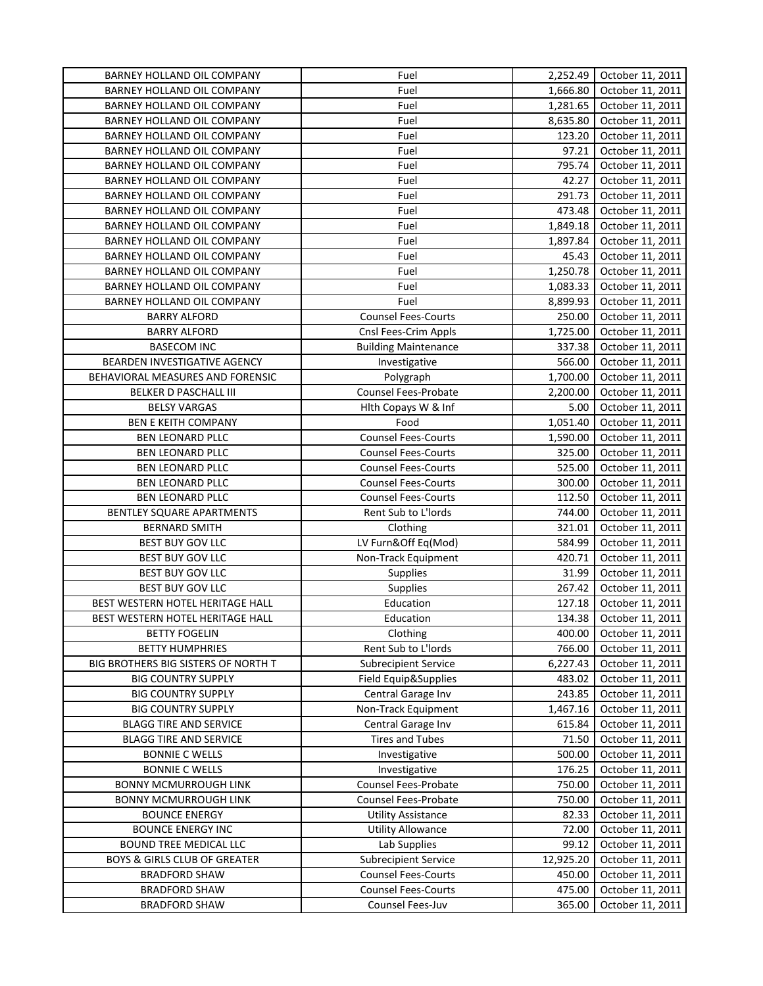| BARNEY HOLLAND OIL COMPANY              | Fuel                        | 2,252.49           | October 11, 2011 |
|-----------------------------------------|-----------------------------|--------------------|------------------|
| BARNEY HOLLAND OIL COMPANY              | Fuel                        | 1,666.80           | October 11, 2011 |
| BARNEY HOLLAND OIL COMPANY              | Fuel                        | 1,281.65           | October 11, 2011 |
| BARNEY HOLLAND OIL COMPANY              | Fuel                        | 8,635.80           | October 11, 2011 |
| BARNEY HOLLAND OIL COMPANY              | Fuel                        | 123.20             | October 11, 2011 |
| BARNEY HOLLAND OIL COMPANY              | Fuel                        | 97.21              | October 11, 2011 |
| BARNEY HOLLAND OIL COMPANY              | Fuel                        | 795.74             | October 11, 2011 |
| BARNEY HOLLAND OIL COMPANY              | Fuel                        | 42.27              | October 11, 2011 |
| BARNEY HOLLAND OIL COMPANY              | Fuel                        | 291.73             | October 11, 2011 |
| BARNEY HOLLAND OIL COMPANY              | Fuel                        | 473.48             | October 11, 2011 |
| BARNEY HOLLAND OIL COMPANY              | Fuel                        | 1,849.18           | October 11, 2011 |
| BARNEY HOLLAND OIL COMPANY              | Fuel                        | 1,897.84           | October 11, 2011 |
| BARNEY HOLLAND OIL COMPANY              | Fuel                        | 45.43              | October 11, 2011 |
| BARNEY HOLLAND OIL COMPANY              | Fuel                        | 1,250.78           | October 11, 2011 |
| BARNEY HOLLAND OIL COMPANY              | Fuel                        | 1,083.33           | October 11, 2011 |
| BARNEY HOLLAND OIL COMPANY              | Fuel                        | 8,899.93           | October 11, 2011 |
| <b>BARRY ALFORD</b>                     | <b>Counsel Fees-Courts</b>  | 250.00             | October 11, 2011 |
| <b>BARRY ALFORD</b>                     | Cnsl Fees-Crim Appls        | 1,725.00           | October 11, 2011 |
| <b>BASECOM INC</b>                      | <b>Building Maintenance</b> | 337.38             | October 11, 2011 |
| BEARDEN INVESTIGATIVE AGENCY            | Investigative               | 566.00             | October 11, 2011 |
| BEHAVIORAL MEASURES AND FORENSIC        | Polygraph                   | 1,700.00           | October 11, 2011 |
| <b>BELKER D PASCHALL III</b>            | Counsel Fees-Probate        | 2,200.00           | October 11, 2011 |
| <b>BELSY VARGAS</b>                     | Hith Copays W & Inf         | 5.00               | October 11, 2011 |
| <b>BEN E KEITH COMPANY</b>              | Food                        | 1,051.40           | October 11, 2011 |
|                                         | <b>Counsel Fees-Courts</b>  |                    | October 11, 2011 |
| BEN LEONARD PLLC                        |                             | 1,590.00<br>325.00 |                  |
| BEN LEONARD PLLC                        | <b>Counsel Fees-Courts</b>  |                    | October 11, 2011 |
| BEN LEONARD PLLC                        | <b>Counsel Fees-Courts</b>  | 525.00             | October 11, 2011 |
| BEN LEONARD PLLC                        | <b>Counsel Fees-Courts</b>  | 300.00             | October 11, 2011 |
| BEN LEONARD PLLC                        | <b>Counsel Fees-Courts</b>  | 112.50             | October 11, 2011 |
| BENTLEY SQUARE APARTMENTS               | Rent Sub to L'Iords         | 744.00             | October 11, 2011 |
| <b>BERNARD SMITH</b>                    | Clothing                    | 321.01             | October 11, 2011 |
| <b>BEST BUY GOV LLC</b>                 | LV Furn&Off Eq(Mod)         | 584.99             | October 11, 2011 |
| <b>BEST BUY GOV LLC</b>                 | Non-Track Equipment         | 420.71             | October 11, 2011 |
| <b>BEST BUY GOV LLC</b>                 | <b>Supplies</b>             | 31.99              | October 11, 2011 |
| <b>BEST BUY GOV LLC</b>                 | Supplies                    | 267.42             | October 11, 2011 |
| BEST WESTERN HOTEL HERITAGE HALL        | Education                   | 127.18             | October 11, 2011 |
| BEST WESTERN HOTEL HERITAGE HALL        | Education                   | 134.38             | October 11, 2011 |
| <b>BETTY FOGELIN</b>                    | Clothing                    | 400.00             | October 11, 2011 |
| <b>BETTY HUMPHRIES</b>                  | Rent Sub to L'Iords         | 766.00             | October 11, 2011 |
| BIG BROTHERS BIG SISTERS OF NORTH T     | <b>Subrecipient Service</b> | 6,227.43           | October 11, 2011 |
| <b>BIG COUNTRY SUPPLY</b>               | Field Equip&Supplies        | 483.02             | October 11, 2011 |
| <b>BIG COUNTRY SUPPLY</b>               | Central Garage Inv          | 243.85             | October 11, 2011 |
| <b>BIG COUNTRY SUPPLY</b>               | Non-Track Equipment         | 1,467.16           | October 11, 2011 |
| <b>BLAGG TIRE AND SERVICE</b>           | Central Garage Inv          | 615.84             | October 11, 2011 |
| <b>BLAGG TIRE AND SERVICE</b>           | <b>Tires and Tubes</b>      | 71.50              | October 11, 2011 |
| <b>BONNIE C WELLS</b>                   | Investigative               | 500.00             | October 11, 2011 |
| <b>BONNIE C WELLS</b>                   | Investigative               | 176.25             | October 11, 2011 |
| <b>BONNY MCMURROUGH LINK</b>            | Counsel Fees-Probate        | 750.00             | October 11, 2011 |
| <b>BONNY MCMURROUGH LINK</b>            | <b>Counsel Fees-Probate</b> | 750.00             | October 11, 2011 |
| <b>BOUNCE ENERGY</b>                    | <b>Utility Assistance</b>   | 82.33              | October 11, 2011 |
| <b>BOUNCE ENERGY INC</b>                | <b>Utility Allowance</b>    | 72.00              | October 11, 2011 |
| BOUND TREE MEDICAL LLC                  | Lab Supplies                | 99.12              | October 11, 2011 |
| <b>BOYS &amp; GIRLS CLUB OF GREATER</b> | <b>Subrecipient Service</b> | 12,925.20          | October 11, 2011 |
| <b>BRADFORD SHAW</b>                    | <b>Counsel Fees-Courts</b>  | 450.00             | October 11, 2011 |
| <b>BRADFORD SHAW</b>                    | <b>Counsel Fees-Courts</b>  | 475.00             | October 11, 2011 |
| <b>BRADFORD SHAW</b>                    | Counsel Fees-Juv            | 365.00             | October 11, 2011 |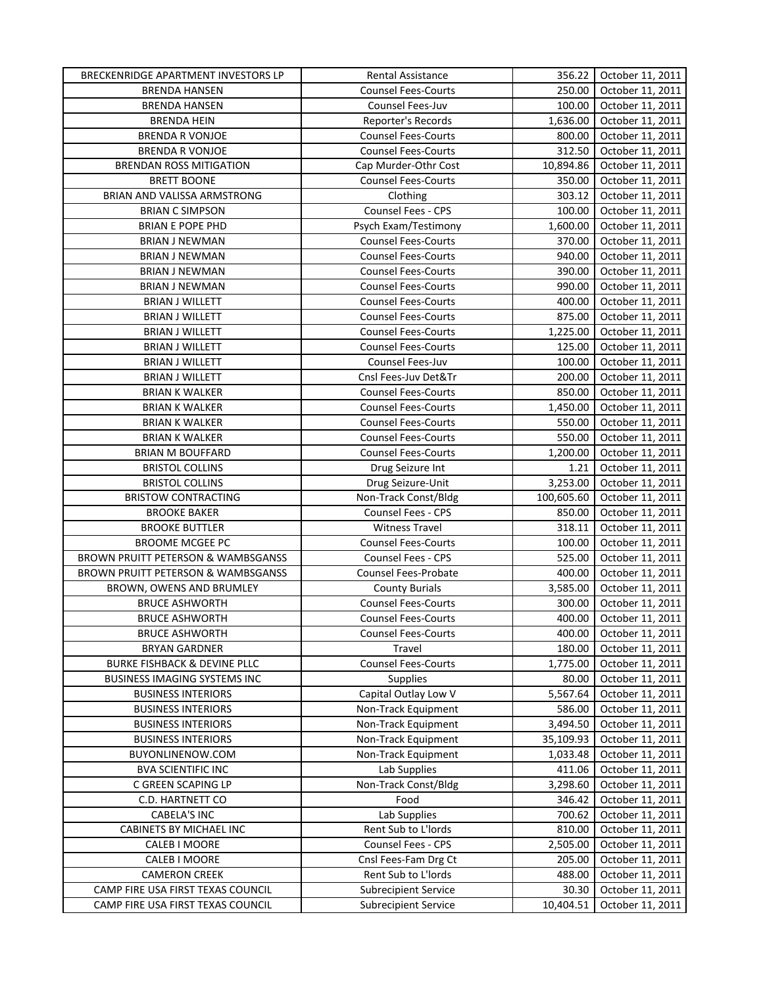| BRECKENRIDGE APARTMENT INVESTORS LP     | Rental Assistance           | 356.22     | October 11, 2011 |
|-----------------------------------------|-----------------------------|------------|------------------|
| <b>BRENDA HANSEN</b>                    | <b>Counsel Fees-Courts</b>  | 250.00     | October 11, 2011 |
| <b>BRENDA HANSEN</b>                    | Counsel Fees-Juv            | 100.00     | October 11, 2011 |
| <b>BRENDA HEIN</b>                      | Reporter's Records          | 1,636.00   | October 11, 2011 |
| <b>BRENDA R VONJOE</b>                  | <b>Counsel Fees-Courts</b>  | 800.00     | October 11, 2011 |
| <b>BRENDA R VONJOE</b>                  | <b>Counsel Fees-Courts</b>  | 312.50     | October 11, 2011 |
| <b>BRENDAN ROSS MITIGATION</b>          | Cap Murder-Othr Cost        | 10,894.86  | October 11, 2011 |
| <b>BRETT BOONE</b>                      | <b>Counsel Fees-Courts</b>  | 350.00     | October 11, 2011 |
| BRIAN AND VALISSA ARMSTRONG             | Clothing                    | 303.12     | October 11, 2011 |
| <b>BRIAN C SIMPSON</b>                  | Counsel Fees - CPS          | 100.00     | October 11, 2011 |
| <b>BRIAN E POPE PHD</b>                 | Psych Exam/Testimony        | 1,600.00   | October 11, 2011 |
| <b>BRIAN J NEWMAN</b>                   | <b>Counsel Fees-Courts</b>  | 370.00     | October 11, 2011 |
| <b>BRIAN J NEWMAN</b>                   | <b>Counsel Fees-Courts</b>  | 940.00     | October 11, 2011 |
| <b>BRIAN J NEWMAN</b>                   | <b>Counsel Fees-Courts</b>  | 390.00     | October 11, 2011 |
| <b>BRIAN J NEWMAN</b>                   | <b>Counsel Fees-Courts</b>  | 990.00     | October 11, 2011 |
| <b>BRIAN J WILLETT</b>                  | <b>Counsel Fees-Courts</b>  | 400.00     | October 11, 2011 |
| <b>BRIAN J WILLETT</b>                  | <b>Counsel Fees-Courts</b>  | 875.00     | October 11, 2011 |
| <b>BRIAN J WILLETT</b>                  | <b>Counsel Fees-Courts</b>  | 1,225.00   | October 11, 2011 |
| <b>BRIAN J WILLETT</b>                  | <b>Counsel Fees-Courts</b>  | 125.00     | October 11, 2011 |
| <b>BRIAN J WILLETT</b>                  | Counsel Fees-Juv            | 100.00     | October 11, 2011 |
| <b>BRIAN J WILLETT</b>                  | Cnsl Fees-Juv Det&Tr        | 200.00     | October 11, 2011 |
| <b>BRIAN K WALKER</b>                   | <b>Counsel Fees-Courts</b>  | 850.00     | October 11, 2011 |
| <b>BRIAN K WALKER</b>                   | <b>Counsel Fees-Courts</b>  | 1,450.00   | October 11, 2011 |
| <b>BRIAN K WALKER</b>                   | <b>Counsel Fees-Courts</b>  | 550.00     | October 11, 2011 |
| <b>BRIAN K WALKER</b>                   | <b>Counsel Fees-Courts</b>  | 550.00     | October 11, 2011 |
| <b>BRIAN M BOUFFARD</b>                 | <b>Counsel Fees-Courts</b>  | 1,200.00   | October 11, 2011 |
| <b>BRISTOL COLLINS</b>                  | Drug Seizure Int            | 1.21       | October 11, 2011 |
| <b>BRISTOL COLLINS</b>                  | Drug Seizure-Unit           | 3,253.00   | October 11, 2011 |
| <b>BRISTOW CONTRACTING</b>              | Non-Track Const/Bldg        | 100,605.60 | October 11, 2011 |
| <b>BROOKE BAKER</b>                     | Counsel Fees - CPS          | 850.00     | October 11, 2011 |
| <b>BROOKE BUTTLER</b>                   | <b>Witness Travel</b>       | 318.11     | October 11, 2011 |
| <b>BROOME MCGEE PC</b>                  | <b>Counsel Fees-Courts</b>  | 100.00     | October 11, 2011 |
| BROWN PRUITT PETERSON & WAMBSGANSS      | Counsel Fees - CPS          | 525.00     | October 11, 2011 |
| BROWN PRUITT PETERSON & WAMBSGANSS      | <b>Counsel Fees-Probate</b> | 400.00     | October 11, 2011 |
| BROWN, OWENS AND BRUMLEY                | <b>County Burials</b>       | 3,585.00   | October 11, 2011 |
| <b>BRUCE ASHWORTH</b>                   | <b>Counsel Fees-Courts</b>  | 300.00     | October 11, 2011 |
| <b>BRUCE ASHWORTH</b>                   | <b>Counsel Fees-Courts</b>  | 400.00     | October 11, 2011 |
| <b>BRUCE ASHWORTH</b>                   | <b>Counsel Fees-Courts</b>  | 400.00     | October 11, 2011 |
| <b>BRYAN GARDNER</b>                    | Travel                      | 180.00     | October 11, 2011 |
| <b>BURKE FISHBACK &amp; DEVINE PLLC</b> | <b>Counsel Fees-Courts</b>  | 1,775.00   | October 11, 2011 |
| BUSINESS IMAGING SYSTEMS INC            | <b>Supplies</b>             | 80.00      | October 11, 2011 |
| <b>BUSINESS INTERIORS</b>               | Capital Outlay Low V        | 5,567.64   | October 11, 2011 |
| <b>BUSINESS INTERIORS</b>               | Non-Track Equipment         | 586.00     | October 11, 2011 |
| <b>BUSINESS INTERIORS</b>               | Non-Track Equipment         | 3,494.50   | October 11, 2011 |
| <b>BUSINESS INTERIORS</b>               | Non-Track Equipment         | 35,109.93  | October 11, 2011 |
| BUYONLINENOW.COM                        | Non-Track Equipment         | 1,033.48   | October 11, 2011 |
| <b>BVA SCIENTIFIC INC</b>               | Lab Supplies                | 411.06     | October 11, 2011 |
| C GREEN SCAPING LP                      | Non-Track Const/Bldg        | 3,298.60   | October 11, 2011 |
| C.D. HARTNETT CO                        | Food                        | 346.42     | October 11, 2011 |
| <b>CABELA'S INC</b>                     | Lab Supplies                | 700.62     | October 11, 2011 |
| CABINETS BY MICHAEL INC                 | Rent Sub to L'Iords         | 810.00     | October 11, 2011 |
| CALEB I MOORE                           | Counsel Fees - CPS          | 2,505.00   | October 11, 2011 |
| CALEB I MOORE                           | Cnsl Fees-Fam Drg Ct        | 205.00     | October 11, 2011 |
| <b>CAMERON CREEK</b>                    | Rent Sub to L'Iords         | 488.00     | October 11, 2011 |
| CAMP FIRE USA FIRST TEXAS COUNCIL       | <b>Subrecipient Service</b> | 30.30      | October 11, 2011 |
| CAMP FIRE USA FIRST TEXAS COUNCIL       | <b>Subrecipient Service</b> | 10,404.51  | October 11, 2011 |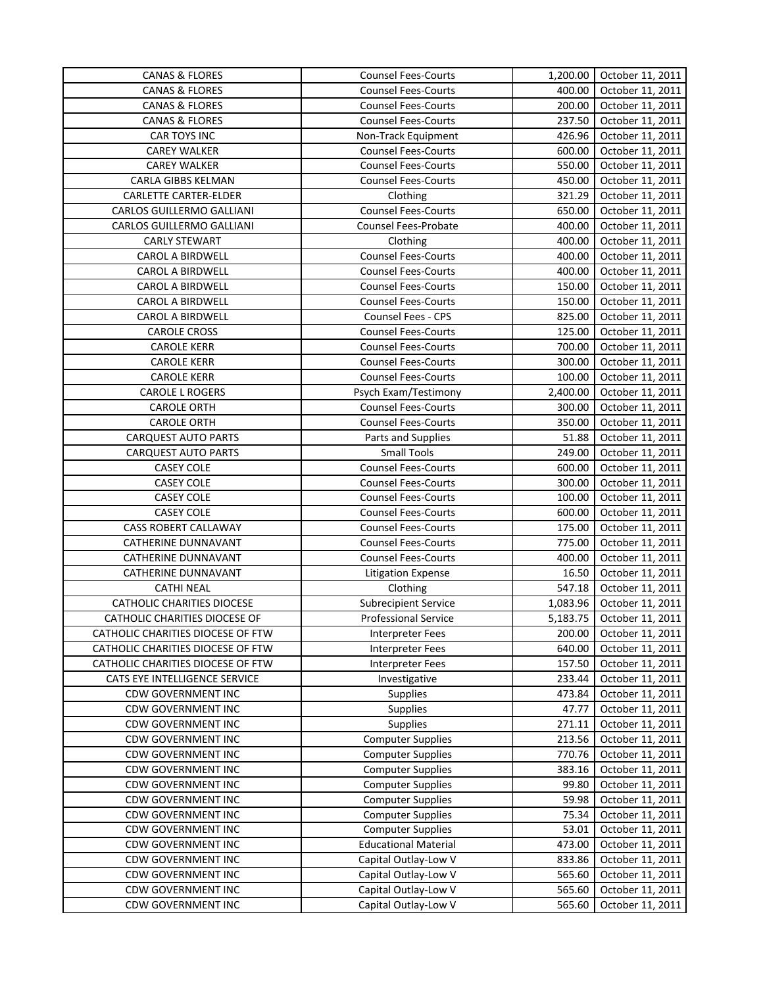| <b>CANAS &amp; FLORES</b>         | <b>Counsel Fees-Courts</b>  | 1,200.00 | October 11, 2011 |
|-----------------------------------|-----------------------------|----------|------------------|
| <b>CANAS &amp; FLORES</b>         | <b>Counsel Fees-Courts</b>  | 400.00   | October 11, 2011 |
| <b>CANAS &amp; FLORES</b>         | <b>Counsel Fees-Courts</b>  | 200.00   | October 11, 2011 |
| <b>CANAS &amp; FLORES</b>         | Counsel Fees-Courts         | 237.50   | October 11, 2011 |
| CAR TOYS INC                      | Non-Track Equipment         | 426.96   | October 11, 2011 |
| <b>CAREY WALKER</b>               | <b>Counsel Fees-Courts</b>  | 600.00   | October 11, 2011 |
| <b>CAREY WALKER</b>               | <b>Counsel Fees-Courts</b>  | 550.00   | October 11, 2011 |
| CARLA GIBBS KELMAN                | <b>Counsel Fees-Courts</b>  | 450.00   | October 11, 2011 |
| CARLETTE CARTER-ELDER             | Clothing                    | 321.29   | October 11, 2011 |
| CARLOS GUILLERMO GALLIANI         | <b>Counsel Fees-Courts</b>  | 650.00   | October 11, 2011 |
| CARLOS GUILLERMO GALLIANI         | Counsel Fees-Probate        | 400.00   | October 11, 2011 |
| <b>CARLY STEWART</b>              | Clothing                    | 400.00   | October 11, 2011 |
| <b>CAROL A BIRDWELL</b>           | <b>Counsel Fees-Courts</b>  | 400.00   | October 11, 2011 |
| CAROL A BIRDWELL                  | <b>Counsel Fees-Courts</b>  | 400.00   | October 11, 2011 |
| <b>CAROL A BIRDWELL</b>           | <b>Counsel Fees-Courts</b>  | 150.00   | October 11, 2011 |
| <b>CAROL A BIRDWELL</b>           | <b>Counsel Fees-Courts</b>  | 150.00   | October 11, 2011 |
| <b>CAROL A BIRDWELL</b>           | Counsel Fees - CPS          | 825.00   | October 11, 2011 |
| <b>CAROLE CROSS</b>               | <b>Counsel Fees-Courts</b>  | 125.00   | October 11, 2011 |
| <b>CAROLE KERR</b>                | <b>Counsel Fees-Courts</b>  | 700.00   | October 11, 2011 |
| <b>CAROLE KERR</b>                | <b>Counsel Fees-Courts</b>  | 300.00   | October 11, 2011 |
| <b>CAROLE KERR</b>                | <b>Counsel Fees-Courts</b>  | 100.00   | October 11, 2011 |
| CAROLE L ROGERS                   | Psych Exam/Testimony        | 2,400.00 | October 11, 2011 |
| <b>CAROLE ORTH</b>                | <b>Counsel Fees-Courts</b>  | 300.00   | October 11, 2011 |
| <b>CAROLE ORTH</b>                | <b>Counsel Fees-Courts</b>  | 350.00   | October 11, 2011 |
| <b>CARQUEST AUTO PARTS</b>        | Parts and Supplies          | 51.88    | October 11, 2011 |
| <b>CARQUEST AUTO PARTS</b>        | <b>Small Tools</b>          | 249.00   | October 11, 2011 |
| <b>CASEY COLE</b>                 | <b>Counsel Fees-Courts</b>  | 600.00   | October 11, 2011 |
| <b>CASEY COLE</b>                 | <b>Counsel Fees-Courts</b>  | 300.00   | October 11, 2011 |
| <b>CASEY COLE</b>                 | <b>Counsel Fees-Courts</b>  | 100.00   | October 11, 2011 |
| <b>CASEY COLE</b>                 | <b>Counsel Fees-Courts</b>  | 600.00   | October 11, 2011 |
| <b>CASS ROBERT CALLAWAY</b>       | <b>Counsel Fees-Courts</b>  | 175.00   | October 11, 2011 |
| CATHERINE DUNNAVANT               | <b>Counsel Fees-Courts</b>  | 775.00   | October 11, 2011 |
| CATHERINE DUNNAVANT               | <b>Counsel Fees-Courts</b>  | 400.00   | October 11, 2011 |
| CATHERINE DUNNAVANT               | <b>Litigation Expense</b>   | 16.50    | October 11, 2011 |
| <b>CATHI NEAL</b>                 | Clothing                    | 547.18   | October 11, 2011 |
| <b>CATHOLIC CHARITIES DIOCESE</b> | <b>Subrecipient Service</b> | 1,083.96 | October 11, 2011 |
| CATHOLIC CHARITIES DIOCESE OF     | <b>Professional Service</b> | 5,183.75 | October 11, 2011 |
| CATHOLIC CHARITIES DIOCESE OF FTW | <b>Interpreter Fees</b>     | 200.00   | October 11, 2011 |
| CATHOLIC CHARITIES DIOCESE OF FTW | <b>Interpreter Fees</b>     | 640.00   | October 11, 2011 |
| CATHOLIC CHARITIES DIOCESE OF FTW | <b>Interpreter Fees</b>     | 157.50   | October 11, 2011 |
| CATS EYE INTELLIGENCE SERVICE     | Investigative               | 233.44   | October 11, 2011 |
| <b>CDW GOVERNMENT INC</b>         | <b>Supplies</b>             | 473.84   | October 11, 2011 |
| <b>CDW GOVERNMENT INC</b>         | <b>Supplies</b>             | 47.77    | October 11, 2011 |
| <b>CDW GOVERNMENT INC</b>         | <b>Supplies</b>             | 271.11   | October 11, 2011 |
| <b>CDW GOVERNMENT INC</b>         | <b>Computer Supplies</b>    | 213.56   | October 11, 2011 |
| <b>CDW GOVERNMENT INC</b>         | <b>Computer Supplies</b>    | 770.76   | October 11, 2011 |
| <b>CDW GOVERNMENT INC</b>         | <b>Computer Supplies</b>    | 383.16   | October 11, 2011 |
| <b>CDW GOVERNMENT INC</b>         | <b>Computer Supplies</b>    | 99.80    | October 11, 2011 |
| <b>CDW GOVERNMENT INC</b>         | <b>Computer Supplies</b>    | 59.98    | October 11, 2011 |
| <b>CDW GOVERNMENT INC</b>         | <b>Computer Supplies</b>    | 75.34    | October 11, 2011 |
| <b>CDW GOVERNMENT INC</b>         | <b>Computer Supplies</b>    | 53.01    | October 11, 2011 |
| <b>CDW GOVERNMENT INC</b>         | <b>Educational Material</b> | 473.00   | October 11, 2011 |
| <b>CDW GOVERNMENT INC</b>         | Capital Outlay-Low V        | 833.86   | October 11, 2011 |
| <b>CDW GOVERNMENT INC</b>         | Capital Outlay-Low V        | 565.60   | October 11, 2011 |
| <b>CDW GOVERNMENT INC</b>         | Capital Outlay-Low V        | 565.60   | October 11, 2011 |
| <b>CDW GOVERNMENT INC</b>         | Capital Outlay-Low V        | 565.60   | October 11, 2011 |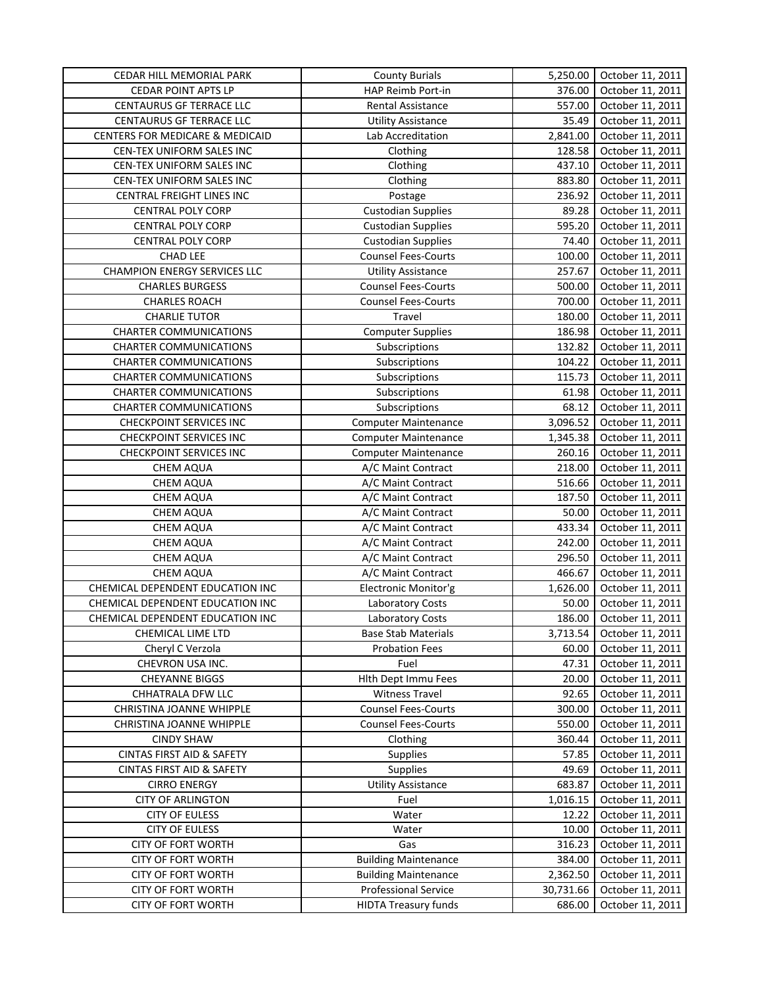| CEDAR HILL MEMORIAL PARK             | <b>County Burials</b>       | 5,250.00  | October 11, 2011 |
|--------------------------------------|-----------------------------|-----------|------------------|
| <b>CEDAR POINT APTS LP</b>           | HAP Reimb Port-in           | 376.00    | October 11, 2011 |
| CENTAURUS GF TERRACE LLC             | Rental Assistance           | 557.00    | October 11, 2011 |
| CENTAURUS GF TERRACE LLC             | <b>Utility Assistance</b>   | 35.49     | October 11, 2011 |
| CENTERS FOR MEDICARE & MEDICAID      | Lab Accreditation           | 2,841.00  | October 11, 2011 |
| CEN-TEX UNIFORM SALES INC            | Clothing                    | 128.58    | October 11, 2011 |
| CEN-TEX UNIFORM SALES INC            | Clothing                    | 437.10    | October 11, 2011 |
| CEN-TEX UNIFORM SALES INC            | Clothing                    | 883.80    | October 11, 2011 |
| CENTRAL FREIGHT LINES INC            | Postage                     | 236.92    | October 11, 2011 |
| <b>CENTRAL POLY CORP</b>             | <b>Custodian Supplies</b>   | 89.28     | October 11, 2011 |
| <b>CENTRAL POLY CORP</b>             | <b>Custodian Supplies</b>   | 595.20    | October 11, 2011 |
| <b>CENTRAL POLY CORP</b>             | <b>Custodian Supplies</b>   | 74.40     | October 11, 2011 |
| <b>CHAD LEE</b>                      | <b>Counsel Fees-Courts</b>  | 100.00    | October 11, 2011 |
| <b>CHAMPION ENERGY SERVICES LLC</b>  | <b>Utility Assistance</b>   | 257.67    | October 11, 2011 |
| <b>CHARLES BURGESS</b>               | <b>Counsel Fees-Courts</b>  | 500.00    | October 11, 2011 |
| <b>CHARLES ROACH</b>                 | <b>Counsel Fees-Courts</b>  | 700.00    | October 11, 2011 |
| <b>CHARLIE TUTOR</b>                 | Travel                      | 180.00    | October 11, 2011 |
| <b>CHARTER COMMUNICATIONS</b>        | <b>Computer Supplies</b>    | 186.98    | October 11, 2011 |
| <b>CHARTER COMMUNICATIONS</b>        | Subscriptions               | 132.82    | October 11, 2011 |
| <b>CHARTER COMMUNICATIONS</b>        | Subscriptions               | 104.22    | October 11, 2011 |
| <b>CHARTER COMMUNICATIONS</b>        | Subscriptions               | 115.73    | October 11, 2011 |
| <b>CHARTER COMMUNICATIONS</b>        | Subscriptions               | 61.98     | October 11, 2011 |
| <b>CHARTER COMMUNICATIONS</b>        | Subscriptions               | 68.12     | October 11, 2011 |
| CHECKPOINT SERVICES INC              | <b>Computer Maintenance</b> | 3,096.52  | October 11, 2011 |
| CHECKPOINT SERVICES INC              | <b>Computer Maintenance</b> | 1,345.38  | October 11, 2011 |
| <b>CHECKPOINT SERVICES INC</b>       | <b>Computer Maintenance</b> | 260.16    | October 11, 2011 |
| CHEM AQUA                            | A/C Maint Contract          | 218.00    | October 11, 2011 |
| CHEM AQUA                            | A/C Maint Contract          | 516.66    | October 11, 2011 |
| CHEM AQUA                            | A/C Maint Contract          | 187.50    | October 11, 2011 |
| <b>CHEM AQUA</b>                     | A/C Maint Contract          | 50.00     | October 11, 2011 |
| CHEM AQUA                            | A/C Maint Contract          | 433.34    | October 11, 2011 |
| CHEM AQUA                            | A/C Maint Contract          | 242.00    | October 11, 2011 |
| CHEM AQUA                            | A/C Maint Contract          | 296.50    | October 11, 2011 |
| <b>CHEM AQUA</b>                     | A/C Maint Contract          | 466.67    | October 11, 2011 |
| CHEMICAL DEPENDENT EDUCATION INC     | Electronic Monitor'g        | 1,626.00  | October 11, 2011 |
| CHEMICAL DEPENDENT EDUCATION INC     | Laboratory Costs            | 50.00     | October 11, 2011 |
| CHEMICAL DEPENDENT EDUCATION INC     | <b>Laboratory Costs</b>     | 186.00    | October 11, 2011 |
| CHEMICAL LIME LTD                    | <b>Base Stab Materials</b>  | 3,713.54  | October 11, 2011 |
| Cheryl C Verzola                     | <b>Probation Fees</b>       | 60.00     | October 11, 2011 |
| CHEVRON USA INC.                     | Fuel                        | 47.31     | October 11, 2011 |
| <b>CHEYANNE BIGGS</b>                | Hlth Dept Immu Fees         | 20.00     | October 11, 2011 |
| CHHATRALA DFW LLC                    | <b>Witness Travel</b>       | 92.65     | October 11, 2011 |
| CHRISTINA JOANNE WHIPPLE             | <b>Counsel Fees-Courts</b>  | 300.00    | October 11, 2011 |
| CHRISTINA JOANNE WHIPPLE             | <b>Counsel Fees-Courts</b>  | 550.00    | October 11, 2011 |
| <b>CINDY SHAW</b>                    | Clothing                    | 360.44    | October 11, 2011 |
| <b>CINTAS FIRST AID &amp; SAFETY</b> | Supplies                    | 57.85     | October 11, 2011 |
| <b>CINTAS FIRST AID &amp; SAFETY</b> | Supplies                    | 49.69     | October 11, 2011 |
| <b>CIRRO ENERGY</b>                  | Utility Assistance          | 683.87    | October 11, 2011 |
| <b>CITY OF ARLINGTON</b>             | Fuel                        | 1,016.15  | October 11, 2011 |
| <b>CITY OF EULESS</b>                | Water                       | 12.22     | October 11, 2011 |
| <b>CITY OF EULESS</b>                | Water                       | 10.00     | October 11, 2011 |
| CITY OF FORT WORTH                   | Gas                         | 316.23    | October 11, 2011 |
| <b>CITY OF FORT WORTH</b>            | <b>Building Maintenance</b> | 384.00    | October 11, 2011 |
| CITY OF FORT WORTH                   | <b>Building Maintenance</b> | 2,362.50  | October 11, 2011 |
| CITY OF FORT WORTH                   | Professional Service        | 30,731.66 | October 11, 2011 |
| <b>CITY OF FORT WORTH</b>            | <b>HIDTA Treasury funds</b> | 686.00    | October 11, 2011 |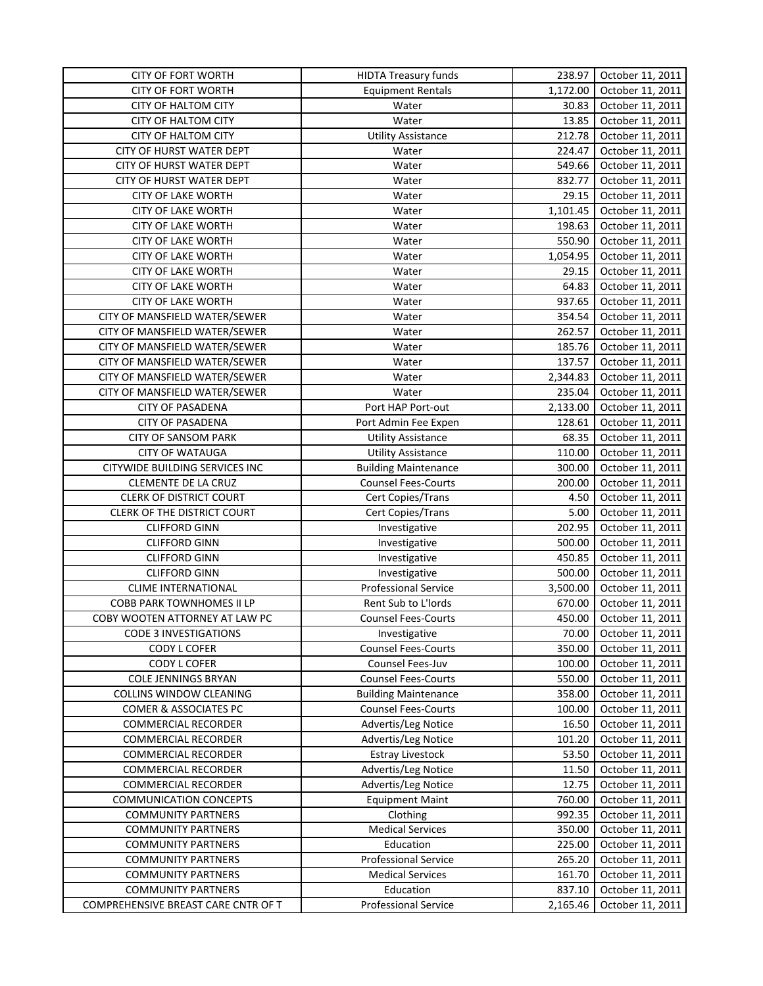| <b>CITY OF FORT WORTH</b>           | <b>HIDTA Treasury funds</b> | 238.97   | October 11, 2011 |
|-------------------------------------|-----------------------------|----------|------------------|
| <b>CITY OF FORT WORTH</b>           | <b>Equipment Rentals</b>    | 1,172.00 | October 11, 2011 |
| <b>CITY OF HALTOM CITY</b>          | Water                       | 30.83    | October 11, 2011 |
| <b>CITY OF HALTOM CITY</b>          | Water                       | 13.85    | October 11, 2011 |
| <b>CITY OF HALTOM CITY</b>          | <b>Utility Assistance</b>   | 212.78   | October 11, 2011 |
| CITY OF HURST WATER DEPT            | Water                       | 224.47   | October 11, 2011 |
| <b>CITY OF HURST WATER DEPT</b>     | Water                       | 549.66   | October 11, 2011 |
| CITY OF HURST WATER DEPT            | Water                       | 832.77   | October 11, 2011 |
| <b>CITY OF LAKE WORTH</b>           | Water                       | 29.15    | October 11, 2011 |
| <b>CITY OF LAKE WORTH</b>           | Water                       | 1,101.45 | October 11, 2011 |
| <b>CITY OF LAKE WORTH</b>           | Water                       | 198.63   | October 11, 2011 |
| <b>CITY OF LAKE WORTH</b>           | Water                       | 550.90   | October 11, 2011 |
| <b>CITY OF LAKE WORTH</b>           | Water                       | 1,054.95 | October 11, 2011 |
| <b>CITY OF LAKE WORTH</b>           | Water                       | 29.15    | October 11, 2011 |
| <b>CITY OF LAKE WORTH</b>           | Water                       | 64.83    | October 11, 2011 |
| <b>CITY OF LAKE WORTH</b>           | Water                       | 937.65   | October 11, 2011 |
| CITY OF MANSFIELD WATER/SEWER       | Water                       | 354.54   | October 11, 2011 |
| CITY OF MANSFIELD WATER/SEWER       | Water                       | 262.57   | October 11, 2011 |
|                                     |                             |          |                  |
| CITY OF MANSFIELD WATER/SEWER       | Water                       | 185.76   | October 11, 2011 |
| CITY OF MANSFIELD WATER/SEWER       | Water                       | 137.57   | October 11, 2011 |
| CITY OF MANSFIELD WATER/SEWER       | Water                       | 2,344.83 | October 11, 2011 |
| CITY OF MANSFIELD WATER/SEWER       | Water                       | 235.04   | October 11, 2011 |
| <b>CITY OF PASADENA</b>             | Port HAP Port-out           | 2,133.00 | October 11, 2011 |
| <b>CITY OF PASADENA</b>             | Port Admin Fee Expen        | 128.61   | October 11, 2011 |
| <b>CITY OF SANSOM PARK</b>          | <b>Utility Assistance</b>   | 68.35    | October 11, 2011 |
| <b>CITY OF WATAUGA</b>              | <b>Utility Assistance</b>   | 110.00   | October 11, 2011 |
| CITYWIDE BUILDING SERVICES INC      | <b>Building Maintenance</b> | 300.00   | October 11, 2011 |
| CLEMENTE DE LA CRUZ                 | <b>Counsel Fees-Courts</b>  | 200.00   | October 11, 2011 |
| <b>CLERK OF DISTRICT COURT</b>      | Cert Copies/Trans           | 4.50     | October 11, 2011 |
| CLERK OF THE DISTRICT COURT         | Cert Copies/Trans           | 5.00     | October 11, 2011 |
| <b>CLIFFORD GINN</b>                | Investigative               | 202.95   | October 11, 2011 |
| <b>CLIFFORD GINN</b>                | Investigative               | 500.00   | October 11, 2011 |
| <b>CLIFFORD GINN</b>                | Investigative               | 450.85   | October 11, 2011 |
| <b>CLIFFORD GINN</b>                | Investigative               | 500.00   | October 11, 2011 |
| <b>CLIME INTERNATIONAL</b>          | <b>Professional Service</b> | 3,500.00 | October 11, 2011 |
| COBB PARK TOWNHOMES II LP           | Rent Sub to L'Iords         | 670.00   | October 11, 2011 |
| COBY WOOTEN ATTORNEY AT LAW PC      | <b>Counsel Fees-Courts</b>  | 450.00   | October 11, 2011 |
| <b>CODE 3 INVESTIGATIONS</b>        | Investigative               | 70.00    | October 11, 2011 |
| CODY L COFER                        | <b>Counsel Fees-Courts</b>  | 350.00   | October 11, 2011 |
| CODY L COFER                        | Counsel Fees-Juv            | 100.00   | October 11, 2011 |
| <b>COLE JENNINGS BRYAN</b>          | <b>Counsel Fees-Courts</b>  | 550.00   | October 11, 2011 |
| COLLINS WINDOW CLEANING             | <b>Building Maintenance</b> | 358.00   | October 11, 2011 |
| COMER & ASSOCIATES PC               | <b>Counsel Fees-Courts</b>  | 100.00   | October 11, 2011 |
| <b>COMMERCIAL RECORDER</b>          | Advertis/Leg Notice         | 16.50    | October 11, 2011 |
| <b>COMMERCIAL RECORDER</b>          | Advertis/Leg Notice         | 101.20   | October 11, 2011 |
| <b>COMMERCIAL RECORDER</b>          | <b>Estray Livestock</b>     | 53.50    | October 11, 2011 |
| <b>COMMERCIAL RECORDER</b>          | Advertis/Leg Notice         | 11.50    | October 11, 2011 |
| <b>COMMERCIAL RECORDER</b>          | Advertis/Leg Notice         | 12.75    | October 11, 2011 |
| <b>COMMUNICATION CONCEPTS</b>       | <b>Equipment Maint</b>      | 760.00   | October 11, 2011 |
| <b>COMMUNITY PARTNERS</b>           | Clothing                    | 992.35   | October 11, 2011 |
| <b>COMMUNITY PARTNERS</b>           | <b>Medical Services</b>     | 350.00   | October 11, 2011 |
| <b>COMMUNITY PARTNERS</b>           | Education                   | 225.00   | October 11, 2011 |
| <b>COMMUNITY PARTNERS</b>           | Professional Service        | 265.20   | October 11, 2011 |
| <b>COMMUNITY PARTNERS</b>           | <b>Medical Services</b>     | 161.70   | October 11, 2011 |
| <b>COMMUNITY PARTNERS</b>           | Education                   | 837.10   | October 11, 2011 |
| COMPREHENSIVE BREAST CARE CNTR OF T | Professional Service        | 2,165.46 | October 11, 2011 |
|                                     |                             |          |                  |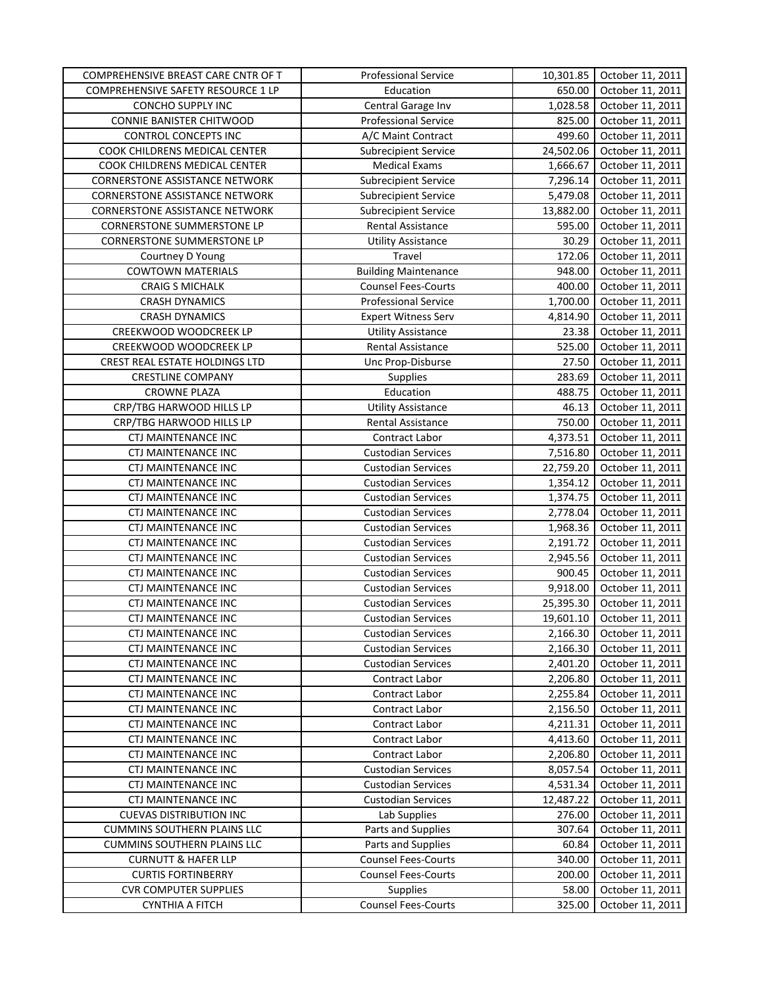| COMPREHENSIVE BREAST CARE CNTR OF T   | <b>Professional Service</b> | 10,301.85 | October 11, 2011 |
|---------------------------------------|-----------------------------|-----------|------------------|
| COMPREHENSIVE SAFETY RESOURCE 1 LP    | Education                   | 650.00    | October 11, 2011 |
| CONCHO SUPPLY INC                     | Central Garage Inv          | 1,028.58  | October 11, 2011 |
| <b>CONNIE BANISTER CHITWOOD</b>       | <b>Professional Service</b> | 825.00    | October 11, 2011 |
| CONTROL CONCEPTS INC                  | A/C Maint Contract          | 499.60    | October 11, 2011 |
| COOK CHILDRENS MEDICAL CENTER         | <b>Subrecipient Service</b> | 24,502.06 | October 11, 2011 |
| COOK CHILDRENS MEDICAL CENTER         | Medical Exams               | 1,666.67  | October 11, 2011 |
| CORNERSTONE ASSISTANCE NETWORK        | <b>Subrecipient Service</b> | 7,296.14  | October 11, 2011 |
| <b>CORNERSTONE ASSISTANCE NETWORK</b> | <b>Subrecipient Service</b> | 5,479.08  | October 11, 2011 |
| <b>CORNERSTONE ASSISTANCE NETWORK</b> | <b>Subrecipient Service</b> | 13,882.00 | October 11, 2011 |
| <b>CORNERSTONE SUMMERSTONE LP</b>     | Rental Assistance           | 595.00    | October 11, 2011 |
| <b>CORNERSTONE SUMMERSTONE LP</b>     | <b>Utility Assistance</b>   | 30.29     | October 11, 2011 |
| Courtney D Young                      | Travel                      | 172.06    | October 11, 2011 |
| <b>COWTOWN MATERIALS</b>              | <b>Building Maintenance</b> | 948.00    | October 11, 2011 |
| <b>CRAIG S MICHALK</b>                | <b>Counsel Fees-Courts</b>  | 400.00    | October 11, 2011 |
| <b>CRASH DYNAMICS</b>                 | <b>Professional Service</b> | 1,700.00  | October 11, 2011 |
| <b>CRASH DYNAMICS</b>                 | <b>Expert Witness Serv</b>  | 4,814.90  | October 11, 2011 |
| CREEKWOOD WOODCREEK LP                | <b>Utility Assistance</b>   | 23.38     | October 11, 2011 |
| CREEKWOOD WOODCREEK LP                | Rental Assistance           | 525.00    | October 11, 2011 |
| CREST REAL ESTATE HOLDINGS LTD        | Unc Prop-Disburse           | 27.50     | October 11, 2011 |
| <b>CRESTLINE COMPANY</b>              | Supplies                    | 283.69    | October 11, 2011 |
| <b>CROWNE PLAZA</b>                   | Education                   | 488.75    | October 11, 2011 |
| CRP/TBG HARWOOD HILLS LP              | <b>Utility Assistance</b>   | 46.13     | October 11, 2011 |
| CRP/TBG HARWOOD HILLS LP              | Rental Assistance           | 750.00    | October 11, 2011 |
| CTJ MAINTENANCE INC                   | Contract Labor              | 4,373.51  | October 11, 2011 |
| CTJ MAINTENANCE INC                   | <b>Custodian Services</b>   | 7,516.80  | October 11, 2011 |
| CTJ MAINTENANCE INC                   | <b>Custodian Services</b>   | 22,759.20 | October 11, 2011 |
| CTJ MAINTENANCE INC                   | <b>Custodian Services</b>   | 1,354.12  | October 11, 2011 |
| CTJ MAINTENANCE INC                   | <b>Custodian Services</b>   | 1,374.75  | October 11, 2011 |
| CTJ MAINTENANCE INC                   | <b>Custodian Services</b>   | 2,778.04  | October 11, 2011 |
| CTJ MAINTENANCE INC                   | <b>Custodian Services</b>   | 1,968.36  | October 11, 2011 |
| CTJ MAINTENANCE INC                   | <b>Custodian Services</b>   | 2,191.72  | October 11, 2011 |
| <b>CTJ MAINTENANCE INC</b>            | <b>Custodian Services</b>   | 2,945.56  | October 11, 2011 |
| CTJ MAINTENANCE INC                   | <b>Custodian Services</b>   | 900.45    | October 11, 2011 |
| <b>CTJ MAINTENANCE INC</b>            | <b>Custodian Services</b>   | 9,918.00  | October 11, 2011 |
| CTJ MAINTENANCE INC                   | <b>Custodian Services</b>   | 25,395.30 | October 11, 2011 |
| <b>CTJ MAINTENANCE INC</b>            | <b>Custodian Services</b>   | 19,601.10 | October 11, 2011 |
| <b>CTJ MAINTENANCE INC</b>            | <b>Custodian Services</b>   | 2,166.30  | October 11, 2011 |
| CTJ MAINTENANCE INC                   | <b>Custodian Services</b>   | 2,166.30  | October 11, 2011 |
| <b>CTJ MAINTENANCE INC</b>            | <b>Custodian Services</b>   | 2,401.20  | October 11, 2011 |
| <b>CTJ MAINTENANCE INC</b>            | Contract Labor              | 2,206.80  | October 11, 2011 |
| CTJ MAINTENANCE INC                   | Contract Labor              | 2,255.84  | October 11, 2011 |
| CTJ MAINTENANCE INC                   | Contract Labor              | 2,156.50  | October 11, 2011 |
| CTJ MAINTENANCE INC                   | Contract Labor              | 4,211.31  | October 11, 2011 |
| CTJ MAINTENANCE INC                   | Contract Labor              | 4,413.60  | October 11, 2011 |
| CTJ MAINTENANCE INC                   | Contract Labor              | 2,206.80  | October 11, 2011 |
| <b>CTJ MAINTENANCE INC</b>            | <b>Custodian Services</b>   | 8,057.54  | October 11, 2011 |
| CTJ MAINTENANCE INC                   | <b>Custodian Services</b>   | 4,531.34  | October 11, 2011 |
| CTJ MAINTENANCE INC                   | <b>Custodian Services</b>   | 12,487.22 | October 11, 2011 |
| <b>CUEVAS DISTRIBUTION INC</b>        | Lab Supplies                | 276.00    | October 11, 2011 |
| <b>CUMMINS SOUTHERN PLAINS LLC</b>    | Parts and Supplies          | 307.64    | October 11, 2011 |
| <b>CUMMINS SOUTHERN PLAINS LLC</b>    | Parts and Supplies          | 60.84     | October 11, 2011 |
| <b>CURNUTT &amp; HAFER LLP</b>        | <b>Counsel Fees-Courts</b>  | 340.00    | October 11, 2011 |
| <b>CURTIS FORTINBERRY</b>             | <b>Counsel Fees-Courts</b>  | 200.00    | October 11, 2011 |
| <b>CVR COMPUTER SUPPLIES</b>          | <b>Supplies</b>             | 58.00     | October 11, 2011 |
| <b>CYNTHIA A FITCH</b>                | <b>Counsel Fees-Courts</b>  | 325.00    | October 11, 2011 |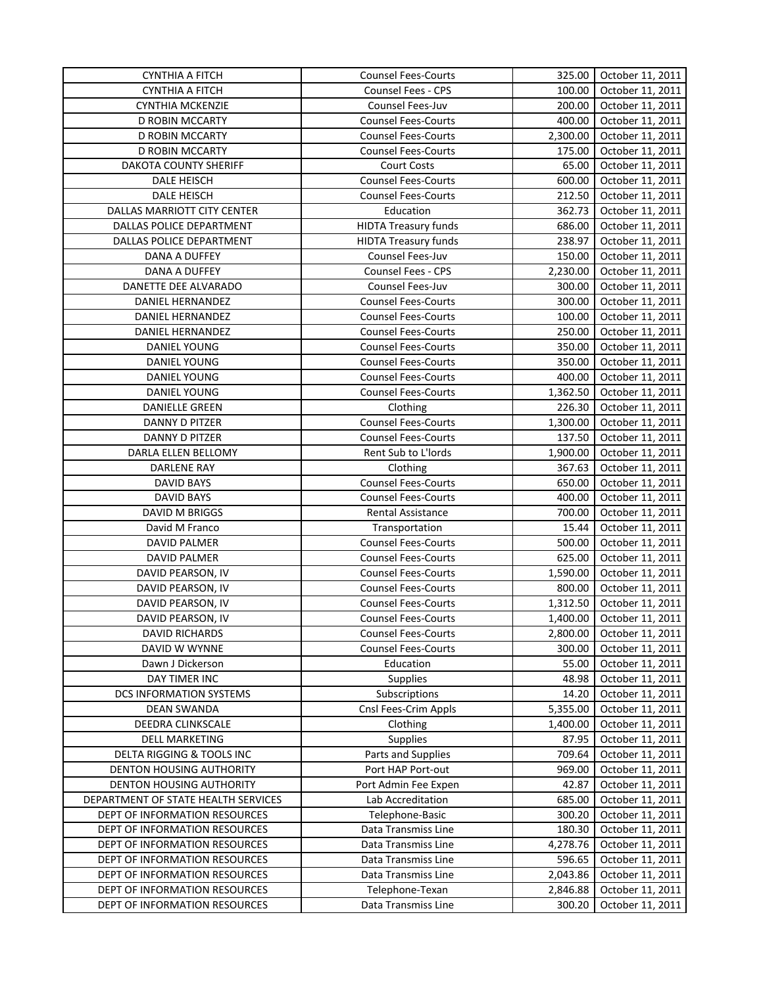| <b>CYNTHIA A FITCH</b>                                       | <b>Counsel Fees-Courts</b>              | 325.00           | October 11, 2011                     |
|--------------------------------------------------------------|-----------------------------------------|------------------|--------------------------------------|
| <b>CYNTHIA A FITCH</b>                                       | Counsel Fees - CPS                      | 100.00           | October 11, 2011                     |
| <b>CYNTHIA MCKENZIE</b>                                      | Counsel Fees-Juv                        | 200.00           | October 11, 2011                     |
| D ROBIN MCCARTY                                              | <b>Counsel Fees-Courts</b>              | 400.00           | October 11, 2011                     |
| D ROBIN MCCARTY                                              | <b>Counsel Fees-Courts</b>              | 2,300.00         | October 11, 2011                     |
| <b>D ROBIN MCCARTY</b>                                       | <b>Counsel Fees-Courts</b>              | 175.00           | October 11, 2011                     |
| DAKOTA COUNTY SHERIFF                                        | <b>Court Costs</b>                      | 65.00            | October 11, 2011                     |
| DALE HEISCH                                                  | <b>Counsel Fees-Courts</b>              | 600.00           | October 11, 2011                     |
| DALE HEISCH                                                  | <b>Counsel Fees-Courts</b>              | 212.50           | October 11, 2011                     |
| DALLAS MARRIOTT CITY CENTER                                  | Education                               | 362.73           | October 11, 2011                     |
| DALLAS POLICE DEPARTMENT                                     | <b>HIDTA Treasury funds</b>             | 686.00           | October 11, 2011                     |
| DALLAS POLICE DEPARTMENT                                     | <b>HIDTA Treasury funds</b>             | 238.97           | October 11, 2011                     |
| DANA A DUFFEY                                                | Counsel Fees-Juv                        | 150.00           | October 11, 2011                     |
| DANA A DUFFEY                                                | Counsel Fees - CPS                      | 2,230.00         | October 11, 2011                     |
| DANETTE DEE ALVARADO                                         | Counsel Fees-Juv                        | 300.00           | October 11, 2011                     |
| DANIEL HERNANDEZ                                             | <b>Counsel Fees-Courts</b>              | 300.00           | October 11, 2011                     |
| DANIEL HERNANDEZ                                             | <b>Counsel Fees-Courts</b>              | 100.00           | October 11, 2011                     |
| DANIEL HERNANDEZ                                             | <b>Counsel Fees-Courts</b>              | 250.00           | October 11, 2011                     |
| DANIEL YOUNG                                                 | <b>Counsel Fees-Courts</b>              | 350.00           | October 11, 2011                     |
| DANIEL YOUNG                                                 | <b>Counsel Fees-Courts</b>              | 350.00           | October 11, 2011                     |
| <b>DANIEL YOUNG</b>                                          | <b>Counsel Fees-Courts</b>              | 400.00           | October 11, 2011                     |
| DANIEL YOUNG                                                 | <b>Counsel Fees-Courts</b>              | 1,362.50         | October 11, 2011                     |
| <b>DANIELLE GREEN</b>                                        | Clothing                                | 226.30           | October 11, 2011                     |
| DANNY D PITZER                                               | <b>Counsel Fees-Courts</b>              | 1,300.00         | October 11, 2011                     |
| DANNY D PITZER                                               | <b>Counsel Fees-Courts</b>              | 137.50           | October 11, 2011                     |
| DARLA ELLEN BELLOMY                                          | Rent Sub to L'Iords                     | 1,900.00         | October 11, 2011                     |
| <b>DARLENE RAY</b>                                           | Clothing                                | 367.63           | October 11, 2011                     |
| <b>DAVID BAYS</b>                                            | <b>Counsel Fees-Courts</b>              | 650.00           | October 11, 2011                     |
| <b>DAVID BAYS</b>                                            | <b>Counsel Fees-Courts</b>              | 400.00           | October 11, 2011                     |
| DAVID M BRIGGS                                               | <b>Rental Assistance</b>                | 700.00           | October 11, 2011                     |
| David M Franco                                               | Transportation                          | 15.44            | October 11, 2011                     |
| <b>DAVID PALMER</b>                                          | <b>Counsel Fees-Courts</b>              | 500.00           | October 11, 2011                     |
| <b>DAVID PALMER</b>                                          | <b>Counsel Fees-Courts</b>              | 625.00           | October 11, 2011                     |
| DAVID PEARSON, IV                                            | <b>Counsel Fees-Courts</b>              | 1,590.00         | October 11, 2011                     |
| DAVID PEARSON, IV                                            | <b>Counsel Fees-Courts</b>              | 800.00           | October 11, 2011                     |
| DAVID PEARSON, IV                                            | <b>Counsel Fees-Courts</b>              | 1,312.50         | October 11, 2011                     |
| DAVID PEARSON, IV                                            | <b>Counsel Fees-Courts</b>              | 1,400.00         | October 11, 2011                     |
| <b>DAVID RICHARDS</b>                                        | <b>Counsel Fees-Courts</b>              | 2,800.00         | October 11, 2011                     |
| DAVID W WYNNE                                                | <b>Counsel Fees-Courts</b>              | 300.00           | October 11, 2011                     |
| Dawn J Dickerson                                             | Education                               | 55.00            | October 11, 2011                     |
| DAY TIMER INC                                                | <b>Supplies</b>                         | 48.98            | October 11, 2011                     |
| DCS INFORMATION SYSTEMS                                      | Subscriptions                           | 14.20            | October 11, 2011                     |
| <b>DEAN SWANDA</b>                                           | Cnsl Fees-Crim Appls                    | 5,355.00         | October 11, 2011                     |
| DEEDRA CLINKSCALE                                            | Clothing                                | 1,400.00         | October 11, 2011                     |
| <b>DELL MARKETING</b>                                        | Supplies                                | 87.95            | October 11, 2011                     |
|                                                              |                                         |                  |                                      |
| DELTA RIGGING & TOOLS INC<br><b>DENTON HOUSING AUTHORITY</b> | Parts and Supplies<br>Port HAP Port-out | 709.64<br>969.00 | October 11, 2011<br>October 11, 2011 |
| <b>DENTON HOUSING AUTHORITY</b>                              | Port Admin Fee Expen                    | 42.87            | October 11, 2011                     |
| DEPARTMENT OF STATE HEALTH SERVICES                          | Lab Accreditation                       | 685.00           | October 11, 2011                     |
| DEPT OF INFORMATION RESOURCES                                | Telephone-Basic                         | 300.20           | October 11, 2011                     |
| DEPT OF INFORMATION RESOURCES                                | Data Transmiss Line                     | 180.30           | October 11, 2011                     |
| DEPT OF INFORMATION RESOURCES                                | Data Transmiss Line                     | 4,278.76         | October 11, 2011                     |
| DEPT OF INFORMATION RESOURCES                                | Data Transmiss Line                     | 596.65           | October 11, 2011                     |
| DEPT OF INFORMATION RESOURCES                                | Data Transmiss Line                     | 2,043.86         | October 11, 2011                     |
| DEPT OF INFORMATION RESOURCES                                | Telephone-Texan                         | 2,846.88         | October 11, 2011                     |
| DEPT OF INFORMATION RESOURCES                                | Data Transmiss Line                     | 300.20           | October 11, 2011                     |
|                                                              |                                         |                  |                                      |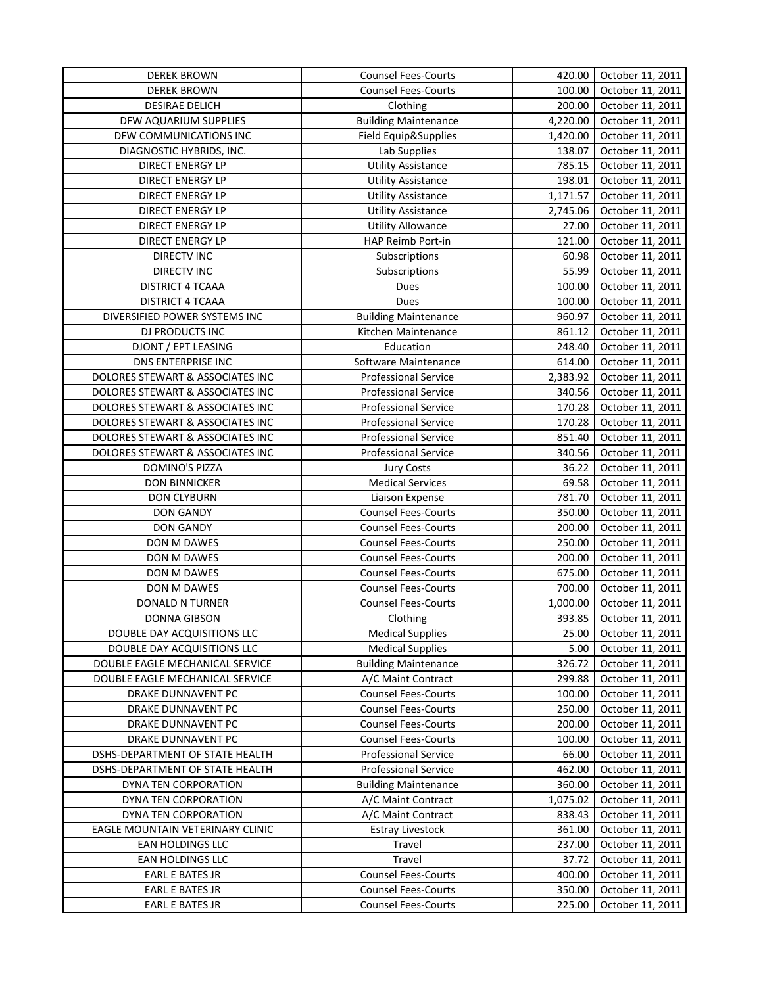| <b>DEREK BROWN</b>               | <b>Counsel Fees-Courts</b>  | 420.00   | October 11, 2011 |
|----------------------------------|-----------------------------|----------|------------------|
| <b>DEREK BROWN</b>               | <b>Counsel Fees-Courts</b>  | 100.00   | October 11, 2011 |
| <b>DESIRAE DELICH</b>            | Clothing                    | 200.00   | October 11, 2011 |
| DFW AQUARIUM SUPPLIES            | <b>Building Maintenance</b> | 4,220.00 | October 11, 2011 |
| DFW COMMUNICATIONS INC           | Field Equip&Supplies        | 1,420.00 | October 11, 2011 |
| DIAGNOSTIC HYBRIDS, INC.         | Lab Supplies                | 138.07   | October 11, 2011 |
| <b>DIRECT ENERGY LP</b>          | <b>Utility Assistance</b>   | 785.15   | October 11, 2011 |
| DIRECT ENERGY LP                 | <b>Utility Assistance</b>   | 198.01   | October 11, 2011 |
| <b>DIRECT ENERGY LP</b>          | <b>Utility Assistance</b>   | 1,171.57 | October 11, 2011 |
| <b>DIRECT ENERGY LP</b>          | <b>Utility Assistance</b>   | 2,745.06 | October 11, 2011 |
| <b>DIRECT ENERGY LP</b>          | <b>Utility Allowance</b>    | 27.00    | October 11, 2011 |
| <b>DIRECT ENERGY LP</b>          | HAP Reimb Port-in           | 121.00   | October 11, 2011 |
| <b>DIRECTV INC</b>               | Subscriptions               | 60.98    | October 11, 2011 |
| <b>DIRECTV INC</b>               | Subscriptions               | 55.99    | October 11, 2011 |
| <b>DISTRICT 4 TCAAA</b>          | Dues                        | 100.00   | October 11, 2011 |
| <b>DISTRICT 4 TCAAA</b>          | Dues                        | 100.00   | October 11, 2011 |
| DIVERSIFIED POWER SYSTEMS INC    | <b>Building Maintenance</b> | 960.97   | October 11, 2011 |
| DJ PRODUCTS INC                  | Kitchen Maintenance         | 861.12   | October 11, 2011 |
| <b>DJONT / EPT LEASING</b>       | Education                   | 248.40   | October 11, 2011 |
| DNS ENTERPRISE INC               | Software Maintenance        | 614.00   | October 11, 2011 |
| DOLORES STEWART & ASSOCIATES INC | <b>Professional Service</b> | 2,383.92 | October 11, 2011 |
| DOLORES STEWART & ASSOCIATES INC | <b>Professional Service</b> | 340.56   | October 11, 2011 |
| DOLORES STEWART & ASSOCIATES INC | Professional Service        | 170.28   | October 11, 2011 |
| DOLORES STEWART & ASSOCIATES INC | <b>Professional Service</b> | 170.28   | October 11, 2011 |
| DOLORES STEWART & ASSOCIATES INC | <b>Professional Service</b> | 851.40   | October 11, 2011 |
| DOLORES STEWART & ASSOCIATES INC | <b>Professional Service</b> | 340.56   | October 11, 2011 |
| DOMINO'S PIZZA                   | <b>Jury Costs</b>           | 36.22    | October 11, 2011 |
| <b>DON BINNICKER</b>             | <b>Medical Services</b>     | 69.58    | October 11, 2011 |
| <b>DON CLYBURN</b>               | Liaison Expense             | 781.70   | October 11, 2011 |
| <b>DON GANDY</b>                 | <b>Counsel Fees-Courts</b>  | 350.00   | October 11, 2011 |
| <b>DON GANDY</b>                 | <b>Counsel Fees-Courts</b>  | 200.00   | October 11, 2011 |
| DON M DAWES                      | <b>Counsel Fees-Courts</b>  | 250.00   | October 11, 2011 |
| DON M DAWES                      | <b>Counsel Fees-Courts</b>  | 200.00   | October 11, 2011 |
| DON M DAWES                      | <b>Counsel Fees-Courts</b>  | 675.00   | October 11, 2011 |
| DON M DAWES                      | <b>Counsel Fees-Courts</b>  | 700.00   | October 11, 2011 |
| DONALD N TURNER                  | <b>Counsel Fees-Courts</b>  | 1,000.00 | October 11, 2011 |
| <b>DONNA GIBSON</b>              | Clothing                    | 393.85   | October 11, 2011 |
| DOUBLE DAY ACQUISITIONS LLC      | <b>Medical Supplies</b>     | 25.00    | October 11, 2011 |
| DOUBLE DAY ACQUISITIONS LLC      | <b>Medical Supplies</b>     | 5.00     | October 11, 2011 |
| DOUBLE EAGLE MECHANICAL SERVICE  | <b>Building Maintenance</b> | 326.72   | October 11, 2011 |
| DOUBLE EAGLE MECHANICAL SERVICE  | A/C Maint Contract          | 299.88   | October 11, 2011 |
| DRAKE DUNNAVENT PC               | <b>Counsel Fees-Courts</b>  | 100.00   | October 11, 2011 |
| DRAKE DUNNAVENT PC               | <b>Counsel Fees-Courts</b>  | 250.00   | October 11, 2011 |
| DRAKE DUNNAVENT PC               | <b>Counsel Fees-Courts</b>  | 200.00   | October 11, 2011 |
| DRAKE DUNNAVENT PC               | <b>Counsel Fees-Courts</b>  | 100.00   | October 11, 2011 |
| DSHS-DEPARTMENT OF STATE HEALTH  | Professional Service        | 66.00    | October 11, 2011 |
| DSHS-DEPARTMENT OF STATE HEALTH  | Professional Service        | 462.00   | October 11, 2011 |
| DYNA TEN CORPORATION             | <b>Building Maintenance</b> | 360.00   | October 11, 2011 |
| DYNA TEN CORPORATION             | A/C Maint Contract          | 1,075.02 | October 11, 2011 |
| DYNA TEN CORPORATION             | A/C Maint Contract          | 838.43   | October 11, 2011 |
| EAGLE MOUNTAIN VETERINARY CLINIC | <b>Estray Livestock</b>     | 361.00   | October 11, 2011 |
| EAN HOLDINGS LLC                 | Travel                      | 237.00   | October 11, 2011 |
| EAN HOLDINGS LLC                 | Travel                      | 37.72    | October 11, 2011 |
| EARL E BATES JR                  | <b>Counsel Fees-Courts</b>  | 400.00   | October 11, 2011 |
| EARL E BATES JR                  | <b>Counsel Fees-Courts</b>  | 350.00   | October 11, 2011 |
| EARL E BATES JR                  | <b>Counsel Fees-Courts</b>  | 225.00   | October 11, 2011 |
|                                  |                             |          |                  |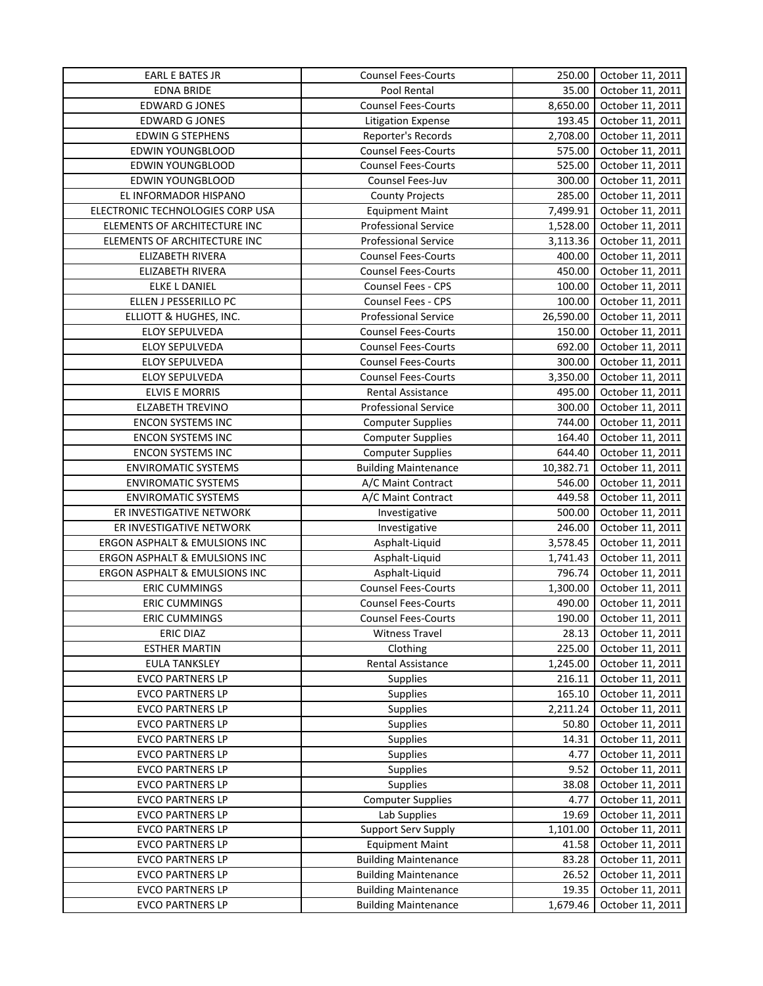| <b>EARL E BATES JR</b>           | <b>Counsel Fees-Courts</b>  | 250.00    | October 11, 2011 |
|----------------------------------|-----------------------------|-----------|------------------|
| <b>EDNA BRIDE</b>                | Pool Rental                 | 35.00     | October 11, 2011 |
| <b>EDWARD G JONES</b>            | <b>Counsel Fees-Courts</b>  | 8,650.00  | October 11, 2011 |
| <b>EDWARD G JONES</b>            | <b>Litigation Expense</b>   | 193.45    | October 11, 2011 |
| <b>EDWIN G STEPHENS</b>          | Reporter's Records          | 2,708.00  | October 11, 2011 |
| EDWIN YOUNGBLOOD                 | <b>Counsel Fees-Courts</b>  | 575.00    | October 11, 2011 |
| EDWIN YOUNGBLOOD                 | <b>Counsel Fees-Courts</b>  | 525.00    | October 11, 2011 |
| EDWIN YOUNGBLOOD                 | Counsel Fees-Juv            | 300.00    | October 11, 2011 |
| EL INFORMADOR HISPANO            | <b>County Projects</b>      | 285.00    | October 11, 2011 |
| ELECTRONIC TECHNOLOGIES CORP USA | <b>Equipment Maint</b>      | 7,499.91  | October 11, 2011 |
| ELEMENTS OF ARCHITECTURE INC     | <b>Professional Service</b> | 1,528.00  | October 11, 2011 |
| ELEMENTS OF ARCHITECTURE INC     | <b>Professional Service</b> | 3,113.36  | October 11, 2011 |
| ELIZABETH RIVERA                 | <b>Counsel Fees-Courts</b>  | 400.00    | October 11, 2011 |
| ELIZABETH RIVERA                 | <b>Counsel Fees-Courts</b>  | 450.00    | October 11, 2011 |
| ELKE L DANIEL                    | Counsel Fees - CPS          | 100.00    | October 11, 2011 |
| ELLEN J PESSERILLO PC            | Counsel Fees - CPS          | 100.00    | October 11, 2011 |
| ELLIOTT & HUGHES, INC.           | <b>Professional Service</b> | 26,590.00 | October 11, 2011 |
| ELOY SEPULVEDA                   | <b>Counsel Fees-Courts</b>  | 150.00    | October 11, 2011 |
| ELOY SEPULVEDA                   | <b>Counsel Fees-Courts</b>  | 692.00    | October 11, 2011 |
| ELOY SEPULVEDA                   | <b>Counsel Fees-Courts</b>  | 300.00    | October 11, 2011 |
| <b>ELOY SEPULVEDA</b>            | <b>Counsel Fees-Courts</b>  | 3,350.00  | October 11, 2011 |
| <b>ELVIS E MORRIS</b>            | Rental Assistance           | 495.00    | October 11, 2011 |
| <b>ELZABETH TREVINO</b>          | <b>Professional Service</b> | 300.00    | October 11, 2011 |
| <b>ENCON SYSTEMS INC</b>         | <b>Computer Supplies</b>    | 744.00    | October 11, 2011 |
| <b>ENCON SYSTEMS INC</b>         | <b>Computer Supplies</b>    | 164.40    | October 11, 2011 |
| <b>ENCON SYSTEMS INC</b>         | <b>Computer Supplies</b>    | 644.40    | October 11, 2011 |
| <b>ENVIROMATIC SYSTEMS</b>       | <b>Building Maintenance</b> | 10,382.71 | October 11, 2011 |
| <b>ENVIROMATIC SYSTEMS</b>       | A/C Maint Contract          | 546.00    | October 11, 2011 |
| <b>ENVIROMATIC SYSTEMS</b>       | A/C Maint Contract          | 449.58    | October 11, 2011 |
| ER INVESTIGATIVE NETWORK         | Investigative               | 500.00    | October 11, 2011 |
| ER INVESTIGATIVE NETWORK         | Investigative               | 246.00    | October 11, 2011 |
| ERGON ASPHALT & EMULSIONS INC    | Asphalt-Liquid              | 3,578.45  | October 11, 2011 |
| ERGON ASPHALT & EMULSIONS INC    | Asphalt-Liquid              | 1,741.43  | October 11, 2011 |
| ERGON ASPHALT & EMULSIONS INC    | Asphalt-Liquid              | 796.74    | October 11, 2011 |
| <b>ERIC CUMMINGS</b>             | <b>Counsel Fees-Courts</b>  | 1,300.00  | October 11, 2011 |
| <b>ERIC CUMMINGS</b>             | Counsel Fees-Courts         | 490.00    | October 11, 2011 |
| <b>ERIC CUMMINGS</b>             | <b>Counsel Fees-Courts</b>  | 190.00    | October 11, 2011 |
| ERIC DIAZ                        | <b>Witness Travel</b>       | 28.13     | October 11, 2011 |
| <b>ESTHER MARTIN</b>             | Clothing                    | 225.00    | October 11, 2011 |
| <b>EULA TANKSLEY</b>             | Rental Assistance           | 1,245.00  | October 11, 2011 |
| <b>EVCO PARTNERS LP</b>          | Supplies                    | 216.11    | October 11, 2011 |
| <b>EVCO PARTNERS LP</b>          | Supplies                    | 165.10    | October 11, 2011 |
| <b>EVCO PARTNERS LP</b>          | Supplies                    | 2,211.24  | October 11, 2011 |
| <b>EVCO PARTNERS LP</b>          | Supplies                    | 50.80     | October 11, 2011 |
| <b>EVCO PARTNERS LP</b>          | Supplies                    | 14.31     | October 11, 2011 |
| <b>EVCO PARTNERS LP</b>          | Supplies                    | 4.77      | October 11, 2011 |
| <b>EVCO PARTNERS LP</b>          | Supplies                    | 9.52      | October 11, 2011 |
| <b>EVCO PARTNERS LP</b>          | Supplies                    | 38.08     | October 11, 2011 |
| <b>EVCO PARTNERS LP</b>          | <b>Computer Supplies</b>    | 4.77      | October 11, 2011 |
| <b>EVCO PARTNERS LP</b>          | Lab Supplies                | 19.69     | October 11, 2011 |
| <b>EVCO PARTNERS LP</b>          | <b>Support Serv Supply</b>  | 1,101.00  | October 11, 2011 |
| <b>EVCO PARTNERS LP</b>          | <b>Equipment Maint</b>      | 41.58     | October 11, 2011 |
| <b>EVCO PARTNERS LP</b>          | <b>Building Maintenance</b> | 83.28     | October 11, 2011 |
| <b>EVCO PARTNERS LP</b>          | <b>Building Maintenance</b> | 26.52     | October 11, 2011 |
| <b>EVCO PARTNERS LP</b>          | <b>Building Maintenance</b> | 19.35     | October 11, 2011 |
| <b>EVCO PARTNERS LP</b>          | <b>Building Maintenance</b> | 1,679.46  | October 11, 2011 |
|                                  |                             |           |                  |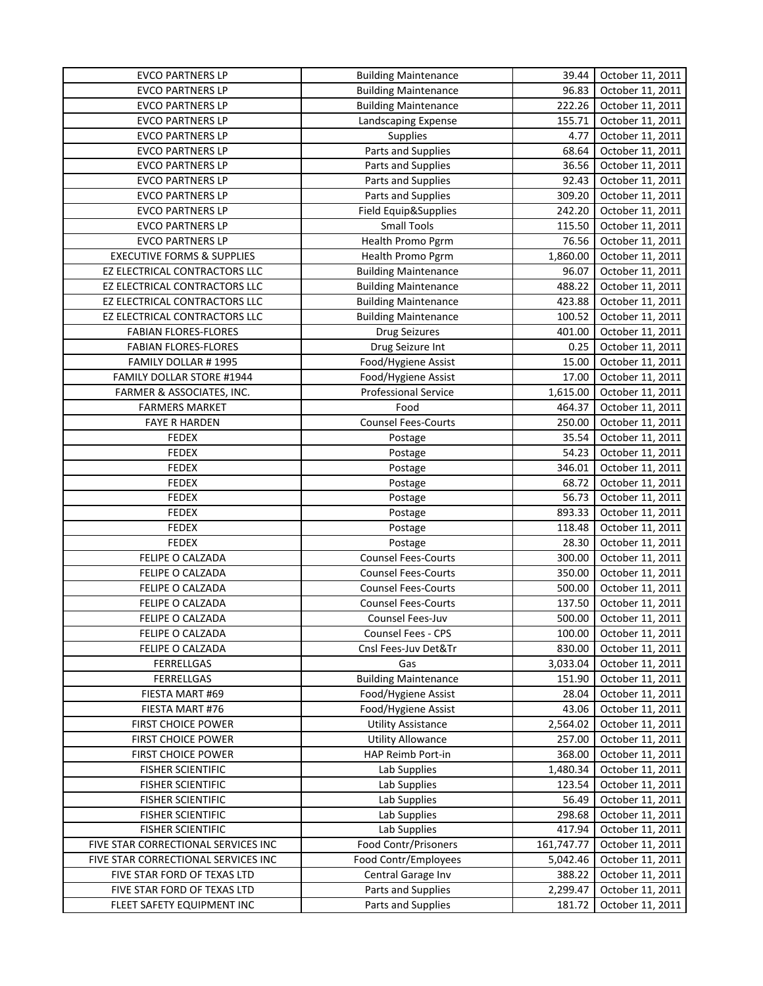| <b>EVCO PARTNERS LP</b>               | <b>Building Maintenance</b> | 39.44      | October 11, 2011 |
|---------------------------------------|-----------------------------|------------|------------------|
| <b>EVCO PARTNERS LP</b>               | <b>Building Maintenance</b> | 96.83      | October 11, 2011 |
| <b>EVCO PARTNERS LP</b>               | <b>Building Maintenance</b> | 222.26     | October 11, 2011 |
| <b>EVCO PARTNERS LP</b>               | Landscaping Expense         | 155.71     | October 11, 2011 |
| <b>EVCO PARTNERS LP</b>               | Supplies                    | 4.77       | October 11, 2011 |
| <b>EVCO PARTNERS LP</b>               | Parts and Supplies          | 68.64      | October 11, 2011 |
| <b>EVCO PARTNERS LP</b>               | Parts and Supplies          | 36.56      | October 11, 2011 |
| <b>EVCO PARTNERS LP</b>               | Parts and Supplies          | 92.43      | October 11, 2011 |
| <b>EVCO PARTNERS LP</b>               | Parts and Supplies          | 309.20     | October 11, 2011 |
| <b>EVCO PARTNERS LP</b>               | Field Equip&Supplies        | 242.20     | October 11, 2011 |
| <b>EVCO PARTNERS LP</b>               | <b>Small Tools</b>          | 115.50     | October 11, 2011 |
| <b>EVCO PARTNERS LP</b>               | Health Promo Pgrm           | 76.56      | October 11, 2011 |
| <b>EXECUTIVE FORMS &amp; SUPPLIES</b> | Health Promo Pgrm           | 1,860.00   | October 11, 2011 |
| EZ ELECTRICAL CONTRACTORS LLC         | <b>Building Maintenance</b> | 96.07      | October 11, 2011 |
| EZ ELECTRICAL CONTRACTORS LLC         | <b>Building Maintenance</b> | 488.22     | October 11, 2011 |
| EZ ELECTRICAL CONTRACTORS LLC         | <b>Building Maintenance</b> | 423.88     | October 11, 2011 |
| EZ ELECTRICAL CONTRACTORS LLC         | <b>Building Maintenance</b> | 100.52     | October 11, 2011 |
| <b>FABIAN FLORES-FLORES</b>           | <b>Drug Seizures</b>        | 401.00     | October 11, 2011 |
| <b>FABIAN FLORES-FLORES</b>           | Drug Seizure Int            | 0.25       | October 11, 2011 |
| FAMILY DOLLAR #1995                   | Food/Hygiene Assist         | 15.00      | October 11, 2011 |
| FAMILY DOLLAR STORE #1944             | Food/Hygiene Assist         | 17.00      | October 11, 2011 |
| FARMER & ASSOCIATES, INC.             | <b>Professional Service</b> | 1,615.00   | October 11, 2011 |
| <b>FARMERS MARKET</b>                 | Food                        | 464.37     | October 11, 2011 |
| <b>FAYE R HARDEN</b>                  | <b>Counsel Fees-Courts</b>  | 250.00     | October 11, 2011 |
|                                       |                             |            |                  |
| <b>FEDEX</b>                          | Postage                     | 35.54      | October 11, 2011 |
| <b>FEDEX</b>                          | Postage                     | 54.23      | October 11, 2011 |
| <b>FEDEX</b>                          | Postage                     | 346.01     | October 11, 2011 |
| <b>FEDEX</b>                          | Postage                     | 68.72      | October 11, 2011 |
| <b>FEDEX</b>                          | Postage                     | 56.73      | October 11, 2011 |
| <b>FEDEX</b>                          | Postage                     | 893.33     | October 11, 2011 |
| <b>FEDEX</b>                          | Postage                     | 118.48     | October 11, 2011 |
| <b>FEDEX</b>                          | Postage                     | 28.30      | October 11, 2011 |
| FELIPE O CALZADA                      | <b>Counsel Fees-Courts</b>  | 300.00     | October 11, 2011 |
| FELIPE O CALZADA                      | <b>Counsel Fees-Courts</b>  | 350.00     | October 11, 2011 |
| FELIPE O CALZADA                      | <b>Counsel Fees-Courts</b>  | 500.00     | October 11, 2011 |
| FELIPE O CALZADA                      | <b>Counsel Fees-Courts</b>  | 137.50     | October 11, 2011 |
| <b>FELIPE O CALZADA</b>               | Counsel Fees-Juv            | 500.00     | October 11, 2011 |
| FELIPE O CALZADA                      | Counsel Fees - CPS          | 100.00     | October 11, 2011 |
| FELIPE O CALZADA                      | Cnsl Fees-Juv Det&Tr        | 830.00     | October 11, 2011 |
| <b>FERRELLGAS</b>                     | Gas                         | 3,033.04   | October 11, 2011 |
| FERRELLGAS                            | <b>Building Maintenance</b> | 151.90     | October 11, 2011 |
| FIESTA MART #69                       | Food/Hygiene Assist         | 28.04      | October 11, 2011 |
| FIESTA MART #76                       | Food/Hygiene Assist         | 43.06      | October 11, 2011 |
| FIRST CHOICE POWER                    | <b>Utility Assistance</b>   | 2,564.02   | October 11, 2011 |
| FIRST CHOICE POWER                    | <b>Utility Allowance</b>    | 257.00     | October 11, 2011 |
| <b>FIRST CHOICE POWER</b>             | HAP Reimb Port-in           | 368.00     | October 11, 2011 |
| <b>FISHER SCIENTIFIC</b>              | Lab Supplies                | 1,480.34   | October 11, 2011 |
| <b>FISHER SCIENTIFIC</b>              | Lab Supplies                | 123.54     | October 11, 2011 |
| <b>FISHER SCIENTIFIC</b>              | Lab Supplies                | 56.49      | October 11, 2011 |
| <b>FISHER SCIENTIFIC</b>              | Lab Supplies                | 298.68     | October 11, 2011 |
| <b>FISHER SCIENTIFIC</b>              | Lab Supplies                | 417.94     | October 11, 2011 |
| FIVE STAR CORRECTIONAL SERVICES INC   | Food Contr/Prisoners        | 161,747.77 | October 11, 2011 |
| FIVE STAR CORRECTIONAL SERVICES INC   | Food Contr/Employees        | 5,042.46   | October 11, 2011 |
| FIVE STAR FORD OF TEXAS LTD           | Central Garage Inv          | 388.22     | October 11, 2011 |
| FIVE STAR FORD OF TEXAS LTD           | Parts and Supplies          | 2,299.47   | October 11, 2011 |
| FLEET SAFETY EQUIPMENT INC            | Parts and Supplies          | 181.72     | October 11, 2011 |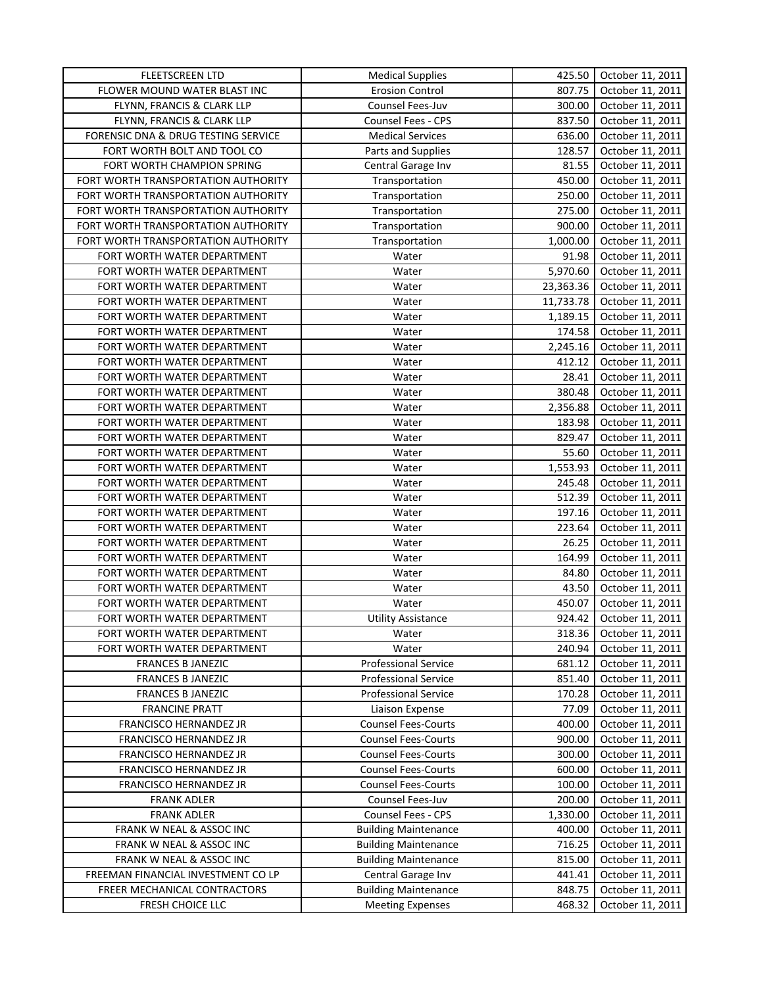| <b>FLEETSCREEN LTD</b>              | <b>Medical Supplies</b>                                    | 425.50           | October 11, 2011                     |
|-------------------------------------|------------------------------------------------------------|------------------|--------------------------------------|
| FLOWER MOUND WATER BLAST INC        | <b>Erosion Control</b>                                     | 807.75           | October 11, 2011                     |
| FLYNN, FRANCIS & CLARK LLP          | Counsel Fees-Juv                                           | 300.00           | October 11, 2011                     |
| FLYNN, FRANCIS & CLARK LLP          | <b>Counsel Fees - CPS</b>                                  | 837.50           | October 11, 2011                     |
| FORENSIC DNA & DRUG TESTING SERVICE | <b>Medical Services</b>                                    | 636.00           | October 11, 2011                     |
| FORT WORTH BOLT AND TOOL CO         | Parts and Supplies                                         | 128.57           | October 11, 2011                     |
| FORT WORTH CHAMPION SPRING          | Central Garage Inv                                         | 81.55            | October 11, 2011                     |
| FORT WORTH TRANSPORTATION AUTHORITY | Transportation                                             | 450.00           | October 11, 2011                     |
| FORT WORTH TRANSPORTATION AUTHORITY | Transportation                                             | 250.00           | October 11, 2011                     |
| FORT WORTH TRANSPORTATION AUTHORITY | Transportation                                             | 275.00           | October 11, 2011                     |
| FORT WORTH TRANSPORTATION AUTHORITY | Transportation                                             | 900.00           | October 11, 2011                     |
| FORT WORTH TRANSPORTATION AUTHORITY | Transportation                                             | 1,000.00         | October 11, 2011                     |
| FORT WORTH WATER DEPARTMENT         | Water                                                      | 91.98            | October 11, 2011                     |
| FORT WORTH WATER DEPARTMENT         | Water                                                      | 5,970.60         | October 11, 2011                     |
| FORT WORTH WATER DEPARTMENT         | Water                                                      | 23,363.36        | October 11, 2011                     |
| FORT WORTH WATER DEPARTMENT         | Water                                                      | 11,733.78        | October 11, 2011                     |
| FORT WORTH WATER DEPARTMENT         | Water                                                      | 1,189.15         | October 11, 2011                     |
| FORT WORTH WATER DEPARTMENT         | Water                                                      | 174.58           | October 11, 2011                     |
| FORT WORTH WATER DEPARTMENT         | Water                                                      | 2,245.16         | October 11, 2011                     |
| FORT WORTH WATER DEPARTMENT         | Water                                                      | 412.12           | October 11, 2011                     |
| FORT WORTH WATER DEPARTMENT         | Water                                                      | 28.41            | October 11, 2011                     |
| FORT WORTH WATER DEPARTMENT         | Water                                                      | 380.48           | October 11, 2011                     |
| FORT WORTH WATER DEPARTMENT         | Water                                                      | 2,356.88         | October 11, 2011                     |
| FORT WORTH WATER DEPARTMENT         | Water                                                      | 183.98           | October 11, 2011                     |
| FORT WORTH WATER DEPARTMENT         | Water                                                      | 829.47           | October 11, 2011                     |
| FORT WORTH WATER DEPARTMENT         | Water                                                      | 55.60            | October 11, 2011                     |
| FORT WORTH WATER DEPARTMENT         | Water                                                      | 1,553.93         | October 11, 2011                     |
| FORT WORTH WATER DEPARTMENT         | Water                                                      | 245.48           | October 11, 2011                     |
| FORT WORTH WATER DEPARTMENT         | Water                                                      | 512.39           | October 11, 2011                     |
| FORT WORTH WATER DEPARTMENT         | Water                                                      | 197.16           | October 11, 2011                     |
| FORT WORTH WATER DEPARTMENT         | Water                                                      | 223.64           | October 11, 2011                     |
| FORT WORTH WATER DEPARTMENT         | Water                                                      | 26.25            | October 11, 2011                     |
| FORT WORTH WATER DEPARTMENT         | Water                                                      | 164.99           | October 11, 2011                     |
| FORT WORTH WATER DEPARTMENT         | Water                                                      | 84.80            | October 11, 2011                     |
| FORT WORTH WATER DEPARTMENT         | Water                                                      | 43.50            | October 11, 2011                     |
| FORT WORTH WATER DEPARTMENT         | Water                                                      | 450.07           | October 11, 2011                     |
| FORT WORTH WATER DEPARTMENT         |                                                            | 924.42           |                                      |
| FORT WORTH WATER DEPARTMENT         | <b>Utility Assistance</b><br>Water                         | 318.36           | October 11, 2011<br>October 11, 2011 |
|                                     | Water                                                      |                  | October 11, 2011                     |
| FORT WORTH WATER DEPARTMENT         |                                                            | 240.94           |                                      |
| <b>FRANCES B JANEZIC</b>            | <b>Professional Service</b>                                | 681.12           | October 11, 2011                     |
| <b>FRANCES B JANEZIC</b>            | <b>Professional Service</b><br><b>Professional Service</b> | 851.40<br>170.28 | October 11, 2011                     |
| <b>FRANCES B JANEZIC</b>            |                                                            |                  | October 11, 2011                     |
| <b>FRANCINE PRATT</b>               | Liaison Expense                                            | 77.09            | October 11, 2011                     |
| FRANCISCO HERNANDEZ JR              | <b>Counsel Fees-Courts</b>                                 | 400.00           | October 11, 2011                     |
| FRANCISCO HERNANDEZ JR              | <b>Counsel Fees-Courts</b>                                 | 900.00           | October 11, 2011                     |
| FRANCISCO HERNANDEZ JR              | <b>Counsel Fees-Courts</b>                                 | 300.00           | October 11, 2011                     |
| FRANCISCO HERNANDEZ JR              | <b>Counsel Fees-Courts</b>                                 | 600.00           | October 11, 2011                     |
| FRANCISCO HERNANDEZ JR              | <b>Counsel Fees-Courts</b>                                 | 100.00           | October 11, 2011                     |
| <b>FRANK ADLER</b>                  | Counsel Fees-Juv                                           | 200.00           | October 11, 2011                     |
| <b>FRANK ADLER</b>                  | Counsel Fees - CPS                                         | 1,330.00         | October 11, 2011                     |
| FRANK W NEAL & ASSOC INC            | <b>Building Maintenance</b>                                | 400.00           | October 11, 2011                     |
| FRANK W NEAL & ASSOC INC            | <b>Building Maintenance</b>                                | 716.25           | October 11, 2011                     |
| FRANK W NEAL & ASSOC INC            | <b>Building Maintenance</b>                                | 815.00           | October 11, 2011                     |
| FREEMAN FINANCIAL INVESTMENT CO LP  | Central Garage Inv                                         | 441.41           | October 11, 2011                     |
| FREER MECHANICAL CONTRACTORS        | <b>Building Maintenance</b>                                | 848.75           | October 11, 2011                     |
| FRESH CHOICE LLC                    | <b>Meeting Expenses</b>                                    | 468.32           | October 11, 2011                     |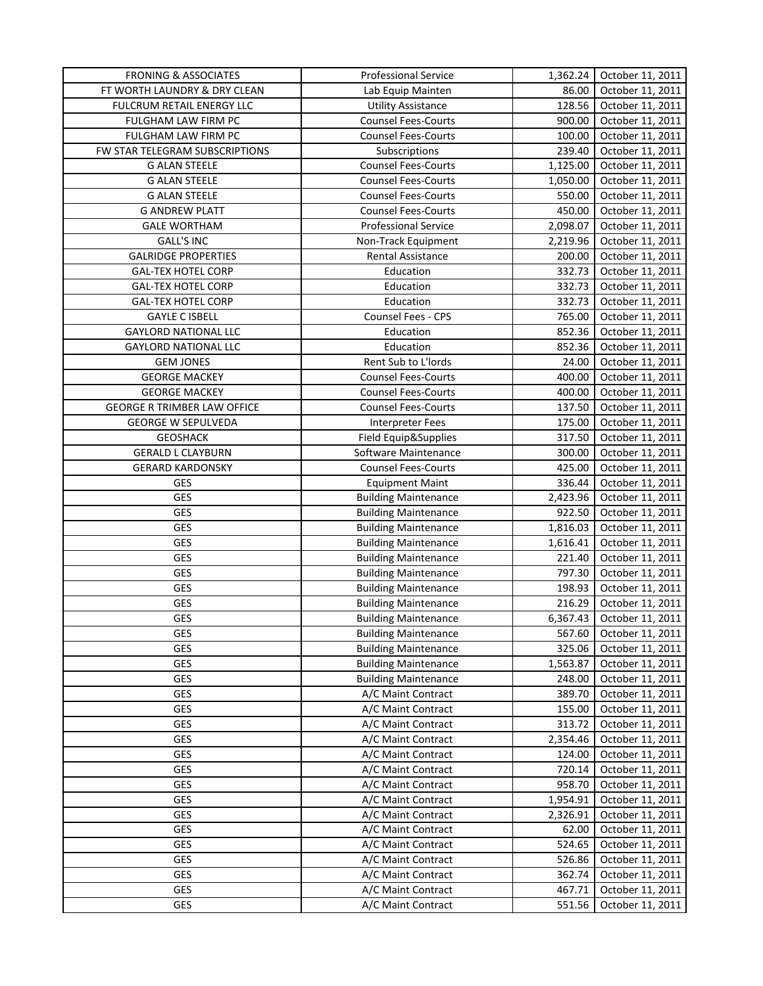| <b>FRONING &amp; ASSOCIATES</b>    | <b>Professional Service</b>                  | 1,362.24 | October 11, 2011 |
|------------------------------------|----------------------------------------------|----------|------------------|
| FT WORTH LAUNDRY & DRY CLEAN       | Lab Equip Mainten                            | 86.00    | October 11, 2011 |
| FULCRUM RETAIL ENERGY LLC          | <b>Utility Assistance</b>                    | 128.56   | October 11, 2011 |
| FULGHAM LAW FIRM PC                | Counsel Fees-Courts                          | 900.00   | October 11, 2011 |
| FULGHAM LAW FIRM PC                | <b>Counsel Fees-Courts</b>                   | 100.00   | October 11, 2011 |
| FW STAR TELEGRAM SUBSCRIPTIONS     | Subscriptions                                | 239.40   | October 11, 2011 |
| <b>G ALAN STEELE</b>               | <b>Counsel Fees-Courts</b>                   | 1,125.00 | October 11, 2011 |
| <b>G ALAN STEELE</b>               | <b>Counsel Fees-Courts</b>                   | 1,050.00 | October 11, 2011 |
| <b>G ALAN STEELE</b>               | <b>Counsel Fees-Courts</b>                   | 550.00   | October 11, 2011 |
| <b>G ANDREW PLATT</b>              | <b>Counsel Fees-Courts</b>                   | 450.00   | October 11, 2011 |
| <b>GALE WORTHAM</b>                | <b>Professional Service</b>                  | 2,098.07 | October 11, 2011 |
| <b>GALL'S INC</b>                  | Non-Track Equipment                          | 2,219.96 | October 11, 2011 |
| <b>GALRIDGE PROPERTIES</b>         | Rental Assistance                            | 200.00   | October 11, 2011 |
| <b>GAL-TEX HOTEL CORP</b>          | Education                                    | 332.73   | October 11, 2011 |
| <b>GAL-TEX HOTEL CORP</b>          | Education                                    | 332.73   | October 11, 2011 |
| <b>GAL-TEX HOTEL CORP</b>          | Education                                    | 332.73   | October 11, 2011 |
| <b>GAYLE C ISBELL</b>              | Counsel Fees - CPS                           | 765.00   | October 11, 2011 |
| <b>GAYLORD NATIONAL LLC</b>        | Education                                    | 852.36   | October 11, 2011 |
| <b>GAYLORD NATIONAL LLC</b>        | Education                                    | 852.36   | October 11, 2011 |
| <b>GEM JONES</b>                   | Rent Sub to L'Iords                          | 24.00    | October 11, 2011 |
| <b>GEORGE MACKEY</b>               | <b>Counsel Fees-Courts</b>                   | 400.00   | October 11, 2011 |
| <b>GEORGE MACKEY</b>               | <b>Counsel Fees-Courts</b>                   | 400.00   | October 11, 2011 |
| <b>GEORGE R TRIMBER LAW OFFICE</b> | <b>Counsel Fees-Courts</b>                   | 137.50   | October 11, 2011 |
|                                    |                                              |          |                  |
| <b>GEORGE W SEPULVEDA</b>          | <b>Interpreter Fees</b>                      | 175.00   | October 11, 2011 |
| <b>GEOSHACK</b>                    | Field Equip&Supplies<br>Software Maintenance | 317.50   | October 11, 2011 |
| <b>GERALD L CLAYBURN</b>           |                                              | 300.00   | October 11, 2011 |
| <b>GERARD KARDONSKY</b>            | <b>Counsel Fees-Courts</b>                   | 425.00   | October 11, 2011 |
| GES                                | <b>Equipment Maint</b>                       | 336.44   | October 11, 2011 |
| GES                                | <b>Building Maintenance</b>                  | 2,423.96 | October 11, 2011 |
| <b>GES</b>                         | <b>Building Maintenance</b>                  | 922.50   | October 11, 2011 |
| <b>GES</b>                         | <b>Building Maintenance</b>                  | 1,816.03 | October 11, 2011 |
| <b>GES</b>                         | <b>Building Maintenance</b>                  | 1,616.41 | October 11, 2011 |
| GES                                | <b>Building Maintenance</b>                  | 221.40   | October 11, 2011 |
| GES                                | <b>Building Maintenance</b>                  | 797.30   | October 11, 2011 |
| GES                                | <b>Building Maintenance</b>                  | 198.93   | October 11, 2011 |
| <b>GES</b>                         | <b>Building Maintenance</b>                  | 216.29   | October 11, 2011 |
| <b>GES</b>                         | <b>Building Maintenance</b>                  | 6,367.43 | October 11, 2011 |
| GES                                | <b>Building Maintenance</b>                  | 567.60   | October 11, 2011 |
| <b>GES</b>                         | <b>Building Maintenance</b>                  | 325.06   | October 11, 2011 |
| GES                                | <b>Building Maintenance</b>                  | 1,563.87 | October 11, 2011 |
| GES                                | <b>Building Maintenance</b>                  | 248.00   | October 11, 2011 |
| GES                                | A/C Maint Contract                           | 389.70   | October 11, 2011 |
| GES                                | A/C Maint Contract                           | 155.00   | October 11, 2011 |
| <b>GES</b>                         | A/C Maint Contract                           | 313.72   | October 11, 2011 |
| GES                                | A/C Maint Contract                           | 2,354.46 | October 11, 2011 |
| GES                                | A/C Maint Contract                           | 124.00   | October 11, 2011 |
| <b>GES</b>                         | A/C Maint Contract                           | 720.14   | October 11, 2011 |
| <b>GES</b>                         | A/C Maint Contract                           | 958.70   | October 11, 2011 |
| GES                                | A/C Maint Contract                           | 1,954.91 | October 11, 2011 |
| GES                                | A/C Maint Contract                           | 2,326.91 | October 11, 2011 |
| GES                                | A/C Maint Contract                           | 62.00    | October 11, 2011 |
| GES                                | A/C Maint Contract                           | 524.65   | October 11, 2011 |
| <b>GES</b>                         | A/C Maint Contract                           | 526.86   | October 11, 2011 |
| <b>GES</b>                         | A/C Maint Contract                           | 362.74   | October 11, 2011 |
| <b>GES</b>                         | A/C Maint Contract                           | 467.71   | October 11, 2011 |
| GES                                | A/C Maint Contract                           | 551.56   | October 11, 2011 |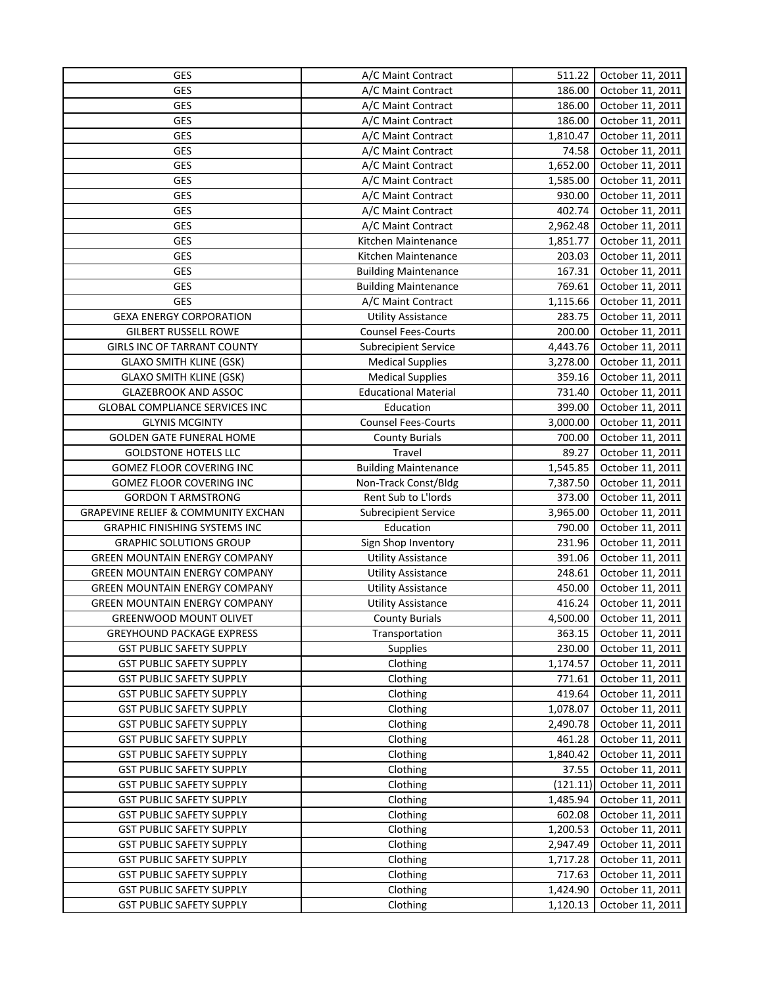| <b>GES</b>                                     | A/C Maint Contract          | 511.22   | October 11, 2011 |
|------------------------------------------------|-----------------------------|----------|------------------|
| GES                                            | A/C Maint Contract          | 186.00   | October 11, 2011 |
| <b>GES</b>                                     | A/C Maint Contract          | 186.00   | October 11, 2011 |
| <b>GES</b>                                     | A/C Maint Contract          | 186.00   | October 11, 2011 |
| <b>GES</b>                                     | A/C Maint Contract          | 1,810.47 | October 11, 2011 |
| <b>GES</b>                                     | A/C Maint Contract          | 74.58    | October 11, 2011 |
| <b>GES</b>                                     | A/C Maint Contract          | 1,652.00 | October 11, 2011 |
| <b>GES</b>                                     | A/C Maint Contract          | 1,585.00 | October 11, 2011 |
| <b>GES</b>                                     | A/C Maint Contract          | 930.00   | October 11, 2011 |
| <b>GES</b>                                     | A/C Maint Contract          | 402.74   | October 11, 2011 |
| <b>GES</b>                                     | A/C Maint Contract          | 2,962.48 | October 11, 2011 |
| <b>GES</b>                                     | Kitchen Maintenance         | 1,851.77 | October 11, 2011 |
| <b>GES</b>                                     | Kitchen Maintenance         | 203.03   | October 11, 2011 |
| <b>GES</b>                                     | <b>Building Maintenance</b> | 167.31   | October 11, 2011 |
| <b>GES</b>                                     | <b>Building Maintenance</b> | 769.61   | October 11, 2011 |
| GES                                            | A/C Maint Contract          | 1,115.66 | October 11, 2011 |
| <b>GEXA ENERGY CORPORATION</b>                 | <b>Utility Assistance</b>   | 283.75   | October 11, 2011 |
| <b>GILBERT RUSSELL ROWE</b>                    | <b>Counsel Fees-Courts</b>  | 200.00   | October 11, 2011 |
| GIRLS INC OF TARRANT COUNTY                    | <b>Subrecipient Service</b> | 4,443.76 | October 11, 2011 |
| <b>GLAXO SMITH KLINE (GSK)</b>                 | <b>Medical Supplies</b>     | 3,278.00 | October 11, 2011 |
| <b>GLAXO SMITH KLINE (GSK)</b>                 | <b>Medical Supplies</b>     | 359.16   | October 11, 2011 |
| <b>GLAZEBROOK AND ASSOC</b>                    | <b>Educational Material</b> | 731.40   | October 11, 2011 |
| GLOBAL COMPLIANCE SERVICES INC                 | Education                   | 399.00   | October 11, 2011 |
| <b>GLYNIS MCGINTY</b>                          | <b>Counsel Fees-Courts</b>  | 3,000.00 | October 11, 2011 |
| <b>GOLDEN GATE FUNERAL HOME</b>                | <b>County Burials</b>       | 700.00   | October 11, 2011 |
| <b>GOLDSTONE HOTELS LLC</b>                    | Travel                      | 89.27    | October 11, 2011 |
| GOMEZ FLOOR COVERING INC                       | <b>Building Maintenance</b> | 1,545.85 | October 11, 2011 |
| GOMEZ FLOOR COVERING INC                       | Non-Track Const/Bldg        | 7,387.50 | October 11, 2011 |
| <b>GORDON T ARMSTRONG</b>                      | Rent Sub to L'Iords         | 373.00   | October 11, 2011 |
| <b>GRAPEVINE RELIEF &amp; COMMUNITY EXCHAN</b> | <b>Subrecipient Service</b> | 3,965.00 | October 11, 2011 |
| <b>GRAPHIC FINISHING SYSTEMS INC</b>           | Education                   | 790.00   | October 11, 2011 |
| <b>GRAPHIC SOLUTIONS GROUP</b>                 | Sign Shop Inventory         | 231.96   | October 11, 2011 |
| <b>GREEN MOUNTAIN ENERGY COMPANY</b>           | <b>Utility Assistance</b>   | 391.06   | October 11, 2011 |
| <b>GREEN MOUNTAIN ENERGY COMPANY</b>           | <b>Utility Assistance</b>   | 248.61   | October 11, 2011 |
| <b>GREEN MOUNTAIN ENERGY COMPANY</b>           | <b>Utility Assistance</b>   | 450.00   | October 11, 2011 |
| <b>GREEN MOUNTAIN ENERGY COMPANY</b>           | <b>Utility Assistance</b>   | 416.24   | October 11, 2011 |
| <b>GREENWOOD MOUNT OLIVET</b>                  | <b>County Burials</b>       | 4,500.00 | October 11, 2011 |
| <b>GREYHOUND PACKAGE EXPRESS</b>               | Transportation              | 363.15   | October 11, 2011 |
| <b>GST PUBLIC SAFETY SUPPLY</b>                | <b>Supplies</b>             | 230.00   | October 11, 2011 |
| <b>GST PUBLIC SAFETY SUPPLY</b>                | Clothing                    | 1,174.57 | October 11, 2011 |
| <b>GST PUBLIC SAFETY SUPPLY</b>                | Clothing                    | 771.61   | October 11, 2011 |
| <b>GST PUBLIC SAFETY SUPPLY</b>                | Clothing                    | 419.64   | October 11, 2011 |
| <b>GST PUBLIC SAFETY SUPPLY</b>                | Clothing                    | 1,078.07 | October 11, 2011 |
| <b>GST PUBLIC SAFETY SUPPLY</b>                | Clothing                    | 2,490.78 | October 11, 2011 |
| <b>GST PUBLIC SAFETY SUPPLY</b>                | Clothing                    | 461.28   | October 11, 2011 |
| <b>GST PUBLIC SAFETY SUPPLY</b>                | Clothing                    | 1,840.42 | October 11, 2011 |
| <b>GST PUBLIC SAFETY SUPPLY</b>                | Clothing                    | 37.55    | October 11, 2011 |
| <b>GST PUBLIC SAFETY SUPPLY</b>                | Clothing                    | (121.11) | October 11, 2011 |
| <b>GST PUBLIC SAFETY SUPPLY</b>                | Clothing                    | 1,485.94 | October 11, 2011 |
| <b>GST PUBLIC SAFETY SUPPLY</b>                | Clothing                    | 602.08   | October 11, 2011 |
| <b>GST PUBLIC SAFETY SUPPLY</b>                | Clothing                    | 1,200.53 | October 11, 2011 |
| <b>GST PUBLIC SAFETY SUPPLY</b>                | Clothing                    | 2,947.49 | October 11, 2011 |
| <b>GST PUBLIC SAFETY SUPPLY</b>                | Clothing                    | 1,717.28 | October 11, 2011 |
| <b>GST PUBLIC SAFETY SUPPLY</b>                | Clothing                    | 717.63   | October 11, 2011 |
| <b>GST PUBLIC SAFETY SUPPLY</b>                | Clothing                    | 1,424.90 | October 11, 2011 |
| <b>GST PUBLIC SAFETY SUPPLY</b>                | Clothing                    | 1,120.13 | October 11, 2011 |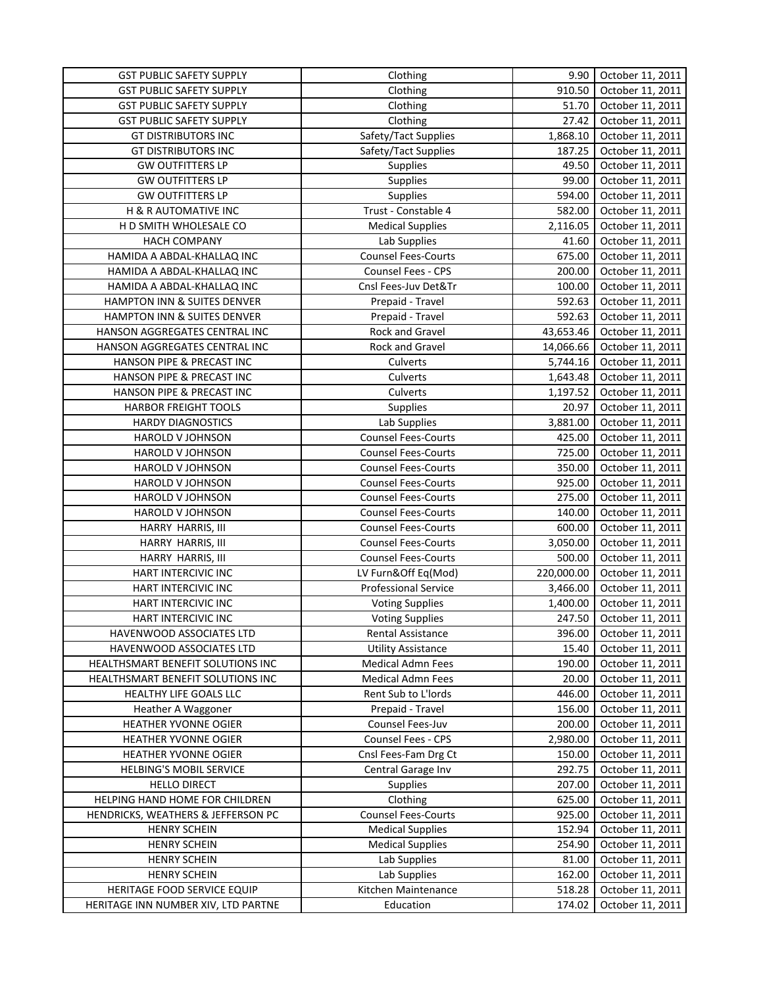| <b>GST PUBLIC SAFETY SUPPLY</b>     | Clothing                    | 9.90       | October 11, 2011 |
|-------------------------------------|-----------------------------|------------|------------------|
| <b>GST PUBLIC SAFETY SUPPLY</b>     | Clothing                    | 910.50     | October 11, 2011 |
| <b>GST PUBLIC SAFETY SUPPLY</b>     | Clothing                    | 51.70      | October 11, 2011 |
| <b>GST PUBLIC SAFETY SUPPLY</b>     | Clothing                    | 27.42      | October 11, 2011 |
| <b>GT DISTRIBUTORS INC</b>          | Safety/Tact Supplies        | 1,868.10   | October 11, 2011 |
| <b>GT DISTRIBUTORS INC</b>          | Safety/Tact Supplies        | 187.25     | October 11, 2011 |
| <b>GW OUTFITTERS LP</b>             | <b>Supplies</b>             | 49.50      | October 11, 2011 |
| <b>GW OUTFITTERS LP</b>             | Supplies                    | 99.00      | October 11, 2011 |
| <b>GW OUTFITTERS LP</b>             | Supplies                    | 594.00     | October 11, 2011 |
| <b>H &amp; R AUTOMATIVE INC</b>     | Trust - Constable 4         | 582.00     | October 11, 2011 |
| H D SMITH WHOLESALE CO              | <b>Medical Supplies</b>     | 2,116.05   | October 11, 2011 |
| <b>HACH COMPANY</b>                 | Lab Supplies                | 41.60      | October 11, 2011 |
| HAMIDA A ABDAL-KHALLAQ INC          | <b>Counsel Fees-Courts</b>  | 675.00     | October 11, 2011 |
| HAMIDA A ABDAL-KHALLAQ INC          | Counsel Fees - CPS          | 200.00     | October 11, 2011 |
| HAMIDA A ABDAL-KHALLAQ INC          | Cnsl Fees-Juv Det&Tr        | 100.00     | October 11, 2011 |
| HAMPTON INN & SUITES DENVER         | Prepaid - Travel            | 592.63     | October 11, 2011 |
| HAMPTON INN & SUITES DENVER         | Prepaid - Travel            | 592.63     | October 11, 2011 |
| HANSON AGGREGATES CENTRAL INC       | Rock and Gravel             | 43,653.46  | October 11, 2011 |
| HANSON AGGREGATES CENTRAL INC       | Rock and Gravel             | 14,066.66  | October 11, 2011 |
| HANSON PIPE & PRECAST INC           | Culverts                    | 5,744.16   | October 11, 2011 |
| HANSON PIPE & PRECAST INC           | Culverts                    | 1,643.48   | October 11, 2011 |
| HANSON PIPE & PRECAST INC           | Culverts                    | 1,197.52   | October 11, 2011 |
| <b>HARBOR FREIGHT TOOLS</b>         | Supplies                    | 20.97      | October 11, 2011 |
| <b>HARDY DIAGNOSTICS</b>            | Lab Supplies                | 3,881.00   | October 11, 2011 |
| HAROLD V JOHNSON                    | <b>Counsel Fees-Courts</b>  | 425.00     | October 11, 2011 |
| HAROLD V JOHNSON                    | <b>Counsel Fees-Courts</b>  | 725.00     | October 11, 2011 |
| <b>HAROLD V JOHNSON</b>             | <b>Counsel Fees-Courts</b>  | 350.00     | October 11, 2011 |
| HAROLD V JOHNSON                    | <b>Counsel Fees-Courts</b>  | 925.00     | October 11, 2011 |
| HAROLD V JOHNSON                    | <b>Counsel Fees-Courts</b>  | 275.00     | October 11, 2011 |
| HAROLD V JOHNSON                    | <b>Counsel Fees-Courts</b>  | 140.00     | October 11, 2011 |
| HARRY HARRIS, III                   | <b>Counsel Fees-Courts</b>  | 600.00     | October 11, 2011 |
| HARRY HARRIS, III                   | <b>Counsel Fees-Courts</b>  | 3,050.00   | October 11, 2011 |
| HARRY HARRIS, III                   | <b>Counsel Fees-Courts</b>  | 500.00     | October 11, 2011 |
| HART INTERCIVIC INC                 | LV Furn&Off Eq(Mod)         | 220,000.00 | October 11, 2011 |
| HART INTERCIVIC INC                 | <b>Professional Service</b> | 3,466.00   | October 11, 2011 |
| HART INTERCIVIC INC                 | <b>Voting Supplies</b>      | 1,400.00   | October 11, 2011 |
| HART INTERCIVIC INC                 | <b>Voting Supplies</b>      | 247.50     | October 11, 2011 |
| HAVENWOOD ASSOCIATES LTD            | Rental Assistance           | 396.00     | October 11, 2011 |
| HAVENWOOD ASSOCIATES LTD            | <b>Utility Assistance</b>   | 15.40      | October 11, 2011 |
| HEALTHSMART BENEFIT SOLUTIONS INC   | <b>Medical Admn Fees</b>    | 190.00     | October 11, 2011 |
| HEALTHSMART BENEFIT SOLUTIONS INC   | Medical Admn Fees           | 20.00      | October 11, 2011 |
| HEALTHY LIFE GOALS LLC              | Rent Sub to L'Iords         | 446.00     | October 11, 2011 |
| Heather A Waggoner                  | Prepaid - Travel            | 156.00     | October 11, 2011 |
| HEATHER YVONNE OGIER                | Counsel Fees-Juv            | 200.00     | October 11, 2011 |
| HEATHER YVONNE OGIER                | Counsel Fees - CPS          | 2,980.00   | October 11, 2011 |
| <b>HEATHER YVONNE OGIER</b>         | Cnsl Fees-Fam Drg Ct        | 150.00     | October 11, 2011 |
| <b>HELBING'S MOBIL SERVICE</b>      | Central Garage Inv          | 292.75     | October 11, 2011 |
| <b>HELLO DIRECT</b>                 | <b>Supplies</b>             | 207.00     | October 11, 2011 |
| HELPING HAND HOME FOR CHILDREN      | Clothing                    | 625.00     | October 11, 2011 |
| HENDRICKS, WEATHERS & JEFFERSON PC  | <b>Counsel Fees-Courts</b>  | 925.00     | October 11, 2011 |
| <b>HENRY SCHEIN</b>                 | <b>Medical Supplies</b>     | 152.94     | October 11, 2011 |
| <b>HENRY SCHEIN</b>                 | <b>Medical Supplies</b>     | 254.90     | October 11, 2011 |
| <b>HENRY SCHEIN</b>                 | Lab Supplies                | 81.00      | October 11, 2011 |
| <b>HENRY SCHEIN</b>                 | Lab Supplies                | 162.00     | October 11, 2011 |
| HERITAGE FOOD SERVICE EQUIP         | Kitchen Maintenance         | 518.28     | October 11, 2011 |
| HERITAGE INN NUMBER XIV, LTD PARTNE | Education                   | 174.02     | October 11, 2011 |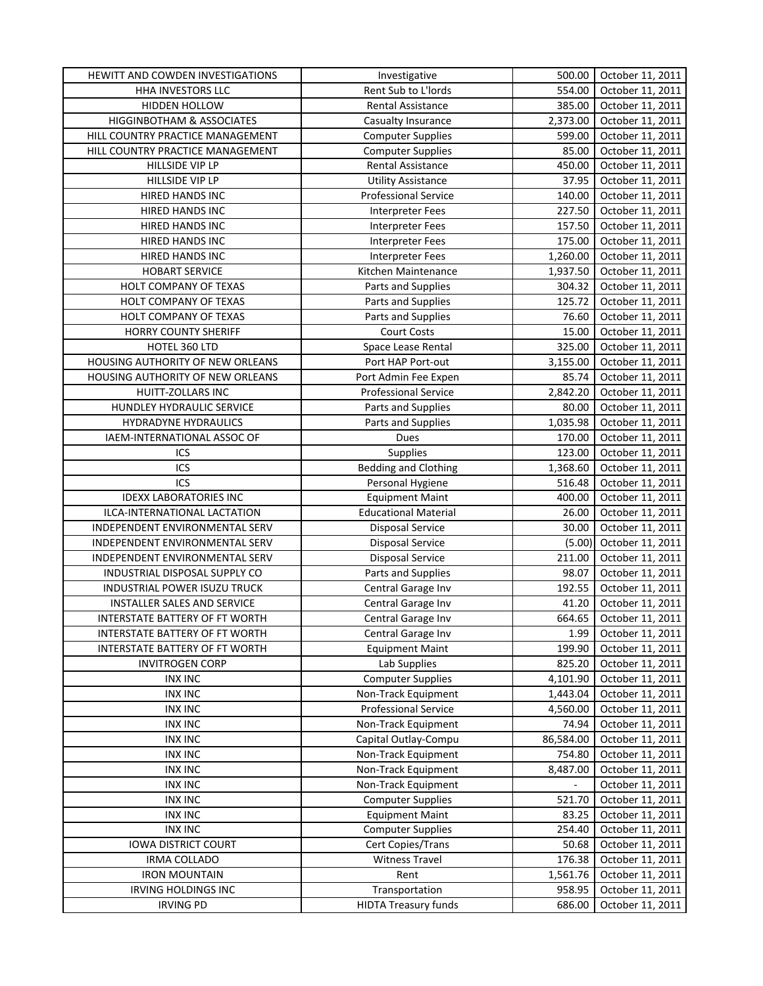| HEWITT AND COWDEN INVESTIGATIONS      | Investigative               | 500.00    | October 11, 2011 |
|---------------------------------------|-----------------------------|-----------|------------------|
| HHA INVESTORS LLC                     | Rent Sub to L'Iords         | 554.00    | October 11, 2011 |
| <b>HIDDEN HOLLOW</b>                  | <b>Rental Assistance</b>    | 385.00    | October 11, 2011 |
| HIGGINBOTHAM & ASSOCIATES             | Casualty Insurance          | 2,373.00  | October 11, 2011 |
| HILL COUNTRY PRACTICE MANAGEMENT      | <b>Computer Supplies</b>    | 599.00    | October 11, 2011 |
| HILL COUNTRY PRACTICE MANAGEMENT      | <b>Computer Supplies</b>    | 85.00     | October 11, 2011 |
| HILLSIDE VIP LP                       | <b>Rental Assistance</b>    | 450.00    | October 11, 2011 |
| HILLSIDE VIP LP                       | <b>Utility Assistance</b>   | 37.95     | October 11, 2011 |
| HIRED HANDS INC                       | <b>Professional Service</b> | 140.00    | October 11, 2011 |
| HIRED HANDS INC                       | <b>Interpreter Fees</b>     | 227.50    | October 11, 2011 |
| HIRED HANDS INC                       | <b>Interpreter Fees</b>     | 157.50    | October 11, 2011 |
| <b>HIRED HANDS INC</b>                | Interpreter Fees            | 175.00    | October 11, 2011 |
| <b>HIRED HANDS INC</b>                | <b>Interpreter Fees</b>     | 1,260.00  | October 11, 2011 |
| <b>HOBART SERVICE</b>                 | Kitchen Maintenance         | 1,937.50  | October 11, 2011 |
| HOLT COMPANY OF TEXAS                 | Parts and Supplies          | 304.32    | October 11, 2011 |
| HOLT COMPANY OF TEXAS                 | Parts and Supplies          | 125.72    | October 11, 2011 |
| HOLT COMPANY OF TEXAS                 | Parts and Supplies          | 76.60     | October 11, 2011 |
| <b>HORRY COUNTY SHERIFF</b>           | Court Costs                 | 15.00     | October 11, 2011 |
| HOTEL 360 LTD                         | Space Lease Rental          | 325.00    | October 11, 2011 |
| HOUSING AUTHORITY OF NEW ORLEANS      | Port HAP Port-out           | 3,155.00  | October 11, 2011 |
| HOUSING AUTHORITY OF NEW ORLEANS      | Port Admin Fee Expen        | 85.74     | October 11, 2011 |
| HUITT-ZOLLARS INC                     | <b>Professional Service</b> | 2,842.20  | October 11, 2011 |
| HUNDLEY HYDRAULIC SERVICE             | Parts and Supplies          | 80.00     | October 11, 2011 |
| HYDRADYNE HYDRAULICS                  | Parts and Supplies          | 1,035.98  | October 11, 2011 |
| IAEM-INTERNATIONAL ASSOC OF           | Dues                        | 170.00    | October 11, 2011 |
| ICS                                   | Supplies                    | 123.00    | October 11, 2011 |
| ICS                                   | <b>Bedding and Clothing</b> | 1,368.60  | October 11, 2011 |
| ICS                                   | Personal Hygiene            | 516.48    | October 11, 2011 |
| <b>IDEXX LABORATORIES INC</b>         | <b>Equipment Maint</b>      | 400.00    | October 11, 2011 |
| ILCA-INTERNATIONAL LACTATION          | <b>Educational Material</b> | 26.00     | October 11, 2011 |
| INDEPENDENT ENVIRONMENTAL SERV        | <b>Disposal Service</b>     | 30.00     | October 11, 2011 |
| INDEPENDENT ENVIRONMENTAL SERV        | Disposal Service            | (5.00)    | October 11, 2011 |
| INDEPENDENT ENVIRONMENTAL SERV        | <b>Disposal Service</b>     | 211.00    | October 11, 2011 |
| INDUSTRIAL DISPOSAL SUPPLY CO         | Parts and Supplies          | 98.07     | October 11, 2011 |
| INDUSTRIAL POWER ISUZU TRUCK          | Central Garage Inv          | 192.55    | October 11, 2011 |
| INSTALLER SALES AND SERVICE           | Central Garage Inv          | 41.20     | October 11, 2011 |
| INTERSTATE BATTERY OF FT WORTH        | Central Garage Inv          | 664.65    | October 11, 2011 |
| <b>INTERSTATE BATTERY OF FT WORTH</b> | Central Garage Inv          | 1.99      | October 11, 2011 |
| INTERSTATE BATTERY OF FT WORTH        | <b>Equipment Maint</b>      | 199.90    | October 11, 2011 |
| <b>INVITROGEN CORP</b>                | Lab Supplies                | 825.20    | October 11, 2011 |
| <b>INX INC</b>                        | <b>Computer Supplies</b>    | 4,101.90  | October 11, 2011 |
| <b>INX INC</b>                        | Non-Track Equipment         | 1,443.04  | October 11, 2011 |
| <b>INX INC</b>                        | Professional Service        | 4,560.00  | October 11, 2011 |
| <b>INX INC</b>                        | Non-Track Equipment         | 74.94     | October 11, 2011 |
| <b>INX INC</b>                        | Capital Outlay-Compu        | 86,584.00 | October 11, 2011 |
| <b>INX INC</b>                        | Non-Track Equipment         | 754.80    | October 11, 2011 |
| <b>INX INC</b>                        | Non-Track Equipment         | 8,487.00  | October 11, 2011 |
| <b>INX INC</b>                        | Non-Track Equipment         |           | October 11, 2011 |
| <b>INX INC</b>                        | <b>Computer Supplies</b>    | 521.70    | October 11, 2011 |
| <b>INX INC</b>                        | <b>Equipment Maint</b>      | 83.25     | October 11, 2011 |
| <b>INX INC</b>                        | <b>Computer Supplies</b>    | 254.40    | October 11, 2011 |
| <b>IOWA DISTRICT COURT</b>            | Cert Copies/Trans           | 50.68     | October 11, 2011 |
| <b>IRMA COLLADO</b>                   | <b>Witness Travel</b>       | 176.38    | October 11, 2011 |
| <b>IRON MOUNTAIN</b>                  | Rent                        | 1,561.76  | October 11, 2011 |
| IRVING HOLDINGS INC                   | Transportation              | 958.95    | October 11, 2011 |
| <b>IRVING PD</b>                      | <b>HIDTA Treasury funds</b> | 686.00    | October 11, 2011 |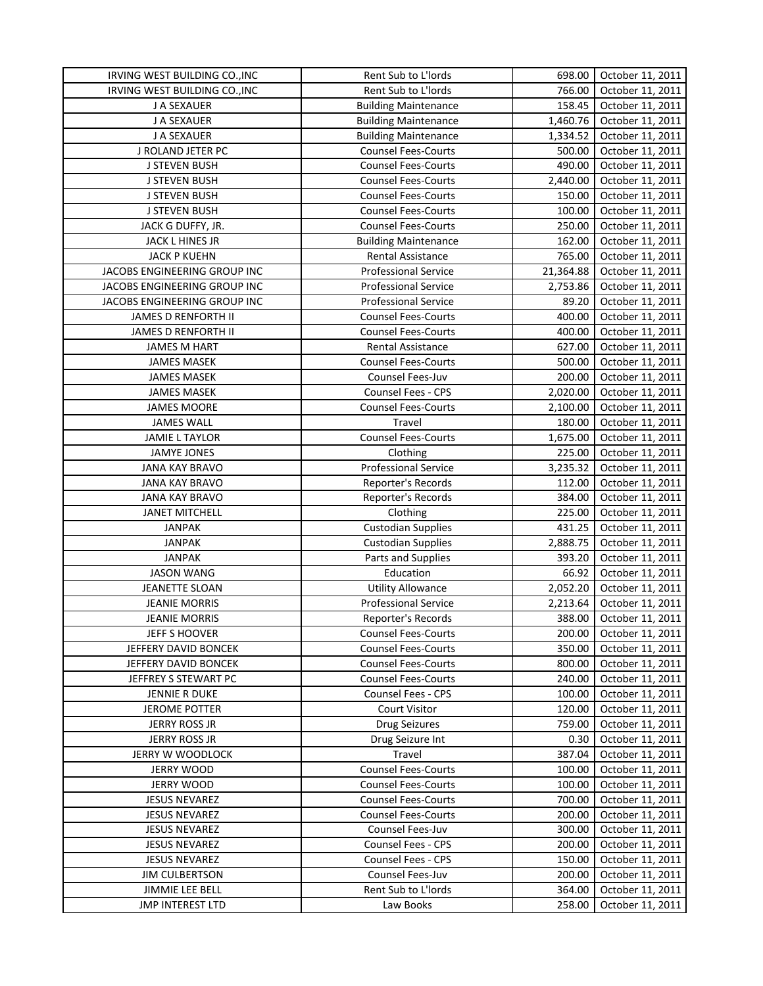| IRVING WEST BUILDING CO., INC | Rent Sub to L'Iords         | 698.00    | October 11, 2011 |
|-------------------------------|-----------------------------|-----------|------------------|
| IRVING WEST BUILDING CO., INC | Rent Sub to L'Iords         | 766.00    | October 11, 2011 |
| J A SEXAUER                   | <b>Building Maintenance</b> | 158.45    | October 11, 2011 |
| J A SEXAUER                   | <b>Building Maintenance</b> | 1,460.76  | October 11, 2011 |
| J A SEXAUER                   | <b>Building Maintenance</b> | 1,334.52  | October 11, 2011 |
| J ROLAND JETER PC             | <b>Counsel Fees-Courts</b>  | 500.00    | October 11, 2011 |
| <b>J STEVEN BUSH</b>          | Counsel Fees-Courts         | 490.00    | October 11, 2011 |
| <b>J STEVEN BUSH</b>          | <b>Counsel Fees-Courts</b>  | 2,440.00  | October 11, 2011 |
| <b>J STEVEN BUSH</b>          | <b>Counsel Fees-Courts</b>  | 150.00    | October 11, 2011 |
| J STEVEN BUSH                 | <b>Counsel Fees-Courts</b>  | 100.00    | October 11, 2011 |
| JACK G DUFFY, JR.             | <b>Counsel Fees-Courts</b>  | 250.00    | October 11, 2011 |
| JACK L HINES JR               | <b>Building Maintenance</b> | 162.00    | October 11, 2011 |
| <b>JACK P KUEHN</b>           | <b>Rental Assistance</b>    | 765.00    | October 11, 2011 |
| JACOBS ENGINEERING GROUP INC  | <b>Professional Service</b> | 21,364.88 | October 11, 2011 |
| JACOBS ENGINEERING GROUP INC  | <b>Professional Service</b> | 2,753.86  | October 11, 2011 |
| JACOBS ENGINEERING GROUP INC  | <b>Professional Service</b> | 89.20     | October 11, 2011 |
| JAMES D RENFORTH II           | <b>Counsel Fees-Courts</b>  | 400.00    | October 11, 2011 |
| JAMES D RENFORTH II           | <b>Counsel Fees-Courts</b>  | 400.00    | October 11, 2011 |
| <b>JAMES M HART</b>           | Rental Assistance           | 627.00    | October 11, 2011 |
| <b>JAMES MASEK</b>            | <b>Counsel Fees-Courts</b>  | 500.00    | October 11, 2011 |
| <b>JAMES MASEK</b>            | Counsel Fees-Juv            | 200.00    | October 11, 2011 |
| <b>JAMES MASEK</b>            | Counsel Fees - CPS          | 2,020.00  | October 11, 2011 |
| <b>JAMES MOORE</b>            | <b>Counsel Fees-Courts</b>  | 2,100.00  | October 11, 2011 |
| <b>JAMES WALL</b>             | Travel                      | 180.00    | October 11, 2011 |
| <b>JAMIE L TAYLOR</b>         | <b>Counsel Fees-Courts</b>  | 1,675.00  | October 11, 2011 |
| <b>JAMYE JONES</b>            | Clothing                    | 225.00    | October 11, 2011 |
| <b>JANA KAY BRAVO</b>         | Professional Service        | 3,235.32  | October 11, 2011 |
| <b>JANA KAY BRAVO</b>         | Reporter's Records          | 112.00    | October 11, 2011 |
| <b>JANA KAY BRAVO</b>         | Reporter's Records          | 384.00    | October 11, 2011 |
| <b>JANET MITCHELL</b>         | Clothing                    | 225.00    | October 11, 2011 |
| <b>JANPAK</b>                 | <b>Custodian Supplies</b>   | 431.25    | October 11, 2011 |
| <b>JANPAK</b>                 | <b>Custodian Supplies</b>   | 2,888.75  | October 11, 2011 |
| <b>JANPAK</b>                 | Parts and Supplies          | 393.20    | October 11, 2011 |
| <b>JASON WANG</b>             | Education                   | 66.92     | October 11, 2011 |
| <b>JEANETTE SLOAN</b>         | <b>Utility Allowance</b>    | 2,052.20  | October 11, 2011 |
| <b>JEANIE MORRIS</b>          | Professional Service        | 2,213.64  | October 11, 2011 |
| <b>JEANIE MORRIS</b>          | Reporter's Records          | 388.00    | October 11, 2011 |
| JEFF S HOOVER                 | <b>Counsel Fees-Courts</b>  | 200.00    | October 11, 2011 |
| JEFFERY DAVID BONCEK          | <b>Counsel Fees-Courts</b>  | 350.00    | October 11, 2011 |
| JEFFERY DAVID BONCEK          | <b>Counsel Fees-Courts</b>  | 800.00    | October 11, 2011 |
| JEFFREY S STEWART PC          | <b>Counsel Fees-Courts</b>  | 240.00    | October 11, 2011 |
| <b>JENNIE R DUKE</b>          | Counsel Fees - CPS          | 100.00    | October 11, 2011 |
| <b>JEROME POTTER</b>          | <b>Court Visitor</b>        | 120.00    | October 11, 2011 |
| <b>JERRY ROSS JR</b>          | Drug Seizures               | 759.00    | October 11, 2011 |
| <b>JERRY ROSS JR</b>          | Drug Seizure Int            | 0.30      | October 11, 2011 |
| JERRY W WOODLOCK              | Travel                      | 387.04    | October 11, 2011 |
| <b>JERRY WOOD</b>             | <b>Counsel Fees-Courts</b>  | 100.00    | October 11, 2011 |
| <b>JERRY WOOD</b>             | <b>Counsel Fees-Courts</b>  | 100.00    | October 11, 2011 |
| <b>JESUS NEVAREZ</b>          | <b>Counsel Fees-Courts</b>  | 700.00    | October 11, 2011 |
| <b>JESUS NEVAREZ</b>          | <b>Counsel Fees-Courts</b>  | 200.00    | October 11, 2011 |
| <b>JESUS NEVAREZ</b>          | Counsel Fees-Juv            | 300.00    | October 11, 2011 |
| <b>JESUS NEVAREZ</b>          | Counsel Fees - CPS          | 200.00    | October 11, 2011 |
| <b>JESUS NEVAREZ</b>          | Counsel Fees - CPS          | 150.00    | October 11, 2011 |
| <b>JIM CULBERTSON</b>         | Counsel Fees-Juv            | 200.00    | October 11, 2011 |
| JIMMIE LEE BELL               | Rent Sub to L'Iords         | 364.00    | October 11, 2011 |
| <b>JMP INTEREST LTD</b>       | Law Books                   | 258.00    | October 11, 2011 |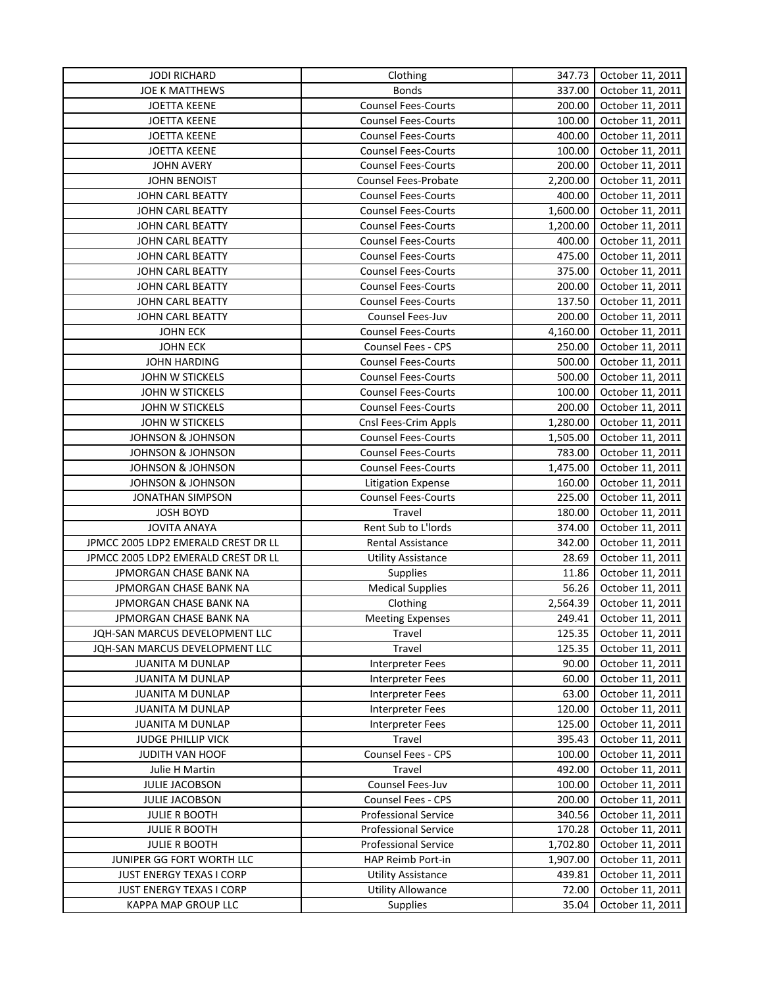| <b>JOE K MATTHEWS</b><br><b>Bonds</b><br>337.00<br>October 11, 2011<br><b>Counsel Fees-Courts</b><br>October 11, 2011<br><b>JOETTA KEENE</b><br>200.00<br><b>JOETTA KEENE</b><br><b>Counsel Fees-Courts</b><br>100.00<br>October 11, 2011<br><b>JOETTA KEENE</b><br><b>Counsel Fees-Courts</b><br>400.00<br>October 11, 2011<br><b>JOETTA KEENE</b><br><b>Counsel Fees-Courts</b><br>100.00<br>October 11, 2011<br>Counsel Fees-Courts<br>200.00<br><b>JOHN AVERY</b><br>October 11, 2011<br><b>JOHN BENOIST</b><br>Counsel Fees-Probate<br>2,200.00<br>October 11, 2011<br><b>Counsel Fees-Courts</b><br>400.00<br>October 11, 2011<br>JOHN CARL BEATTY<br><b>Counsel Fees-Courts</b><br>1,600.00<br>JOHN CARL BEATTY<br>October 11, 2011<br><b>Counsel Fees-Courts</b><br>JOHN CARL BEATTY<br>1,200.00<br>October 11, 2011<br><b>Counsel Fees-Courts</b><br>400.00<br>October 11, 2011<br>JOHN CARL BEATTY<br>JOHN CARL BEATTY<br><b>Counsel Fees-Courts</b><br>475.00<br>October 11, 2011<br><b>Counsel Fees-Courts</b><br>375.00<br>JOHN CARL BEATTY<br>October 11, 2011<br>JOHN CARL BEATTY<br><b>Counsel Fees-Courts</b><br>200.00<br>October 11, 2011<br>JOHN CARL BEATTY<br><b>Counsel Fees-Courts</b><br>137.50<br>October 11, 2011<br>Counsel Fees-Juv<br>JOHN CARL BEATTY<br>200.00<br>October 11, 2011<br><b>JOHN ECK</b><br><b>Counsel Fees-Courts</b><br>4,160.00<br>October 11, 2011<br><b>JOHN ECK</b><br>Counsel Fees - CPS<br>250.00<br>October 11, 2011<br><b>Counsel Fees-Courts</b><br>500.00<br>JOHN HARDING<br>October 11, 2011<br>JOHN W STICKELS<br><b>Counsel Fees-Courts</b><br>500.00<br>October 11, 2011<br>JOHN W STICKELS<br><b>Counsel Fees-Courts</b><br>100.00<br>October 11, 2011<br>JOHN W STICKELS<br><b>Counsel Fees-Courts</b><br>200.00<br>October 11, 2011<br>JOHN W STICKELS<br>Cnsl Fees-Crim Appls<br>1,280.00<br>October 11, 2011<br>JOHNSON & JOHNSON<br><b>Counsel Fees-Courts</b><br>October 11, 2011<br>1,505.00<br>783.00<br>October 11, 2011<br><b>JOHNSON &amp; JOHNSON</b><br><b>Counsel Fees-Courts</b><br>JOHNSON & JOHNSON<br><b>Counsel Fees-Courts</b><br>1,475.00<br>October 11, 2011<br>October 11, 2011<br><b>JOHNSON &amp; JOHNSON</b><br>Litigation Expense<br>160.00<br><b>Counsel Fees-Courts</b><br>225.00<br>October 11, 2011<br><b>JONATHAN SIMPSON</b><br>Travel<br>October 11, 2011<br><b>JOSH BOYD</b><br>180.00<br><b>JOVITA ANAYA</b><br>Rent Sub to L'Iords<br>374.00<br>October 11, 2011<br>JPMCC 2005 LDP2 EMERALD CREST DR LL<br>342.00<br>Rental Assistance<br>October 11, 2011<br>JPMCC 2005 LDP2 EMERALD CREST DR LL<br>28.69<br>October 11, 2011<br><b>Utility Assistance</b><br>JPMORGAN CHASE BANK NA<br>11.86<br>October 11, 2011<br><b>Supplies</b><br>56.26<br>JPMORGAN CHASE BANK NA<br><b>Medical Supplies</b><br>October 11, 2011<br>JPMORGAN CHASE BANK NA<br>2,564.39<br>Clothing<br>October 11, 2011<br>JPMORGAN CHASE BANK NA<br>249.41<br>October 11, 2011<br><b>Meeting Expenses</b><br>125.35<br>October 11, 2011<br>JQH-SAN MARCUS DEVELOPMENT LLC<br>Travel<br>125.35<br>JQH-SAN MARCUS DEVELOPMENT LLC<br>Travel<br>October 11, 2011<br>90.00<br>October 11, 2011<br><b>JUANITA M DUNLAP</b><br><b>Interpreter Fees</b><br><b>JUANITA M DUNLAP</b><br>60.00<br>October 11, 2011<br><b>Interpreter Fees</b><br>63.00<br>October 11, 2011<br><b>JUANITA M DUNLAP</b><br><b>Interpreter Fees</b><br><b>JUANITA M DUNLAP</b><br>Interpreter Fees<br>120.00<br>October 11, 2011<br>125.00<br>October 11, 2011<br><b>JUANITA M DUNLAP</b><br>Interpreter Fees<br>395.43<br><b>JUDGE PHILLIP VICK</b><br>Travel<br>October 11, 2011<br>Counsel Fees - CPS<br>October 11, 2011<br>JUDITH VAN HOOF<br>100.00<br>492.00<br>Julie H Martin<br>Travel<br>October 11, 2011<br>Counsel Fees-Juv<br>JULIE JACOBSON<br>100.00<br>October 11, 2011<br>Counsel Fees - CPS<br>October 11, 2011<br>JULIE JACOBSON<br>200.00<br><b>Professional Service</b><br><b>JULIE R BOOTH</b><br>340.56<br>October 11, 2011<br><b>Professional Service</b><br>170.28<br>October 11, 2011<br><b>JULIE R BOOTH</b><br><b>Professional Service</b><br><b>JULIE R BOOTH</b><br>1,702.80<br>October 11, 2011<br>HAP Reimb Port-in<br>October 11, 2011<br>JUNIPER GG FORT WORTH LLC<br>1,907.00<br><b>Utility Assistance</b><br>439.81<br>October 11, 2011<br><b>JUST ENERGY TEXAS I CORP</b><br><b>Utility Allowance</b><br>JUST ENERGY TEXAS I CORP<br>72.00<br>October 11, 2011 | <b>JODI RICHARD</b> | Clothing        | 347.73 | October 11, 2011 |
|--------------------------------------------------------------------------------------------------------------------------------------------------------------------------------------------------------------------------------------------------------------------------------------------------------------------------------------------------------------------------------------------------------------------------------------------------------------------------------------------------------------------------------------------------------------------------------------------------------------------------------------------------------------------------------------------------------------------------------------------------------------------------------------------------------------------------------------------------------------------------------------------------------------------------------------------------------------------------------------------------------------------------------------------------------------------------------------------------------------------------------------------------------------------------------------------------------------------------------------------------------------------------------------------------------------------------------------------------------------------------------------------------------------------------------------------------------------------------------------------------------------------------------------------------------------------------------------------------------------------------------------------------------------------------------------------------------------------------------------------------------------------------------------------------------------------------------------------------------------------------------------------------------------------------------------------------------------------------------------------------------------------------------------------------------------------------------------------------------------------------------------------------------------------------------------------------------------------------------------------------------------------------------------------------------------------------------------------------------------------------------------------------------------------------------------------------------------------------------------------------------------------------------------------------------------------------------------------------------------------------------------------------------------------------------------------------------------------------------------------------------------------------------------------------------------------------------------------------------------------------------------------------------------------------------------------------------------------------------------------------------------------------------------------------------------------------------------------------------------------------------------------------------------------------------------------------------------------------------------------------------------------------------------------------------------------------------------------------------------------------------------------------------------------------------------------------------------------------------------------------------------------------------------------------------------------------------------------------------------------------------------------------------------------------------------------------------------------------------------------------------------------------------------------------------------------------------------------------------------------------------------------------------------------------------------------------------------------------------------------------------------------------------------------------------------------------------------------------------------------------------------------------------------------------------------------------------------------------------------------------------------------------------------------------------------------------------------------------------------------------------------------------------------------------------------------------|---------------------|-----------------|--------|------------------|
|                                                                                                                                                                                                                                                                                                                                                                                                                                                                                                                                                                                                                                                                                                                                                                                                                                                                                                                                                                                                                                                                                                                                                                                                                                                                                                                                                                                                                                                                                                                                                                                                                                                                                                                                                                                                                                                                                                                                                                                                                                                                                                                                                                                                                                                                                                                                                                                                                                                                                                                                                                                                                                                                                                                                                                                                                                                                                                                                                                                                                                                                                                                                                                                                                                                                                                                                                                                                                                                                                                                                                                                                                                                                                                                                                                                                                                                                                                                                                                                                                                                                                                                                                                                                                                                                                                                                                                                                                                                  |                     |                 |        |                  |
|                                                                                                                                                                                                                                                                                                                                                                                                                                                                                                                                                                                                                                                                                                                                                                                                                                                                                                                                                                                                                                                                                                                                                                                                                                                                                                                                                                                                                                                                                                                                                                                                                                                                                                                                                                                                                                                                                                                                                                                                                                                                                                                                                                                                                                                                                                                                                                                                                                                                                                                                                                                                                                                                                                                                                                                                                                                                                                                                                                                                                                                                                                                                                                                                                                                                                                                                                                                                                                                                                                                                                                                                                                                                                                                                                                                                                                                                                                                                                                                                                                                                                                                                                                                                                                                                                                                                                                                                                                                  |                     |                 |        |                  |
|                                                                                                                                                                                                                                                                                                                                                                                                                                                                                                                                                                                                                                                                                                                                                                                                                                                                                                                                                                                                                                                                                                                                                                                                                                                                                                                                                                                                                                                                                                                                                                                                                                                                                                                                                                                                                                                                                                                                                                                                                                                                                                                                                                                                                                                                                                                                                                                                                                                                                                                                                                                                                                                                                                                                                                                                                                                                                                                                                                                                                                                                                                                                                                                                                                                                                                                                                                                                                                                                                                                                                                                                                                                                                                                                                                                                                                                                                                                                                                                                                                                                                                                                                                                                                                                                                                                                                                                                                                                  |                     |                 |        |                  |
|                                                                                                                                                                                                                                                                                                                                                                                                                                                                                                                                                                                                                                                                                                                                                                                                                                                                                                                                                                                                                                                                                                                                                                                                                                                                                                                                                                                                                                                                                                                                                                                                                                                                                                                                                                                                                                                                                                                                                                                                                                                                                                                                                                                                                                                                                                                                                                                                                                                                                                                                                                                                                                                                                                                                                                                                                                                                                                                                                                                                                                                                                                                                                                                                                                                                                                                                                                                                                                                                                                                                                                                                                                                                                                                                                                                                                                                                                                                                                                                                                                                                                                                                                                                                                                                                                                                                                                                                                                                  |                     |                 |        |                  |
|                                                                                                                                                                                                                                                                                                                                                                                                                                                                                                                                                                                                                                                                                                                                                                                                                                                                                                                                                                                                                                                                                                                                                                                                                                                                                                                                                                                                                                                                                                                                                                                                                                                                                                                                                                                                                                                                                                                                                                                                                                                                                                                                                                                                                                                                                                                                                                                                                                                                                                                                                                                                                                                                                                                                                                                                                                                                                                                                                                                                                                                                                                                                                                                                                                                                                                                                                                                                                                                                                                                                                                                                                                                                                                                                                                                                                                                                                                                                                                                                                                                                                                                                                                                                                                                                                                                                                                                                                                                  |                     |                 |        |                  |
|                                                                                                                                                                                                                                                                                                                                                                                                                                                                                                                                                                                                                                                                                                                                                                                                                                                                                                                                                                                                                                                                                                                                                                                                                                                                                                                                                                                                                                                                                                                                                                                                                                                                                                                                                                                                                                                                                                                                                                                                                                                                                                                                                                                                                                                                                                                                                                                                                                                                                                                                                                                                                                                                                                                                                                                                                                                                                                                                                                                                                                                                                                                                                                                                                                                                                                                                                                                                                                                                                                                                                                                                                                                                                                                                                                                                                                                                                                                                                                                                                                                                                                                                                                                                                                                                                                                                                                                                                                                  |                     |                 |        |                  |
|                                                                                                                                                                                                                                                                                                                                                                                                                                                                                                                                                                                                                                                                                                                                                                                                                                                                                                                                                                                                                                                                                                                                                                                                                                                                                                                                                                                                                                                                                                                                                                                                                                                                                                                                                                                                                                                                                                                                                                                                                                                                                                                                                                                                                                                                                                                                                                                                                                                                                                                                                                                                                                                                                                                                                                                                                                                                                                                                                                                                                                                                                                                                                                                                                                                                                                                                                                                                                                                                                                                                                                                                                                                                                                                                                                                                                                                                                                                                                                                                                                                                                                                                                                                                                                                                                                                                                                                                                                                  |                     |                 |        |                  |
|                                                                                                                                                                                                                                                                                                                                                                                                                                                                                                                                                                                                                                                                                                                                                                                                                                                                                                                                                                                                                                                                                                                                                                                                                                                                                                                                                                                                                                                                                                                                                                                                                                                                                                                                                                                                                                                                                                                                                                                                                                                                                                                                                                                                                                                                                                                                                                                                                                                                                                                                                                                                                                                                                                                                                                                                                                                                                                                                                                                                                                                                                                                                                                                                                                                                                                                                                                                                                                                                                                                                                                                                                                                                                                                                                                                                                                                                                                                                                                                                                                                                                                                                                                                                                                                                                                                                                                                                                                                  |                     |                 |        |                  |
|                                                                                                                                                                                                                                                                                                                                                                                                                                                                                                                                                                                                                                                                                                                                                                                                                                                                                                                                                                                                                                                                                                                                                                                                                                                                                                                                                                                                                                                                                                                                                                                                                                                                                                                                                                                                                                                                                                                                                                                                                                                                                                                                                                                                                                                                                                                                                                                                                                                                                                                                                                                                                                                                                                                                                                                                                                                                                                                                                                                                                                                                                                                                                                                                                                                                                                                                                                                                                                                                                                                                                                                                                                                                                                                                                                                                                                                                                                                                                                                                                                                                                                                                                                                                                                                                                                                                                                                                                                                  |                     |                 |        |                  |
|                                                                                                                                                                                                                                                                                                                                                                                                                                                                                                                                                                                                                                                                                                                                                                                                                                                                                                                                                                                                                                                                                                                                                                                                                                                                                                                                                                                                                                                                                                                                                                                                                                                                                                                                                                                                                                                                                                                                                                                                                                                                                                                                                                                                                                                                                                                                                                                                                                                                                                                                                                                                                                                                                                                                                                                                                                                                                                                                                                                                                                                                                                                                                                                                                                                                                                                                                                                                                                                                                                                                                                                                                                                                                                                                                                                                                                                                                                                                                                                                                                                                                                                                                                                                                                                                                                                                                                                                                                                  |                     |                 |        |                  |
|                                                                                                                                                                                                                                                                                                                                                                                                                                                                                                                                                                                                                                                                                                                                                                                                                                                                                                                                                                                                                                                                                                                                                                                                                                                                                                                                                                                                                                                                                                                                                                                                                                                                                                                                                                                                                                                                                                                                                                                                                                                                                                                                                                                                                                                                                                                                                                                                                                                                                                                                                                                                                                                                                                                                                                                                                                                                                                                                                                                                                                                                                                                                                                                                                                                                                                                                                                                                                                                                                                                                                                                                                                                                                                                                                                                                                                                                                                                                                                                                                                                                                                                                                                                                                                                                                                                                                                                                                                                  |                     |                 |        |                  |
|                                                                                                                                                                                                                                                                                                                                                                                                                                                                                                                                                                                                                                                                                                                                                                                                                                                                                                                                                                                                                                                                                                                                                                                                                                                                                                                                                                                                                                                                                                                                                                                                                                                                                                                                                                                                                                                                                                                                                                                                                                                                                                                                                                                                                                                                                                                                                                                                                                                                                                                                                                                                                                                                                                                                                                                                                                                                                                                                                                                                                                                                                                                                                                                                                                                                                                                                                                                                                                                                                                                                                                                                                                                                                                                                                                                                                                                                                                                                                                                                                                                                                                                                                                                                                                                                                                                                                                                                                                                  |                     |                 |        |                  |
|                                                                                                                                                                                                                                                                                                                                                                                                                                                                                                                                                                                                                                                                                                                                                                                                                                                                                                                                                                                                                                                                                                                                                                                                                                                                                                                                                                                                                                                                                                                                                                                                                                                                                                                                                                                                                                                                                                                                                                                                                                                                                                                                                                                                                                                                                                                                                                                                                                                                                                                                                                                                                                                                                                                                                                                                                                                                                                                                                                                                                                                                                                                                                                                                                                                                                                                                                                                                                                                                                                                                                                                                                                                                                                                                                                                                                                                                                                                                                                                                                                                                                                                                                                                                                                                                                                                                                                                                                                                  |                     |                 |        |                  |
|                                                                                                                                                                                                                                                                                                                                                                                                                                                                                                                                                                                                                                                                                                                                                                                                                                                                                                                                                                                                                                                                                                                                                                                                                                                                                                                                                                                                                                                                                                                                                                                                                                                                                                                                                                                                                                                                                                                                                                                                                                                                                                                                                                                                                                                                                                                                                                                                                                                                                                                                                                                                                                                                                                                                                                                                                                                                                                                                                                                                                                                                                                                                                                                                                                                                                                                                                                                                                                                                                                                                                                                                                                                                                                                                                                                                                                                                                                                                                                                                                                                                                                                                                                                                                                                                                                                                                                                                                                                  |                     |                 |        |                  |
|                                                                                                                                                                                                                                                                                                                                                                                                                                                                                                                                                                                                                                                                                                                                                                                                                                                                                                                                                                                                                                                                                                                                                                                                                                                                                                                                                                                                                                                                                                                                                                                                                                                                                                                                                                                                                                                                                                                                                                                                                                                                                                                                                                                                                                                                                                                                                                                                                                                                                                                                                                                                                                                                                                                                                                                                                                                                                                                                                                                                                                                                                                                                                                                                                                                                                                                                                                                                                                                                                                                                                                                                                                                                                                                                                                                                                                                                                                                                                                                                                                                                                                                                                                                                                                                                                                                                                                                                                                                  |                     |                 |        |                  |
|                                                                                                                                                                                                                                                                                                                                                                                                                                                                                                                                                                                                                                                                                                                                                                                                                                                                                                                                                                                                                                                                                                                                                                                                                                                                                                                                                                                                                                                                                                                                                                                                                                                                                                                                                                                                                                                                                                                                                                                                                                                                                                                                                                                                                                                                                                                                                                                                                                                                                                                                                                                                                                                                                                                                                                                                                                                                                                                                                                                                                                                                                                                                                                                                                                                                                                                                                                                                                                                                                                                                                                                                                                                                                                                                                                                                                                                                                                                                                                                                                                                                                                                                                                                                                                                                                                                                                                                                                                                  |                     |                 |        |                  |
|                                                                                                                                                                                                                                                                                                                                                                                                                                                                                                                                                                                                                                                                                                                                                                                                                                                                                                                                                                                                                                                                                                                                                                                                                                                                                                                                                                                                                                                                                                                                                                                                                                                                                                                                                                                                                                                                                                                                                                                                                                                                                                                                                                                                                                                                                                                                                                                                                                                                                                                                                                                                                                                                                                                                                                                                                                                                                                                                                                                                                                                                                                                                                                                                                                                                                                                                                                                                                                                                                                                                                                                                                                                                                                                                                                                                                                                                                                                                                                                                                                                                                                                                                                                                                                                                                                                                                                                                                                                  |                     |                 |        |                  |
|                                                                                                                                                                                                                                                                                                                                                                                                                                                                                                                                                                                                                                                                                                                                                                                                                                                                                                                                                                                                                                                                                                                                                                                                                                                                                                                                                                                                                                                                                                                                                                                                                                                                                                                                                                                                                                                                                                                                                                                                                                                                                                                                                                                                                                                                                                                                                                                                                                                                                                                                                                                                                                                                                                                                                                                                                                                                                                                                                                                                                                                                                                                                                                                                                                                                                                                                                                                                                                                                                                                                                                                                                                                                                                                                                                                                                                                                                                                                                                                                                                                                                                                                                                                                                                                                                                                                                                                                                                                  |                     |                 |        |                  |
|                                                                                                                                                                                                                                                                                                                                                                                                                                                                                                                                                                                                                                                                                                                                                                                                                                                                                                                                                                                                                                                                                                                                                                                                                                                                                                                                                                                                                                                                                                                                                                                                                                                                                                                                                                                                                                                                                                                                                                                                                                                                                                                                                                                                                                                                                                                                                                                                                                                                                                                                                                                                                                                                                                                                                                                                                                                                                                                                                                                                                                                                                                                                                                                                                                                                                                                                                                                                                                                                                                                                                                                                                                                                                                                                                                                                                                                                                                                                                                                                                                                                                                                                                                                                                                                                                                                                                                                                                                                  |                     |                 |        |                  |
|                                                                                                                                                                                                                                                                                                                                                                                                                                                                                                                                                                                                                                                                                                                                                                                                                                                                                                                                                                                                                                                                                                                                                                                                                                                                                                                                                                                                                                                                                                                                                                                                                                                                                                                                                                                                                                                                                                                                                                                                                                                                                                                                                                                                                                                                                                                                                                                                                                                                                                                                                                                                                                                                                                                                                                                                                                                                                                                                                                                                                                                                                                                                                                                                                                                                                                                                                                                                                                                                                                                                                                                                                                                                                                                                                                                                                                                                                                                                                                                                                                                                                                                                                                                                                                                                                                                                                                                                                                                  |                     |                 |        |                  |
|                                                                                                                                                                                                                                                                                                                                                                                                                                                                                                                                                                                                                                                                                                                                                                                                                                                                                                                                                                                                                                                                                                                                                                                                                                                                                                                                                                                                                                                                                                                                                                                                                                                                                                                                                                                                                                                                                                                                                                                                                                                                                                                                                                                                                                                                                                                                                                                                                                                                                                                                                                                                                                                                                                                                                                                                                                                                                                                                                                                                                                                                                                                                                                                                                                                                                                                                                                                                                                                                                                                                                                                                                                                                                                                                                                                                                                                                                                                                                                                                                                                                                                                                                                                                                                                                                                                                                                                                                                                  |                     |                 |        |                  |
|                                                                                                                                                                                                                                                                                                                                                                                                                                                                                                                                                                                                                                                                                                                                                                                                                                                                                                                                                                                                                                                                                                                                                                                                                                                                                                                                                                                                                                                                                                                                                                                                                                                                                                                                                                                                                                                                                                                                                                                                                                                                                                                                                                                                                                                                                                                                                                                                                                                                                                                                                                                                                                                                                                                                                                                                                                                                                                                                                                                                                                                                                                                                                                                                                                                                                                                                                                                                                                                                                                                                                                                                                                                                                                                                                                                                                                                                                                                                                                                                                                                                                                                                                                                                                                                                                                                                                                                                                                                  |                     |                 |        |                  |
|                                                                                                                                                                                                                                                                                                                                                                                                                                                                                                                                                                                                                                                                                                                                                                                                                                                                                                                                                                                                                                                                                                                                                                                                                                                                                                                                                                                                                                                                                                                                                                                                                                                                                                                                                                                                                                                                                                                                                                                                                                                                                                                                                                                                                                                                                                                                                                                                                                                                                                                                                                                                                                                                                                                                                                                                                                                                                                                                                                                                                                                                                                                                                                                                                                                                                                                                                                                                                                                                                                                                                                                                                                                                                                                                                                                                                                                                                                                                                                                                                                                                                                                                                                                                                                                                                                                                                                                                                                                  |                     |                 |        |                  |
|                                                                                                                                                                                                                                                                                                                                                                                                                                                                                                                                                                                                                                                                                                                                                                                                                                                                                                                                                                                                                                                                                                                                                                                                                                                                                                                                                                                                                                                                                                                                                                                                                                                                                                                                                                                                                                                                                                                                                                                                                                                                                                                                                                                                                                                                                                                                                                                                                                                                                                                                                                                                                                                                                                                                                                                                                                                                                                                                                                                                                                                                                                                                                                                                                                                                                                                                                                                                                                                                                                                                                                                                                                                                                                                                                                                                                                                                                                                                                                                                                                                                                                                                                                                                                                                                                                                                                                                                                                                  |                     |                 |        |                  |
|                                                                                                                                                                                                                                                                                                                                                                                                                                                                                                                                                                                                                                                                                                                                                                                                                                                                                                                                                                                                                                                                                                                                                                                                                                                                                                                                                                                                                                                                                                                                                                                                                                                                                                                                                                                                                                                                                                                                                                                                                                                                                                                                                                                                                                                                                                                                                                                                                                                                                                                                                                                                                                                                                                                                                                                                                                                                                                                                                                                                                                                                                                                                                                                                                                                                                                                                                                                                                                                                                                                                                                                                                                                                                                                                                                                                                                                                                                                                                                                                                                                                                                                                                                                                                                                                                                                                                                                                                                                  |                     |                 |        |                  |
|                                                                                                                                                                                                                                                                                                                                                                                                                                                                                                                                                                                                                                                                                                                                                                                                                                                                                                                                                                                                                                                                                                                                                                                                                                                                                                                                                                                                                                                                                                                                                                                                                                                                                                                                                                                                                                                                                                                                                                                                                                                                                                                                                                                                                                                                                                                                                                                                                                                                                                                                                                                                                                                                                                                                                                                                                                                                                                                                                                                                                                                                                                                                                                                                                                                                                                                                                                                                                                                                                                                                                                                                                                                                                                                                                                                                                                                                                                                                                                                                                                                                                                                                                                                                                                                                                                                                                                                                                                                  |                     |                 |        |                  |
|                                                                                                                                                                                                                                                                                                                                                                                                                                                                                                                                                                                                                                                                                                                                                                                                                                                                                                                                                                                                                                                                                                                                                                                                                                                                                                                                                                                                                                                                                                                                                                                                                                                                                                                                                                                                                                                                                                                                                                                                                                                                                                                                                                                                                                                                                                                                                                                                                                                                                                                                                                                                                                                                                                                                                                                                                                                                                                                                                                                                                                                                                                                                                                                                                                                                                                                                                                                                                                                                                                                                                                                                                                                                                                                                                                                                                                                                                                                                                                                                                                                                                                                                                                                                                                                                                                                                                                                                                                                  |                     |                 |        |                  |
|                                                                                                                                                                                                                                                                                                                                                                                                                                                                                                                                                                                                                                                                                                                                                                                                                                                                                                                                                                                                                                                                                                                                                                                                                                                                                                                                                                                                                                                                                                                                                                                                                                                                                                                                                                                                                                                                                                                                                                                                                                                                                                                                                                                                                                                                                                                                                                                                                                                                                                                                                                                                                                                                                                                                                                                                                                                                                                                                                                                                                                                                                                                                                                                                                                                                                                                                                                                                                                                                                                                                                                                                                                                                                                                                                                                                                                                                                                                                                                                                                                                                                                                                                                                                                                                                                                                                                                                                                                                  |                     |                 |        |                  |
|                                                                                                                                                                                                                                                                                                                                                                                                                                                                                                                                                                                                                                                                                                                                                                                                                                                                                                                                                                                                                                                                                                                                                                                                                                                                                                                                                                                                                                                                                                                                                                                                                                                                                                                                                                                                                                                                                                                                                                                                                                                                                                                                                                                                                                                                                                                                                                                                                                                                                                                                                                                                                                                                                                                                                                                                                                                                                                                                                                                                                                                                                                                                                                                                                                                                                                                                                                                                                                                                                                                                                                                                                                                                                                                                                                                                                                                                                                                                                                                                                                                                                                                                                                                                                                                                                                                                                                                                                                                  |                     |                 |        |                  |
|                                                                                                                                                                                                                                                                                                                                                                                                                                                                                                                                                                                                                                                                                                                                                                                                                                                                                                                                                                                                                                                                                                                                                                                                                                                                                                                                                                                                                                                                                                                                                                                                                                                                                                                                                                                                                                                                                                                                                                                                                                                                                                                                                                                                                                                                                                                                                                                                                                                                                                                                                                                                                                                                                                                                                                                                                                                                                                                                                                                                                                                                                                                                                                                                                                                                                                                                                                                                                                                                                                                                                                                                                                                                                                                                                                                                                                                                                                                                                                                                                                                                                                                                                                                                                                                                                                                                                                                                                                                  |                     |                 |        |                  |
|                                                                                                                                                                                                                                                                                                                                                                                                                                                                                                                                                                                                                                                                                                                                                                                                                                                                                                                                                                                                                                                                                                                                                                                                                                                                                                                                                                                                                                                                                                                                                                                                                                                                                                                                                                                                                                                                                                                                                                                                                                                                                                                                                                                                                                                                                                                                                                                                                                                                                                                                                                                                                                                                                                                                                                                                                                                                                                                                                                                                                                                                                                                                                                                                                                                                                                                                                                                                                                                                                                                                                                                                                                                                                                                                                                                                                                                                                                                                                                                                                                                                                                                                                                                                                                                                                                                                                                                                                                                  |                     |                 |        |                  |
|                                                                                                                                                                                                                                                                                                                                                                                                                                                                                                                                                                                                                                                                                                                                                                                                                                                                                                                                                                                                                                                                                                                                                                                                                                                                                                                                                                                                                                                                                                                                                                                                                                                                                                                                                                                                                                                                                                                                                                                                                                                                                                                                                                                                                                                                                                                                                                                                                                                                                                                                                                                                                                                                                                                                                                                                                                                                                                                                                                                                                                                                                                                                                                                                                                                                                                                                                                                                                                                                                                                                                                                                                                                                                                                                                                                                                                                                                                                                                                                                                                                                                                                                                                                                                                                                                                                                                                                                                                                  |                     |                 |        |                  |
|                                                                                                                                                                                                                                                                                                                                                                                                                                                                                                                                                                                                                                                                                                                                                                                                                                                                                                                                                                                                                                                                                                                                                                                                                                                                                                                                                                                                                                                                                                                                                                                                                                                                                                                                                                                                                                                                                                                                                                                                                                                                                                                                                                                                                                                                                                                                                                                                                                                                                                                                                                                                                                                                                                                                                                                                                                                                                                                                                                                                                                                                                                                                                                                                                                                                                                                                                                                                                                                                                                                                                                                                                                                                                                                                                                                                                                                                                                                                                                                                                                                                                                                                                                                                                                                                                                                                                                                                                                                  |                     |                 |        |                  |
|                                                                                                                                                                                                                                                                                                                                                                                                                                                                                                                                                                                                                                                                                                                                                                                                                                                                                                                                                                                                                                                                                                                                                                                                                                                                                                                                                                                                                                                                                                                                                                                                                                                                                                                                                                                                                                                                                                                                                                                                                                                                                                                                                                                                                                                                                                                                                                                                                                                                                                                                                                                                                                                                                                                                                                                                                                                                                                                                                                                                                                                                                                                                                                                                                                                                                                                                                                                                                                                                                                                                                                                                                                                                                                                                                                                                                                                                                                                                                                                                                                                                                                                                                                                                                                                                                                                                                                                                                                                  |                     |                 |        |                  |
|                                                                                                                                                                                                                                                                                                                                                                                                                                                                                                                                                                                                                                                                                                                                                                                                                                                                                                                                                                                                                                                                                                                                                                                                                                                                                                                                                                                                                                                                                                                                                                                                                                                                                                                                                                                                                                                                                                                                                                                                                                                                                                                                                                                                                                                                                                                                                                                                                                                                                                                                                                                                                                                                                                                                                                                                                                                                                                                                                                                                                                                                                                                                                                                                                                                                                                                                                                                                                                                                                                                                                                                                                                                                                                                                                                                                                                                                                                                                                                                                                                                                                                                                                                                                                                                                                                                                                                                                                                                  |                     |                 |        |                  |
|                                                                                                                                                                                                                                                                                                                                                                                                                                                                                                                                                                                                                                                                                                                                                                                                                                                                                                                                                                                                                                                                                                                                                                                                                                                                                                                                                                                                                                                                                                                                                                                                                                                                                                                                                                                                                                                                                                                                                                                                                                                                                                                                                                                                                                                                                                                                                                                                                                                                                                                                                                                                                                                                                                                                                                                                                                                                                                                                                                                                                                                                                                                                                                                                                                                                                                                                                                                                                                                                                                                                                                                                                                                                                                                                                                                                                                                                                                                                                                                                                                                                                                                                                                                                                                                                                                                                                                                                                                                  |                     |                 |        |                  |
|                                                                                                                                                                                                                                                                                                                                                                                                                                                                                                                                                                                                                                                                                                                                                                                                                                                                                                                                                                                                                                                                                                                                                                                                                                                                                                                                                                                                                                                                                                                                                                                                                                                                                                                                                                                                                                                                                                                                                                                                                                                                                                                                                                                                                                                                                                                                                                                                                                                                                                                                                                                                                                                                                                                                                                                                                                                                                                                                                                                                                                                                                                                                                                                                                                                                                                                                                                                                                                                                                                                                                                                                                                                                                                                                                                                                                                                                                                                                                                                                                                                                                                                                                                                                                                                                                                                                                                                                                                                  |                     |                 |        |                  |
|                                                                                                                                                                                                                                                                                                                                                                                                                                                                                                                                                                                                                                                                                                                                                                                                                                                                                                                                                                                                                                                                                                                                                                                                                                                                                                                                                                                                                                                                                                                                                                                                                                                                                                                                                                                                                                                                                                                                                                                                                                                                                                                                                                                                                                                                                                                                                                                                                                                                                                                                                                                                                                                                                                                                                                                                                                                                                                                                                                                                                                                                                                                                                                                                                                                                                                                                                                                                                                                                                                                                                                                                                                                                                                                                                                                                                                                                                                                                                                                                                                                                                                                                                                                                                                                                                                                                                                                                                                                  |                     |                 |        |                  |
|                                                                                                                                                                                                                                                                                                                                                                                                                                                                                                                                                                                                                                                                                                                                                                                                                                                                                                                                                                                                                                                                                                                                                                                                                                                                                                                                                                                                                                                                                                                                                                                                                                                                                                                                                                                                                                                                                                                                                                                                                                                                                                                                                                                                                                                                                                                                                                                                                                                                                                                                                                                                                                                                                                                                                                                                                                                                                                                                                                                                                                                                                                                                                                                                                                                                                                                                                                                                                                                                                                                                                                                                                                                                                                                                                                                                                                                                                                                                                                                                                                                                                                                                                                                                                                                                                                                                                                                                                                                  |                     |                 |        |                  |
|                                                                                                                                                                                                                                                                                                                                                                                                                                                                                                                                                                                                                                                                                                                                                                                                                                                                                                                                                                                                                                                                                                                                                                                                                                                                                                                                                                                                                                                                                                                                                                                                                                                                                                                                                                                                                                                                                                                                                                                                                                                                                                                                                                                                                                                                                                                                                                                                                                                                                                                                                                                                                                                                                                                                                                                                                                                                                                                                                                                                                                                                                                                                                                                                                                                                                                                                                                                                                                                                                                                                                                                                                                                                                                                                                                                                                                                                                                                                                                                                                                                                                                                                                                                                                                                                                                                                                                                                                                                  |                     |                 |        |                  |
|                                                                                                                                                                                                                                                                                                                                                                                                                                                                                                                                                                                                                                                                                                                                                                                                                                                                                                                                                                                                                                                                                                                                                                                                                                                                                                                                                                                                                                                                                                                                                                                                                                                                                                                                                                                                                                                                                                                                                                                                                                                                                                                                                                                                                                                                                                                                                                                                                                                                                                                                                                                                                                                                                                                                                                                                                                                                                                                                                                                                                                                                                                                                                                                                                                                                                                                                                                                                                                                                                                                                                                                                                                                                                                                                                                                                                                                                                                                                                                                                                                                                                                                                                                                                                                                                                                                                                                                                                                                  |                     |                 |        |                  |
|                                                                                                                                                                                                                                                                                                                                                                                                                                                                                                                                                                                                                                                                                                                                                                                                                                                                                                                                                                                                                                                                                                                                                                                                                                                                                                                                                                                                                                                                                                                                                                                                                                                                                                                                                                                                                                                                                                                                                                                                                                                                                                                                                                                                                                                                                                                                                                                                                                                                                                                                                                                                                                                                                                                                                                                                                                                                                                                                                                                                                                                                                                                                                                                                                                                                                                                                                                                                                                                                                                                                                                                                                                                                                                                                                                                                                                                                                                                                                                                                                                                                                                                                                                                                                                                                                                                                                                                                                                                  |                     |                 |        |                  |
|                                                                                                                                                                                                                                                                                                                                                                                                                                                                                                                                                                                                                                                                                                                                                                                                                                                                                                                                                                                                                                                                                                                                                                                                                                                                                                                                                                                                                                                                                                                                                                                                                                                                                                                                                                                                                                                                                                                                                                                                                                                                                                                                                                                                                                                                                                                                                                                                                                                                                                                                                                                                                                                                                                                                                                                                                                                                                                                                                                                                                                                                                                                                                                                                                                                                                                                                                                                                                                                                                                                                                                                                                                                                                                                                                                                                                                                                                                                                                                                                                                                                                                                                                                                                                                                                                                                                                                                                                                                  |                     |                 |        |                  |
|                                                                                                                                                                                                                                                                                                                                                                                                                                                                                                                                                                                                                                                                                                                                                                                                                                                                                                                                                                                                                                                                                                                                                                                                                                                                                                                                                                                                                                                                                                                                                                                                                                                                                                                                                                                                                                                                                                                                                                                                                                                                                                                                                                                                                                                                                                                                                                                                                                                                                                                                                                                                                                                                                                                                                                                                                                                                                                                                                                                                                                                                                                                                                                                                                                                                                                                                                                                                                                                                                                                                                                                                                                                                                                                                                                                                                                                                                                                                                                                                                                                                                                                                                                                                                                                                                                                                                                                                                                                  |                     |                 |        |                  |
|                                                                                                                                                                                                                                                                                                                                                                                                                                                                                                                                                                                                                                                                                                                                                                                                                                                                                                                                                                                                                                                                                                                                                                                                                                                                                                                                                                                                                                                                                                                                                                                                                                                                                                                                                                                                                                                                                                                                                                                                                                                                                                                                                                                                                                                                                                                                                                                                                                                                                                                                                                                                                                                                                                                                                                                                                                                                                                                                                                                                                                                                                                                                                                                                                                                                                                                                                                                                                                                                                                                                                                                                                                                                                                                                                                                                                                                                                                                                                                                                                                                                                                                                                                                                                                                                                                                                                                                                                                                  |                     |                 |        |                  |
|                                                                                                                                                                                                                                                                                                                                                                                                                                                                                                                                                                                                                                                                                                                                                                                                                                                                                                                                                                                                                                                                                                                                                                                                                                                                                                                                                                                                                                                                                                                                                                                                                                                                                                                                                                                                                                                                                                                                                                                                                                                                                                                                                                                                                                                                                                                                                                                                                                                                                                                                                                                                                                                                                                                                                                                                                                                                                                                                                                                                                                                                                                                                                                                                                                                                                                                                                                                                                                                                                                                                                                                                                                                                                                                                                                                                                                                                                                                                                                                                                                                                                                                                                                                                                                                                                                                                                                                                                                                  |                     |                 |        |                  |
|                                                                                                                                                                                                                                                                                                                                                                                                                                                                                                                                                                                                                                                                                                                                                                                                                                                                                                                                                                                                                                                                                                                                                                                                                                                                                                                                                                                                                                                                                                                                                                                                                                                                                                                                                                                                                                                                                                                                                                                                                                                                                                                                                                                                                                                                                                                                                                                                                                                                                                                                                                                                                                                                                                                                                                                                                                                                                                                                                                                                                                                                                                                                                                                                                                                                                                                                                                                                                                                                                                                                                                                                                                                                                                                                                                                                                                                                                                                                                                                                                                                                                                                                                                                                                                                                                                                                                                                                                                                  |                     |                 |        |                  |
|                                                                                                                                                                                                                                                                                                                                                                                                                                                                                                                                                                                                                                                                                                                                                                                                                                                                                                                                                                                                                                                                                                                                                                                                                                                                                                                                                                                                                                                                                                                                                                                                                                                                                                                                                                                                                                                                                                                                                                                                                                                                                                                                                                                                                                                                                                                                                                                                                                                                                                                                                                                                                                                                                                                                                                                                                                                                                                                                                                                                                                                                                                                                                                                                                                                                                                                                                                                                                                                                                                                                                                                                                                                                                                                                                                                                                                                                                                                                                                                                                                                                                                                                                                                                                                                                                                                                                                                                                                                  |                     |                 |        |                  |
|                                                                                                                                                                                                                                                                                                                                                                                                                                                                                                                                                                                                                                                                                                                                                                                                                                                                                                                                                                                                                                                                                                                                                                                                                                                                                                                                                                                                                                                                                                                                                                                                                                                                                                                                                                                                                                                                                                                                                                                                                                                                                                                                                                                                                                                                                                                                                                                                                                                                                                                                                                                                                                                                                                                                                                                                                                                                                                                                                                                                                                                                                                                                                                                                                                                                                                                                                                                                                                                                                                                                                                                                                                                                                                                                                                                                                                                                                                                                                                                                                                                                                                                                                                                                                                                                                                                                                                                                                                                  |                     |                 |        |                  |
|                                                                                                                                                                                                                                                                                                                                                                                                                                                                                                                                                                                                                                                                                                                                                                                                                                                                                                                                                                                                                                                                                                                                                                                                                                                                                                                                                                                                                                                                                                                                                                                                                                                                                                                                                                                                                                                                                                                                                                                                                                                                                                                                                                                                                                                                                                                                                                                                                                                                                                                                                                                                                                                                                                                                                                                                                                                                                                                                                                                                                                                                                                                                                                                                                                                                                                                                                                                                                                                                                                                                                                                                                                                                                                                                                                                                                                                                                                                                                                                                                                                                                                                                                                                                                                                                                                                                                                                                                                                  |                     |                 |        |                  |
|                                                                                                                                                                                                                                                                                                                                                                                                                                                                                                                                                                                                                                                                                                                                                                                                                                                                                                                                                                                                                                                                                                                                                                                                                                                                                                                                                                                                                                                                                                                                                                                                                                                                                                                                                                                                                                                                                                                                                                                                                                                                                                                                                                                                                                                                                                                                                                                                                                                                                                                                                                                                                                                                                                                                                                                                                                                                                                                                                                                                                                                                                                                                                                                                                                                                                                                                                                                                                                                                                                                                                                                                                                                                                                                                                                                                                                                                                                                                                                                                                                                                                                                                                                                                                                                                                                                                                                                                                                                  |                     |                 |        |                  |
|                                                                                                                                                                                                                                                                                                                                                                                                                                                                                                                                                                                                                                                                                                                                                                                                                                                                                                                                                                                                                                                                                                                                                                                                                                                                                                                                                                                                                                                                                                                                                                                                                                                                                                                                                                                                                                                                                                                                                                                                                                                                                                                                                                                                                                                                                                                                                                                                                                                                                                                                                                                                                                                                                                                                                                                                                                                                                                                                                                                                                                                                                                                                                                                                                                                                                                                                                                                                                                                                                                                                                                                                                                                                                                                                                                                                                                                                                                                                                                                                                                                                                                                                                                                                                                                                                                                                                                                                                                                  |                     |                 |        |                  |
|                                                                                                                                                                                                                                                                                                                                                                                                                                                                                                                                                                                                                                                                                                                                                                                                                                                                                                                                                                                                                                                                                                                                                                                                                                                                                                                                                                                                                                                                                                                                                                                                                                                                                                                                                                                                                                                                                                                                                                                                                                                                                                                                                                                                                                                                                                                                                                                                                                                                                                                                                                                                                                                                                                                                                                                                                                                                                                                                                                                                                                                                                                                                                                                                                                                                                                                                                                                                                                                                                                                                                                                                                                                                                                                                                                                                                                                                                                                                                                                                                                                                                                                                                                                                                                                                                                                                                                                                                                                  |                     |                 |        |                  |
|                                                                                                                                                                                                                                                                                                                                                                                                                                                                                                                                                                                                                                                                                                                                                                                                                                                                                                                                                                                                                                                                                                                                                                                                                                                                                                                                                                                                                                                                                                                                                                                                                                                                                                                                                                                                                                                                                                                                                                                                                                                                                                                                                                                                                                                                                                                                                                                                                                                                                                                                                                                                                                                                                                                                                                                                                                                                                                                                                                                                                                                                                                                                                                                                                                                                                                                                                                                                                                                                                                                                                                                                                                                                                                                                                                                                                                                                                                                                                                                                                                                                                                                                                                                                                                                                                                                                                                                                                                                  |                     |                 |        |                  |
|                                                                                                                                                                                                                                                                                                                                                                                                                                                                                                                                                                                                                                                                                                                                                                                                                                                                                                                                                                                                                                                                                                                                                                                                                                                                                                                                                                                                                                                                                                                                                                                                                                                                                                                                                                                                                                                                                                                                                                                                                                                                                                                                                                                                                                                                                                                                                                                                                                                                                                                                                                                                                                                                                                                                                                                                                                                                                                                                                                                                                                                                                                                                                                                                                                                                                                                                                                                                                                                                                                                                                                                                                                                                                                                                                                                                                                                                                                                                                                                                                                                                                                                                                                                                                                                                                                                                                                                                                                                  | KAPPA MAP GROUP LLC | <b>Supplies</b> | 35.04  | October 11, 2011 |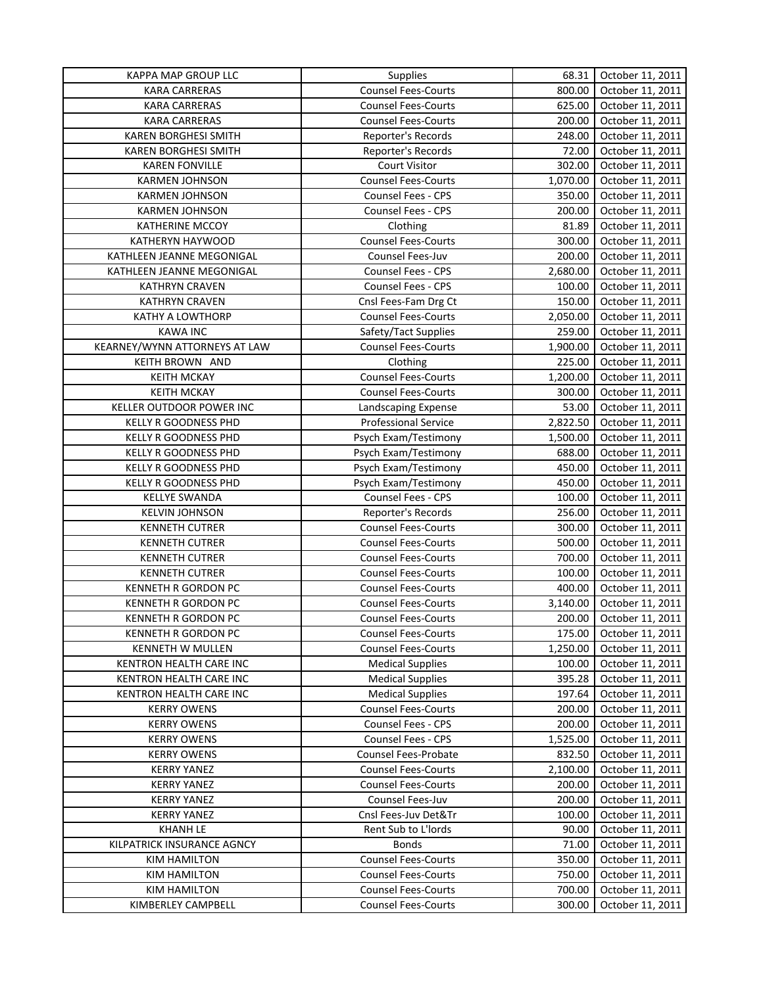| <b>Counsel Fees-Courts</b><br><b>KARA CARRERAS</b><br>800.00<br>October 11, 2011<br><b>Counsel Fees-Courts</b><br>625.00<br>October 11, 2011<br><b>KARA CARRERAS</b><br><b>KARA CARRERAS</b><br><b>Counsel Fees-Courts</b><br>200.00<br>October 11, 2011<br><b>KAREN BORGHESI SMITH</b><br>Reporter's Records<br>248.00<br>October 11, 2011<br>72.00<br><b>KAREN BORGHESI SMITH</b><br>Reporter's Records<br>October 11, 2011<br>302.00<br><b>KAREN FONVILLE</b><br><b>Court Visitor</b><br>October 11, 2011<br><b>Counsel Fees-Courts</b><br><b>KARMEN JOHNSON</b><br>1,070.00<br>October 11, 2011<br><b>Counsel Fees - CPS</b><br>350.00<br>October 11, 2011<br><b>KARMEN JOHNSON</b><br>Counsel Fees - CPS<br>200.00<br><b>KARMEN JOHNSON</b><br>October 11, 2011<br>Clothing<br>81.89<br><b>KATHERINE MCCOY</b><br>October 11, 2011<br><b>Counsel Fees-Courts</b><br>300.00<br>October 11, 2011<br>KATHERYN HAYWOOD<br>Counsel Fees-Juv<br>KATHLEEN JEANNE MEGONIGAL<br>200.00<br>October 11, 2011<br><b>Counsel Fees - CPS</b><br>2,680.00<br>October 11, 2011<br>KATHLEEN JEANNE MEGONIGAL<br><b>KATHRYN CRAVEN</b><br>Counsel Fees - CPS<br>100.00<br>October 11, 2011<br>Cnsl Fees-Fam Drg Ct<br><b>KATHRYN CRAVEN</b><br>150.00<br>October 11, 2011<br>KATHY A LOWTHORP<br><b>Counsel Fees-Courts</b><br>2,050.00<br>October 11, 2011<br>Safety/Tact Supplies<br>259.00<br>October 11, 2011<br><b>KAWA INC</b><br>KEARNEY/WYNN ATTORNEYS AT LAW<br><b>Counsel Fees-Courts</b><br>1,900.00<br>October 11, 2011<br>KEITH BROWN AND<br>Clothing<br>225.00<br>October 11, 2011<br><b>KEITH MCKAY</b><br><b>Counsel Fees-Courts</b><br>1,200.00<br>October 11, 2011<br><b>Counsel Fees-Courts</b><br><b>KEITH MCKAY</b><br>300.00<br>October 11, 2011<br>KELLER OUTDOOR POWER INC<br>53.00<br>October 11, 2011<br>Landscaping Expense<br><b>Professional Service</b><br>2,822.50<br>October 11, 2011<br>KELLY R GOODNESS PHD<br>Psych Exam/Testimony<br>October 11, 2011<br>KELLY R GOODNESS PHD<br>1,500.00<br>688.00<br>October 11, 2011<br>KELLY R GOODNESS PHD<br>Psych Exam/Testimony<br>Psych Exam/Testimony<br>450.00<br>October 11, 2011<br>KELLY R GOODNESS PHD<br>450.00<br>October 11, 2011<br>KELLY R GOODNESS PHD<br>Psych Exam/Testimony<br>Counsel Fees - CPS<br>100.00<br>October 11, 2011<br><b>KELLYE SWANDA</b><br>Reporter's Records<br>256.00<br>October 11, 2011<br><b>KELVIN JOHNSON</b><br>300.00<br><b>KENNETH CUTRER</b><br><b>Counsel Fees-Courts</b><br>October 11, 2011<br>500.00<br><b>KENNETH CUTRER</b><br><b>Counsel Fees-Courts</b><br>October 11, 2011<br>700.00<br><b>KENNETH CUTRER</b><br><b>Counsel Fees-Courts</b><br>October 11, 2011<br>100.00<br><b>KENNETH CUTRER</b><br><b>Counsel Fees-Courts</b><br>October 11, 2011<br>400.00<br><b>KENNETH R GORDON PC</b><br><b>Counsel Fees-Courts</b><br>October 11, 2011<br><b>KENNETH R GORDON PC</b><br>3,140.00<br><b>Counsel Fees-Courts</b><br>October 11, 2011<br><b>KENNETH R GORDON PC</b><br>200.00<br>October 11, 2011<br><b>Counsel Fees-Courts</b><br><b>Counsel Fees-Courts</b><br>175.00<br>October 11, 2011<br><b>KENNETH R GORDON PC</b><br>1,250.00<br>KENNETH W MULLEN<br><b>Counsel Fees-Courts</b><br>October 11, 2011<br>KENTRON HEALTH CARE INC<br><b>Medical Supplies</b><br>100.00<br>October 11, 2011<br><b>Medical Supplies</b><br>395.28<br>KENTRON HEALTH CARE INC<br>October 11, 2011<br><b>Medical Supplies</b><br>KENTRON HEALTH CARE INC<br>197.64<br>October 11, 2011<br><b>Counsel Fees-Courts</b><br>October 11, 2011<br><b>KERRY OWENS</b><br>200.00<br>Counsel Fees - CPS<br>October 11, 2011<br><b>KERRY OWENS</b><br>200.00<br><b>KERRY OWENS</b><br>Counsel Fees - CPS<br>1,525.00<br>October 11, 2011<br><b>Counsel Fees-Probate</b><br>October 11, 2011<br><b>KERRY OWENS</b><br>832.50<br><b>Counsel Fees-Courts</b><br>October 11, 2011<br><b>KERRY YANEZ</b><br>2,100.00<br>Counsel Fees-Courts<br>200.00<br><b>KERRY YANEZ</b><br>October 11, 2011<br>Counsel Fees-Juv<br>October 11, 2011<br><b>KERRY YANEZ</b><br>200.00<br>Cnsl Fees-Juv Det&Tr<br>October 11, 2011<br><b>KERRY YANEZ</b><br>100.00<br>Rent Sub to L'Iords<br><b>KHANH LE</b><br>90.00<br>October 11, 2011<br>October 11, 2011<br>KILPATRICK INSURANCE AGNCY<br><b>Bonds</b><br>71.00<br><b>Counsel Fees-Courts</b><br><b>KIM HAMILTON</b><br>350.00<br>October 11, 2011<br><b>KIM HAMILTON</b><br><b>Counsel Fees-Courts</b><br>750.00<br>October 11, 2011<br><b>Counsel Fees-Courts</b><br><b>KIM HAMILTON</b><br>700.00<br>October 11, 2011<br><b>Counsel Fees-Courts</b><br>KIMBERLEY CAMPBELL<br>300.00<br>October 11, 2011 | KAPPA MAP GROUP LLC | Supplies | 68.31 | October 11, 2011 |
|--------------------------------------------------------------------------------------------------------------------------------------------------------------------------------------------------------------------------------------------------------------------------------------------------------------------------------------------------------------------------------------------------------------------------------------------------------------------------------------------------------------------------------------------------------------------------------------------------------------------------------------------------------------------------------------------------------------------------------------------------------------------------------------------------------------------------------------------------------------------------------------------------------------------------------------------------------------------------------------------------------------------------------------------------------------------------------------------------------------------------------------------------------------------------------------------------------------------------------------------------------------------------------------------------------------------------------------------------------------------------------------------------------------------------------------------------------------------------------------------------------------------------------------------------------------------------------------------------------------------------------------------------------------------------------------------------------------------------------------------------------------------------------------------------------------------------------------------------------------------------------------------------------------------------------------------------------------------------------------------------------------------------------------------------------------------------------------------------------------------------------------------------------------------------------------------------------------------------------------------------------------------------------------------------------------------------------------------------------------------------------------------------------------------------------------------------------------------------------------------------------------------------------------------------------------------------------------------------------------------------------------------------------------------------------------------------------------------------------------------------------------------------------------------------------------------------------------------------------------------------------------------------------------------------------------------------------------------------------------------------------------------------------------------------------------------------------------------------------------------------------------------------------------------------------------------------------------------------------------------------------------------------------------------------------------------------------------------------------------------------------------------------------------------------------------------------------------------------------------------------------------------------------------------------------------------------------------------------------------------------------------------------------------------------------------------------------------------------------------------------------------------------------------------------------------------------------------------------------------------------------------------------------------------------------------------------------------------------------------------------------------------------------------------------------------------------------------------------------------------------------------------------------------------------------------------------------------------------------------------------------------------------------------------------------------------------------------------------------------------------------------------------------------------------------------------------------------------------------------------------------------------------------------------------------------------------------------------------------------------------------------------|---------------------|----------|-------|------------------|
|                                                                                                                                                                                                                                                                                                                                                                                                                                                                                                                                                                                                                                                                                                                                                                                                                                                                                                                                                                                                                                                                                                                                                                                                                                                                                                                                                                                                                                                                                                                                                                                                                                                                                                                                                                                                                                                                                                                                                                                                                                                                                                                                                                                                                                                                                                                                                                                                                                                                                                                                                                                                                                                                                                                                                                                                                                                                                                                                                                                                                                                                                                                                                                                                                                                                                                                                                                                                                                                                                                                                                                                                                                                                                                                                                                                                                                                                                                                                                                                                                                                                                                                                                                                                                                                                                                                                                                                                                                                                                                                                                                                                                                            |                     |          |       |                  |
|                                                                                                                                                                                                                                                                                                                                                                                                                                                                                                                                                                                                                                                                                                                                                                                                                                                                                                                                                                                                                                                                                                                                                                                                                                                                                                                                                                                                                                                                                                                                                                                                                                                                                                                                                                                                                                                                                                                                                                                                                                                                                                                                                                                                                                                                                                                                                                                                                                                                                                                                                                                                                                                                                                                                                                                                                                                                                                                                                                                                                                                                                                                                                                                                                                                                                                                                                                                                                                                                                                                                                                                                                                                                                                                                                                                                                                                                                                                                                                                                                                                                                                                                                                                                                                                                                                                                                                                                                                                                                                                                                                                                                                            |                     |          |       |                  |
|                                                                                                                                                                                                                                                                                                                                                                                                                                                                                                                                                                                                                                                                                                                                                                                                                                                                                                                                                                                                                                                                                                                                                                                                                                                                                                                                                                                                                                                                                                                                                                                                                                                                                                                                                                                                                                                                                                                                                                                                                                                                                                                                                                                                                                                                                                                                                                                                                                                                                                                                                                                                                                                                                                                                                                                                                                                                                                                                                                                                                                                                                                                                                                                                                                                                                                                                                                                                                                                                                                                                                                                                                                                                                                                                                                                                                                                                                                                                                                                                                                                                                                                                                                                                                                                                                                                                                                                                                                                                                                                                                                                                                                            |                     |          |       |                  |
|                                                                                                                                                                                                                                                                                                                                                                                                                                                                                                                                                                                                                                                                                                                                                                                                                                                                                                                                                                                                                                                                                                                                                                                                                                                                                                                                                                                                                                                                                                                                                                                                                                                                                                                                                                                                                                                                                                                                                                                                                                                                                                                                                                                                                                                                                                                                                                                                                                                                                                                                                                                                                                                                                                                                                                                                                                                                                                                                                                                                                                                                                                                                                                                                                                                                                                                                                                                                                                                                                                                                                                                                                                                                                                                                                                                                                                                                                                                                                                                                                                                                                                                                                                                                                                                                                                                                                                                                                                                                                                                                                                                                                                            |                     |          |       |                  |
|                                                                                                                                                                                                                                                                                                                                                                                                                                                                                                                                                                                                                                                                                                                                                                                                                                                                                                                                                                                                                                                                                                                                                                                                                                                                                                                                                                                                                                                                                                                                                                                                                                                                                                                                                                                                                                                                                                                                                                                                                                                                                                                                                                                                                                                                                                                                                                                                                                                                                                                                                                                                                                                                                                                                                                                                                                                                                                                                                                                                                                                                                                                                                                                                                                                                                                                                                                                                                                                                                                                                                                                                                                                                                                                                                                                                                                                                                                                                                                                                                                                                                                                                                                                                                                                                                                                                                                                                                                                                                                                                                                                                                                            |                     |          |       |                  |
|                                                                                                                                                                                                                                                                                                                                                                                                                                                                                                                                                                                                                                                                                                                                                                                                                                                                                                                                                                                                                                                                                                                                                                                                                                                                                                                                                                                                                                                                                                                                                                                                                                                                                                                                                                                                                                                                                                                                                                                                                                                                                                                                                                                                                                                                                                                                                                                                                                                                                                                                                                                                                                                                                                                                                                                                                                                                                                                                                                                                                                                                                                                                                                                                                                                                                                                                                                                                                                                                                                                                                                                                                                                                                                                                                                                                                                                                                                                                                                                                                                                                                                                                                                                                                                                                                                                                                                                                                                                                                                                                                                                                                                            |                     |          |       |                  |
|                                                                                                                                                                                                                                                                                                                                                                                                                                                                                                                                                                                                                                                                                                                                                                                                                                                                                                                                                                                                                                                                                                                                                                                                                                                                                                                                                                                                                                                                                                                                                                                                                                                                                                                                                                                                                                                                                                                                                                                                                                                                                                                                                                                                                                                                                                                                                                                                                                                                                                                                                                                                                                                                                                                                                                                                                                                                                                                                                                                                                                                                                                                                                                                                                                                                                                                                                                                                                                                                                                                                                                                                                                                                                                                                                                                                                                                                                                                                                                                                                                                                                                                                                                                                                                                                                                                                                                                                                                                                                                                                                                                                                                            |                     |          |       |                  |
|                                                                                                                                                                                                                                                                                                                                                                                                                                                                                                                                                                                                                                                                                                                                                                                                                                                                                                                                                                                                                                                                                                                                                                                                                                                                                                                                                                                                                                                                                                                                                                                                                                                                                                                                                                                                                                                                                                                                                                                                                                                                                                                                                                                                                                                                                                                                                                                                                                                                                                                                                                                                                                                                                                                                                                                                                                                                                                                                                                                                                                                                                                                                                                                                                                                                                                                                                                                                                                                                                                                                                                                                                                                                                                                                                                                                                                                                                                                                                                                                                                                                                                                                                                                                                                                                                                                                                                                                                                                                                                                                                                                                                                            |                     |          |       |                  |
|                                                                                                                                                                                                                                                                                                                                                                                                                                                                                                                                                                                                                                                                                                                                                                                                                                                                                                                                                                                                                                                                                                                                                                                                                                                                                                                                                                                                                                                                                                                                                                                                                                                                                                                                                                                                                                                                                                                                                                                                                                                                                                                                                                                                                                                                                                                                                                                                                                                                                                                                                                                                                                                                                                                                                                                                                                                                                                                                                                                                                                                                                                                                                                                                                                                                                                                                                                                                                                                                                                                                                                                                                                                                                                                                                                                                                                                                                                                                                                                                                                                                                                                                                                                                                                                                                                                                                                                                                                                                                                                                                                                                                                            |                     |          |       |                  |
|                                                                                                                                                                                                                                                                                                                                                                                                                                                                                                                                                                                                                                                                                                                                                                                                                                                                                                                                                                                                                                                                                                                                                                                                                                                                                                                                                                                                                                                                                                                                                                                                                                                                                                                                                                                                                                                                                                                                                                                                                                                                                                                                                                                                                                                                                                                                                                                                                                                                                                                                                                                                                                                                                                                                                                                                                                                                                                                                                                                                                                                                                                                                                                                                                                                                                                                                                                                                                                                                                                                                                                                                                                                                                                                                                                                                                                                                                                                                                                                                                                                                                                                                                                                                                                                                                                                                                                                                                                                                                                                                                                                                                                            |                     |          |       |                  |
|                                                                                                                                                                                                                                                                                                                                                                                                                                                                                                                                                                                                                                                                                                                                                                                                                                                                                                                                                                                                                                                                                                                                                                                                                                                                                                                                                                                                                                                                                                                                                                                                                                                                                                                                                                                                                                                                                                                                                                                                                                                                                                                                                                                                                                                                                                                                                                                                                                                                                                                                                                                                                                                                                                                                                                                                                                                                                                                                                                                                                                                                                                                                                                                                                                                                                                                                                                                                                                                                                                                                                                                                                                                                                                                                                                                                                                                                                                                                                                                                                                                                                                                                                                                                                                                                                                                                                                                                                                                                                                                                                                                                                                            |                     |          |       |                  |
|                                                                                                                                                                                                                                                                                                                                                                                                                                                                                                                                                                                                                                                                                                                                                                                                                                                                                                                                                                                                                                                                                                                                                                                                                                                                                                                                                                                                                                                                                                                                                                                                                                                                                                                                                                                                                                                                                                                                                                                                                                                                                                                                                                                                                                                                                                                                                                                                                                                                                                                                                                                                                                                                                                                                                                                                                                                                                                                                                                                                                                                                                                                                                                                                                                                                                                                                                                                                                                                                                                                                                                                                                                                                                                                                                                                                                                                                                                                                                                                                                                                                                                                                                                                                                                                                                                                                                                                                                                                                                                                                                                                                                                            |                     |          |       |                  |
|                                                                                                                                                                                                                                                                                                                                                                                                                                                                                                                                                                                                                                                                                                                                                                                                                                                                                                                                                                                                                                                                                                                                                                                                                                                                                                                                                                                                                                                                                                                                                                                                                                                                                                                                                                                                                                                                                                                                                                                                                                                                                                                                                                                                                                                                                                                                                                                                                                                                                                                                                                                                                                                                                                                                                                                                                                                                                                                                                                                                                                                                                                                                                                                                                                                                                                                                                                                                                                                                                                                                                                                                                                                                                                                                                                                                                                                                                                                                                                                                                                                                                                                                                                                                                                                                                                                                                                                                                                                                                                                                                                                                                                            |                     |          |       |                  |
|                                                                                                                                                                                                                                                                                                                                                                                                                                                                                                                                                                                                                                                                                                                                                                                                                                                                                                                                                                                                                                                                                                                                                                                                                                                                                                                                                                                                                                                                                                                                                                                                                                                                                                                                                                                                                                                                                                                                                                                                                                                                                                                                                                                                                                                                                                                                                                                                                                                                                                                                                                                                                                                                                                                                                                                                                                                                                                                                                                                                                                                                                                                                                                                                                                                                                                                                                                                                                                                                                                                                                                                                                                                                                                                                                                                                                                                                                                                                                                                                                                                                                                                                                                                                                                                                                                                                                                                                                                                                                                                                                                                                                                            |                     |          |       |                  |
|                                                                                                                                                                                                                                                                                                                                                                                                                                                                                                                                                                                                                                                                                                                                                                                                                                                                                                                                                                                                                                                                                                                                                                                                                                                                                                                                                                                                                                                                                                                                                                                                                                                                                                                                                                                                                                                                                                                                                                                                                                                                                                                                                                                                                                                                                                                                                                                                                                                                                                                                                                                                                                                                                                                                                                                                                                                                                                                                                                                                                                                                                                                                                                                                                                                                                                                                                                                                                                                                                                                                                                                                                                                                                                                                                                                                                                                                                                                                                                                                                                                                                                                                                                                                                                                                                                                                                                                                                                                                                                                                                                                                                                            |                     |          |       |                  |
|                                                                                                                                                                                                                                                                                                                                                                                                                                                                                                                                                                                                                                                                                                                                                                                                                                                                                                                                                                                                                                                                                                                                                                                                                                                                                                                                                                                                                                                                                                                                                                                                                                                                                                                                                                                                                                                                                                                                                                                                                                                                                                                                                                                                                                                                                                                                                                                                                                                                                                                                                                                                                                                                                                                                                                                                                                                                                                                                                                                                                                                                                                                                                                                                                                                                                                                                                                                                                                                                                                                                                                                                                                                                                                                                                                                                                                                                                                                                                                                                                                                                                                                                                                                                                                                                                                                                                                                                                                                                                                                                                                                                                                            |                     |          |       |                  |
|                                                                                                                                                                                                                                                                                                                                                                                                                                                                                                                                                                                                                                                                                                                                                                                                                                                                                                                                                                                                                                                                                                                                                                                                                                                                                                                                                                                                                                                                                                                                                                                                                                                                                                                                                                                                                                                                                                                                                                                                                                                                                                                                                                                                                                                                                                                                                                                                                                                                                                                                                                                                                                                                                                                                                                                                                                                                                                                                                                                                                                                                                                                                                                                                                                                                                                                                                                                                                                                                                                                                                                                                                                                                                                                                                                                                                                                                                                                                                                                                                                                                                                                                                                                                                                                                                                                                                                                                                                                                                                                                                                                                                                            |                     |          |       |                  |
|                                                                                                                                                                                                                                                                                                                                                                                                                                                                                                                                                                                                                                                                                                                                                                                                                                                                                                                                                                                                                                                                                                                                                                                                                                                                                                                                                                                                                                                                                                                                                                                                                                                                                                                                                                                                                                                                                                                                                                                                                                                                                                                                                                                                                                                                                                                                                                                                                                                                                                                                                                                                                                                                                                                                                                                                                                                                                                                                                                                                                                                                                                                                                                                                                                                                                                                                                                                                                                                                                                                                                                                                                                                                                                                                                                                                                                                                                                                                                                                                                                                                                                                                                                                                                                                                                                                                                                                                                                                                                                                                                                                                                                            |                     |          |       |                  |
|                                                                                                                                                                                                                                                                                                                                                                                                                                                                                                                                                                                                                                                                                                                                                                                                                                                                                                                                                                                                                                                                                                                                                                                                                                                                                                                                                                                                                                                                                                                                                                                                                                                                                                                                                                                                                                                                                                                                                                                                                                                                                                                                                                                                                                                                                                                                                                                                                                                                                                                                                                                                                                                                                                                                                                                                                                                                                                                                                                                                                                                                                                                                                                                                                                                                                                                                                                                                                                                                                                                                                                                                                                                                                                                                                                                                                                                                                                                                                                                                                                                                                                                                                                                                                                                                                                                                                                                                                                                                                                                                                                                                                                            |                     |          |       |                  |
|                                                                                                                                                                                                                                                                                                                                                                                                                                                                                                                                                                                                                                                                                                                                                                                                                                                                                                                                                                                                                                                                                                                                                                                                                                                                                                                                                                                                                                                                                                                                                                                                                                                                                                                                                                                                                                                                                                                                                                                                                                                                                                                                                                                                                                                                                                                                                                                                                                                                                                                                                                                                                                                                                                                                                                                                                                                                                                                                                                                                                                                                                                                                                                                                                                                                                                                                                                                                                                                                                                                                                                                                                                                                                                                                                                                                                                                                                                                                                                                                                                                                                                                                                                                                                                                                                                                                                                                                                                                                                                                                                                                                                                            |                     |          |       |                  |
|                                                                                                                                                                                                                                                                                                                                                                                                                                                                                                                                                                                                                                                                                                                                                                                                                                                                                                                                                                                                                                                                                                                                                                                                                                                                                                                                                                                                                                                                                                                                                                                                                                                                                                                                                                                                                                                                                                                                                                                                                                                                                                                                                                                                                                                                                                                                                                                                                                                                                                                                                                                                                                                                                                                                                                                                                                                                                                                                                                                                                                                                                                                                                                                                                                                                                                                                                                                                                                                                                                                                                                                                                                                                                                                                                                                                                                                                                                                                                                                                                                                                                                                                                                                                                                                                                                                                                                                                                                                                                                                                                                                                                                            |                     |          |       |                  |
|                                                                                                                                                                                                                                                                                                                                                                                                                                                                                                                                                                                                                                                                                                                                                                                                                                                                                                                                                                                                                                                                                                                                                                                                                                                                                                                                                                                                                                                                                                                                                                                                                                                                                                                                                                                                                                                                                                                                                                                                                                                                                                                                                                                                                                                                                                                                                                                                                                                                                                                                                                                                                                                                                                                                                                                                                                                                                                                                                                                                                                                                                                                                                                                                                                                                                                                                                                                                                                                                                                                                                                                                                                                                                                                                                                                                                                                                                                                                                                                                                                                                                                                                                                                                                                                                                                                                                                                                                                                                                                                                                                                                                                            |                     |          |       |                  |
|                                                                                                                                                                                                                                                                                                                                                                                                                                                                                                                                                                                                                                                                                                                                                                                                                                                                                                                                                                                                                                                                                                                                                                                                                                                                                                                                                                                                                                                                                                                                                                                                                                                                                                                                                                                                                                                                                                                                                                                                                                                                                                                                                                                                                                                                                                                                                                                                                                                                                                                                                                                                                                                                                                                                                                                                                                                                                                                                                                                                                                                                                                                                                                                                                                                                                                                                                                                                                                                                                                                                                                                                                                                                                                                                                                                                                                                                                                                                                                                                                                                                                                                                                                                                                                                                                                                                                                                                                                                                                                                                                                                                                                            |                     |          |       |                  |
|                                                                                                                                                                                                                                                                                                                                                                                                                                                                                                                                                                                                                                                                                                                                                                                                                                                                                                                                                                                                                                                                                                                                                                                                                                                                                                                                                                                                                                                                                                                                                                                                                                                                                                                                                                                                                                                                                                                                                                                                                                                                                                                                                                                                                                                                                                                                                                                                                                                                                                                                                                                                                                                                                                                                                                                                                                                                                                                                                                                                                                                                                                                                                                                                                                                                                                                                                                                                                                                                                                                                                                                                                                                                                                                                                                                                                                                                                                                                                                                                                                                                                                                                                                                                                                                                                                                                                                                                                                                                                                                                                                                                                                            |                     |          |       |                  |
|                                                                                                                                                                                                                                                                                                                                                                                                                                                                                                                                                                                                                                                                                                                                                                                                                                                                                                                                                                                                                                                                                                                                                                                                                                                                                                                                                                                                                                                                                                                                                                                                                                                                                                                                                                                                                                                                                                                                                                                                                                                                                                                                                                                                                                                                                                                                                                                                                                                                                                                                                                                                                                                                                                                                                                                                                                                                                                                                                                                                                                                                                                                                                                                                                                                                                                                                                                                                                                                                                                                                                                                                                                                                                                                                                                                                                                                                                                                                                                                                                                                                                                                                                                                                                                                                                                                                                                                                                                                                                                                                                                                                                                            |                     |          |       |                  |
|                                                                                                                                                                                                                                                                                                                                                                                                                                                                                                                                                                                                                                                                                                                                                                                                                                                                                                                                                                                                                                                                                                                                                                                                                                                                                                                                                                                                                                                                                                                                                                                                                                                                                                                                                                                                                                                                                                                                                                                                                                                                                                                                                                                                                                                                                                                                                                                                                                                                                                                                                                                                                                                                                                                                                                                                                                                                                                                                                                                                                                                                                                                                                                                                                                                                                                                                                                                                                                                                                                                                                                                                                                                                                                                                                                                                                                                                                                                                                                                                                                                                                                                                                                                                                                                                                                                                                                                                                                                                                                                                                                                                                                            |                     |          |       |                  |
|                                                                                                                                                                                                                                                                                                                                                                                                                                                                                                                                                                                                                                                                                                                                                                                                                                                                                                                                                                                                                                                                                                                                                                                                                                                                                                                                                                                                                                                                                                                                                                                                                                                                                                                                                                                                                                                                                                                                                                                                                                                                                                                                                                                                                                                                                                                                                                                                                                                                                                                                                                                                                                                                                                                                                                                                                                                                                                                                                                                                                                                                                                                                                                                                                                                                                                                                                                                                                                                                                                                                                                                                                                                                                                                                                                                                                                                                                                                                                                                                                                                                                                                                                                                                                                                                                                                                                                                                                                                                                                                                                                                                                                            |                     |          |       |                  |
|                                                                                                                                                                                                                                                                                                                                                                                                                                                                                                                                                                                                                                                                                                                                                                                                                                                                                                                                                                                                                                                                                                                                                                                                                                                                                                                                                                                                                                                                                                                                                                                                                                                                                                                                                                                                                                                                                                                                                                                                                                                                                                                                                                                                                                                                                                                                                                                                                                                                                                                                                                                                                                                                                                                                                                                                                                                                                                                                                                                                                                                                                                                                                                                                                                                                                                                                                                                                                                                                                                                                                                                                                                                                                                                                                                                                                                                                                                                                                                                                                                                                                                                                                                                                                                                                                                                                                                                                                                                                                                                                                                                                                                            |                     |          |       |                  |
|                                                                                                                                                                                                                                                                                                                                                                                                                                                                                                                                                                                                                                                                                                                                                                                                                                                                                                                                                                                                                                                                                                                                                                                                                                                                                                                                                                                                                                                                                                                                                                                                                                                                                                                                                                                                                                                                                                                                                                                                                                                                                                                                                                                                                                                                                                                                                                                                                                                                                                                                                                                                                                                                                                                                                                                                                                                                                                                                                                                                                                                                                                                                                                                                                                                                                                                                                                                                                                                                                                                                                                                                                                                                                                                                                                                                                                                                                                                                                                                                                                                                                                                                                                                                                                                                                                                                                                                                                                                                                                                                                                                                                                            |                     |          |       |                  |
|                                                                                                                                                                                                                                                                                                                                                                                                                                                                                                                                                                                                                                                                                                                                                                                                                                                                                                                                                                                                                                                                                                                                                                                                                                                                                                                                                                                                                                                                                                                                                                                                                                                                                                                                                                                                                                                                                                                                                                                                                                                                                                                                                                                                                                                                                                                                                                                                                                                                                                                                                                                                                                                                                                                                                                                                                                                                                                                                                                                                                                                                                                                                                                                                                                                                                                                                                                                                                                                                                                                                                                                                                                                                                                                                                                                                                                                                                                                                                                                                                                                                                                                                                                                                                                                                                                                                                                                                                                                                                                                                                                                                                                            |                     |          |       |                  |
|                                                                                                                                                                                                                                                                                                                                                                                                                                                                                                                                                                                                                                                                                                                                                                                                                                                                                                                                                                                                                                                                                                                                                                                                                                                                                                                                                                                                                                                                                                                                                                                                                                                                                                                                                                                                                                                                                                                                                                                                                                                                                                                                                                                                                                                                                                                                                                                                                                                                                                                                                                                                                                                                                                                                                                                                                                                                                                                                                                                                                                                                                                                                                                                                                                                                                                                                                                                                                                                                                                                                                                                                                                                                                                                                                                                                                                                                                                                                                                                                                                                                                                                                                                                                                                                                                                                                                                                                                                                                                                                                                                                                                                            |                     |          |       |                  |
|                                                                                                                                                                                                                                                                                                                                                                                                                                                                                                                                                                                                                                                                                                                                                                                                                                                                                                                                                                                                                                                                                                                                                                                                                                                                                                                                                                                                                                                                                                                                                                                                                                                                                                                                                                                                                                                                                                                                                                                                                                                                                                                                                                                                                                                                                                                                                                                                                                                                                                                                                                                                                                                                                                                                                                                                                                                                                                                                                                                                                                                                                                                                                                                                                                                                                                                                                                                                                                                                                                                                                                                                                                                                                                                                                                                                                                                                                                                                                                                                                                                                                                                                                                                                                                                                                                                                                                                                                                                                                                                                                                                                                                            |                     |          |       |                  |
|                                                                                                                                                                                                                                                                                                                                                                                                                                                                                                                                                                                                                                                                                                                                                                                                                                                                                                                                                                                                                                                                                                                                                                                                                                                                                                                                                                                                                                                                                                                                                                                                                                                                                                                                                                                                                                                                                                                                                                                                                                                                                                                                                                                                                                                                                                                                                                                                                                                                                                                                                                                                                                                                                                                                                                                                                                                                                                                                                                                                                                                                                                                                                                                                                                                                                                                                                                                                                                                                                                                                                                                                                                                                                                                                                                                                                                                                                                                                                                                                                                                                                                                                                                                                                                                                                                                                                                                                                                                                                                                                                                                                                                            |                     |          |       |                  |
|                                                                                                                                                                                                                                                                                                                                                                                                                                                                                                                                                                                                                                                                                                                                                                                                                                                                                                                                                                                                                                                                                                                                                                                                                                                                                                                                                                                                                                                                                                                                                                                                                                                                                                                                                                                                                                                                                                                                                                                                                                                                                                                                                                                                                                                                                                                                                                                                                                                                                                                                                                                                                                                                                                                                                                                                                                                                                                                                                                                                                                                                                                                                                                                                                                                                                                                                                                                                                                                                                                                                                                                                                                                                                                                                                                                                                                                                                                                                                                                                                                                                                                                                                                                                                                                                                                                                                                                                                                                                                                                                                                                                                                            |                     |          |       |                  |
|                                                                                                                                                                                                                                                                                                                                                                                                                                                                                                                                                                                                                                                                                                                                                                                                                                                                                                                                                                                                                                                                                                                                                                                                                                                                                                                                                                                                                                                                                                                                                                                                                                                                                                                                                                                                                                                                                                                                                                                                                                                                                                                                                                                                                                                                                                                                                                                                                                                                                                                                                                                                                                                                                                                                                                                                                                                                                                                                                                                                                                                                                                                                                                                                                                                                                                                                                                                                                                                                                                                                                                                                                                                                                                                                                                                                                                                                                                                                                                                                                                                                                                                                                                                                                                                                                                                                                                                                                                                                                                                                                                                                                                            |                     |          |       |                  |
|                                                                                                                                                                                                                                                                                                                                                                                                                                                                                                                                                                                                                                                                                                                                                                                                                                                                                                                                                                                                                                                                                                                                                                                                                                                                                                                                                                                                                                                                                                                                                                                                                                                                                                                                                                                                                                                                                                                                                                                                                                                                                                                                                                                                                                                                                                                                                                                                                                                                                                                                                                                                                                                                                                                                                                                                                                                                                                                                                                                                                                                                                                                                                                                                                                                                                                                                                                                                                                                                                                                                                                                                                                                                                                                                                                                                                                                                                                                                                                                                                                                                                                                                                                                                                                                                                                                                                                                                                                                                                                                                                                                                                                            |                     |          |       |                  |
|                                                                                                                                                                                                                                                                                                                                                                                                                                                                                                                                                                                                                                                                                                                                                                                                                                                                                                                                                                                                                                                                                                                                                                                                                                                                                                                                                                                                                                                                                                                                                                                                                                                                                                                                                                                                                                                                                                                                                                                                                                                                                                                                                                                                                                                                                                                                                                                                                                                                                                                                                                                                                                                                                                                                                                                                                                                                                                                                                                                                                                                                                                                                                                                                                                                                                                                                                                                                                                                                                                                                                                                                                                                                                                                                                                                                                                                                                                                                                                                                                                                                                                                                                                                                                                                                                                                                                                                                                                                                                                                                                                                                                                            |                     |          |       |                  |
|                                                                                                                                                                                                                                                                                                                                                                                                                                                                                                                                                                                                                                                                                                                                                                                                                                                                                                                                                                                                                                                                                                                                                                                                                                                                                                                                                                                                                                                                                                                                                                                                                                                                                                                                                                                                                                                                                                                                                                                                                                                                                                                                                                                                                                                                                                                                                                                                                                                                                                                                                                                                                                                                                                                                                                                                                                                                                                                                                                                                                                                                                                                                                                                                                                                                                                                                                                                                                                                                                                                                                                                                                                                                                                                                                                                                                                                                                                                                                                                                                                                                                                                                                                                                                                                                                                                                                                                                                                                                                                                                                                                                                                            |                     |          |       |                  |
|                                                                                                                                                                                                                                                                                                                                                                                                                                                                                                                                                                                                                                                                                                                                                                                                                                                                                                                                                                                                                                                                                                                                                                                                                                                                                                                                                                                                                                                                                                                                                                                                                                                                                                                                                                                                                                                                                                                                                                                                                                                                                                                                                                                                                                                                                                                                                                                                                                                                                                                                                                                                                                                                                                                                                                                                                                                                                                                                                                                                                                                                                                                                                                                                                                                                                                                                                                                                                                                                                                                                                                                                                                                                                                                                                                                                                                                                                                                                                                                                                                                                                                                                                                                                                                                                                                                                                                                                                                                                                                                                                                                                                                            |                     |          |       |                  |
|                                                                                                                                                                                                                                                                                                                                                                                                                                                                                                                                                                                                                                                                                                                                                                                                                                                                                                                                                                                                                                                                                                                                                                                                                                                                                                                                                                                                                                                                                                                                                                                                                                                                                                                                                                                                                                                                                                                                                                                                                                                                                                                                                                                                                                                                                                                                                                                                                                                                                                                                                                                                                                                                                                                                                                                                                                                                                                                                                                                                                                                                                                                                                                                                                                                                                                                                                                                                                                                                                                                                                                                                                                                                                                                                                                                                                                                                                                                                                                                                                                                                                                                                                                                                                                                                                                                                                                                                                                                                                                                                                                                                                                            |                     |          |       |                  |
|                                                                                                                                                                                                                                                                                                                                                                                                                                                                                                                                                                                                                                                                                                                                                                                                                                                                                                                                                                                                                                                                                                                                                                                                                                                                                                                                                                                                                                                                                                                                                                                                                                                                                                                                                                                                                                                                                                                                                                                                                                                                                                                                                                                                                                                                                                                                                                                                                                                                                                                                                                                                                                                                                                                                                                                                                                                                                                                                                                                                                                                                                                                                                                                                                                                                                                                                                                                                                                                                                                                                                                                                                                                                                                                                                                                                                                                                                                                                                                                                                                                                                                                                                                                                                                                                                                                                                                                                                                                                                                                                                                                                                                            |                     |          |       |                  |
|                                                                                                                                                                                                                                                                                                                                                                                                                                                                                                                                                                                                                                                                                                                                                                                                                                                                                                                                                                                                                                                                                                                                                                                                                                                                                                                                                                                                                                                                                                                                                                                                                                                                                                                                                                                                                                                                                                                                                                                                                                                                                                                                                                                                                                                                                                                                                                                                                                                                                                                                                                                                                                                                                                                                                                                                                                                                                                                                                                                                                                                                                                                                                                                                                                                                                                                                                                                                                                                                                                                                                                                                                                                                                                                                                                                                                                                                                                                                                                                                                                                                                                                                                                                                                                                                                                                                                                                                                                                                                                                                                                                                                                            |                     |          |       |                  |
|                                                                                                                                                                                                                                                                                                                                                                                                                                                                                                                                                                                                                                                                                                                                                                                                                                                                                                                                                                                                                                                                                                                                                                                                                                                                                                                                                                                                                                                                                                                                                                                                                                                                                                                                                                                                                                                                                                                                                                                                                                                                                                                                                                                                                                                                                                                                                                                                                                                                                                                                                                                                                                                                                                                                                                                                                                                                                                                                                                                                                                                                                                                                                                                                                                                                                                                                                                                                                                                                                                                                                                                                                                                                                                                                                                                                                                                                                                                                                                                                                                                                                                                                                                                                                                                                                                                                                                                                                                                                                                                                                                                                                                            |                     |          |       |                  |
|                                                                                                                                                                                                                                                                                                                                                                                                                                                                                                                                                                                                                                                                                                                                                                                                                                                                                                                                                                                                                                                                                                                                                                                                                                                                                                                                                                                                                                                                                                                                                                                                                                                                                                                                                                                                                                                                                                                                                                                                                                                                                                                                                                                                                                                                                                                                                                                                                                                                                                                                                                                                                                                                                                                                                                                                                                                                                                                                                                                                                                                                                                                                                                                                                                                                                                                                                                                                                                                                                                                                                                                                                                                                                                                                                                                                                                                                                                                                                                                                                                                                                                                                                                                                                                                                                                                                                                                                                                                                                                                                                                                                                                            |                     |          |       |                  |
|                                                                                                                                                                                                                                                                                                                                                                                                                                                                                                                                                                                                                                                                                                                                                                                                                                                                                                                                                                                                                                                                                                                                                                                                                                                                                                                                                                                                                                                                                                                                                                                                                                                                                                                                                                                                                                                                                                                                                                                                                                                                                                                                                                                                                                                                                                                                                                                                                                                                                                                                                                                                                                                                                                                                                                                                                                                                                                                                                                                                                                                                                                                                                                                                                                                                                                                                                                                                                                                                                                                                                                                                                                                                                                                                                                                                                                                                                                                                                                                                                                                                                                                                                                                                                                                                                                                                                                                                                                                                                                                                                                                                                                            |                     |          |       |                  |
|                                                                                                                                                                                                                                                                                                                                                                                                                                                                                                                                                                                                                                                                                                                                                                                                                                                                                                                                                                                                                                                                                                                                                                                                                                                                                                                                                                                                                                                                                                                                                                                                                                                                                                                                                                                                                                                                                                                                                                                                                                                                                                                                                                                                                                                                                                                                                                                                                                                                                                                                                                                                                                                                                                                                                                                                                                                                                                                                                                                                                                                                                                                                                                                                                                                                                                                                                                                                                                                                                                                                                                                                                                                                                                                                                                                                                                                                                                                                                                                                                                                                                                                                                                                                                                                                                                                                                                                                                                                                                                                                                                                                                                            |                     |          |       |                  |
|                                                                                                                                                                                                                                                                                                                                                                                                                                                                                                                                                                                                                                                                                                                                                                                                                                                                                                                                                                                                                                                                                                                                                                                                                                                                                                                                                                                                                                                                                                                                                                                                                                                                                                                                                                                                                                                                                                                                                                                                                                                                                                                                                                                                                                                                                                                                                                                                                                                                                                                                                                                                                                                                                                                                                                                                                                                                                                                                                                                                                                                                                                                                                                                                                                                                                                                                                                                                                                                                                                                                                                                                                                                                                                                                                                                                                                                                                                                                                                                                                                                                                                                                                                                                                                                                                                                                                                                                                                                                                                                                                                                                                                            |                     |          |       |                  |
|                                                                                                                                                                                                                                                                                                                                                                                                                                                                                                                                                                                                                                                                                                                                                                                                                                                                                                                                                                                                                                                                                                                                                                                                                                                                                                                                                                                                                                                                                                                                                                                                                                                                                                                                                                                                                                                                                                                                                                                                                                                                                                                                                                                                                                                                                                                                                                                                                                                                                                                                                                                                                                                                                                                                                                                                                                                                                                                                                                                                                                                                                                                                                                                                                                                                                                                                                                                                                                                                                                                                                                                                                                                                                                                                                                                                                                                                                                                                                                                                                                                                                                                                                                                                                                                                                                                                                                                                                                                                                                                                                                                                                                            |                     |          |       |                  |
|                                                                                                                                                                                                                                                                                                                                                                                                                                                                                                                                                                                                                                                                                                                                                                                                                                                                                                                                                                                                                                                                                                                                                                                                                                                                                                                                                                                                                                                                                                                                                                                                                                                                                                                                                                                                                                                                                                                                                                                                                                                                                                                                                                                                                                                                                                                                                                                                                                                                                                                                                                                                                                                                                                                                                                                                                                                                                                                                                                                                                                                                                                                                                                                                                                                                                                                                                                                                                                                                                                                                                                                                                                                                                                                                                                                                                                                                                                                                                                                                                                                                                                                                                                                                                                                                                                                                                                                                                                                                                                                                                                                                                                            |                     |          |       |                  |
|                                                                                                                                                                                                                                                                                                                                                                                                                                                                                                                                                                                                                                                                                                                                                                                                                                                                                                                                                                                                                                                                                                                                                                                                                                                                                                                                                                                                                                                                                                                                                                                                                                                                                                                                                                                                                                                                                                                                                                                                                                                                                                                                                                                                                                                                                                                                                                                                                                                                                                                                                                                                                                                                                                                                                                                                                                                                                                                                                                                                                                                                                                                                                                                                                                                                                                                                                                                                                                                                                                                                                                                                                                                                                                                                                                                                                                                                                                                                                                                                                                                                                                                                                                                                                                                                                                                                                                                                                                                                                                                                                                                                                                            |                     |          |       |                  |
|                                                                                                                                                                                                                                                                                                                                                                                                                                                                                                                                                                                                                                                                                                                                                                                                                                                                                                                                                                                                                                                                                                                                                                                                                                                                                                                                                                                                                                                                                                                                                                                                                                                                                                                                                                                                                                                                                                                                                                                                                                                                                                                                                                                                                                                                                                                                                                                                                                                                                                                                                                                                                                                                                                                                                                                                                                                                                                                                                                                                                                                                                                                                                                                                                                                                                                                                                                                                                                                                                                                                                                                                                                                                                                                                                                                                                                                                                                                                                                                                                                                                                                                                                                                                                                                                                                                                                                                                                                                                                                                                                                                                                                            |                     |          |       |                  |
|                                                                                                                                                                                                                                                                                                                                                                                                                                                                                                                                                                                                                                                                                                                                                                                                                                                                                                                                                                                                                                                                                                                                                                                                                                                                                                                                                                                                                                                                                                                                                                                                                                                                                                                                                                                                                                                                                                                                                                                                                                                                                                                                                                                                                                                                                                                                                                                                                                                                                                                                                                                                                                                                                                                                                                                                                                                                                                                                                                                                                                                                                                                                                                                                                                                                                                                                                                                                                                                                                                                                                                                                                                                                                                                                                                                                                                                                                                                                                                                                                                                                                                                                                                                                                                                                                                                                                                                                                                                                                                                                                                                                                                            |                     |          |       |                  |
|                                                                                                                                                                                                                                                                                                                                                                                                                                                                                                                                                                                                                                                                                                                                                                                                                                                                                                                                                                                                                                                                                                                                                                                                                                                                                                                                                                                                                                                                                                                                                                                                                                                                                                                                                                                                                                                                                                                                                                                                                                                                                                                                                                                                                                                                                                                                                                                                                                                                                                                                                                                                                                                                                                                                                                                                                                                                                                                                                                                                                                                                                                                                                                                                                                                                                                                                                                                                                                                                                                                                                                                                                                                                                                                                                                                                                                                                                                                                                                                                                                                                                                                                                                                                                                                                                                                                                                                                                                                                                                                                                                                                                                            |                     |          |       |                  |
|                                                                                                                                                                                                                                                                                                                                                                                                                                                                                                                                                                                                                                                                                                                                                                                                                                                                                                                                                                                                                                                                                                                                                                                                                                                                                                                                                                                                                                                                                                                                                                                                                                                                                                                                                                                                                                                                                                                                                                                                                                                                                                                                                                                                                                                                                                                                                                                                                                                                                                                                                                                                                                                                                                                                                                                                                                                                                                                                                                                                                                                                                                                                                                                                                                                                                                                                                                                                                                                                                                                                                                                                                                                                                                                                                                                                                                                                                                                                                                                                                                                                                                                                                                                                                                                                                                                                                                                                                                                                                                                                                                                                                                            |                     |          |       |                  |
|                                                                                                                                                                                                                                                                                                                                                                                                                                                                                                                                                                                                                                                                                                                                                                                                                                                                                                                                                                                                                                                                                                                                                                                                                                                                                                                                                                                                                                                                                                                                                                                                                                                                                                                                                                                                                                                                                                                                                                                                                                                                                                                                                                                                                                                                                                                                                                                                                                                                                                                                                                                                                                                                                                                                                                                                                                                                                                                                                                                                                                                                                                                                                                                                                                                                                                                                                                                                                                                                                                                                                                                                                                                                                                                                                                                                                                                                                                                                                                                                                                                                                                                                                                                                                                                                                                                                                                                                                                                                                                                                                                                                                                            |                     |          |       |                  |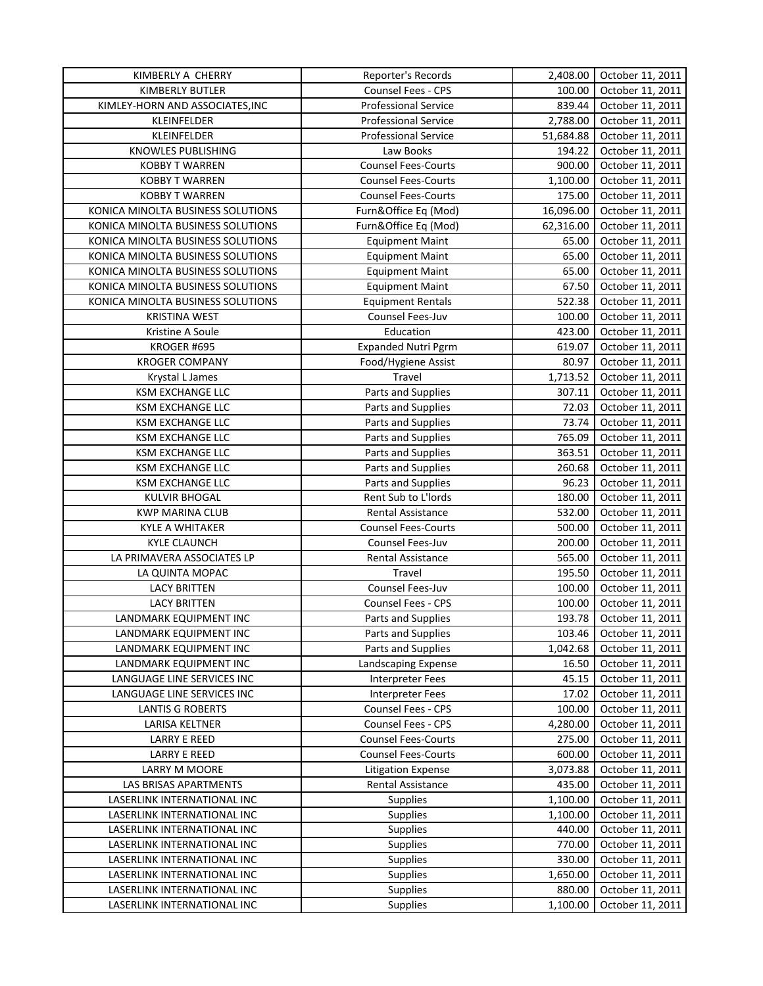| KIMBERLY A CHERRY                 | Reporter's Records                       | 2,408.00         | October 11, 2011                     |
|-----------------------------------|------------------------------------------|------------------|--------------------------------------|
| KIMBERLY BUTLER                   | Counsel Fees - CPS                       | 100.00           | October 11, 2011                     |
| KIMLEY-HORN AND ASSOCIATES, INC   | <b>Professional Service</b>              | 839.44           | October 11, 2011                     |
| KLEINFELDER                       | <b>Professional Service</b>              | 2,788.00         | October 11, 2011                     |
| KLEINFELDER                       | <b>Professional Service</b>              | 51,684.88        | October 11, 2011                     |
| KNOWLES PUBLISHING                | Law Books                                | 194.22           | October 11, 2011                     |
| <b>KOBBY T WARREN</b>             | <b>Counsel Fees-Courts</b>               | 900.00           | October 11, 2011                     |
| <b>KOBBY T WARREN</b>             | <b>Counsel Fees-Courts</b>               | 1,100.00         | October 11, 2011                     |
| <b>KOBBY T WARREN</b>             | <b>Counsel Fees-Courts</b>               | 175.00           | October 11, 2011                     |
| KONICA MINOLTA BUSINESS SOLUTIONS | Furn&Office Eq (Mod)                     | 16,096.00        | October 11, 2011                     |
| KONICA MINOLTA BUSINESS SOLUTIONS | Furn&Office Eq (Mod)                     | 62,316.00        | October 11, 2011                     |
| KONICA MINOLTA BUSINESS SOLUTIONS | <b>Equipment Maint</b>                   | 65.00            | October 11, 2011                     |
| KONICA MINOLTA BUSINESS SOLUTIONS | <b>Equipment Maint</b>                   | 65.00            | October 11, 2011                     |
| KONICA MINOLTA BUSINESS SOLUTIONS | <b>Equipment Maint</b>                   | 65.00            | October 11, 2011                     |
| KONICA MINOLTA BUSINESS SOLUTIONS | <b>Equipment Maint</b>                   | 67.50            | October 11, 2011                     |
| KONICA MINOLTA BUSINESS SOLUTIONS | <b>Equipment Rentals</b>                 | 522.38           | October 11, 2011                     |
| <b>KRISTINA WEST</b>              | Counsel Fees-Juv                         | 100.00           | October 11, 2011                     |
| Kristine A Soule                  | Education                                | 423.00           | October 11, 2011                     |
| KROGER #695                       | <b>Expanded Nutri Pgrm</b>               | 619.07           | October 11, 2011                     |
| <b>KROGER COMPANY</b>             | Food/Hygiene Assist                      | 80.97            | October 11, 2011                     |
| Krystal L James                   | Travel                                   | 1,713.52         | October 11, 2011                     |
| <b>KSM EXCHANGE LLC</b>           | Parts and Supplies                       | 307.11           | October 11, 2011                     |
| <b>KSM EXCHANGE LLC</b>           | Parts and Supplies                       | 72.03            | October 11, 2011                     |
| <b>KSM EXCHANGE LLC</b>           | Parts and Supplies                       | 73.74            | October 11, 2011                     |
| <b>KSM EXCHANGE LLC</b>           | Parts and Supplies                       | 765.09           | October 11, 2011                     |
| <b>KSM EXCHANGE LLC</b>           | Parts and Supplies                       | 363.51           | October 11, 2011                     |
| <b>KSM EXCHANGE LLC</b>           | Parts and Supplies                       | 260.68           | October 11, 2011                     |
| <b>KSM EXCHANGE LLC</b>           | Parts and Supplies                       | 96.23            | October 11, 2011                     |
| <b>KULVIR BHOGAL</b>              | Rent Sub to L'Iords                      | 180.00           | October 11, 2011                     |
| <b>KWP MARINA CLUB</b>            | Rental Assistance                        | 532.00           | October 11, 2011                     |
| KYLE A WHITAKER                   | <b>Counsel Fees-Courts</b>               | 500.00           | October 11, 2011                     |
| <b>KYLE CLAUNCH</b>               | Counsel Fees-Juv                         | 200.00           | October 11, 2011                     |
| LA PRIMAVERA ASSOCIATES LP        | Rental Assistance                        | 565.00           | October 11, 2011                     |
| LA QUINTA MOPAC                   | Travel                                   | 195.50           | October 11, 2011                     |
| <b>LACY BRITTEN</b>               |                                          | 100.00           |                                      |
| <b>LACY BRITTEN</b>               | Counsel Fees-Juv<br>Counsel Fees - CPS   | 100.00           | October 11, 2011<br>October 11, 2011 |
|                                   |                                          |                  |                                      |
| LANDMARK EQUIPMENT INC            | Parts and Supplies                       | 193.78<br>103.46 | October 11, 2011<br>October 11, 2011 |
| LANDMARK EQUIPMENT INC            | Parts and Supplies<br>Parts and Supplies |                  | October 11, 2011                     |
| LANDMARK EQUIPMENT INC            |                                          | 1,042.68         |                                      |
| LANDMARK EQUIPMENT INC            | Landscaping Expense                      | 16.50            | October 11, 2011                     |
| LANGUAGE LINE SERVICES INC        | Interpreter Fees                         | 45.15            | October 11, 2011                     |
| LANGUAGE LINE SERVICES INC        | Interpreter Fees                         | 17.02            | October 11, 2011                     |
| <b>LANTIS G ROBERTS</b>           | Counsel Fees - CPS                       | 100.00           | October 11, 2011                     |
| LARISA KELTNER                    | Counsel Fees - CPS                       | 4,280.00         | October 11, 2011                     |
| <b>LARRY E REED</b>               | <b>Counsel Fees-Courts</b>               | 275.00           | October 11, 2011                     |
| <b>LARRY E REED</b>               | <b>Counsel Fees-Courts</b>               | 600.00           | October 11, 2011                     |
| LARRY M MOORE                     | <b>Litigation Expense</b>                | 3,073.88         | October 11, 2011                     |
| LAS BRISAS APARTMENTS             | Rental Assistance                        | 435.00           | October 11, 2011                     |
| LASERLINK INTERNATIONAL INC       | Supplies                                 | 1,100.00         | October 11, 2011                     |
| LASERLINK INTERNATIONAL INC       | Supplies                                 | 1,100.00         | October 11, 2011                     |
| LASERLINK INTERNATIONAL INC       | Supplies                                 | 440.00           | October 11, 2011                     |
| LASERLINK INTERNATIONAL INC       | Supplies                                 | 770.00           | October 11, 2011                     |
| LASERLINK INTERNATIONAL INC       | <b>Supplies</b>                          | 330.00           | October 11, 2011                     |
| LASERLINK INTERNATIONAL INC       | <b>Supplies</b>                          | 1,650.00         | October 11, 2011                     |
| LASERLINK INTERNATIONAL INC       | <b>Supplies</b>                          | 880.00           | October 11, 2011                     |
| LASERLINK INTERNATIONAL INC       | Supplies                                 | 1,100.00         | October 11, 2011                     |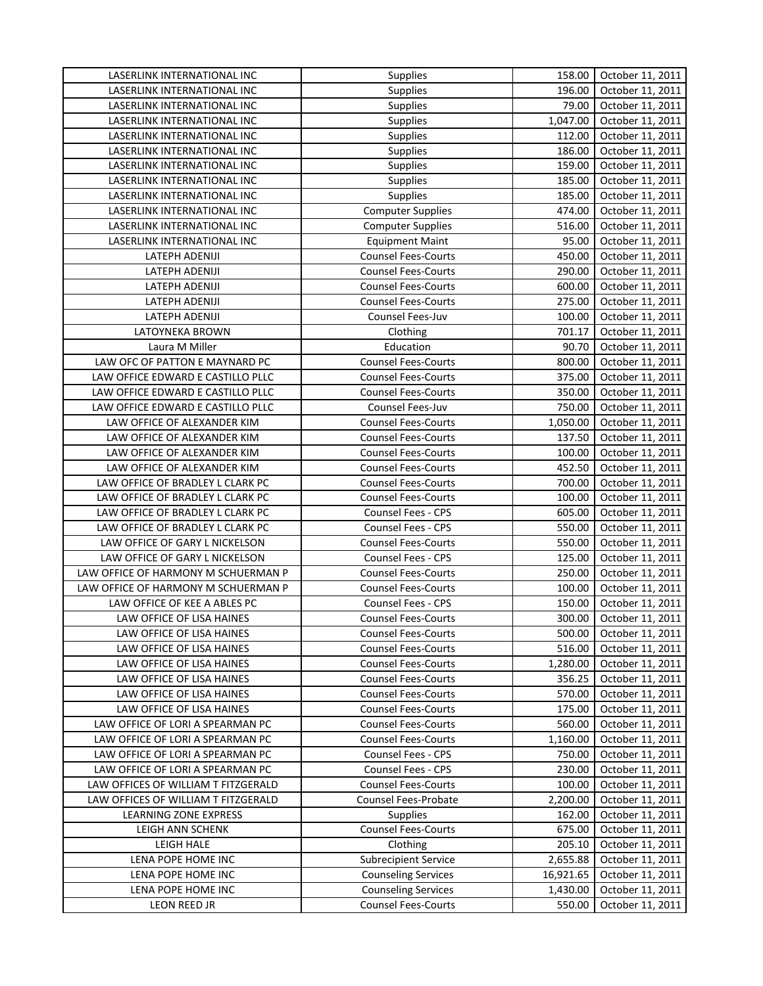| LASERLINK INTERNATIONAL INC         | Supplies                    | 158.00          | October 11, 2011                     |
|-------------------------------------|-----------------------------|-----------------|--------------------------------------|
| LASERLINK INTERNATIONAL INC         | Supplies                    | 196.00          | October 11, 2011                     |
| LASERLINK INTERNATIONAL INC         | Supplies                    | 79.00           | October 11, 2011                     |
| LASERLINK INTERNATIONAL INC         | Supplies                    | 1,047.00        | October 11, 2011                     |
| LASERLINK INTERNATIONAL INC         | <b>Supplies</b>             | 112.00          | October 11, 2011                     |
| LASERLINK INTERNATIONAL INC         | <b>Supplies</b>             | 186.00          | October 11, 2011                     |
| LASERLINK INTERNATIONAL INC         | <b>Supplies</b>             | 159.00          | October 11, 2011                     |
| LASERLINK INTERNATIONAL INC         | Supplies                    | 185.00          | October 11, 2011                     |
| LASERLINK INTERNATIONAL INC         | Supplies                    | 185.00          | October 11, 2011                     |
| LASERLINK INTERNATIONAL INC         | <b>Computer Supplies</b>    | 474.00          | October 11, 2011                     |
| LASERLINK INTERNATIONAL INC         | <b>Computer Supplies</b>    | 516.00          | October 11, 2011                     |
| LASERLINK INTERNATIONAL INC         | <b>Equipment Maint</b>      | 95.00           | October 11, 2011                     |
| LATEPH ADENIJI                      | <b>Counsel Fees-Courts</b>  | 450.00          | October 11, 2011                     |
| LATEPH ADENIJI                      | <b>Counsel Fees-Courts</b>  | 290.00          | October 11, 2011                     |
| LATEPH ADENIJI                      | <b>Counsel Fees-Courts</b>  | 600.00          | October 11, 2011                     |
| LATEPH ADENIJI                      | <b>Counsel Fees-Courts</b>  | 275.00          | October 11, 2011                     |
| LATEPH ADENIJI                      | Counsel Fees-Juv            | 100.00          | October 11, 2011                     |
|                                     |                             |                 |                                      |
| LATOYNEKA BROWN<br>Laura M Miller   | Clothing<br>Education       | 701.17<br>90.70 | October 11, 2011<br>October 11, 2011 |
|                                     |                             |                 |                                      |
| LAW OFC OF PATTON E MAYNARD PC      | <b>Counsel Fees-Courts</b>  | 800.00          | October 11, 2011                     |
| LAW OFFICE EDWARD E CASTILLO PLLC   | <b>Counsel Fees-Courts</b>  | 375.00          | October 11, 2011                     |
| LAW OFFICE EDWARD E CASTILLO PLLC   | <b>Counsel Fees-Courts</b>  | 350.00          | October 11, 2011                     |
| LAW OFFICE EDWARD E CASTILLO PLLC   | Counsel Fees-Juv            | 750.00          | October 11, 2011                     |
| LAW OFFICE OF ALEXANDER KIM         | <b>Counsel Fees-Courts</b>  | 1,050.00        | October 11, 2011                     |
| LAW OFFICE OF ALEXANDER KIM         | <b>Counsel Fees-Courts</b>  | 137.50          | October 11, 2011                     |
| LAW OFFICE OF ALEXANDER KIM         | <b>Counsel Fees-Courts</b>  | 100.00          | October 11, 2011                     |
| LAW OFFICE OF ALEXANDER KIM         | <b>Counsel Fees-Courts</b>  | 452.50          | October 11, 2011                     |
| LAW OFFICE OF BRADLEY L CLARK PC    | <b>Counsel Fees-Courts</b>  | 700.00          | October 11, 2011                     |
| LAW OFFICE OF BRADLEY L CLARK PC    | <b>Counsel Fees-Courts</b>  | 100.00          | October 11, 2011                     |
| LAW OFFICE OF BRADLEY L CLARK PC    | Counsel Fees - CPS          | 605.00          | October 11, 2011                     |
| LAW OFFICE OF BRADLEY L CLARK PC    | Counsel Fees - CPS          | 550.00          | October 11, 2011                     |
| LAW OFFICE OF GARY L NICKELSON      | <b>Counsel Fees-Courts</b>  | 550.00          | October 11, 2011                     |
| LAW OFFICE OF GARY L NICKELSON      | Counsel Fees - CPS          | 125.00          | October 11, 2011                     |
| LAW OFFICE OF HARMONY M SCHUERMAN P | <b>Counsel Fees-Courts</b>  | 250.00          | October 11, 2011                     |
| LAW OFFICE OF HARMONY M SCHUERMAN P | <b>Counsel Fees-Courts</b>  | 100.00          | October 11, 2011                     |
| LAW OFFICE OF KEE A ABLES PC        | Counsel Fees - CPS          | 150.00          | October 11, 2011                     |
| LAW OFFICE OF LISA HAINES           | <b>Counsel Fees-Courts</b>  | 300.00          | October 11, 2011                     |
| LAW OFFICE OF LISA HAINES           | <b>Counsel Fees-Courts</b>  | 500.00          | October 11, 2011                     |
| LAW OFFICE OF LISA HAINES           | <b>Counsel Fees-Courts</b>  | 516.00          | October 11, 2011                     |
| LAW OFFICE OF LISA HAINES           | <b>Counsel Fees-Courts</b>  | 1,280.00        | October 11, 2011                     |
| LAW OFFICE OF LISA HAINES           | <b>Counsel Fees-Courts</b>  | 356.25          | October 11, 2011                     |
| LAW OFFICE OF LISA HAINES           | <b>Counsel Fees-Courts</b>  | 570.00          | October 11, 2011                     |
| LAW OFFICE OF LISA HAINES           | <b>Counsel Fees-Courts</b>  | 175.00          | October 11, 2011                     |
| LAW OFFICE OF LORI A SPEARMAN PC    | <b>Counsel Fees-Courts</b>  | 560.00          | October 11, 2011                     |
| LAW OFFICE OF LORI A SPEARMAN PC    | <b>Counsel Fees-Courts</b>  | 1,160.00        | October 11, 2011                     |
| LAW OFFICE OF LORI A SPEARMAN PC    | Counsel Fees - CPS          | 750.00          | October 11, 2011                     |
| LAW OFFICE OF LORI A SPEARMAN PC    | Counsel Fees - CPS          | 230.00          | October 11, 2011                     |
| LAW OFFICES OF WILLIAM T FITZGERALD | <b>Counsel Fees-Courts</b>  | 100.00          | October 11, 2011                     |
| LAW OFFICES OF WILLIAM T FITZGERALD | <b>Counsel Fees-Probate</b> | 2,200.00        | October 11, 2011                     |
| LEARNING ZONE EXPRESS               | <b>Supplies</b>             | 162.00          | October 11, 2011                     |
| LEIGH ANN SCHENK                    | <b>Counsel Fees-Courts</b>  | 675.00          | October 11, 2011                     |
| LEIGH HALE                          | Clothing                    | 205.10          | October 11, 2011                     |
| LENA POPE HOME INC                  | <b>Subrecipient Service</b> | 2,655.88        | October 11, 2011                     |
| LENA POPE HOME INC                  | <b>Counseling Services</b>  | 16,921.65       | October 11, 2011                     |
| LENA POPE HOME INC                  | <b>Counseling Services</b>  | 1,430.00        | October 11, 2011                     |
| LEON REED JR                        | <b>Counsel Fees-Courts</b>  | 550.00          | October 11, 2011                     |
|                                     |                             |                 |                                      |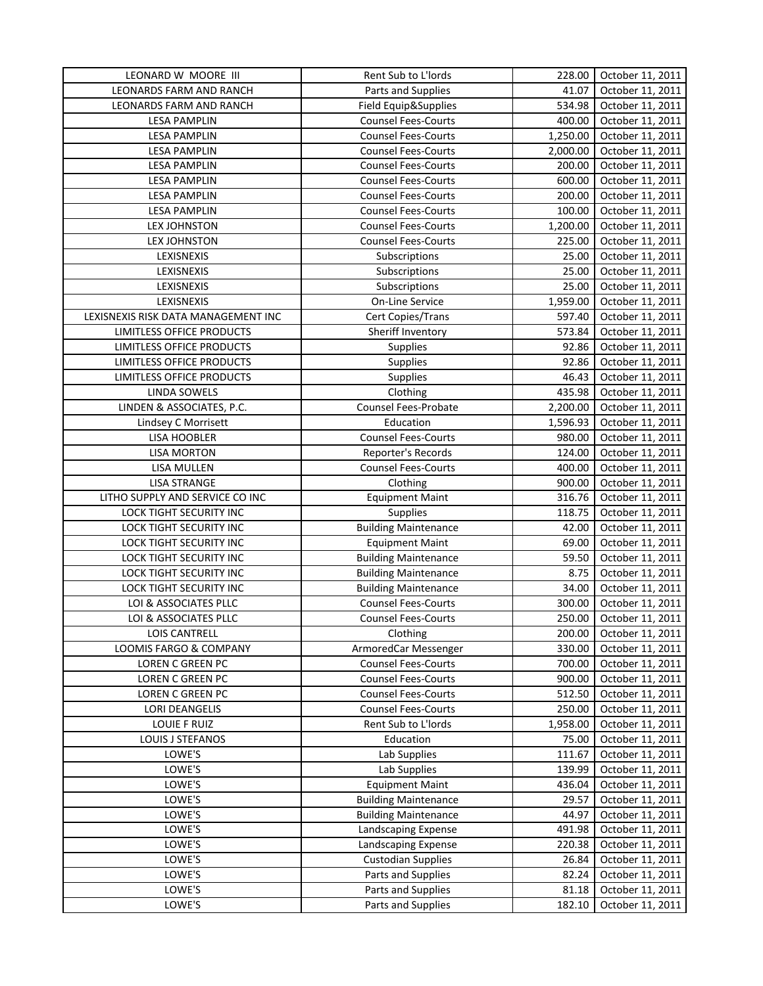| LEONARD W MOORE III                 | Rent Sub to L'Iords         | 228.00   | October 11, 2011 |
|-------------------------------------|-----------------------------|----------|------------------|
| LEONARDS FARM AND RANCH             | Parts and Supplies          | 41.07    | October 11, 2011 |
| LEONARDS FARM AND RANCH             | Field Equip&Supplies        | 534.98   | October 11, 2011 |
| <b>LESA PAMPLIN</b>                 | <b>Counsel Fees-Courts</b>  | 400.00   | October 11, 2011 |
| <b>LESA PAMPLIN</b>                 | <b>Counsel Fees-Courts</b>  | 1,250.00 | October 11, 2011 |
| <b>LESA PAMPLIN</b>                 | <b>Counsel Fees-Courts</b>  | 2,000.00 | October 11, 2011 |
| <b>LESA PAMPLIN</b>                 | <b>Counsel Fees-Courts</b>  | 200.00   | October 11, 2011 |
| <b>LESA PAMPLIN</b>                 | <b>Counsel Fees-Courts</b>  | 600.00   | October 11, 2011 |
| <b>LESA PAMPLIN</b>                 | <b>Counsel Fees-Courts</b>  | 200.00   | October 11, 2011 |
| <b>LESA PAMPLIN</b>                 | <b>Counsel Fees-Courts</b>  | 100.00   | October 11, 2011 |
| <b>LEX JOHNSTON</b>                 | <b>Counsel Fees-Courts</b>  | 1,200.00 | October 11, 2011 |
| LEX JOHNSTON                        | <b>Counsel Fees-Courts</b>  | 225.00   | October 11, 2011 |
| LEXISNEXIS                          | Subscriptions               | 25.00    | October 11, 2011 |
| LEXISNEXIS                          | Subscriptions               | 25.00    | October 11, 2011 |
| LEXISNEXIS                          | Subscriptions               | 25.00    | October 11, 2011 |
| LEXISNEXIS                          | On-Line Service             | 1,959.00 | October 11, 2011 |
| LEXISNEXIS RISK DATA MANAGEMENT INC | Cert Copies/Trans           | 597.40   | October 11, 2011 |
| LIMITLESS OFFICE PRODUCTS           | Sheriff Inventory           | 573.84   | October 11, 2011 |
| LIMITLESS OFFICE PRODUCTS           | Supplies                    | 92.86    | October 11, 2011 |
| LIMITLESS OFFICE PRODUCTS           | <b>Supplies</b>             | 92.86    | October 11, 2011 |
| LIMITLESS OFFICE PRODUCTS           | Supplies                    | 46.43    | October 11, 2011 |
| LINDA SOWELS                        | Clothing                    | 435.98   | October 11, 2011 |
| LINDEN & ASSOCIATES, P.C.           | Counsel Fees-Probate        |          |                  |
|                                     |                             | 2,200.00 | October 11, 2011 |
| Lindsey C Morrisett                 | Education                   | 1,596.93 | October 11, 2011 |
| LISA HOOBLER                        | <b>Counsel Fees-Courts</b>  | 980.00   | October 11, 2011 |
| <b>LISA MORTON</b>                  | Reporter's Records          | 124.00   | October 11, 2011 |
| LISA MULLEN                         | <b>Counsel Fees-Courts</b>  | 400.00   | October 11, 2011 |
| <b>LISA STRANGE</b>                 | Clothing                    | 900.00   | October 11, 2011 |
| LITHO SUPPLY AND SERVICE CO INC     | <b>Equipment Maint</b>      | 316.76   | October 11, 2011 |
| LOCK TIGHT SECURITY INC             | Supplies                    | 118.75   | October 11, 2011 |
| LOCK TIGHT SECURITY INC             | <b>Building Maintenance</b> | 42.00    | October 11, 2011 |
| LOCK TIGHT SECURITY INC             | <b>Equipment Maint</b>      | 69.00    | October 11, 2011 |
| LOCK TIGHT SECURITY INC             | <b>Building Maintenance</b> | 59.50    | October 11, 2011 |
| LOCK TIGHT SECURITY INC             | <b>Building Maintenance</b> | 8.75     | October 11, 2011 |
| LOCK TIGHT SECURITY INC             | <b>Building Maintenance</b> | 34.00    | October 11, 2011 |
| LOI & ASSOCIATES PLLC               | <b>Counsel Fees-Courts</b>  | 300.00   | October 11, 2011 |
| LOI & ASSOCIATES PLLC               | <b>Counsel Fees-Courts</b>  | 250.00   | October 11, 2011 |
| LOIS CANTRELL                       | Clothing                    | 200.00   | October 11, 2011 |
| LOOMIS FARGO & COMPANY              | ArmoredCar Messenger        | 330.00   | October 11, 2011 |
| <b>LOREN C GREEN PC</b>             | <b>Counsel Fees-Courts</b>  | 700.00   | October 11, 2011 |
| <b>LOREN C GREEN PC</b>             | <b>Counsel Fees-Courts</b>  | 900.00   | October 11, 2011 |
| LOREN C GREEN PC                    | <b>Counsel Fees-Courts</b>  | 512.50   | October 11, 2011 |
| <b>LORI DEANGELIS</b>               | <b>Counsel Fees-Courts</b>  | 250.00   | October 11, 2011 |
| LOUIE F RUIZ                        | Rent Sub to L'Iords         | 1,958.00 | October 11, 2011 |
| LOUIS J STEFANOS                    | Education                   | 75.00    | October 11, 2011 |
| LOWE'S                              | Lab Supplies                | 111.67   | October 11, 2011 |
| LOWE'S                              | Lab Supplies                | 139.99   | October 11, 2011 |
| LOWE'S                              | <b>Equipment Maint</b>      | 436.04   | October 11, 2011 |
| LOWE'S                              | <b>Building Maintenance</b> | 29.57    | October 11, 2011 |
| LOWE'S                              | <b>Building Maintenance</b> | 44.97    | October 11, 2011 |
| LOWE'S                              | Landscaping Expense         | 491.98   | October 11, 2011 |
| LOWE'S                              | Landscaping Expense         | 220.38   | October 11, 2011 |
| LOWE'S                              | <b>Custodian Supplies</b>   | 26.84    | October 11, 2011 |
| LOWE'S                              | Parts and Supplies          | 82.24    | October 11, 2011 |
| LOWE'S                              | Parts and Supplies          | 81.18    | October 11, 2011 |
| LOWE'S                              | Parts and Supplies          | 182.10   | October 11, 2011 |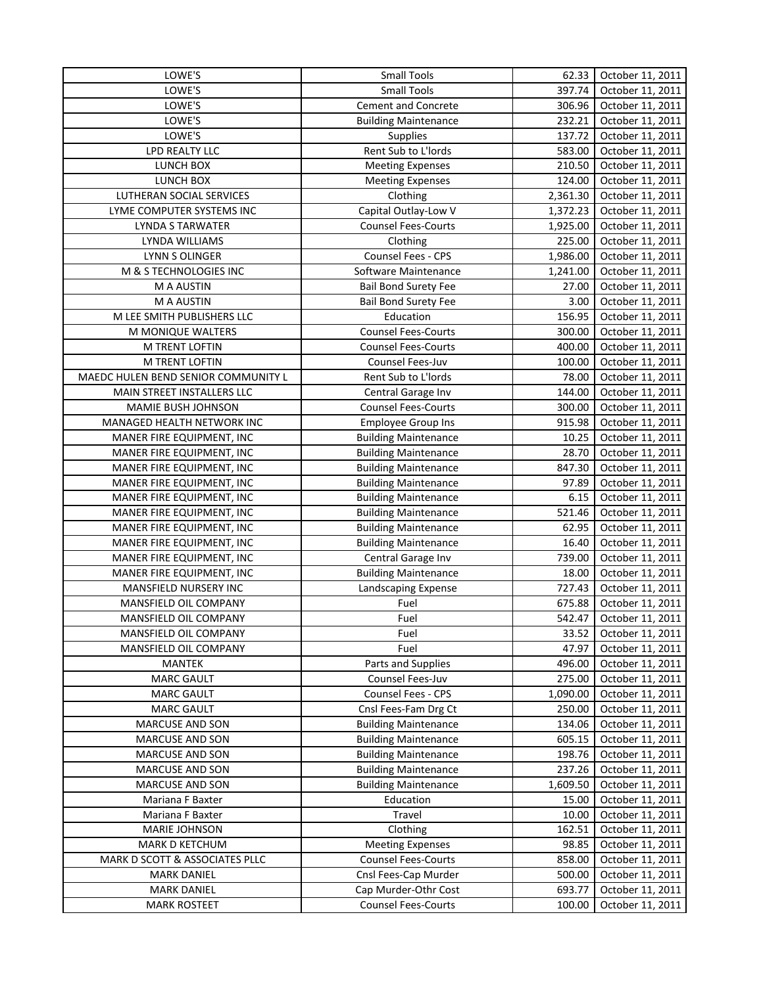| LOWE'S                              | <b>Small Tools</b>          | 62.33    | October 11, 2011 |
|-------------------------------------|-----------------------------|----------|------------------|
| LOWE'S                              | <b>Small Tools</b>          | 397.74   | October 11, 2011 |
| LOWE'S                              | <b>Cement and Concrete</b>  | 306.96   | October 11, 2011 |
| LOWE'S                              | <b>Building Maintenance</b> | 232.21   | October 11, 2011 |
| LOWE'S                              | Supplies                    | 137.72   | October 11, 2011 |
| LPD REALTY LLC                      | Rent Sub to L'Iords         | 583.00   | October 11, 2011 |
| LUNCH BOX                           | <b>Meeting Expenses</b>     | 210.50   | October 11, 2011 |
| LUNCH BOX                           | <b>Meeting Expenses</b>     | 124.00   | October 11, 2011 |
| LUTHERAN SOCIAL SERVICES            | Clothing                    | 2,361.30 | October 11, 2011 |
| LYME COMPUTER SYSTEMS INC           | Capital Outlay-Low V        | 1,372.23 | October 11, 2011 |
| LYNDA S TARWATER                    | <b>Counsel Fees-Courts</b>  | 1,925.00 | October 11, 2011 |
| LYNDA WILLIAMS                      | Clothing                    | 225.00   | October 11, 2011 |
| LYNN S OLINGER                      | Counsel Fees - CPS          | 1,986.00 | October 11, 2011 |
| M & S TECHNOLOGIES INC              | Software Maintenance        | 1,241.00 | October 11, 2011 |
| M A AUSTIN                          | <b>Bail Bond Surety Fee</b> | 27.00    | October 11, 2011 |
| M A AUSTIN                          | <b>Bail Bond Surety Fee</b> | 3.00     | October 11, 2011 |
| M LEE SMITH PUBLISHERS LLC          | Education                   | 156.95   | October 11, 2011 |
| M MONIQUE WALTERS                   | <b>Counsel Fees-Courts</b>  | 300.00   | October 11, 2011 |
| M TRENT LOFTIN                      | <b>Counsel Fees-Courts</b>  | 400.00   | October 11, 2011 |
| M TRENT LOFTIN                      | Counsel Fees-Juv            | 100.00   | October 11, 2011 |
| MAEDC HULEN BEND SENIOR COMMUNITY L | Rent Sub to L'Iords         | 78.00    | October 11, 2011 |
| MAIN STREET INSTALLERS LLC          | Central Garage Inv          | 144.00   | October 11, 2011 |
| MAMIE BUSH JOHNSON                  | <b>Counsel Fees-Courts</b>  | 300.00   | October 11, 2011 |
| MANAGED HEALTH NETWORK INC          | <b>Employee Group Ins</b>   | 915.98   | October 11, 2011 |
| MANER FIRE EQUIPMENT, INC           | <b>Building Maintenance</b> | 10.25    | October 11, 2011 |
| MANER FIRE EQUIPMENT, INC           | <b>Building Maintenance</b> | 28.70    | October 11, 2011 |
| MANER FIRE EQUIPMENT, INC           | <b>Building Maintenance</b> | 847.30   | October 11, 2011 |
| MANER FIRE EQUIPMENT, INC           | <b>Building Maintenance</b> | 97.89    | October 11, 2011 |
| MANER FIRE EQUIPMENT, INC           | <b>Building Maintenance</b> | 6.15     | October 11, 2011 |
| MANER FIRE EQUIPMENT, INC           | <b>Building Maintenance</b> | 521.46   | October 11, 2011 |
| MANER FIRE EQUIPMENT, INC           | <b>Building Maintenance</b> | 62.95    | October 11, 2011 |
| MANER FIRE EQUIPMENT, INC           | <b>Building Maintenance</b> | 16.40    | October 11, 2011 |
| MANER FIRE EQUIPMENT, INC           | Central Garage Inv          | 739.00   | October 11, 2011 |
| MANER FIRE EQUIPMENT, INC           | <b>Building Maintenance</b> | 18.00    | October 11, 2011 |
| MANSFIELD NURSERY INC               | Landscaping Expense         | 727.43   | October 11, 2011 |
| MANSFIELD OIL COMPANY               | Fuel                        | 675.88   | October 11, 2011 |
| MANSFIELD OIL COMPANY               | Fuel                        | 542.47   | October 11, 2011 |
| MANSFIELD OIL COMPANY               | Fuel                        | 33.52    | October 11, 2011 |
| MANSFIELD OIL COMPANY               | Fuel                        | 47.97    | October 11, 2011 |
| <b>MANTEK</b>                       | Parts and Supplies          | 496.00   | October 11, 2011 |
| <b>MARC GAULT</b>                   | Counsel Fees-Juv            | 275.00   | October 11, 2011 |
| <b>MARC GAULT</b>                   | Counsel Fees - CPS          | 1,090.00 | October 11, 2011 |
| <b>MARC GAULT</b>                   | Cnsl Fees-Fam Drg Ct        | 250.00   | October 11, 2011 |
| MARCUSE AND SON                     | <b>Building Maintenance</b> | 134.06   | October 11, 2011 |
| MARCUSE AND SON                     | <b>Building Maintenance</b> | 605.15   | October 11, 2011 |
| MARCUSE AND SON                     | <b>Building Maintenance</b> | 198.76   | October 11, 2011 |
| MARCUSE AND SON                     | <b>Building Maintenance</b> | 237.26   | October 11, 2011 |
| <b>MARCUSE AND SON</b>              | <b>Building Maintenance</b> | 1,609.50 | October 11, 2011 |
| Mariana F Baxter                    | Education                   | 15.00    | October 11, 2011 |
| Mariana F Baxter                    | Travel                      | 10.00    | October 11, 2011 |
| MARIE JOHNSON                       | Clothing                    | 162.51   | October 11, 2011 |
| MARK D KETCHUM                      | <b>Meeting Expenses</b>     | 98.85    | October 11, 2011 |
| MARK D SCOTT & ASSOCIATES PLLC      | <b>Counsel Fees-Courts</b>  | 858.00   | October 11, 2011 |
| <b>MARK DANIEL</b>                  | Cnsl Fees-Cap Murder        | 500.00   | October 11, 2011 |
| <b>MARK DANIEL</b>                  | Cap Murder-Othr Cost        | 693.77   | October 11, 2011 |
| <b>MARK ROSTEET</b>                 | <b>Counsel Fees-Courts</b>  | 100.00   | October 11, 2011 |
|                                     |                             |          |                  |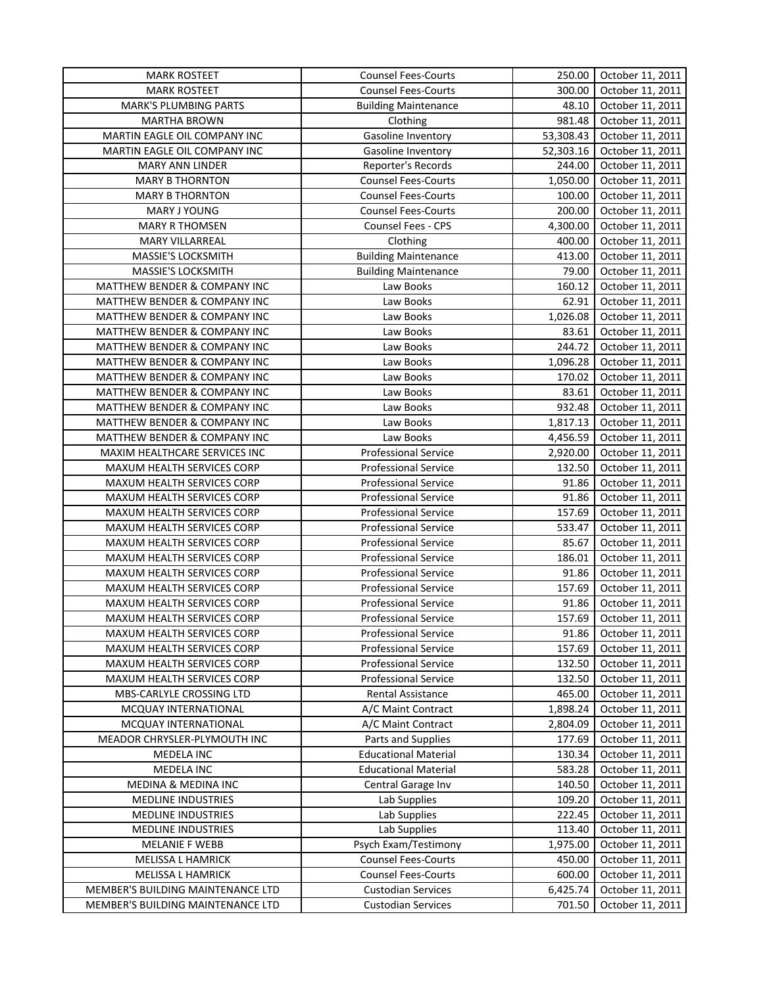| <b>MARK ROSTEET</b>               | <b>Counsel Fees-Courts</b>  | 250.00    | October 11, 2011 |
|-----------------------------------|-----------------------------|-----------|------------------|
| <b>MARK ROSTEET</b>               | <b>Counsel Fees-Courts</b>  | 300.00    | October 11, 2011 |
| <b>MARK'S PLUMBING PARTS</b>      | <b>Building Maintenance</b> | 48.10     | October 11, 2011 |
| <b>MARTHA BROWN</b>               | Clothing                    | 981.48    | October 11, 2011 |
| MARTIN EAGLE OIL COMPANY INC      | Gasoline Inventory          | 53,308.43 | October 11, 2011 |
| MARTIN EAGLE OIL COMPANY INC      | Gasoline Inventory          | 52,303.16 | October 11, 2011 |
| <b>MARY ANN LINDER</b>            | Reporter's Records          | 244.00    | October 11, 2011 |
| <b>MARY B THORNTON</b>            | <b>Counsel Fees-Courts</b>  | 1,050.00  | October 11, 2011 |
| <b>MARY B THORNTON</b>            | <b>Counsel Fees-Courts</b>  | 100.00    | October 11, 2011 |
| MARY J YOUNG                      | <b>Counsel Fees-Courts</b>  | 200.00    | October 11, 2011 |
| <b>MARY R THOMSEN</b>             | Counsel Fees - CPS          | 4,300.00  | October 11, 2011 |
| <b>MARY VILLARREAL</b>            | Clothing                    | 400.00    | October 11, 2011 |
| MASSIE'S LOCKSMITH                | <b>Building Maintenance</b> | 413.00    | October 11, 2011 |
| MASSIE'S LOCKSMITH                | <b>Building Maintenance</b> | 79.00     | October 11, 2011 |
| MATTHEW BENDER & COMPANY INC      | Law Books                   | 160.12    | October 11, 2011 |
| MATTHEW BENDER & COMPANY INC      | Law Books                   | 62.91     | October 11, 2011 |
| MATTHEW BENDER & COMPANY INC      | Law Books                   | 1,026.08  | October 11, 2011 |
| MATTHEW BENDER & COMPANY INC      | Law Books                   | 83.61     | October 11, 2011 |
| MATTHEW BENDER & COMPANY INC      | Law Books                   | 244.72    | October 11, 2011 |
| MATTHEW BENDER & COMPANY INC      | Law Books                   | 1,096.28  | October 11, 2011 |
| MATTHEW BENDER & COMPANY INC      | Law Books                   | 170.02    | October 11, 2011 |
| MATTHEW BENDER & COMPANY INC      | Law Books                   | 83.61     | October 11, 2011 |
| MATTHEW BENDER & COMPANY INC      | Law Books                   | 932.48    | October 11, 2011 |
| MATTHEW BENDER & COMPANY INC      | Law Books                   | 1,817.13  | October 11, 2011 |
| MATTHEW BENDER & COMPANY INC      | Law Books                   | 4,456.59  | October 11, 2011 |
| MAXIM HEALTHCARE SERVICES INC     | <b>Professional Service</b> | 2,920.00  | October 11, 2011 |
| MAXUM HEALTH SERVICES CORP        | <b>Professional Service</b> | 132.50    | October 11, 2011 |
| MAXUM HEALTH SERVICES CORP        | <b>Professional Service</b> | 91.86     | October 11, 2011 |
| MAXUM HEALTH SERVICES CORP        | <b>Professional Service</b> | 91.86     | October 11, 2011 |
| MAXUM HEALTH SERVICES CORP        | <b>Professional Service</b> | 157.69    | October 11, 2011 |
| MAXUM HEALTH SERVICES CORP        | Professional Service        | 533.47    | October 11, 2011 |
| MAXUM HEALTH SERVICES CORP        | <b>Professional Service</b> | 85.67     | October 11, 2011 |
| MAXUM HEALTH SERVICES CORP        | <b>Professional Service</b> | 186.01    | October 11, 2011 |
| MAXUM HEALTH SERVICES CORP        | <b>Professional Service</b> | 91.86     | October 11, 2011 |
| MAXUM HEALTH SERVICES CORP        | <b>Professional Service</b> | 157.69    | October 11, 2011 |
| MAXUM HEALTH SERVICES CORP        | Professional Service        | 91.86     | October 11, 2011 |
| MAXUM HEALTH SERVICES CORP        | Professional Service        | 157.69    | October 11, 2011 |
| MAXUM HEALTH SERVICES CORP        | <b>Professional Service</b> | 91.86     | October 11, 2011 |
| MAXUM HEALTH SERVICES CORP        | <b>Professional Service</b> | 157.69    | October 11, 2011 |
| MAXUM HEALTH SERVICES CORP        | <b>Professional Service</b> | 132.50    | October 11, 2011 |
| MAXUM HEALTH SERVICES CORP        | <b>Professional Service</b> | 132.50    | October 11, 2011 |
| MBS-CARLYLE CROSSING LTD          | Rental Assistance           | 465.00    | October 11, 2011 |
| MCQUAY INTERNATIONAL              | A/C Maint Contract          | 1,898.24  | October 11, 2011 |
| MCQUAY INTERNATIONAL              | A/C Maint Contract          | 2,804.09  | October 11, 2011 |
| MEADOR CHRYSLER-PLYMOUTH INC      | Parts and Supplies          | 177.69    | October 11, 2011 |
| MEDELA INC                        | <b>Educational Material</b> | 130.34    | October 11, 2011 |
| MEDELA INC                        | <b>Educational Material</b> | 583.28    | October 11, 2011 |
| MEDINA & MEDINA INC               | Central Garage Inv          | 140.50    | October 11, 2011 |
| MEDLINE INDUSTRIES                | Lab Supplies                | 109.20    | October 11, 2011 |
| <b>MEDLINE INDUSTRIES</b>         | Lab Supplies                | 222.45    | October 11, 2011 |
| <b>MEDLINE INDUSTRIES</b>         | Lab Supplies                | 113.40    | October 11, 2011 |
| <b>MELANIE F WEBB</b>             | Psych Exam/Testimony        | 1,975.00  | October 11, 2011 |
| MELISSA L HAMRICK                 | <b>Counsel Fees-Courts</b>  | 450.00    | October 11, 2011 |
| MELISSA L HAMRICK                 | <b>Counsel Fees-Courts</b>  | 600.00    | October 11, 2011 |
| MEMBER'S BUILDING MAINTENANCE LTD | <b>Custodian Services</b>   | 6,425.74  | October 11, 2011 |
| MEMBER'S BUILDING MAINTENANCE LTD | <b>Custodian Services</b>   | 701.50    | October 11, 2011 |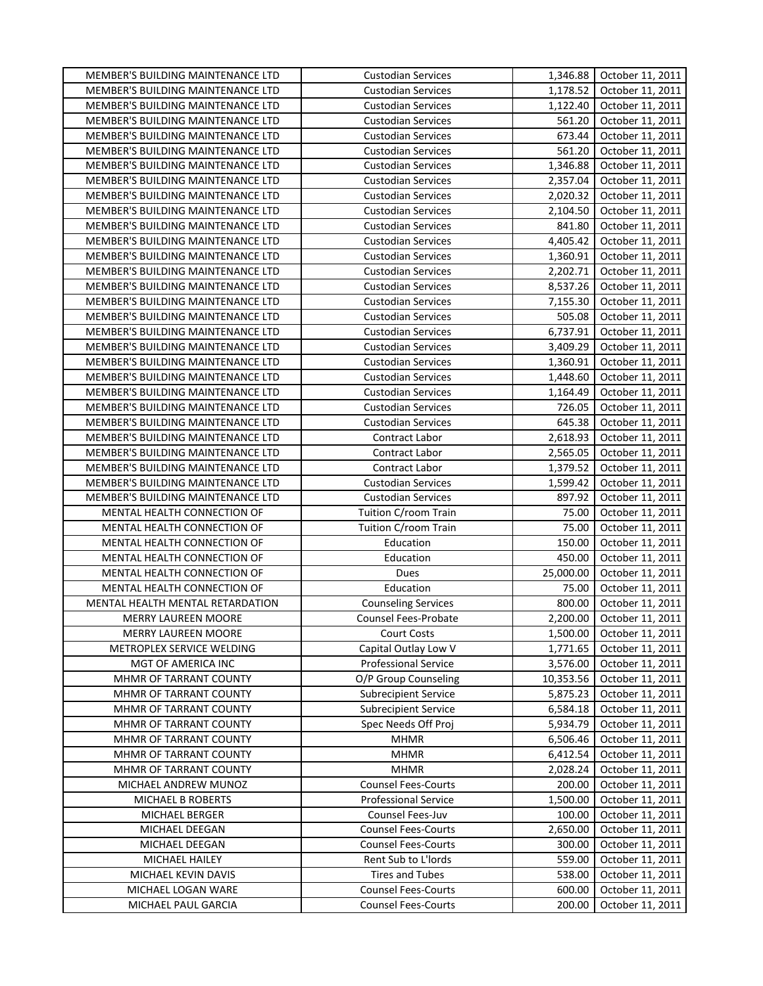| MEMBER'S BUILDING MAINTENANCE LTD<br>1,178.52<br>October 11, 2011<br><b>Custodian Services</b><br>MEMBER'S BUILDING MAINTENANCE LTD<br>1,122.40<br>October 11, 2011<br><b>Custodian Services</b><br>561.20<br>MEMBER'S BUILDING MAINTENANCE LTD<br><b>Custodian Services</b><br>October 11, 2011<br>673.44<br>October 11, 2011<br>MEMBER'S BUILDING MAINTENANCE LTD<br><b>Custodian Services</b><br>MEMBER'S BUILDING MAINTENANCE LTD<br><b>Custodian Services</b><br>561.20<br>October 11, 2011<br>1,346.88<br>MEMBER'S BUILDING MAINTENANCE LTD<br><b>Custodian Services</b><br>October 11, 2011<br>MEMBER'S BUILDING MAINTENANCE LTD<br>2,357.04<br><b>Custodian Services</b><br>October 11, 2011<br>MEMBER'S BUILDING MAINTENANCE LTD<br>2,020.32<br><b>Custodian Services</b><br>October 11, 2011<br>2,104.50<br>MEMBER'S BUILDING MAINTENANCE LTD<br><b>Custodian Services</b><br>October 11, 2011<br>841.80<br>MEMBER'S BUILDING MAINTENANCE LTD<br><b>Custodian Services</b><br>October 11, 2011<br>4,405.42<br>MEMBER'S BUILDING MAINTENANCE LTD<br><b>Custodian Services</b><br>October 11, 2011<br>MEMBER'S BUILDING MAINTENANCE LTD<br><b>Custodian Services</b><br>1,360.91<br>October 11, 2011<br>MEMBER'S BUILDING MAINTENANCE LTD<br><b>Custodian Services</b><br>2,202.71<br>October 11, 2011<br>8,537.26<br>MEMBER'S BUILDING MAINTENANCE LTD<br><b>Custodian Services</b><br>October 11, 2011<br>MEMBER'S BUILDING MAINTENANCE LTD<br><b>Custodian Services</b><br>7,155.30<br>October 11, 2011<br>505.08<br>MEMBER'S BUILDING MAINTENANCE LTD<br><b>Custodian Services</b><br>October 11, 2011<br>MEMBER'S BUILDING MAINTENANCE LTD<br>6,737.91<br><b>Custodian Services</b><br>October 11, 2011<br>MEMBER'S BUILDING MAINTENANCE LTD<br><b>Custodian Services</b><br>3,409.29<br>October 11, 2011<br>MEMBER'S BUILDING MAINTENANCE LTD<br><b>Custodian Services</b><br>1,360.91<br>October 11, 2011<br>MEMBER'S BUILDING MAINTENANCE LTD<br><b>Custodian Services</b><br>1,448.60<br>October 11, 2011<br>MEMBER'S BUILDING MAINTENANCE LTD<br><b>Custodian Services</b><br>1,164.49<br>October 11, 2011<br>MEMBER'S BUILDING MAINTENANCE LTD<br><b>Custodian Services</b><br>726.05<br>October 11, 2011<br>645.38<br>MEMBER'S BUILDING MAINTENANCE LTD<br><b>Custodian Services</b><br>October 11, 2011<br>MEMBER'S BUILDING MAINTENANCE LTD<br>2,618.93<br>Contract Labor<br>October 11, 2011<br>MEMBER'S BUILDING MAINTENANCE LTD<br>Contract Labor<br>2,565.05<br>October 11, 2011<br>MEMBER'S BUILDING MAINTENANCE LTD<br>Contract Labor<br>1,379.52<br>October 11, 2011<br>MEMBER'S BUILDING MAINTENANCE LTD<br>1,599.42<br>October 11, 2011<br><b>Custodian Services</b><br>MEMBER'S BUILDING MAINTENANCE LTD<br><b>Custodian Services</b><br>897.92<br>October 11, 2011<br>MENTAL HEALTH CONNECTION OF<br>Tuition C/room Train<br>75.00<br>October 11, 2011<br>MENTAL HEALTH CONNECTION OF<br>Tuition C/room Train<br>75.00<br>October 11, 2011<br>MENTAL HEALTH CONNECTION OF<br>150.00<br>October 11, 2011<br>Education<br>MENTAL HEALTH CONNECTION OF<br>450.00<br>October 11, 2011<br>Education<br>MENTAL HEALTH CONNECTION OF<br>25,000.00<br>Dues<br>October 11, 2011<br>MENTAL HEALTH CONNECTION OF<br>Education<br>75.00<br>October 11, 2011<br>MENTAL HEALTH MENTAL RETARDATION<br>800.00<br><b>Counseling Services</b><br>October 11, 2011<br>2,200.00<br>MERRY LAUREEN MOORE<br>October 11, 2011<br>Counsel Fees-Probate<br><b>Court Costs</b><br>1,500.00<br>October 11, 2011<br><b>MERRY LAUREEN MOORE</b><br>1,771.65<br>METROPLEX SERVICE WELDING<br>Capital Outlay Low V<br>October 11, 2011<br><b>Professional Service</b><br>MGT OF AMERICA INC<br>3,576.00<br>October 11, 2011<br>O/P Group Counseling<br>10,353.56<br>October 11, 2011<br>MHMR OF TARRANT COUNTY<br><b>Subrecipient Service</b><br>5,875.23<br>MHMR OF TARRANT COUNTY<br>October 11, 2011<br>MHMR OF TARRANT COUNTY<br><b>Subrecipient Service</b><br>6,584.18<br>October 11, 2011<br>5,934.79<br>MHMR OF TARRANT COUNTY<br>Spec Needs Off Proj<br>October 11, 2011<br>MHMR OF TARRANT COUNTY<br><b>MHMR</b><br>6,506.46<br>October 11, 2011<br>MHMR OF TARRANT COUNTY<br><b>MHMR</b><br>6,412.54<br>October 11, 2011<br>MHMR OF TARRANT COUNTY<br>2,028.24<br>October 11, 2011<br><b>MHMR</b><br>MICHAEL ANDREW MUNOZ<br><b>Counsel Fees-Courts</b><br>200.00<br>October 11, 2011<br>1,500.00<br>MICHAEL B ROBERTS<br><b>Professional Service</b><br>October 11, 2011<br>Counsel Fees-Juv<br>100.00<br>October 11, 2011<br>MICHAEL BERGER<br><b>Counsel Fees-Courts</b><br>2,650.00<br>October 11, 2011<br>MICHAEL DEEGAN<br><b>Counsel Fees-Courts</b><br>October 11, 2011<br>MICHAEL DEEGAN<br>300.00<br>Rent Sub to L'Iords<br>MICHAEL HAILEY<br>559.00<br>October 11, 2011<br><b>Tires and Tubes</b><br>538.00<br>October 11, 2011<br>MICHAEL KEVIN DAVIS<br><b>Counsel Fees-Courts</b><br>MICHAEL LOGAN WARE<br>600.00<br>October 11, 2011<br>October 11, 2011<br>MICHAEL PAUL GARCIA<br><b>Counsel Fees-Courts</b><br>200.00 | MEMBER'S BUILDING MAINTENANCE LTD | <b>Custodian Services</b> | 1,346.88 | October 11, 2011 |
|-----------------------------------------------------------------------------------------------------------------------------------------------------------------------------------------------------------------------------------------------------------------------------------------------------------------------------------------------------------------------------------------------------------------------------------------------------------------------------------------------------------------------------------------------------------------------------------------------------------------------------------------------------------------------------------------------------------------------------------------------------------------------------------------------------------------------------------------------------------------------------------------------------------------------------------------------------------------------------------------------------------------------------------------------------------------------------------------------------------------------------------------------------------------------------------------------------------------------------------------------------------------------------------------------------------------------------------------------------------------------------------------------------------------------------------------------------------------------------------------------------------------------------------------------------------------------------------------------------------------------------------------------------------------------------------------------------------------------------------------------------------------------------------------------------------------------------------------------------------------------------------------------------------------------------------------------------------------------------------------------------------------------------------------------------------------------------------------------------------------------------------------------------------------------------------------------------------------------------------------------------------------------------------------------------------------------------------------------------------------------------------------------------------------------------------------------------------------------------------------------------------------------------------------------------------------------------------------------------------------------------------------------------------------------------------------------------------------------------------------------------------------------------------------------------------------------------------------------------------------------------------------------------------------------------------------------------------------------------------------------------------------------------------------------------------------------------------------------------------------------------------------------------------------------------------------------------------------------------------------------------------------------------------------------------------------------------------------------------------------------------------------------------------------------------------------------------------------------------------------------------------------------------------------------------------------------------------------------------------------------------------------------------------------------------------------------------------------------------------------------------------------------------------------------------------------------------------------------------------------------------------------------------------------------------------------------------------------------------------------------------------------------------------------------------------------------------------------------------------------------------------------------------------------------------------------------------------------------------------------------------------------------------------------------------------------------------------------------------------------------------------------------------------------------------------------------------------------------------------------------------------------------------------------------------------------------------------------------------------------------------------------------------------------------------------------------------------------------------------------------------------------------------------------------------------------------------------------------------------------------------------------------------------------------------------------------------------------------------------------------------------------------------------------------------|-----------------------------------|---------------------------|----------|------------------|
|                                                                                                                                                                                                                                                                                                                                                                                                                                                                                                                                                                                                                                                                                                                                                                                                                                                                                                                                                                                                                                                                                                                                                                                                                                                                                                                                                                                                                                                                                                                                                                                                                                                                                                                                                                                                                                                                                                                                                                                                                                                                                                                                                                                                                                                                                                                                                                                                                                                                                                                                                                                                                                                                                                                                                                                                                                                                                                                                                                                                                                                                                                                                                                                                                                                                                                                                                                                                                                                                                                                                                                                                                                                                                                                                                                                                                                                                                                                                                                                                                                                                                                                                                                                                                                                                                                                                                                                                                                                                                                                                                                                                                                                                                                                                                                                                                                                                                                                                                                                                                                                     |                                   |                           |          |                  |
|                                                                                                                                                                                                                                                                                                                                                                                                                                                                                                                                                                                                                                                                                                                                                                                                                                                                                                                                                                                                                                                                                                                                                                                                                                                                                                                                                                                                                                                                                                                                                                                                                                                                                                                                                                                                                                                                                                                                                                                                                                                                                                                                                                                                                                                                                                                                                                                                                                                                                                                                                                                                                                                                                                                                                                                                                                                                                                                                                                                                                                                                                                                                                                                                                                                                                                                                                                                                                                                                                                                                                                                                                                                                                                                                                                                                                                                                                                                                                                                                                                                                                                                                                                                                                                                                                                                                                                                                                                                                                                                                                                                                                                                                                                                                                                                                                                                                                                                                                                                                                                                     |                                   |                           |          |                  |
|                                                                                                                                                                                                                                                                                                                                                                                                                                                                                                                                                                                                                                                                                                                                                                                                                                                                                                                                                                                                                                                                                                                                                                                                                                                                                                                                                                                                                                                                                                                                                                                                                                                                                                                                                                                                                                                                                                                                                                                                                                                                                                                                                                                                                                                                                                                                                                                                                                                                                                                                                                                                                                                                                                                                                                                                                                                                                                                                                                                                                                                                                                                                                                                                                                                                                                                                                                                                                                                                                                                                                                                                                                                                                                                                                                                                                                                                                                                                                                                                                                                                                                                                                                                                                                                                                                                                                                                                                                                                                                                                                                                                                                                                                                                                                                                                                                                                                                                                                                                                                                                     |                                   |                           |          |                  |
|                                                                                                                                                                                                                                                                                                                                                                                                                                                                                                                                                                                                                                                                                                                                                                                                                                                                                                                                                                                                                                                                                                                                                                                                                                                                                                                                                                                                                                                                                                                                                                                                                                                                                                                                                                                                                                                                                                                                                                                                                                                                                                                                                                                                                                                                                                                                                                                                                                                                                                                                                                                                                                                                                                                                                                                                                                                                                                                                                                                                                                                                                                                                                                                                                                                                                                                                                                                                                                                                                                                                                                                                                                                                                                                                                                                                                                                                                                                                                                                                                                                                                                                                                                                                                                                                                                                                                                                                                                                                                                                                                                                                                                                                                                                                                                                                                                                                                                                                                                                                                                                     |                                   |                           |          |                  |
|                                                                                                                                                                                                                                                                                                                                                                                                                                                                                                                                                                                                                                                                                                                                                                                                                                                                                                                                                                                                                                                                                                                                                                                                                                                                                                                                                                                                                                                                                                                                                                                                                                                                                                                                                                                                                                                                                                                                                                                                                                                                                                                                                                                                                                                                                                                                                                                                                                                                                                                                                                                                                                                                                                                                                                                                                                                                                                                                                                                                                                                                                                                                                                                                                                                                                                                                                                                                                                                                                                                                                                                                                                                                                                                                                                                                                                                                                                                                                                                                                                                                                                                                                                                                                                                                                                                                                                                                                                                                                                                                                                                                                                                                                                                                                                                                                                                                                                                                                                                                                                                     |                                   |                           |          |                  |
|                                                                                                                                                                                                                                                                                                                                                                                                                                                                                                                                                                                                                                                                                                                                                                                                                                                                                                                                                                                                                                                                                                                                                                                                                                                                                                                                                                                                                                                                                                                                                                                                                                                                                                                                                                                                                                                                                                                                                                                                                                                                                                                                                                                                                                                                                                                                                                                                                                                                                                                                                                                                                                                                                                                                                                                                                                                                                                                                                                                                                                                                                                                                                                                                                                                                                                                                                                                                                                                                                                                                                                                                                                                                                                                                                                                                                                                                                                                                                                                                                                                                                                                                                                                                                                                                                                                                                                                                                                                                                                                                                                                                                                                                                                                                                                                                                                                                                                                                                                                                                                                     |                                   |                           |          |                  |
|                                                                                                                                                                                                                                                                                                                                                                                                                                                                                                                                                                                                                                                                                                                                                                                                                                                                                                                                                                                                                                                                                                                                                                                                                                                                                                                                                                                                                                                                                                                                                                                                                                                                                                                                                                                                                                                                                                                                                                                                                                                                                                                                                                                                                                                                                                                                                                                                                                                                                                                                                                                                                                                                                                                                                                                                                                                                                                                                                                                                                                                                                                                                                                                                                                                                                                                                                                                                                                                                                                                                                                                                                                                                                                                                                                                                                                                                                                                                                                                                                                                                                                                                                                                                                                                                                                                                                                                                                                                                                                                                                                                                                                                                                                                                                                                                                                                                                                                                                                                                                                                     |                                   |                           |          |                  |
|                                                                                                                                                                                                                                                                                                                                                                                                                                                                                                                                                                                                                                                                                                                                                                                                                                                                                                                                                                                                                                                                                                                                                                                                                                                                                                                                                                                                                                                                                                                                                                                                                                                                                                                                                                                                                                                                                                                                                                                                                                                                                                                                                                                                                                                                                                                                                                                                                                                                                                                                                                                                                                                                                                                                                                                                                                                                                                                                                                                                                                                                                                                                                                                                                                                                                                                                                                                                                                                                                                                                                                                                                                                                                                                                                                                                                                                                                                                                                                                                                                                                                                                                                                                                                                                                                                                                                                                                                                                                                                                                                                                                                                                                                                                                                                                                                                                                                                                                                                                                                                                     |                                   |                           |          |                  |
|                                                                                                                                                                                                                                                                                                                                                                                                                                                                                                                                                                                                                                                                                                                                                                                                                                                                                                                                                                                                                                                                                                                                                                                                                                                                                                                                                                                                                                                                                                                                                                                                                                                                                                                                                                                                                                                                                                                                                                                                                                                                                                                                                                                                                                                                                                                                                                                                                                                                                                                                                                                                                                                                                                                                                                                                                                                                                                                                                                                                                                                                                                                                                                                                                                                                                                                                                                                                                                                                                                                                                                                                                                                                                                                                                                                                                                                                                                                                                                                                                                                                                                                                                                                                                                                                                                                                                                                                                                                                                                                                                                                                                                                                                                                                                                                                                                                                                                                                                                                                                                                     |                                   |                           |          |                  |
|                                                                                                                                                                                                                                                                                                                                                                                                                                                                                                                                                                                                                                                                                                                                                                                                                                                                                                                                                                                                                                                                                                                                                                                                                                                                                                                                                                                                                                                                                                                                                                                                                                                                                                                                                                                                                                                                                                                                                                                                                                                                                                                                                                                                                                                                                                                                                                                                                                                                                                                                                                                                                                                                                                                                                                                                                                                                                                                                                                                                                                                                                                                                                                                                                                                                                                                                                                                                                                                                                                                                                                                                                                                                                                                                                                                                                                                                                                                                                                                                                                                                                                                                                                                                                                                                                                                                                                                                                                                                                                                                                                                                                                                                                                                                                                                                                                                                                                                                                                                                                                                     |                                   |                           |          |                  |
|                                                                                                                                                                                                                                                                                                                                                                                                                                                                                                                                                                                                                                                                                                                                                                                                                                                                                                                                                                                                                                                                                                                                                                                                                                                                                                                                                                                                                                                                                                                                                                                                                                                                                                                                                                                                                                                                                                                                                                                                                                                                                                                                                                                                                                                                                                                                                                                                                                                                                                                                                                                                                                                                                                                                                                                                                                                                                                                                                                                                                                                                                                                                                                                                                                                                                                                                                                                                                                                                                                                                                                                                                                                                                                                                                                                                                                                                                                                                                                                                                                                                                                                                                                                                                                                                                                                                                                                                                                                                                                                                                                                                                                                                                                                                                                                                                                                                                                                                                                                                                                                     |                                   |                           |          |                  |
|                                                                                                                                                                                                                                                                                                                                                                                                                                                                                                                                                                                                                                                                                                                                                                                                                                                                                                                                                                                                                                                                                                                                                                                                                                                                                                                                                                                                                                                                                                                                                                                                                                                                                                                                                                                                                                                                                                                                                                                                                                                                                                                                                                                                                                                                                                                                                                                                                                                                                                                                                                                                                                                                                                                                                                                                                                                                                                                                                                                                                                                                                                                                                                                                                                                                                                                                                                                                                                                                                                                                                                                                                                                                                                                                                                                                                                                                                                                                                                                                                                                                                                                                                                                                                                                                                                                                                                                                                                                                                                                                                                                                                                                                                                                                                                                                                                                                                                                                                                                                                                                     |                                   |                           |          |                  |
|                                                                                                                                                                                                                                                                                                                                                                                                                                                                                                                                                                                                                                                                                                                                                                                                                                                                                                                                                                                                                                                                                                                                                                                                                                                                                                                                                                                                                                                                                                                                                                                                                                                                                                                                                                                                                                                                                                                                                                                                                                                                                                                                                                                                                                                                                                                                                                                                                                                                                                                                                                                                                                                                                                                                                                                                                                                                                                                                                                                                                                                                                                                                                                                                                                                                                                                                                                                                                                                                                                                                                                                                                                                                                                                                                                                                                                                                                                                                                                                                                                                                                                                                                                                                                                                                                                                                                                                                                                                                                                                                                                                                                                                                                                                                                                                                                                                                                                                                                                                                                                                     |                                   |                           |          |                  |
|                                                                                                                                                                                                                                                                                                                                                                                                                                                                                                                                                                                                                                                                                                                                                                                                                                                                                                                                                                                                                                                                                                                                                                                                                                                                                                                                                                                                                                                                                                                                                                                                                                                                                                                                                                                                                                                                                                                                                                                                                                                                                                                                                                                                                                                                                                                                                                                                                                                                                                                                                                                                                                                                                                                                                                                                                                                                                                                                                                                                                                                                                                                                                                                                                                                                                                                                                                                                                                                                                                                                                                                                                                                                                                                                                                                                                                                                                                                                                                                                                                                                                                                                                                                                                                                                                                                                                                                                                                                                                                                                                                                                                                                                                                                                                                                                                                                                                                                                                                                                                                                     |                                   |                           |          |                  |
|                                                                                                                                                                                                                                                                                                                                                                                                                                                                                                                                                                                                                                                                                                                                                                                                                                                                                                                                                                                                                                                                                                                                                                                                                                                                                                                                                                                                                                                                                                                                                                                                                                                                                                                                                                                                                                                                                                                                                                                                                                                                                                                                                                                                                                                                                                                                                                                                                                                                                                                                                                                                                                                                                                                                                                                                                                                                                                                                                                                                                                                                                                                                                                                                                                                                                                                                                                                                                                                                                                                                                                                                                                                                                                                                                                                                                                                                                                                                                                                                                                                                                                                                                                                                                                                                                                                                                                                                                                                                                                                                                                                                                                                                                                                                                                                                                                                                                                                                                                                                                                                     |                                   |                           |          |                  |
|                                                                                                                                                                                                                                                                                                                                                                                                                                                                                                                                                                                                                                                                                                                                                                                                                                                                                                                                                                                                                                                                                                                                                                                                                                                                                                                                                                                                                                                                                                                                                                                                                                                                                                                                                                                                                                                                                                                                                                                                                                                                                                                                                                                                                                                                                                                                                                                                                                                                                                                                                                                                                                                                                                                                                                                                                                                                                                                                                                                                                                                                                                                                                                                                                                                                                                                                                                                                                                                                                                                                                                                                                                                                                                                                                                                                                                                                                                                                                                                                                                                                                                                                                                                                                                                                                                                                                                                                                                                                                                                                                                                                                                                                                                                                                                                                                                                                                                                                                                                                                                                     |                                   |                           |          |                  |
|                                                                                                                                                                                                                                                                                                                                                                                                                                                                                                                                                                                                                                                                                                                                                                                                                                                                                                                                                                                                                                                                                                                                                                                                                                                                                                                                                                                                                                                                                                                                                                                                                                                                                                                                                                                                                                                                                                                                                                                                                                                                                                                                                                                                                                                                                                                                                                                                                                                                                                                                                                                                                                                                                                                                                                                                                                                                                                                                                                                                                                                                                                                                                                                                                                                                                                                                                                                                                                                                                                                                                                                                                                                                                                                                                                                                                                                                                                                                                                                                                                                                                                                                                                                                                                                                                                                                                                                                                                                                                                                                                                                                                                                                                                                                                                                                                                                                                                                                                                                                                                                     |                                   |                           |          |                  |
|                                                                                                                                                                                                                                                                                                                                                                                                                                                                                                                                                                                                                                                                                                                                                                                                                                                                                                                                                                                                                                                                                                                                                                                                                                                                                                                                                                                                                                                                                                                                                                                                                                                                                                                                                                                                                                                                                                                                                                                                                                                                                                                                                                                                                                                                                                                                                                                                                                                                                                                                                                                                                                                                                                                                                                                                                                                                                                                                                                                                                                                                                                                                                                                                                                                                                                                                                                                                                                                                                                                                                                                                                                                                                                                                                                                                                                                                                                                                                                                                                                                                                                                                                                                                                                                                                                                                                                                                                                                                                                                                                                                                                                                                                                                                                                                                                                                                                                                                                                                                                                                     |                                   |                           |          |                  |
|                                                                                                                                                                                                                                                                                                                                                                                                                                                                                                                                                                                                                                                                                                                                                                                                                                                                                                                                                                                                                                                                                                                                                                                                                                                                                                                                                                                                                                                                                                                                                                                                                                                                                                                                                                                                                                                                                                                                                                                                                                                                                                                                                                                                                                                                                                                                                                                                                                                                                                                                                                                                                                                                                                                                                                                                                                                                                                                                                                                                                                                                                                                                                                                                                                                                                                                                                                                                                                                                                                                                                                                                                                                                                                                                                                                                                                                                                                                                                                                                                                                                                                                                                                                                                                                                                                                                                                                                                                                                                                                                                                                                                                                                                                                                                                                                                                                                                                                                                                                                                                                     |                                   |                           |          |                  |
|                                                                                                                                                                                                                                                                                                                                                                                                                                                                                                                                                                                                                                                                                                                                                                                                                                                                                                                                                                                                                                                                                                                                                                                                                                                                                                                                                                                                                                                                                                                                                                                                                                                                                                                                                                                                                                                                                                                                                                                                                                                                                                                                                                                                                                                                                                                                                                                                                                                                                                                                                                                                                                                                                                                                                                                                                                                                                                                                                                                                                                                                                                                                                                                                                                                                                                                                                                                                                                                                                                                                                                                                                                                                                                                                                                                                                                                                                                                                                                                                                                                                                                                                                                                                                                                                                                                                                                                                                                                                                                                                                                                                                                                                                                                                                                                                                                                                                                                                                                                                                                                     |                                   |                           |          |                  |
|                                                                                                                                                                                                                                                                                                                                                                                                                                                                                                                                                                                                                                                                                                                                                                                                                                                                                                                                                                                                                                                                                                                                                                                                                                                                                                                                                                                                                                                                                                                                                                                                                                                                                                                                                                                                                                                                                                                                                                                                                                                                                                                                                                                                                                                                                                                                                                                                                                                                                                                                                                                                                                                                                                                                                                                                                                                                                                                                                                                                                                                                                                                                                                                                                                                                                                                                                                                                                                                                                                                                                                                                                                                                                                                                                                                                                                                                                                                                                                                                                                                                                                                                                                                                                                                                                                                                                                                                                                                                                                                                                                                                                                                                                                                                                                                                                                                                                                                                                                                                                                                     |                                   |                           |          |                  |
|                                                                                                                                                                                                                                                                                                                                                                                                                                                                                                                                                                                                                                                                                                                                                                                                                                                                                                                                                                                                                                                                                                                                                                                                                                                                                                                                                                                                                                                                                                                                                                                                                                                                                                                                                                                                                                                                                                                                                                                                                                                                                                                                                                                                                                                                                                                                                                                                                                                                                                                                                                                                                                                                                                                                                                                                                                                                                                                                                                                                                                                                                                                                                                                                                                                                                                                                                                                                                                                                                                                                                                                                                                                                                                                                                                                                                                                                                                                                                                                                                                                                                                                                                                                                                                                                                                                                                                                                                                                                                                                                                                                                                                                                                                                                                                                                                                                                                                                                                                                                                                                     |                                   |                           |          |                  |
|                                                                                                                                                                                                                                                                                                                                                                                                                                                                                                                                                                                                                                                                                                                                                                                                                                                                                                                                                                                                                                                                                                                                                                                                                                                                                                                                                                                                                                                                                                                                                                                                                                                                                                                                                                                                                                                                                                                                                                                                                                                                                                                                                                                                                                                                                                                                                                                                                                                                                                                                                                                                                                                                                                                                                                                                                                                                                                                                                                                                                                                                                                                                                                                                                                                                                                                                                                                                                                                                                                                                                                                                                                                                                                                                                                                                                                                                                                                                                                                                                                                                                                                                                                                                                                                                                                                                                                                                                                                                                                                                                                                                                                                                                                                                                                                                                                                                                                                                                                                                                                                     |                                   |                           |          |                  |
|                                                                                                                                                                                                                                                                                                                                                                                                                                                                                                                                                                                                                                                                                                                                                                                                                                                                                                                                                                                                                                                                                                                                                                                                                                                                                                                                                                                                                                                                                                                                                                                                                                                                                                                                                                                                                                                                                                                                                                                                                                                                                                                                                                                                                                                                                                                                                                                                                                                                                                                                                                                                                                                                                                                                                                                                                                                                                                                                                                                                                                                                                                                                                                                                                                                                                                                                                                                                                                                                                                                                                                                                                                                                                                                                                                                                                                                                                                                                                                                                                                                                                                                                                                                                                                                                                                                                                                                                                                                                                                                                                                                                                                                                                                                                                                                                                                                                                                                                                                                                                                                     |                                   |                           |          |                  |
|                                                                                                                                                                                                                                                                                                                                                                                                                                                                                                                                                                                                                                                                                                                                                                                                                                                                                                                                                                                                                                                                                                                                                                                                                                                                                                                                                                                                                                                                                                                                                                                                                                                                                                                                                                                                                                                                                                                                                                                                                                                                                                                                                                                                                                                                                                                                                                                                                                                                                                                                                                                                                                                                                                                                                                                                                                                                                                                                                                                                                                                                                                                                                                                                                                                                                                                                                                                                                                                                                                                                                                                                                                                                                                                                                                                                                                                                                                                                                                                                                                                                                                                                                                                                                                                                                                                                                                                                                                                                                                                                                                                                                                                                                                                                                                                                                                                                                                                                                                                                                                                     |                                   |                           |          |                  |
|                                                                                                                                                                                                                                                                                                                                                                                                                                                                                                                                                                                                                                                                                                                                                                                                                                                                                                                                                                                                                                                                                                                                                                                                                                                                                                                                                                                                                                                                                                                                                                                                                                                                                                                                                                                                                                                                                                                                                                                                                                                                                                                                                                                                                                                                                                                                                                                                                                                                                                                                                                                                                                                                                                                                                                                                                                                                                                                                                                                                                                                                                                                                                                                                                                                                                                                                                                                                                                                                                                                                                                                                                                                                                                                                                                                                                                                                                                                                                                                                                                                                                                                                                                                                                                                                                                                                                                                                                                                                                                                                                                                                                                                                                                                                                                                                                                                                                                                                                                                                                                                     |                                   |                           |          |                  |
|                                                                                                                                                                                                                                                                                                                                                                                                                                                                                                                                                                                                                                                                                                                                                                                                                                                                                                                                                                                                                                                                                                                                                                                                                                                                                                                                                                                                                                                                                                                                                                                                                                                                                                                                                                                                                                                                                                                                                                                                                                                                                                                                                                                                                                                                                                                                                                                                                                                                                                                                                                                                                                                                                                                                                                                                                                                                                                                                                                                                                                                                                                                                                                                                                                                                                                                                                                                                                                                                                                                                                                                                                                                                                                                                                                                                                                                                                                                                                                                                                                                                                                                                                                                                                                                                                                                                                                                                                                                                                                                                                                                                                                                                                                                                                                                                                                                                                                                                                                                                                                                     |                                   |                           |          |                  |
|                                                                                                                                                                                                                                                                                                                                                                                                                                                                                                                                                                                                                                                                                                                                                                                                                                                                                                                                                                                                                                                                                                                                                                                                                                                                                                                                                                                                                                                                                                                                                                                                                                                                                                                                                                                                                                                                                                                                                                                                                                                                                                                                                                                                                                                                                                                                                                                                                                                                                                                                                                                                                                                                                                                                                                                                                                                                                                                                                                                                                                                                                                                                                                                                                                                                                                                                                                                                                                                                                                                                                                                                                                                                                                                                                                                                                                                                                                                                                                                                                                                                                                                                                                                                                                                                                                                                                                                                                                                                                                                                                                                                                                                                                                                                                                                                                                                                                                                                                                                                                                                     |                                   |                           |          |                  |
|                                                                                                                                                                                                                                                                                                                                                                                                                                                                                                                                                                                                                                                                                                                                                                                                                                                                                                                                                                                                                                                                                                                                                                                                                                                                                                                                                                                                                                                                                                                                                                                                                                                                                                                                                                                                                                                                                                                                                                                                                                                                                                                                                                                                                                                                                                                                                                                                                                                                                                                                                                                                                                                                                                                                                                                                                                                                                                                                                                                                                                                                                                                                                                                                                                                                                                                                                                                                                                                                                                                                                                                                                                                                                                                                                                                                                                                                                                                                                                                                                                                                                                                                                                                                                                                                                                                                                                                                                                                                                                                                                                                                                                                                                                                                                                                                                                                                                                                                                                                                                                                     |                                   |                           |          |                  |
|                                                                                                                                                                                                                                                                                                                                                                                                                                                                                                                                                                                                                                                                                                                                                                                                                                                                                                                                                                                                                                                                                                                                                                                                                                                                                                                                                                                                                                                                                                                                                                                                                                                                                                                                                                                                                                                                                                                                                                                                                                                                                                                                                                                                                                                                                                                                                                                                                                                                                                                                                                                                                                                                                                                                                                                                                                                                                                                                                                                                                                                                                                                                                                                                                                                                                                                                                                                                                                                                                                                                                                                                                                                                                                                                                                                                                                                                                                                                                                                                                                                                                                                                                                                                                                                                                                                                                                                                                                                                                                                                                                                                                                                                                                                                                                                                                                                                                                                                                                                                                                                     |                                   |                           |          |                  |
|                                                                                                                                                                                                                                                                                                                                                                                                                                                                                                                                                                                                                                                                                                                                                                                                                                                                                                                                                                                                                                                                                                                                                                                                                                                                                                                                                                                                                                                                                                                                                                                                                                                                                                                                                                                                                                                                                                                                                                                                                                                                                                                                                                                                                                                                                                                                                                                                                                                                                                                                                                                                                                                                                                                                                                                                                                                                                                                                                                                                                                                                                                                                                                                                                                                                                                                                                                                                                                                                                                                                                                                                                                                                                                                                                                                                                                                                                                                                                                                                                                                                                                                                                                                                                                                                                                                                                                                                                                                                                                                                                                                                                                                                                                                                                                                                                                                                                                                                                                                                                                                     |                                   |                           |          |                  |
|                                                                                                                                                                                                                                                                                                                                                                                                                                                                                                                                                                                                                                                                                                                                                                                                                                                                                                                                                                                                                                                                                                                                                                                                                                                                                                                                                                                                                                                                                                                                                                                                                                                                                                                                                                                                                                                                                                                                                                                                                                                                                                                                                                                                                                                                                                                                                                                                                                                                                                                                                                                                                                                                                                                                                                                                                                                                                                                                                                                                                                                                                                                                                                                                                                                                                                                                                                                                                                                                                                                                                                                                                                                                                                                                                                                                                                                                                                                                                                                                                                                                                                                                                                                                                                                                                                                                                                                                                                                                                                                                                                                                                                                                                                                                                                                                                                                                                                                                                                                                                                                     |                                   |                           |          |                  |
|                                                                                                                                                                                                                                                                                                                                                                                                                                                                                                                                                                                                                                                                                                                                                                                                                                                                                                                                                                                                                                                                                                                                                                                                                                                                                                                                                                                                                                                                                                                                                                                                                                                                                                                                                                                                                                                                                                                                                                                                                                                                                                                                                                                                                                                                                                                                                                                                                                                                                                                                                                                                                                                                                                                                                                                                                                                                                                                                                                                                                                                                                                                                                                                                                                                                                                                                                                                                                                                                                                                                                                                                                                                                                                                                                                                                                                                                                                                                                                                                                                                                                                                                                                                                                                                                                                                                                                                                                                                                                                                                                                                                                                                                                                                                                                                                                                                                                                                                                                                                                                                     |                                   |                           |          |                  |
|                                                                                                                                                                                                                                                                                                                                                                                                                                                                                                                                                                                                                                                                                                                                                                                                                                                                                                                                                                                                                                                                                                                                                                                                                                                                                                                                                                                                                                                                                                                                                                                                                                                                                                                                                                                                                                                                                                                                                                                                                                                                                                                                                                                                                                                                                                                                                                                                                                                                                                                                                                                                                                                                                                                                                                                                                                                                                                                                                                                                                                                                                                                                                                                                                                                                                                                                                                                                                                                                                                                                                                                                                                                                                                                                                                                                                                                                                                                                                                                                                                                                                                                                                                                                                                                                                                                                                                                                                                                                                                                                                                                                                                                                                                                                                                                                                                                                                                                                                                                                                                                     |                                   |                           |          |                  |
|                                                                                                                                                                                                                                                                                                                                                                                                                                                                                                                                                                                                                                                                                                                                                                                                                                                                                                                                                                                                                                                                                                                                                                                                                                                                                                                                                                                                                                                                                                                                                                                                                                                                                                                                                                                                                                                                                                                                                                                                                                                                                                                                                                                                                                                                                                                                                                                                                                                                                                                                                                                                                                                                                                                                                                                                                                                                                                                                                                                                                                                                                                                                                                                                                                                                                                                                                                                                                                                                                                                                                                                                                                                                                                                                                                                                                                                                                                                                                                                                                                                                                                                                                                                                                                                                                                                                                                                                                                                                                                                                                                                                                                                                                                                                                                                                                                                                                                                                                                                                                                                     |                                   |                           |          |                  |
|                                                                                                                                                                                                                                                                                                                                                                                                                                                                                                                                                                                                                                                                                                                                                                                                                                                                                                                                                                                                                                                                                                                                                                                                                                                                                                                                                                                                                                                                                                                                                                                                                                                                                                                                                                                                                                                                                                                                                                                                                                                                                                                                                                                                                                                                                                                                                                                                                                                                                                                                                                                                                                                                                                                                                                                                                                                                                                                                                                                                                                                                                                                                                                                                                                                                                                                                                                                                                                                                                                                                                                                                                                                                                                                                                                                                                                                                                                                                                                                                                                                                                                                                                                                                                                                                                                                                                                                                                                                                                                                                                                                                                                                                                                                                                                                                                                                                                                                                                                                                                                                     |                                   |                           |          |                  |
|                                                                                                                                                                                                                                                                                                                                                                                                                                                                                                                                                                                                                                                                                                                                                                                                                                                                                                                                                                                                                                                                                                                                                                                                                                                                                                                                                                                                                                                                                                                                                                                                                                                                                                                                                                                                                                                                                                                                                                                                                                                                                                                                                                                                                                                                                                                                                                                                                                                                                                                                                                                                                                                                                                                                                                                                                                                                                                                                                                                                                                                                                                                                                                                                                                                                                                                                                                                                                                                                                                                                                                                                                                                                                                                                                                                                                                                                                                                                                                                                                                                                                                                                                                                                                                                                                                                                                                                                                                                                                                                                                                                                                                                                                                                                                                                                                                                                                                                                                                                                                                                     |                                   |                           |          |                  |
|                                                                                                                                                                                                                                                                                                                                                                                                                                                                                                                                                                                                                                                                                                                                                                                                                                                                                                                                                                                                                                                                                                                                                                                                                                                                                                                                                                                                                                                                                                                                                                                                                                                                                                                                                                                                                                                                                                                                                                                                                                                                                                                                                                                                                                                                                                                                                                                                                                                                                                                                                                                                                                                                                                                                                                                                                                                                                                                                                                                                                                                                                                                                                                                                                                                                                                                                                                                                                                                                                                                                                                                                                                                                                                                                                                                                                                                                                                                                                                                                                                                                                                                                                                                                                                                                                                                                                                                                                                                                                                                                                                                                                                                                                                                                                                                                                                                                                                                                                                                                                                                     |                                   |                           |          |                  |
|                                                                                                                                                                                                                                                                                                                                                                                                                                                                                                                                                                                                                                                                                                                                                                                                                                                                                                                                                                                                                                                                                                                                                                                                                                                                                                                                                                                                                                                                                                                                                                                                                                                                                                                                                                                                                                                                                                                                                                                                                                                                                                                                                                                                                                                                                                                                                                                                                                                                                                                                                                                                                                                                                                                                                                                                                                                                                                                                                                                                                                                                                                                                                                                                                                                                                                                                                                                                                                                                                                                                                                                                                                                                                                                                                                                                                                                                                                                                                                                                                                                                                                                                                                                                                                                                                                                                                                                                                                                                                                                                                                                                                                                                                                                                                                                                                                                                                                                                                                                                                                                     |                                   |                           |          |                  |
|                                                                                                                                                                                                                                                                                                                                                                                                                                                                                                                                                                                                                                                                                                                                                                                                                                                                                                                                                                                                                                                                                                                                                                                                                                                                                                                                                                                                                                                                                                                                                                                                                                                                                                                                                                                                                                                                                                                                                                                                                                                                                                                                                                                                                                                                                                                                                                                                                                                                                                                                                                                                                                                                                                                                                                                                                                                                                                                                                                                                                                                                                                                                                                                                                                                                                                                                                                                                                                                                                                                                                                                                                                                                                                                                                                                                                                                                                                                                                                                                                                                                                                                                                                                                                                                                                                                                                                                                                                                                                                                                                                                                                                                                                                                                                                                                                                                                                                                                                                                                                                                     |                                   |                           |          |                  |
|                                                                                                                                                                                                                                                                                                                                                                                                                                                                                                                                                                                                                                                                                                                                                                                                                                                                                                                                                                                                                                                                                                                                                                                                                                                                                                                                                                                                                                                                                                                                                                                                                                                                                                                                                                                                                                                                                                                                                                                                                                                                                                                                                                                                                                                                                                                                                                                                                                                                                                                                                                                                                                                                                                                                                                                                                                                                                                                                                                                                                                                                                                                                                                                                                                                                                                                                                                                                                                                                                                                                                                                                                                                                                                                                                                                                                                                                                                                                                                                                                                                                                                                                                                                                                                                                                                                                                                                                                                                                                                                                                                                                                                                                                                                                                                                                                                                                                                                                                                                                                                                     |                                   |                           |          |                  |
|                                                                                                                                                                                                                                                                                                                                                                                                                                                                                                                                                                                                                                                                                                                                                                                                                                                                                                                                                                                                                                                                                                                                                                                                                                                                                                                                                                                                                                                                                                                                                                                                                                                                                                                                                                                                                                                                                                                                                                                                                                                                                                                                                                                                                                                                                                                                                                                                                                                                                                                                                                                                                                                                                                                                                                                                                                                                                                                                                                                                                                                                                                                                                                                                                                                                                                                                                                                                                                                                                                                                                                                                                                                                                                                                                                                                                                                                                                                                                                                                                                                                                                                                                                                                                                                                                                                                                                                                                                                                                                                                                                                                                                                                                                                                                                                                                                                                                                                                                                                                                                                     |                                   |                           |          |                  |
|                                                                                                                                                                                                                                                                                                                                                                                                                                                                                                                                                                                                                                                                                                                                                                                                                                                                                                                                                                                                                                                                                                                                                                                                                                                                                                                                                                                                                                                                                                                                                                                                                                                                                                                                                                                                                                                                                                                                                                                                                                                                                                                                                                                                                                                                                                                                                                                                                                                                                                                                                                                                                                                                                                                                                                                                                                                                                                                                                                                                                                                                                                                                                                                                                                                                                                                                                                                                                                                                                                                                                                                                                                                                                                                                                                                                                                                                                                                                                                                                                                                                                                                                                                                                                                                                                                                                                                                                                                                                                                                                                                                                                                                                                                                                                                                                                                                                                                                                                                                                                                                     |                                   |                           |          |                  |
|                                                                                                                                                                                                                                                                                                                                                                                                                                                                                                                                                                                                                                                                                                                                                                                                                                                                                                                                                                                                                                                                                                                                                                                                                                                                                                                                                                                                                                                                                                                                                                                                                                                                                                                                                                                                                                                                                                                                                                                                                                                                                                                                                                                                                                                                                                                                                                                                                                                                                                                                                                                                                                                                                                                                                                                                                                                                                                                                                                                                                                                                                                                                                                                                                                                                                                                                                                                                                                                                                                                                                                                                                                                                                                                                                                                                                                                                                                                                                                                                                                                                                                                                                                                                                                                                                                                                                                                                                                                                                                                                                                                                                                                                                                                                                                                                                                                                                                                                                                                                                                                     |                                   |                           |          |                  |
|                                                                                                                                                                                                                                                                                                                                                                                                                                                                                                                                                                                                                                                                                                                                                                                                                                                                                                                                                                                                                                                                                                                                                                                                                                                                                                                                                                                                                                                                                                                                                                                                                                                                                                                                                                                                                                                                                                                                                                                                                                                                                                                                                                                                                                                                                                                                                                                                                                                                                                                                                                                                                                                                                                                                                                                                                                                                                                                                                                                                                                                                                                                                                                                                                                                                                                                                                                                                                                                                                                                                                                                                                                                                                                                                                                                                                                                                                                                                                                                                                                                                                                                                                                                                                                                                                                                                                                                                                                                                                                                                                                                                                                                                                                                                                                                                                                                                                                                                                                                                                                                     |                                   |                           |          |                  |
|                                                                                                                                                                                                                                                                                                                                                                                                                                                                                                                                                                                                                                                                                                                                                                                                                                                                                                                                                                                                                                                                                                                                                                                                                                                                                                                                                                                                                                                                                                                                                                                                                                                                                                                                                                                                                                                                                                                                                                                                                                                                                                                                                                                                                                                                                                                                                                                                                                                                                                                                                                                                                                                                                                                                                                                                                                                                                                                                                                                                                                                                                                                                                                                                                                                                                                                                                                                                                                                                                                                                                                                                                                                                                                                                                                                                                                                                                                                                                                                                                                                                                                                                                                                                                                                                                                                                                                                                                                                                                                                                                                                                                                                                                                                                                                                                                                                                                                                                                                                                                                                     |                                   |                           |          |                  |
|                                                                                                                                                                                                                                                                                                                                                                                                                                                                                                                                                                                                                                                                                                                                                                                                                                                                                                                                                                                                                                                                                                                                                                                                                                                                                                                                                                                                                                                                                                                                                                                                                                                                                                                                                                                                                                                                                                                                                                                                                                                                                                                                                                                                                                                                                                                                                                                                                                                                                                                                                                                                                                                                                                                                                                                                                                                                                                                                                                                                                                                                                                                                                                                                                                                                                                                                                                                                                                                                                                                                                                                                                                                                                                                                                                                                                                                                                                                                                                                                                                                                                                                                                                                                                                                                                                                                                                                                                                                                                                                                                                                                                                                                                                                                                                                                                                                                                                                                                                                                                                                     |                                   |                           |          |                  |
|                                                                                                                                                                                                                                                                                                                                                                                                                                                                                                                                                                                                                                                                                                                                                                                                                                                                                                                                                                                                                                                                                                                                                                                                                                                                                                                                                                                                                                                                                                                                                                                                                                                                                                                                                                                                                                                                                                                                                                                                                                                                                                                                                                                                                                                                                                                                                                                                                                                                                                                                                                                                                                                                                                                                                                                                                                                                                                                                                                                                                                                                                                                                                                                                                                                                                                                                                                                                                                                                                                                                                                                                                                                                                                                                                                                                                                                                                                                                                                                                                                                                                                                                                                                                                                                                                                                                                                                                                                                                                                                                                                                                                                                                                                                                                                                                                                                                                                                                                                                                                                                     |                                   |                           |          |                  |
|                                                                                                                                                                                                                                                                                                                                                                                                                                                                                                                                                                                                                                                                                                                                                                                                                                                                                                                                                                                                                                                                                                                                                                                                                                                                                                                                                                                                                                                                                                                                                                                                                                                                                                                                                                                                                                                                                                                                                                                                                                                                                                                                                                                                                                                                                                                                                                                                                                                                                                                                                                                                                                                                                                                                                                                                                                                                                                                                                                                                                                                                                                                                                                                                                                                                                                                                                                                                                                                                                                                                                                                                                                                                                                                                                                                                                                                                                                                                                                                                                                                                                                                                                                                                                                                                                                                                                                                                                                                                                                                                                                                                                                                                                                                                                                                                                                                                                                                                                                                                                                                     |                                   |                           |          |                  |
|                                                                                                                                                                                                                                                                                                                                                                                                                                                                                                                                                                                                                                                                                                                                                                                                                                                                                                                                                                                                                                                                                                                                                                                                                                                                                                                                                                                                                                                                                                                                                                                                                                                                                                                                                                                                                                                                                                                                                                                                                                                                                                                                                                                                                                                                                                                                                                                                                                                                                                                                                                                                                                                                                                                                                                                                                                                                                                                                                                                                                                                                                                                                                                                                                                                                                                                                                                                                                                                                                                                                                                                                                                                                                                                                                                                                                                                                                                                                                                                                                                                                                                                                                                                                                                                                                                                                                                                                                                                                                                                                                                                                                                                                                                                                                                                                                                                                                                                                                                                                                                                     |                                   |                           |          |                  |
|                                                                                                                                                                                                                                                                                                                                                                                                                                                                                                                                                                                                                                                                                                                                                                                                                                                                                                                                                                                                                                                                                                                                                                                                                                                                                                                                                                                                                                                                                                                                                                                                                                                                                                                                                                                                                                                                                                                                                                                                                                                                                                                                                                                                                                                                                                                                                                                                                                                                                                                                                                                                                                                                                                                                                                                                                                                                                                                                                                                                                                                                                                                                                                                                                                                                                                                                                                                                                                                                                                                                                                                                                                                                                                                                                                                                                                                                                                                                                                                                                                                                                                                                                                                                                                                                                                                                                                                                                                                                                                                                                                                                                                                                                                                                                                                                                                                                                                                                                                                                                                                     |                                   |                           |          |                  |
|                                                                                                                                                                                                                                                                                                                                                                                                                                                                                                                                                                                                                                                                                                                                                                                                                                                                                                                                                                                                                                                                                                                                                                                                                                                                                                                                                                                                                                                                                                                                                                                                                                                                                                                                                                                                                                                                                                                                                                                                                                                                                                                                                                                                                                                                                                                                                                                                                                                                                                                                                                                                                                                                                                                                                                                                                                                                                                                                                                                                                                                                                                                                                                                                                                                                                                                                                                                                                                                                                                                                                                                                                                                                                                                                                                                                                                                                                                                                                                                                                                                                                                                                                                                                                                                                                                                                                                                                                                                                                                                                                                                                                                                                                                                                                                                                                                                                                                                                                                                                                                                     |                                   |                           |          |                  |
|                                                                                                                                                                                                                                                                                                                                                                                                                                                                                                                                                                                                                                                                                                                                                                                                                                                                                                                                                                                                                                                                                                                                                                                                                                                                                                                                                                                                                                                                                                                                                                                                                                                                                                                                                                                                                                                                                                                                                                                                                                                                                                                                                                                                                                                                                                                                                                                                                                                                                                                                                                                                                                                                                                                                                                                                                                                                                                                                                                                                                                                                                                                                                                                                                                                                                                                                                                                                                                                                                                                                                                                                                                                                                                                                                                                                                                                                                                                                                                                                                                                                                                                                                                                                                                                                                                                                                                                                                                                                                                                                                                                                                                                                                                                                                                                                                                                                                                                                                                                                                                                     |                                   |                           |          |                  |
|                                                                                                                                                                                                                                                                                                                                                                                                                                                                                                                                                                                                                                                                                                                                                                                                                                                                                                                                                                                                                                                                                                                                                                                                                                                                                                                                                                                                                                                                                                                                                                                                                                                                                                                                                                                                                                                                                                                                                                                                                                                                                                                                                                                                                                                                                                                                                                                                                                                                                                                                                                                                                                                                                                                                                                                                                                                                                                                                                                                                                                                                                                                                                                                                                                                                                                                                                                                                                                                                                                                                                                                                                                                                                                                                                                                                                                                                                                                                                                                                                                                                                                                                                                                                                                                                                                                                                                                                                                                                                                                                                                                                                                                                                                                                                                                                                                                                                                                                                                                                                                                     |                                   |                           |          |                  |
|                                                                                                                                                                                                                                                                                                                                                                                                                                                                                                                                                                                                                                                                                                                                                                                                                                                                                                                                                                                                                                                                                                                                                                                                                                                                                                                                                                                                                                                                                                                                                                                                                                                                                                                                                                                                                                                                                                                                                                                                                                                                                                                                                                                                                                                                                                                                                                                                                                                                                                                                                                                                                                                                                                                                                                                                                                                                                                                                                                                                                                                                                                                                                                                                                                                                                                                                                                                                                                                                                                                                                                                                                                                                                                                                                                                                                                                                                                                                                                                                                                                                                                                                                                                                                                                                                                                                                                                                                                                                                                                                                                                                                                                                                                                                                                                                                                                                                                                                                                                                                                                     |                                   |                           |          |                  |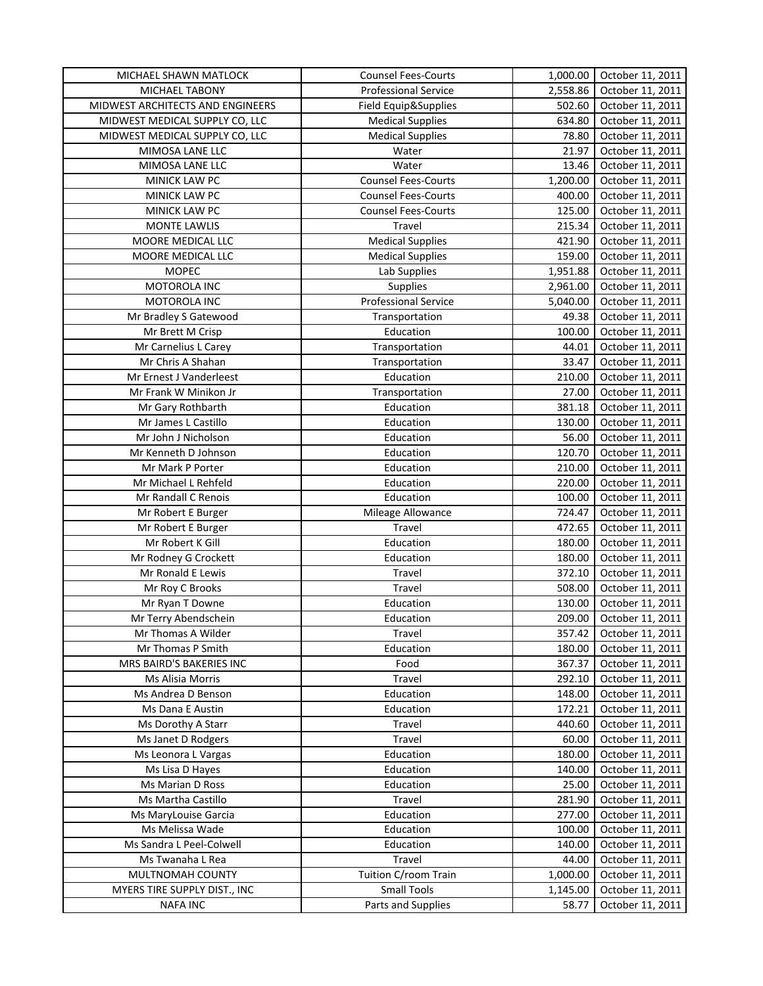| MICHAEL SHAWN MATLOCK                     | <b>Counsel Fees-Courts</b>  | 1,000.00         | October 11, 2011 |
|-------------------------------------------|-----------------------------|------------------|------------------|
| MICHAEL TABONY                            | <b>Professional Service</b> | 2,558.86         | October 11, 2011 |
| MIDWEST ARCHITECTS AND ENGINEERS          | Field Equip&Supplies        | 502.60           | October 11, 2011 |
| MIDWEST MEDICAL SUPPLY CO, LLC            | <b>Medical Supplies</b>     | 634.80           | October 11, 2011 |
| MIDWEST MEDICAL SUPPLY CO, LLC            | <b>Medical Supplies</b>     | 78.80            | October 11, 2011 |
| MIMOSA LANE LLC                           | Water                       | 21.97            | October 11, 2011 |
| MIMOSA LANE LLC                           | Water                       | 13.46            | October 11, 2011 |
| MINICK LAW PC                             | <b>Counsel Fees-Courts</b>  | 1,200.00         | October 11, 2011 |
| MINICK LAW PC                             | <b>Counsel Fees-Courts</b>  | 400.00           | October 11, 2011 |
| <b>MINICK LAW PC</b>                      | <b>Counsel Fees-Courts</b>  | 125.00           | October 11, 2011 |
| <b>MONTE LAWLIS</b>                       | Travel                      | 215.34           | October 11, 2011 |
| MOORE MEDICAL LLC                         | <b>Medical Supplies</b>     | 421.90           | October 11, 2011 |
| MOORE MEDICAL LLC                         | <b>Medical Supplies</b>     | 159.00           | October 11, 2011 |
| <b>MOPEC</b>                              | Lab Supplies                | 1,951.88         | October 11, 2011 |
| MOTOROLA INC                              | Supplies                    | 2,961.00         | October 11, 2011 |
| MOTOROLA INC                              | Professional Service        | 5,040.00         | October 11, 2011 |
| Mr Bradley S Gatewood                     | Transportation              | 49.38            | October 11, 2011 |
| Mr Brett M Crisp                          | Education                   | 100.00           | October 11, 2011 |
| Mr Carnelius L Carey                      | Transportation              | 44.01            | October 11, 2011 |
| Mr Chris A Shahan                         | Transportation              | 33.47            | October 11, 2011 |
| Mr Ernest J Vanderleest                   | Education                   | 210.00           | October 11, 2011 |
| Mr Frank W Minikon Jr                     | Transportation              | 27.00            | October 11, 2011 |
| Mr Gary Rothbarth                         | Education                   | 381.18           | October 11, 2011 |
| Mr James L Castillo                       | Education                   | 130.00           | October 11, 2011 |
| Mr John J Nicholson                       | Education                   | 56.00            | October 11, 2011 |
| Mr Kenneth D Johnson                      | Education                   | 120.70           | October 11, 2011 |
| Mr Mark P Porter                          | Education                   | 210.00           | October 11, 2011 |
| Mr Michael L Rehfeld                      | Education                   | 220.00           | October 11, 2011 |
|                                           | Education                   |                  | October 11, 2011 |
| Mr Randall C Renois<br>Mr Robert E Burger |                             | 100.00<br>724.47 | October 11, 2011 |
| Mr Robert E Burger                        | Mileage Allowance<br>Travel | 472.65           | October 11, 2011 |
| Mr Robert K Gill                          | Education                   | 180.00           | October 11, 2011 |
| Mr Rodney G Crockett                      | Education                   | 180.00           | October 11, 2011 |
| Mr Ronald E Lewis                         | Travel                      | 372.10           | October 11, 2011 |
| Mr Roy C Brooks                           | Travel                      | 508.00           | October 11, 2011 |
| Mr Ryan T Downe                           | Education                   | 130.00           | October 11, 2011 |
| Mr Terry Abendschein                      |                             |                  |                  |
| Mr Thomas A Wilder                        | Education                   | 209.00<br>357.42 | October 11, 2011 |
|                                           | Travel                      |                  | October 11, 2011 |
| Mr Thomas P Smith                         | Education                   | 180.00           | October 11, 2011 |
| MRS BAIRD'S BAKERIES INC                  | Food                        | 367.37<br>292.10 | October 11, 2011 |
| Ms Alisia Morris                          | Travel                      |                  | October 11, 2011 |
| Ms Andrea D Benson                        | Education                   | 148.00           | October 11, 2011 |
| Ms Dana E Austin                          | Education                   | 172.21           | October 11, 2011 |
| Ms Dorothy A Starr                        | Travel                      | 440.60           | October 11, 2011 |
| Ms Janet D Rodgers                        | Travel                      | 60.00            | October 11, 2011 |
| Ms Leonora L Vargas                       | Education                   | 180.00           | October 11, 2011 |
| Ms Lisa D Hayes                           | Education                   | 140.00           | October 11, 2011 |
| Ms Marian D Ross                          | Education                   | 25.00            | October 11, 2011 |
| Ms Martha Castillo                        | Travel                      | 281.90           | October 11, 2011 |
| Ms MaryLouise Garcia                      | Education                   | 277.00           | October 11, 2011 |
| Ms Melissa Wade                           | Education                   | 100.00           | October 11, 2011 |
| Ms Sandra L Peel-Colwell                  | Education                   | 140.00           | October 11, 2011 |
| Ms Twanaha L Rea                          | Travel                      | 44.00            | October 11, 2011 |
| MULTNOMAH COUNTY                          | Tuition C/room Train        | 1,000.00         | October 11, 2011 |
| MYERS TIRE SUPPLY DIST., INC              | <b>Small Tools</b>          | 1,145.00         | October 11, 2011 |
| <b>NAFA INC</b>                           | Parts and Supplies          | 58.77            | October 11, 2011 |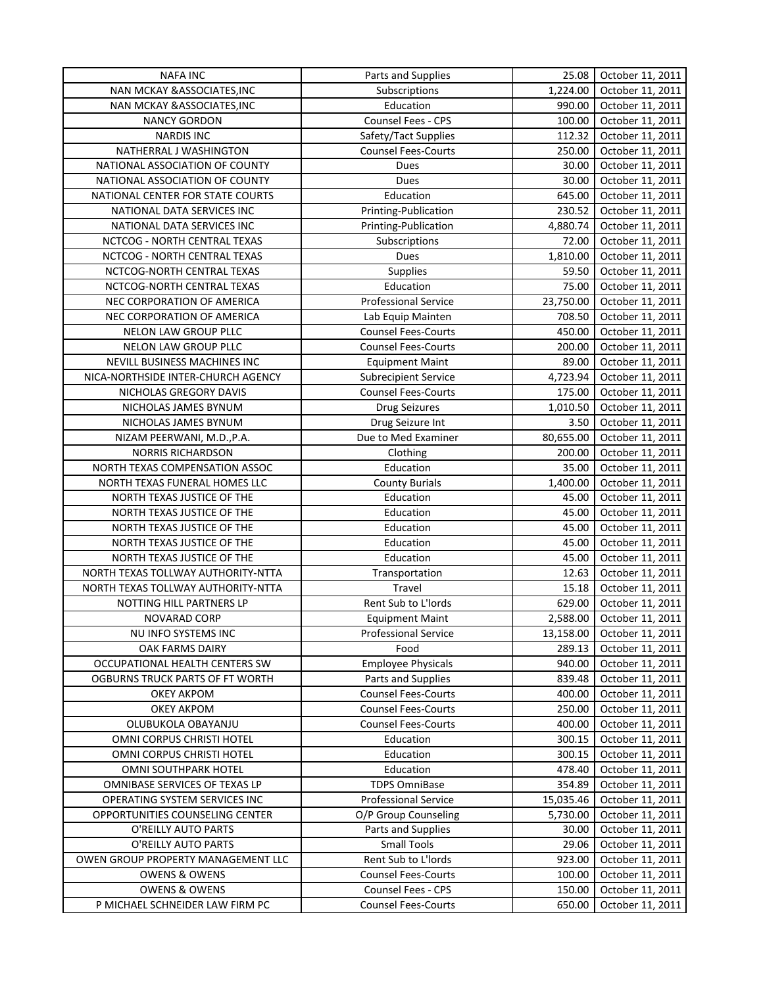| <b>NAFA INC</b>                                                | Parts and Supplies          | 25.08            | October 11, 2011                     |
|----------------------------------------------------------------|-----------------------------|------------------|--------------------------------------|
| NAN MCKAY & ASSOCIATES, INC                                    | Subscriptions               | 1,224.00         | October 11, 2011                     |
| NAN MCKAY & ASSOCIATES, INC                                    | Education                   | 990.00           | October 11, 2011                     |
| <b>NANCY GORDON</b>                                            | Counsel Fees - CPS          | 100.00           | October 11, 2011                     |
| <b>NARDIS INC</b>                                              | Safety/Tact Supplies        | 112.32           | October 11, 2011                     |
| NATHERRAL J WASHINGTON                                         | <b>Counsel Fees-Courts</b>  | 250.00           | October 11, 2011                     |
| NATIONAL ASSOCIATION OF COUNTY                                 | Dues                        | 30.00            | October 11, 2011                     |
| NATIONAL ASSOCIATION OF COUNTY                                 | Dues                        | 30.00            | October 11, 2011                     |
| NATIONAL CENTER FOR STATE COURTS                               | Education                   | 645.00           | October 11, 2011                     |
| NATIONAL DATA SERVICES INC                                     | Printing-Publication        | 230.52           | October 11, 2011                     |
| NATIONAL DATA SERVICES INC                                     | Printing-Publication        | 4,880.74         | October 11, 2011                     |
| NCTCOG - NORTH CENTRAL TEXAS                                   | Subscriptions               | 72.00            | October 11, 2011                     |
| NCTCOG - NORTH CENTRAL TEXAS                                   | Dues                        | 1,810.00         | October 11, 2011                     |
| NCTCOG-NORTH CENTRAL TEXAS                                     | Supplies                    | 59.50            | October 11, 2011                     |
| NCTCOG-NORTH CENTRAL TEXAS                                     | Education                   | 75.00            | October 11, 2011                     |
| NEC CORPORATION OF AMERICA                                     | Professional Service        | 23,750.00        | October 11, 2011                     |
| NEC CORPORATION OF AMERICA                                     | Lab Equip Mainten           | 708.50           | October 11, 2011                     |
| NELON LAW GROUP PLLC                                           | <b>Counsel Fees-Courts</b>  | 450.00           | October 11, 2011                     |
| NELON LAW GROUP PLLC                                           | <b>Counsel Fees-Courts</b>  | 200.00           | October 11, 2011                     |
| NEVILL BUSINESS MACHINES INC                                   | <b>Equipment Maint</b>      | 89.00            | October 11, 2011                     |
| NICA-NORTHSIDE INTER-CHURCH AGENCY                             | <b>Subrecipient Service</b> | 4,723.94         | October 11, 2011                     |
| NICHOLAS GREGORY DAVIS                                         | <b>Counsel Fees-Courts</b>  | 175.00           | October 11, 2011                     |
| NICHOLAS JAMES BYNUM                                           | <b>Drug Seizures</b>        | 1,010.50         | October 11, 2011                     |
| NICHOLAS JAMES BYNUM                                           | Drug Seizure Int            | 3.50             | October 11, 2011                     |
| NIZAM PEERWANI, M.D., P.A.                                     | Due to Med Examiner         | 80,655.00        | October 11, 2011                     |
| <b>NORRIS RICHARDSON</b>                                       | Clothing                    | 200.00           | October 11, 2011                     |
| NORTH TEXAS COMPENSATION ASSOC                                 | Education                   | 35.00            | October 11, 2011                     |
| NORTH TEXAS FUNERAL HOMES LLC                                  | <b>County Burials</b>       | 1,400.00         | October 11, 2011                     |
| NORTH TEXAS JUSTICE OF THE                                     | Education                   | 45.00            | October 11, 2011                     |
| NORTH TEXAS JUSTICE OF THE                                     | Education                   | 45.00            | October 11, 2011                     |
| NORTH TEXAS JUSTICE OF THE                                     | Education                   | 45.00            | October 11, 2011                     |
| NORTH TEXAS JUSTICE OF THE                                     | Education                   | 45.00            | October 11, 2011                     |
| NORTH TEXAS JUSTICE OF THE                                     | Education                   | 45.00            | October 11, 2011                     |
| NORTH TEXAS TOLLWAY AUTHORITY-NTTA                             | Transportation              | 12.63            | October 11, 2011                     |
| NORTH TEXAS TOLLWAY AUTHORITY-NTTA                             | Travel                      | 15.18            | October 11, 2011                     |
| NOTTING HILL PARTNERS LP                                       | Rent Sub to L'Iords         | 629.00           | October 11, 2011                     |
| <b>NOVARAD CORP</b>                                            | <b>Equipment Maint</b>      | 2,588.00         | October 11, 2011                     |
| NU INFO SYSTEMS INC                                            | <b>Professional Service</b> | 13,158.00        | October 11, 2011                     |
| OAK FARMS DAIRY                                                | Food                        | 289.13           | October 11, 2011                     |
| OCCUPATIONAL HEALTH CENTERS SW                                 | <b>Employee Physicals</b>   | 940.00           | October 11, 2011                     |
| OGBURNS TRUCK PARTS OF FT WORTH                                | Parts and Supplies          | 839.48           | October 11, 2011                     |
| OKEY AKPOM                                                     | <b>Counsel Fees-Courts</b>  | 400.00           | October 11, 2011                     |
| OKEY AKPOM                                                     | <b>Counsel Fees-Courts</b>  | 250.00           | October 11, 2011                     |
| OLUBUKOLA OBAYANJU                                             | <b>Counsel Fees-Courts</b>  | 400.00           | October 11, 2011                     |
| OMNI CORPUS CHRISTI HOTEL                                      | Education                   | 300.15           | October 11, 2011                     |
|                                                                | Education                   |                  |                                      |
| OMNI CORPUS CHRISTI HOTEL<br>OMNI SOUTHPARK HOTEL              | Education                   | 300.15<br>478.40 | October 11, 2011                     |
|                                                                | <b>TDPS OmniBase</b>        |                  | October 11, 2011<br>October 11, 2011 |
| OMNIBASE SERVICES OF TEXAS LP<br>OPERATING SYSTEM SERVICES INC | <b>Professional Service</b> | 354.89           | October 11, 2011                     |
|                                                                | O/P Group Counseling        | 15,035.46        |                                      |
| OPPORTUNITIES COUNSELING CENTER                                | Parts and Supplies          | 5,730.00         | October 11, 2011                     |
| O'REILLY AUTO PARTS                                            | <b>Small Tools</b>          | 30.00            | October 11, 2011                     |
| O'REILLY AUTO PARTS                                            |                             | 29.06            | October 11, 2011                     |
| OWEN GROUP PROPERTY MANAGEMENT LLC                             | Rent Sub to L'Iords         | 923.00           | October 11, 2011                     |
| <b>OWENS &amp; OWENS</b>                                       | <b>Counsel Fees-Courts</b>  | 100.00           | October 11, 2011                     |
| <b>OWENS &amp; OWENS</b>                                       | Counsel Fees - CPS          | 150.00           | October 11, 2011                     |
| P MICHAEL SCHNEIDER LAW FIRM PC                                | <b>Counsel Fees-Courts</b>  | 650.00           | October 11, 2011                     |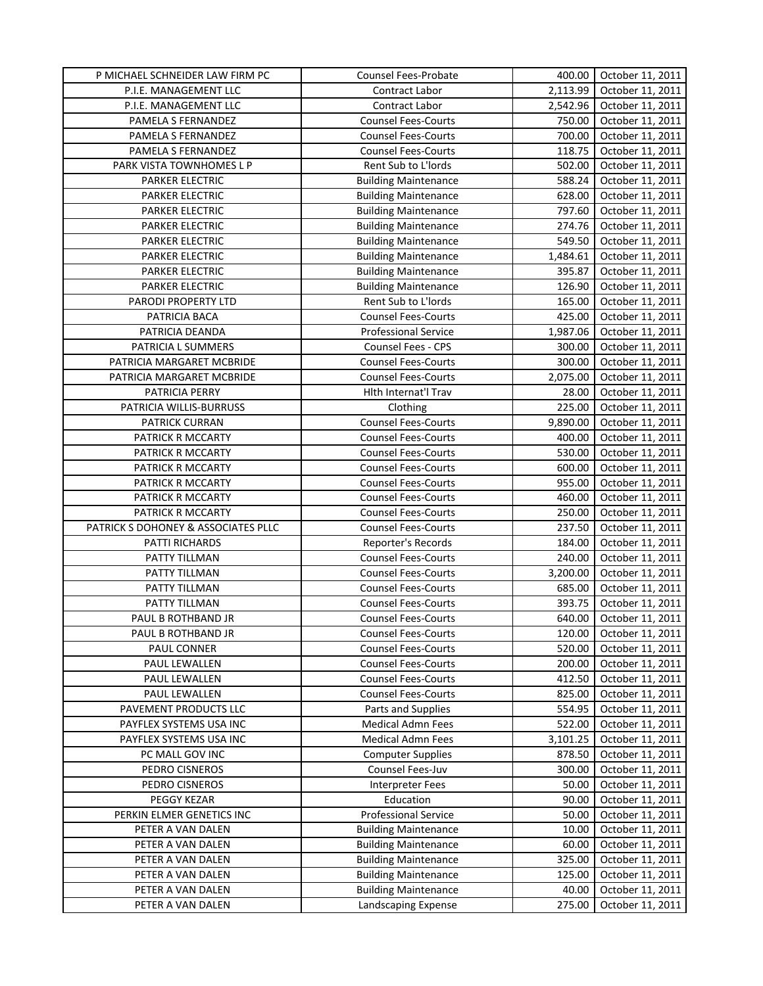| P MICHAEL SCHNEIDER LAW FIRM PC     | Counsel Fees-Probate                         | 400.00          | October 11, 2011                     |
|-------------------------------------|----------------------------------------------|-----------------|--------------------------------------|
| P.I.E. MANAGEMENT LLC               | Contract Labor                               | 2,113.99        | October 11, 2011                     |
| P.I.E. MANAGEMENT LLC               | Contract Labor                               | 2,542.96        | October 11, 2011                     |
| PAMELA S FERNANDEZ                  | <b>Counsel Fees-Courts</b>                   | 750.00          | October 11, 2011                     |
| PAMELA S FERNANDEZ                  | <b>Counsel Fees-Courts</b>                   | 700.00          | October 11, 2011                     |
| PAMELA S FERNANDEZ                  | <b>Counsel Fees-Courts</b>                   | 118.75          | October 11, 2011                     |
| PARK VISTA TOWNHOMES L P            | Rent Sub to L'Iords                          | 502.00          | October 11, 2011                     |
| PARKER ELECTRIC                     | <b>Building Maintenance</b>                  | 588.24          | October 11, 2011                     |
| <b>PARKER ELECTRIC</b>              | <b>Building Maintenance</b>                  | 628.00          | October 11, 2011                     |
| <b>PARKER ELECTRIC</b>              | <b>Building Maintenance</b>                  | 797.60          | October 11, 2011                     |
| <b>PARKER ELECTRIC</b>              | <b>Building Maintenance</b>                  | 274.76          | October 11, 2011                     |
| <b>PARKER ELECTRIC</b>              | <b>Building Maintenance</b>                  | 549.50          | October 11, 2011                     |
| <b>PARKER ELECTRIC</b>              | <b>Building Maintenance</b>                  | 1,484.61        | October 11, 2011                     |
| <b>PARKER ELECTRIC</b>              | <b>Building Maintenance</b>                  | 395.87          | October 11, 2011                     |
| PARKER ELECTRIC                     | <b>Building Maintenance</b>                  | 126.90          | October 11, 2011                     |
| PARODI PROPERTY LTD                 | Rent Sub to L'Iords                          | 165.00          | October 11, 2011                     |
| PATRICIA BACA                       | <b>Counsel Fees-Courts</b>                   | 425.00          | October 11, 2011                     |
| PATRICIA DEANDA                     | Professional Service                         | 1,987.06        | October 11, 2011                     |
| PATRICIA L SUMMERS                  | Counsel Fees - CPS                           | 300.00          | October 11, 2011                     |
| PATRICIA MARGARET MCBRIDE           | <b>Counsel Fees-Courts</b>                   | 300.00          | October 11, 2011                     |
| PATRICIA MARGARET MCBRIDE           | <b>Counsel Fees-Courts</b>                   | 2,075.00        | October 11, 2011                     |
| PATRICIA PERRY                      | Hlth Internat'l Trav                         | 28.00           | October 11, 2011                     |
| PATRICIA WILLIS-BURRUSS             | Clothing                                     | 225.00          | October 11, 2011                     |
| PATRICK CURRAN                      | <b>Counsel Fees-Courts</b>                   | 9,890.00        | October 11, 2011                     |
| PATRICK R MCCARTY                   | <b>Counsel Fees-Courts</b>                   | 400.00          | October 11, 2011                     |
| PATRICK R MCCARTY                   | <b>Counsel Fees-Courts</b>                   | 530.00          | October 11, 2011                     |
| PATRICK R MCCARTY                   | <b>Counsel Fees-Courts</b>                   | 600.00          | October 11, 2011                     |
| PATRICK R MCCARTY                   | <b>Counsel Fees-Courts</b>                   | 955.00          | October 11, 2011                     |
| PATRICK R MCCARTY                   | Counsel Fees-Courts                          | 460.00          | October 11, 2011                     |
| PATRICK R MCCARTY                   | <b>Counsel Fees-Courts</b>                   | 250.00          | October 11, 2011                     |
| PATRICK S DOHONEY & ASSOCIATES PLLC | <b>Counsel Fees-Courts</b>                   | 237.50          | October 11, 2011                     |
| PATTI RICHARDS                      | Reporter's Records                           | 184.00          | October 11, 2011                     |
| PATTY TILLMAN                       | <b>Counsel Fees-Courts</b>                   | 240.00          | October 11, 2011                     |
| PATTY TILLMAN                       | <b>Counsel Fees-Courts</b>                   | 3,200.00        | October 11, 2011                     |
| PATTY TILLMAN                       | <b>Counsel Fees-Courts</b>                   | 685.00          | October 11, 2011                     |
| PATTY TILLMAN                       | <b>Counsel Fees-Courts</b>                   | 393.75          | October 11, 2011                     |
| PAUL B ROTHBAND JR                  | <b>Counsel Fees-Courts</b>                   | 640.00          | October 11, 2011                     |
| PAUL B ROTHBAND JR                  | <b>Counsel Fees-Courts</b>                   | 120.00          | October 11, 2011                     |
| PAUL CONNER                         | <b>Counsel Fees-Courts</b>                   | 520.00          | October 11, 2011                     |
| PAUL LEWALLEN                       | <b>Counsel Fees-Courts</b>                   | 200.00          | October 11, 2011                     |
| PAUL LEWALLEN                       | <b>Counsel Fees-Courts</b>                   | 412.50          | October 11, 2011                     |
| PAUL LEWALLEN                       | <b>Counsel Fees-Courts</b>                   | 825.00          | October 11, 2011                     |
| PAVEMENT PRODUCTS LLC               | Parts and Supplies                           | 554.95          |                                      |
| PAYFLEX SYSTEMS USA INC             | <b>Medical Admn Fees</b>                     | 522.00          | October 11, 2011<br>October 11, 2011 |
|                                     | <b>Medical Admn Fees</b>                     | 3,101.25        | October 11, 2011                     |
| PAYFLEX SYSTEMS USA INC             |                                              | 878.50          |                                      |
| PC MALL GOV INC                     | <b>Computer Supplies</b><br>Counsel Fees-Juv |                 | October 11, 2011                     |
| PEDRO CISNEROS<br>PEDRO CISNEROS    | Interpreter Fees                             | 300.00<br>50.00 | October 11, 2011<br>October 11, 2011 |
| PEGGY KEZAR                         | Education                                    | 90.00           | October 11, 2011                     |
| PERKIN ELMER GENETICS INC           | Professional Service                         | 50.00           | October 11, 2011                     |
| PETER A VAN DALEN                   | <b>Building Maintenance</b>                  | 10.00           | October 11, 2011                     |
| PETER A VAN DALEN                   | <b>Building Maintenance</b>                  | 60.00           | October 11, 2011                     |
| PETER A VAN DALEN                   | <b>Building Maintenance</b>                  | 325.00          | October 11, 2011                     |
| PETER A VAN DALEN                   | <b>Building Maintenance</b>                  | 125.00          | October 11, 2011                     |
| PETER A VAN DALEN                   | <b>Building Maintenance</b>                  | 40.00           | October 11, 2011                     |
| PETER A VAN DALEN                   | Landscaping Expense                          | 275.00          | October 11, 2011                     |
|                                     |                                              |                 |                                      |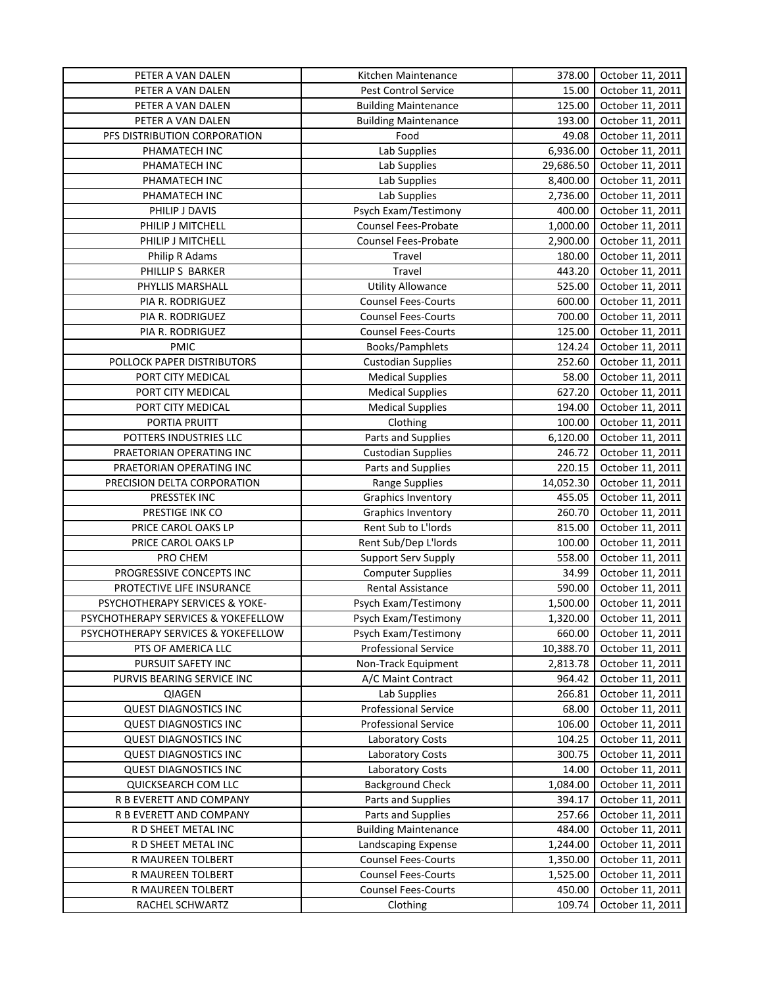| PETER A VAN DALEN                   | Kitchen Maintenance         | 378.00          | October 11, 2011 |
|-------------------------------------|-----------------------------|-----------------|------------------|
| PETER A VAN DALEN                   | Pest Control Service        | 15.00           | October 11, 2011 |
| PETER A VAN DALEN                   | <b>Building Maintenance</b> | 125.00          | October 11, 2011 |
| PETER A VAN DALEN                   | <b>Building Maintenance</b> | 193.00          | October 11, 2011 |
| PFS DISTRIBUTION CORPORATION        | Food                        | 49.08           | October 11, 2011 |
| PHAMATECH INC                       | Lab Supplies                | 6,936.00        | October 11, 2011 |
| PHAMATECH INC                       | Lab Supplies                | 29,686.50       | October 11, 2011 |
| PHAMATECH INC                       | Lab Supplies                | 8,400.00        | October 11, 2011 |
| PHAMATECH INC                       | Lab Supplies                | 2,736.00        | October 11, 2011 |
| PHILIP J DAVIS                      | Psych Exam/Testimony        | 400.00          | October 11, 2011 |
| PHILIP J MITCHELL                   | Counsel Fees-Probate        | 1,000.00        | October 11, 2011 |
| PHILIP J MITCHELL                   | <b>Counsel Fees-Probate</b> | 2,900.00        | October 11, 2011 |
| Philip R Adams                      | Travel                      | 180.00          | October 11, 2011 |
| PHILLIP S BARKER                    | Travel                      | 443.20          | October 11, 2011 |
| PHYLLIS MARSHALL                    | <b>Utility Allowance</b>    | 525.00          | October 11, 2011 |
| PIA R. RODRIGUEZ                    | <b>Counsel Fees-Courts</b>  | 600.00          | October 11, 2011 |
| PIA R. RODRIGUEZ                    | <b>Counsel Fees-Courts</b>  | 700.00          | October 11, 2011 |
| PIA R. RODRIGUEZ                    | <b>Counsel Fees-Courts</b>  | 125.00          | October 11, 2011 |
| <b>PMIC</b>                         | Books/Pamphlets             | 124.24          | October 11, 2011 |
| POLLOCK PAPER DISTRIBUTORS          | <b>Custodian Supplies</b>   | 252.60          | October 11, 2011 |
| PORT CITY MEDICAL                   | <b>Medical Supplies</b>     | 58.00           | October 11, 2011 |
| PORT CITY MEDICAL                   | <b>Medical Supplies</b>     | 627.20          | October 11, 2011 |
| PORT CITY MEDICAL                   | <b>Medical Supplies</b>     | 194.00          | October 11, 2011 |
| PORTIA PRUITT                       | Clothing                    | 100.00          | October 11, 2011 |
| POTTERS INDUSTRIES LLC              | Parts and Supplies          | 6,120.00        | October 11, 2011 |
| PRAETORIAN OPERATING INC            | <b>Custodian Supplies</b>   | 246.72          | October 11, 2011 |
| PRAETORIAN OPERATING INC            | Parts and Supplies          | 220.15          | October 11, 2011 |
| PRECISION DELTA CORPORATION         | Range Supplies              | 14,052.30       | October 11, 2011 |
| PRESSTEK INC                        | <b>Graphics Inventory</b>   | 455.05          | October 11, 2011 |
| PRESTIGE INK CO                     | <b>Graphics Inventory</b>   | 260.70          | October 11, 2011 |
| PRICE CAROL OAKS LP                 | Rent Sub to L'Iords         | 815.00          | October 11, 2011 |
| PRICE CAROL OAKS LP                 | Rent Sub/Dep L'Iords        | 100.00          | October 11, 2011 |
| PRO CHEM                            | Support Serv Supply         | 558.00          | October 11, 2011 |
| PROGRESSIVE CONCEPTS INC            | <b>Computer Supplies</b>    | 34.99           | October 11, 2011 |
| PROTECTIVE LIFE INSURANCE           | Rental Assistance           | 590.00          | October 11, 2011 |
| PSYCHOTHERAPY SERVICES & YOKE-      | Psych Exam/Testimony        | 1,500.00        | October 11, 2011 |
| PSYCHOTHERAPY SERVICES & YOKEFELLOW | Psych Exam/Testimony        | 1,320.00        | October 11, 2011 |
| PSYCHOTHERAPY SERVICES & YOKEFELLOW | Psych Exam/Testimony        | 660.00          | October 11, 2011 |
| PTS OF AMERICA LLC                  | <b>Professional Service</b> | 10,388.70       | October 11, 2011 |
| PURSUIT SAFETY INC                  | Non-Track Equipment         | 2,813.78        | October 11, 2011 |
| PURVIS BEARING SERVICE INC          | A/C Maint Contract          | 964.42          | October 11, 2011 |
| QIAGEN                              | Lab Supplies                | 266.81          |                  |
|                                     |                             |                 | October 11, 2011 |
| <b>QUEST DIAGNOSTICS INC</b>        | <b>Professional Service</b> | 68.00<br>106.00 | October 11, 2011 |
| <b>QUEST DIAGNOSTICS INC</b>        | <b>Professional Service</b> | 104.25          | October 11, 2011 |
| <b>QUEST DIAGNOSTICS INC</b>        | Laboratory Costs            |                 | October 11, 2011 |
| <b>QUEST DIAGNOSTICS INC</b>        | Laboratory Costs            | 300.75          | October 11, 2011 |
| <b>QUEST DIAGNOSTICS INC</b>        | Laboratory Costs            | 14.00           | October 11, 2011 |
| QUICKSEARCH COM LLC                 | <b>Background Check</b>     | 1,084.00        | October 11, 2011 |
| R B EVERETT AND COMPANY             | Parts and Supplies          | 394.17          | October 11, 2011 |
| R B EVERETT AND COMPANY             | Parts and Supplies          | 257.66          | October 11, 2011 |
| R D SHEET METAL INC                 | <b>Building Maintenance</b> | 484.00          | October 11, 2011 |
| R D SHEET METAL INC                 | Landscaping Expense         | 1,244.00        | October 11, 2011 |
| R MAUREEN TOLBERT                   | <b>Counsel Fees-Courts</b>  | 1,350.00        | October 11, 2011 |
| R MAUREEN TOLBERT                   | <b>Counsel Fees-Courts</b>  | 1,525.00        | October 11, 2011 |
| R MAUREEN TOLBERT                   | <b>Counsel Fees-Courts</b>  | 450.00          | October 11, 2011 |
| RACHEL SCHWARTZ                     | Clothing                    | 109.74          | October 11, 2011 |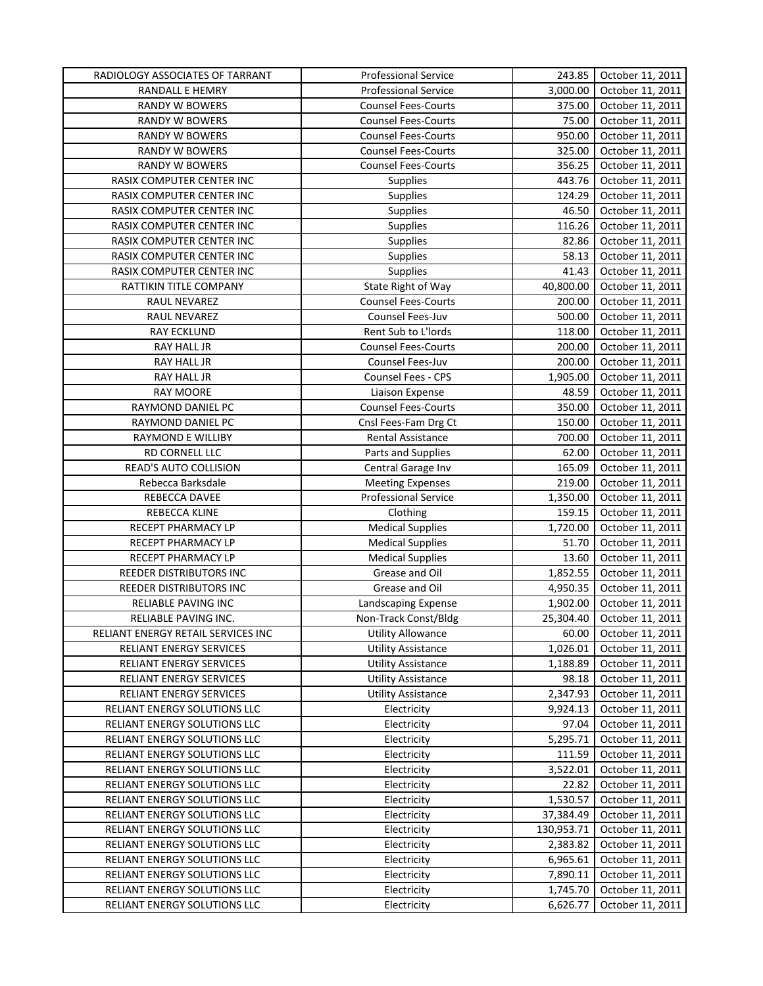| RADIOLOGY ASSOCIATES OF TARRANT     | <b>Professional Service</b>         | 243.85     | October 11, 2011 |
|-------------------------------------|-------------------------------------|------------|------------------|
| RANDALL E HEMRY                     | <b>Professional Service</b>         | 3,000.00   | October 11, 2011 |
| RANDY W BOWERS                      | <b>Counsel Fees-Courts</b>          | 375.00     | October 11, 2011 |
| RANDY W BOWERS                      | <b>Counsel Fees-Courts</b>          | 75.00      | October 11, 2011 |
| RANDY W BOWERS                      | <b>Counsel Fees-Courts</b>          | 950.00     | October 11, 2011 |
| RANDY W BOWERS                      | <b>Counsel Fees-Courts</b>          | 325.00     | October 11, 2011 |
| RANDY W BOWERS                      | <b>Counsel Fees-Courts</b>          | 356.25     | October 11, 2011 |
| RASIX COMPUTER CENTER INC           | <b>Supplies</b>                     | 443.76     | October 11, 2011 |
| RASIX COMPUTER CENTER INC           | Supplies                            | 124.29     | October 11, 2011 |
| RASIX COMPUTER CENTER INC           | <b>Supplies</b>                     | 46.50      | October 11, 2011 |
| RASIX COMPUTER CENTER INC           | Supplies                            | 116.26     | October 11, 2011 |
| RASIX COMPUTER CENTER INC           | Supplies                            | 82.86      | October 11, 2011 |
| RASIX COMPUTER CENTER INC           | Supplies                            | 58.13      | October 11, 2011 |
| RASIX COMPUTER CENTER INC           | Supplies                            | 41.43      | October 11, 2011 |
| RATTIKIN TITLE COMPANY              | State Right of Way                  | 40,800.00  | October 11, 2011 |
| RAUL NEVAREZ                        | <b>Counsel Fees-Courts</b>          | 200.00     | October 11, 2011 |
| RAUL NEVAREZ                        | Counsel Fees-Juv                    | 500.00     | October 11, 2011 |
| <b>RAY ECKLUND</b>                  | Rent Sub to L'Iords                 | 118.00     | October 11, 2011 |
| RAY HALL JR                         | <b>Counsel Fees-Courts</b>          | 200.00     | October 11, 2011 |
| RAY HALL JR                         | Counsel Fees-Juv                    | 200.00     | October 11, 2011 |
| RAY HALL JR                         | Counsel Fees - CPS                  | 1,905.00   | October 11, 2011 |
| <b>RAY MOORE</b>                    | Liaison Expense                     | 48.59      | October 11, 2011 |
| RAYMOND DANIEL PC                   | <b>Counsel Fees-Courts</b>          | 350.00     | October 11, 2011 |
| RAYMOND DANIEL PC                   | Cnsl Fees-Fam Drg Ct                | 150.00     | October 11, 2011 |
| RAYMOND E WILLIBY                   | Rental Assistance                   | 700.00     | October 11, 2011 |
| RD CORNELL LLC                      | Parts and Supplies                  | 62.00      | October 11, 2011 |
| READ'S AUTO COLLISION               | Central Garage Inv                  | 165.09     | October 11, 2011 |
| Rebecca Barksdale                   | <b>Meeting Expenses</b>             | 219.00     | October 11, 2011 |
| REBECCA DAVEE                       | Professional Service                | 1,350.00   | October 11, 2011 |
|                                     |                                     | 159.15     | October 11, 2011 |
| REBECCA KLINE<br>RECEPT PHARMACY LP | Clothing<br><b>Medical Supplies</b> | 1,720.00   | October 11, 2011 |
|                                     |                                     |            |                  |
| RECEPT PHARMACY LP                  | <b>Medical Supplies</b>             | 51.70      | October 11, 2011 |
| RECEPT PHARMACY LP                  | <b>Medical Supplies</b>             | 13.60      | October 11, 2011 |
| REEDER DISTRIBUTORS INC             | Grease and Oil                      | 1,852.55   | October 11, 2011 |
| REEDER DISTRIBUTORS INC             | Grease and Oil                      | 4,950.35   | October 11, 2011 |
| RELIABLE PAVING INC                 | Landscaping Expense                 | 1,902.00   | October 11, 2011 |
| RELIABLE PAVING INC.                | Non-Track Const/Bldg                | 25,304.40  | October 11, 2011 |
| RELIANT ENERGY RETAIL SERVICES INC  | <b>Utility Allowance</b>            | 60.00      | October 11, 2011 |
| RELIANT ENERGY SERVICES             | <b>Utility Assistance</b>           | 1,026.01   | October 11, 2011 |
| RELIANT ENERGY SERVICES             | <b>Utility Assistance</b>           | 1,188.89   | October 11, 2011 |
| RELIANT ENERGY SERVICES             | <b>Utility Assistance</b>           | 98.18      | October 11, 2011 |
| RELIANT ENERGY SERVICES             | <b>Utility Assistance</b>           | 2,347.93   | October 11, 2011 |
| RELIANT ENERGY SOLUTIONS LLC        | Electricity                         | 9,924.13   | October 11, 2011 |
| RELIANT ENERGY SOLUTIONS LLC        | Electricity                         | 97.04      | October 11, 2011 |
| RELIANT ENERGY SOLUTIONS LLC        | Electricity                         | 5,295.71   | October 11, 2011 |
| RELIANT ENERGY SOLUTIONS LLC        | Electricity                         | 111.59     | October 11, 2011 |
| RELIANT ENERGY SOLUTIONS LLC        | Electricity                         | 3,522.01   | October 11, 2011 |
| RELIANT ENERGY SOLUTIONS LLC        | Electricity                         | 22.82      | October 11, 2011 |
| RELIANT ENERGY SOLUTIONS LLC        | Electricity                         | 1,530.57   | October 11, 2011 |
| RELIANT ENERGY SOLUTIONS LLC        | Electricity                         | 37,384.49  | October 11, 2011 |
| RELIANT ENERGY SOLUTIONS LLC        | Electricity                         | 130,953.71 | October 11, 2011 |
| RELIANT ENERGY SOLUTIONS LLC        | Electricity                         | 2,383.82   | October 11, 2011 |
| RELIANT ENERGY SOLUTIONS LLC        | Electricity                         | 6,965.61   | October 11, 2011 |
| RELIANT ENERGY SOLUTIONS LLC        | Electricity                         | 7,890.11   | October 11, 2011 |
| RELIANT ENERGY SOLUTIONS LLC        | Electricity                         | 1,745.70   | October 11, 2011 |
| RELIANT ENERGY SOLUTIONS LLC        | Electricity                         | 6,626.77   | October 11, 2011 |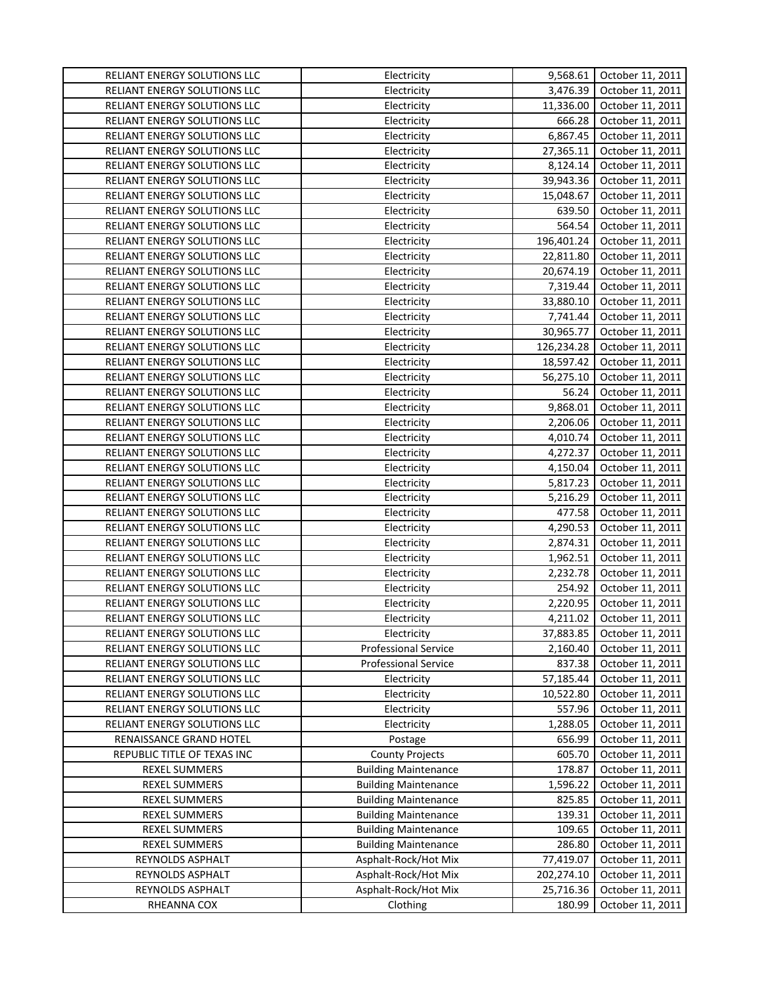| RELIANT ENERGY SOLUTIONS LLC | Electricity                 | 9,568.61   | October 11, 2011 |
|------------------------------|-----------------------------|------------|------------------|
| RELIANT ENERGY SOLUTIONS LLC | Electricity                 | 3,476.39   | October 11, 2011 |
| RELIANT ENERGY SOLUTIONS LLC | Electricity                 | 11,336.00  | October 11, 2011 |
| RELIANT ENERGY SOLUTIONS LLC | Electricity                 | 666.28     | October 11, 2011 |
| RELIANT ENERGY SOLUTIONS LLC | Electricity                 | 6,867.45   | October 11, 2011 |
| RELIANT ENERGY SOLUTIONS LLC | Electricity                 | 27,365.11  | October 11, 2011 |
| RELIANT ENERGY SOLUTIONS LLC | Electricity                 | 8,124.14   | October 11, 2011 |
| RELIANT ENERGY SOLUTIONS LLC | Electricity                 | 39,943.36  | October 11, 2011 |
| RELIANT ENERGY SOLUTIONS LLC | Electricity                 | 15,048.67  | October 11, 2011 |
| RELIANT ENERGY SOLUTIONS LLC | Electricity                 | 639.50     | October 11, 2011 |
| RELIANT ENERGY SOLUTIONS LLC | Electricity                 | 564.54     | October 11, 2011 |
| RELIANT ENERGY SOLUTIONS LLC | Electricity                 | 196,401.24 | October 11, 2011 |
| RELIANT ENERGY SOLUTIONS LLC | Electricity                 | 22,811.80  | October 11, 2011 |
| RELIANT ENERGY SOLUTIONS LLC | Electricity                 | 20,674.19  | October 11, 2011 |
| RELIANT ENERGY SOLUTIONS LLC | Electricity                 | 7,319.44   | October 11, 2011 |
| RELIANT ENERGY SOLUTIONS LLC | Electricity                 | 33,880.10  | October 11, 2011 |
| RELIANT ENERGY SOLUTIONS LLC | Electricity                 | 7,741.44   | October 11, 2011 |
| RELIANT ENERGY SOLUTIONS LLC | Electricity                 | 30,965.77  | October 11, 2011 |
| RELIANT ENERGY SOLUTIONS LLC | Electricity                 | 126,234.28 | October 11, 2011 |
| RELIANT ENERGY SOLUTIONS LLC | Electricity                 | 18,597.42  | October 11, 2011 |
| RELIANT ENERGY SOLUTIONS LLC | Electricity                 | 56,275.10  | October 11, 2011 |
| RELIANT ENERGY SOLUTIONS LLC | Electricity                 | 56.24      | October 11, 2011 |
| RELIANT ENERGY SOLUTIONS LLC | Electricity                 | 9,868.01   | October 11, 2011 |
| RELIANT ENERGY SOLUTIONS LLC | Electricity                 | 2,206.06   | October 11, 2011 |
| RELIANT ENERGY SOLUTIONS LLC | Electricity                 | 4,010.74   | October 11, 2011 |
| RELIANT ENERGY SOLUTIONS LLC | Electricity                 | 4,272.37   | October 11, 2011 |
| RELIANT ENERGY SOLUTIONS LLC | Electricity                 | 4,150.04   | October 11, 2011 |
| RELIANT ENERGY SOLUTIONS LLC | Electricity                 | 5,817.23   | October 11, 2011 |
| RELIANT ENERGY SOLUTIONS LLC | Electricity                 | 5,216.29   | October 11, 2011 |
| RELIANT ENERGY SOLUTIONS LLC | Electricity                 | 477.58     | October 11, 2011 |
| RELIANT ENERGY SOLUTIONS LLC | Electricity                 | 4,290.53   | October 11, 2011 |
| RELIANT ENERGY SOLUTIONS LLC | Electricity                 | 2,874.31   | October 11, 2011 |
| RELIANT ENERGY SOLUTIONS LLC | Electricity                 | 1,962.51   | October 11, 2011 |
| RELIANT ENERGY SOLUTIONS LLC | Electricity                 | 2,232.78   | October 11, 2011 |
| RELIANT ENERGY SOLUTIONS LLC | Electricity                 | 254.92     | October 11, 2011 |
| RELIANT ENERGY SOLUTIONS LLC | Electricity                 | 2,220.95   | October 11, 2011 |
| RELIANT ENERGY SOLUTIONS LLC | Electricity                 | 4,211.02   | October 11, 2011 |
| RELIANT ENERGY SOLUTIONS LLC | Electricity                 | 37,883.85  | October 11, 2011 |
| RELIANT ENERGY SOLUTIONS LLC | <b>Professional Service</b> | 2,160.40   | October 11, 2011 |
| RELIANT ENERGY SOLUTIONS LLC | <b>Professional Service</b> | 837.38     | October 11, 2011 |
| RELIANT ENERGY SOLUTIONS LLC | Electricity                 | 57,185.44  | October 11, 2011 |
| RELIANT ENERGY SOLUTIONS LLC | Electricity                 | 10,522.80  | October 11, 2011 |
| RELIANT ENERGY SOLUTIONS LLC | Electricity                 | 557.96     | October 11, 2011 |
| RELIANT ENERGY SOLUTIONS LLC | Electricity                 | 1,288.05   | October 11, 2011 |
| RENAISSANCE GRAND HOTEL      | Postage                     | 656.99     | October 11, 2011 |
| REPUBLIC TITLE OF TEXAS INC  | <b>County Projects</b>      | 605.70     | October 11, 2011 |
| <b>REXEL SUMMERS</b>         | <b>Building Maintenance</b> | 178.87     | October 11, 2011 |
| REXEL SUMMERS                | <b>Building Maintenance</b> | 1,596.22   | October 11, 2011 |
| REXEL SUMMERS                | <b>Building Maintenance</b> | 825.85     | October 11, 2011 |
| REXEL SUMMERS                | <b>Building Maintenance</b> | 139.31     | October 11, 2011 |
| REXEL SUMMERS                | <b>Building Maintenance</b> | 109.65     | October 11, 2011 |
| <b>REXEL SUMMERS</b>         | <b>Building Maintenance</b> | 286.80     | October 11, 2011 |
| REYNOLDS ASPHALT             | Asphalt-Rock/Hot Mix        | 77,419.07  | October 11, 2011 |
| REYNOLDS ASPHALT             | Asphalt-Rock/Hot Mix        | 202,274.10 | October 11, 2011 |
| REYNOLDS ASPHALT             | Asphalt-Rock/Hot Mix        | 25,716.36  | October 11, 2011 |
| RHEANNA COX                  | Clothing                    | 180.99     | October 11, 2011 |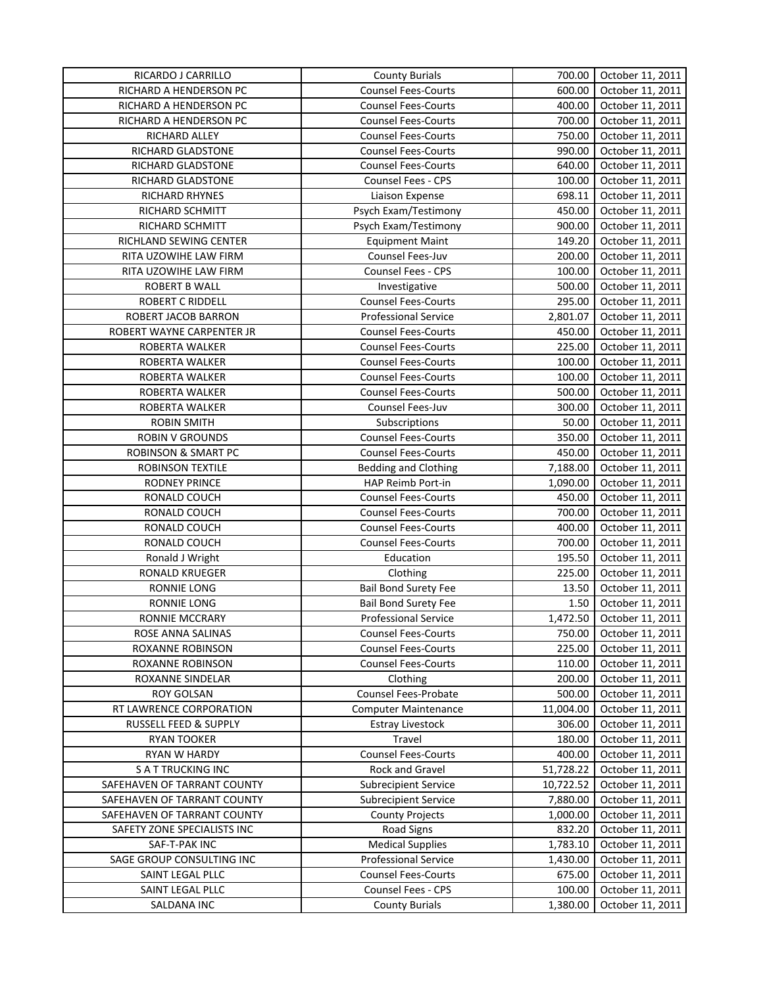| RICARDO J CARRILLO             | <b>County Burials</b>       | 700.00    | October 11, 2011 |
|--------------------------------|-----------------------------|-----------|------------------|
| RICHARD A HENDERSON PC         | <b>Counsel Fees-Courts</b>  | 600.00    | October 11, 2011 |
| RICHARD A HENDERSON PC         | <b>Counsel Fees-Courts</b>  | 400.00    | October 11, 2011 |
| RICHARD A HENDERSON PC         | <b>Counsel Fees-Courts</b>  | 700.00    | October 11, 2011 |
| RICHARD ALLEY                  | <b>Counsel Fees-Courts</b>  | 750.00    | October 11, 2011 |
| RICHARD GLADSTONE              | <b>Counsel Fees-Courts</b>  | 990.00    | October 11, 2011 |
| RICHARD GLADSTONE              | <b>Counsel Fees-Courts</b>  | 640.00    | October 11, 2011 |
| RICHARD GLADSTONE              | <b>Counsel Fees - CPS</b>   | 100.00    | October 11, 2011 |
| RICHARD RHYNES                 | Liaison Expense             | 698.11    | October 11, 2011 |
| RICHARD SCHMITT                | Psych Exam/Testimony        | 450.00    | October 11, 2011 |
| RICHARD SCHMITT                | Psych Exam/Testimony        | 900.00    | October 11, 2011 |
| RICHLAND SEWING CENTER         | <b>Equipment Maint</b>      | 149.20    | October 11, 2011 |
| RITA UZOWIHE LAW FIRM          | Counsel Fees-Juv            | 200.00    | October 11, 2011 |
| RITA UZOWIHE LAW FIRM          | <b>Counsel Fees - CPS</b>   | 100.00    | October 11, 2011 |
| <b>ROBERT B WALL</b>           | Investigative               | 500.00    | October 11, 2011 |
| <b>ROBERT C RIDDELL</b>        | <b>Counsel Fees-Courts</b>  | 295.00    | October 11, 2011 |
| ROBERT JACOB BARRON            | <b>Professional Service</b> | 2,801.07  | October 11, 2011 |
| ROBERT WAYNE CARPENTER JR      | <b>Counsel Fees-Courts</b>  | 450.00    | October 11, 2011 |
| ROBERTA WALKER                 | <b>Counsel Fees-Courts</b>  | 225.00    | October 11, 2011 |
| ROBERTA WALKER                 | <b>Counsel Fees-Courts</b>  | 100.00    | October 11, 2011 |
| ROBERTA WALKER                 | <b>Counsel Fees-Courts</b>  | 100.00    | October 11, 2011 |
| ROBERTA WALKER                 | <b>Counsel Fees-Courts</b>  | 500.00    | October 11, 2011 |
| ROBERTA WALKER                 | Counsel Fees-Juv            | 300.00    | October 11, 2011 |
| <b>ROBIN SMITH</b>             | Subscriptions               | 50.00     | October 11, 2011 |
| <b>ROBIN V GROUNDS</b>         | <b>Counsel Fees-Courts</b>  | 350.00    | October 11, 2011 |
| <b>ROBINSON &amp; SMART PC</b> | <b>Counsel Fees-Courts</b>  | 450.00    | October 11, 2011 |
| ROBINSON TEXTILE               | Bedding and Clothing        | 7,188.00  | October 11, 2011 |
| <b>RODNEY PRINCE</b>           | HAP Reimb Port-in           | 1,090.00  | October 11, 2011 |
| RONALD COUCH                   | <b>Counsel Fees-Courts</b>  | 450.00    | October 11, 2011 |
| RONALD COUCH                   | <b>Counsel Fees-Courts</b>  | 700.00    | October 11, 2011 |
| RONALD COUCH                   | <b>Counsel Fees-Courts</b>  | 400.00    | October 11, 2011 |
| RONALD COUCH                   | <b>Counsel Fees-Courts</b>  | 700.00    | October 11, 2011 |
| Ronald J Wright                | Education                   | 195.50    | October 11, 2011 |
| RONALD KRUEGER                 | Clothing                    | 225.00    | October 11, 2011 |
| RONNIE LONG                    | <b>Bail Bond Surety Fee</b> | 13.50     | October 11, 2011 |
| RONNIE LONG                    | <b>Bail Bond Surety Fee</b> | 1.50      | October 11, 2011 |
| <b>RONNIE MCCRARY</b>          | <b>Professional Service</b> | 1,472.50  | October 11, 2011 |
| ROSE ANNA SALINAS              | <b>Counsel Fees-Courts</b>  | 750.00    | October 11, 2011 |
| ROXANNE ROBINSON               | <b>Counsel Fees-Courts</b>  | 225.00    | October 11, 2011 |
| ROXANNE ROBINSON               | <b>Counsel Fees-Courts</b>  | 110.00    | October 11, 2011 |
| ROXANNE SINDELAR               | Clothing                    | 200.00    | October 11, 2011 |
| <b>ROY GOLSAN</b>              | Counsel Fees-Probate        | 500.00    | October 11, 2011 |
| RT LAWRENCE CORPORATION        | <b>Computer Maintenance</b> | 11,004.00 | October 11, 2011 |
| RUSSELL FEED & SUPPLY          | <b>Estray Livestock</b>     | 306.00    | October 11, 2011 |
| <b>RYAN TOOKER</b>             | Travel                      | 180.00    | October 11, 2011 |
| RYAN W HARDY                   | <b>Counsel Fees-Courts</b>  | 400.00    | October 11, 2011 |
| <b>SATTRUCKING INC</b>         | Rock and Gravel             | 51,728.22 | October 11, 2011 |
| SAFEHAVEN OF TARRANT COUNTY    | <b>Subrecipient Service</b> | 10,722.52 | October 11, 2011 |
| SAFEHAVEN OF TARRANT COUNTY    | <b>Subrecipient Service</b> | 7,880.00  | October 11, 2011 |
| SAFEHAVEN OF TARRANT COUNTY    | <b>County Projects</b>      | 1,000.00  | October 11, 2011 |
| SAFETY ZONE SPECIALISTS INC    | <b>Road Signs</b>           | 832.20    | October 11, 2011 |
| SAF-T-PAK INC                  | <b>Medical Supplies</b>     | 1,783.10  | October 11, 2011 |
| SAGE GROUP CONSULTING INC      | Professional Service        | 1,430.00  | October 11, 2011 |
| SAINT LEGAL PLLC               | <b>Counsel Fees-Courts</b>  | 675.00    | October 11, 2011 |
| SAINT LEGAL PLLC               | Counsel Fees - CPS          | 100.00    | October 11, 2011 |
| SALDANA INC                    | <b>County Burials</b>       | 1,380.00  | October 11, 2011 |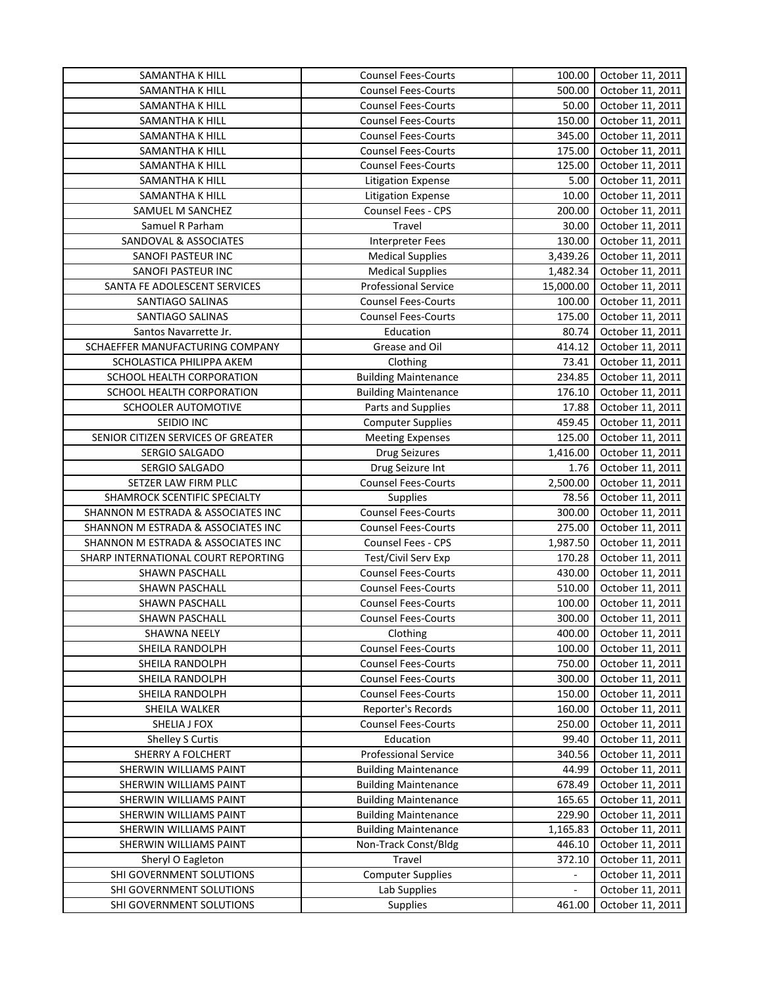| SAMANTHA K HILL                               | <b>Counsel Fees-Courts</b>  | 100.00         | October 11, 2011 |
|-----------------------------------------------|-----------------------------|----------------|------------------|
| SAMANTHA K HILL                               | <b>Counsel Fees-Courts</b>  | 500.00         | October 11, 2011 |
| SAMANTHA K HILL                               | <b>Counsel Fees-Courts</b>  | 50.00          | October 11, 2011 |
| SAMANTHA K HILL                               | <b>Counsel Fees-Courts</b>  | 150.00         | October 11, 2011 |
| SAMANTHA K HILL                               | <b>Counsel Fees-Courts</b>  | 345.00         | October 11, 2011 |
| SAMANTHA K HILL                               | <b>Counsel Fees-Courts</b>  | 175.00         | October 11, 2011 |
| SAMANTHA K HILL                               | <b>Counsel Fees-Courts</b>  | 125.00         | October 11, 2011 |
| SAMANTHA K HILL                               | <b>Litigation Expense</b>   | 5.00           | October 11, 2011 |
| SAMANTHA K HILL                               | <b>Litigation Expense</b>   | 10.00          | October 11, 2011 |
| SAMUEL M SANCHEZ                              | Counsel Fees - CPS          | 200.00         | October 11, 2011 |
| Samuel R Parham                               | Travel                      | 30.00          | October 11, 2011 |
| <b>SANDOVAL &amp; ASSOCIATES</b>              | Interpreter Fees            | 130.00         | October 11, 2011 |
| SANOFI PASTEUR INC                            | <b>Medical Supplies</b>     | 3,439.26       | October 11, 2011 |
| SANOFI PASTEUR INC                            | <b>Medical Supplies</b>     | 1,482.34       | October 11, 2011 |
| SANTA FE ADOLESCENT SERVICES                  | <b>Professional Service</b> | 15,000.00      | October 11, 2011 |
| SANTIAGO SALINAS                              | <b>Counsel Fees-Courts</b>  | 100.00         | October 11, 2011 |
| SANTIAGO SALINAS                              | <b>Counsel Fees-Courts</b>  | 175.00         | October 11, 2011 |
| Santos Navarrette Jr.                         | Education                   | 80.74          | October 11, 2011 |
| SCHAEFFER MANUFACTURING COMPANY               | Grease and Oil              | 414.12         | October 11, 2011 |
| SCHOLASTICA PHILIPPA AKEM                     | Clothing                    | 73.41          | October 11, 2011 |
| SCHOOL HEALTH CORPORATION                     | <b>Building Maintenance</b> | 234.85         | October 11, 2011 |
| SCHOOL HEALTH CORPORATION                     | <b>Building Maintenance</b> | 176.10         | October 11, 2011 |
| SCHOOLER AUTOMOTIVE                           | Parts and Supplies          | 17.88          | October 11, 2011 |
| SEIDIO INC                                    | <b>Computer Supplies</b>    | 459.45         | October 11, 2011 |
| SENIOR CITIZEN SERVICES OF GREATER            | <b>Meeting Expenses</b>     | 125.00         | October 11, 2011 |
| SERGIO SALGADO                                | <b>Drug Seizures</b>        | 1,416.00       | October 11, 2011 |
| SERGIO SALGADO                                | Drug Seizure Int            | 1.76           | October 11, 2011 |
| SETZER LAW FIRM PLLC                          | <b>Counsel Fees-Courts</b>  | 2,500.00       | October 11, 2011 |
| SHAMROCK SCENTIFIC SPECIALTY                  | Supplies                    | 78.56          | October 11, 2011 |
| SHANNON M ESTRADA & ASSOCIATES INC            | <b>Counsel Fees-Courts</b>  | 300.00         | October 11, 2011 |
| SHANNON M ESTRADA & ASSOCIATES INC            | <b>Counsel Fees-Courts</b>  | 275.00         | October 11, 2011 |
| SHANNON M ESTRADA & ASSOCIATES INC            | Counsel Fees - CPS          | 1,987.50       | October 11, 2011 |
| SHARP INTERNATIONAL COURT REPORTING           | Test/Civil Serv Exp         | 170.28         | October 11, 2011 |
| SHAWN PASCHALL                                | <b>Counsel Fees-Courts</b>  | 430.00         | October 11, 2011 |
| SHAWN PASCHALL                                | <b>Counsel Fees-Courts</b>  | 510.00         | October 11, 2011 |
| SHAWN PASCHALL                                | <b>Counsel Fees-Courts</b>  | 100.00         | October 11, 2011 |
| <b>SHAWN PASCHALL</b>                         | <b>Counsel Fees-Courts</b>  | 300.00         | October 11, 2011 |
| <b>SHAWNA NEELY</b>                           | Clothing                    | 400.00         | October 11, 2011 |
| SHEILA RANDOLPH                               | Counsel Fees-Courts         | 100.00         | October 11, 2011 |
| SHEILA RANDOLPH                               | <b>Counsel Fees-Courts</b>  | 750.00         | October 11, 2011 |
| SHEILA RANDOLPH                               | <b>Counsel Fees-Courts</b>  | 300.00         | October 11, 2011 |
| SHEILA RANDOLPH                               | <b>Counsel Fees-Courts</b>  | 150.00         | October 11, 2011 |
| SHEILA WALKER                                 | Reporter's Records          | 160.00         | October 11, 2011 |
| SHELIA J FOX                                  | <b>Counsel Fees-Courts</b>  | 250.00         | October 11, 2011 |
| Shelley S Curtis                              | Education                   | 99.40          | October 11, 2011 |
| SHERRY A FOLCHERT                             | <b>Professional Service</b> | 340.56         | October 11, 2011 |
| SHERWIN WILLIAMS PAINT                        | <b>Building Maintenance</b> | 44.99          | October 11, 2011 |
| SHERWIN WILLIAMS PAINT                        | <b>Building Maintenance</b> | 678.49         | October 11, 2011 |
| SHERWIN WILLIAMS PAINT                        | <b>Building Maintenance</b> | 165.65         | October 11, 2011 |
| SHERWIN WILLIAMS PAINT                        | <b>Building Maintenance</b> | 229.90         | October 11, 2011 |
| SHERWIN WILLIAMS PAINT                        | <b>Building Maintenance</b> | 1,165.83       | October 11, 2011 |
| SHERWIN WILLIAMS PAINT                        | Non-Track Const/Bldg        | 446.10         | October 11, 2011 |
|                                               | Travel                      | 372.10         | October 11, 2011 |
| Sheryl O Eagleton<br>SHI GOVERNMENT SOLUTIONS | <b>Computer Supplies</b>    | $\blacksquare$ | October 11, 2011 |
| SHI GOVERNMENT SOLUTIONS                      | Lab Supplies                |                |                  |
|                                               |                             |                | October 11, 2011 |
| SHI GOVERNMENT SOLUTIONS                      | Supplies                    | 461.00         | October 11, 2011 |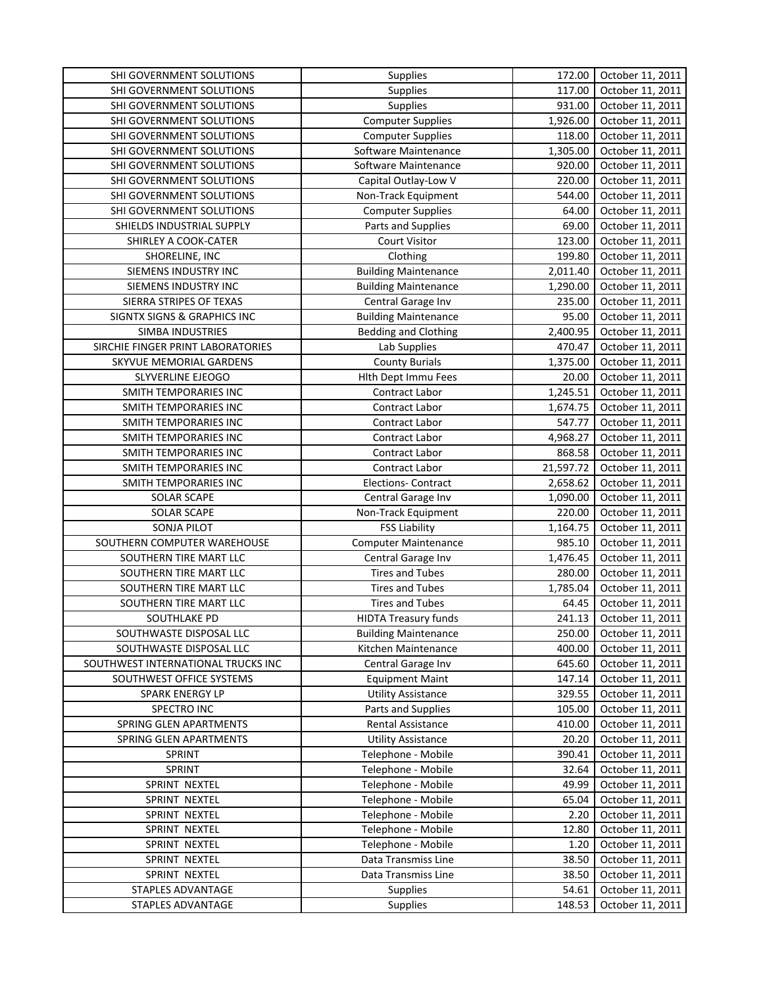| SHI GOVERNMENT SOLUTIONS           | Supplies                    | 172.00    | October 11, 2011 |
|------------------------------------|-----------------------------|-----------|------------------|
| SHI GOVERNMENT SOLUTIONS           | Supplies                    | 117.00    | October 11, 2011 |
| SHI GOVERNMENT SOLUTIONS           | Supplies                    | 931.00    | October 11, 2011 |
| SHI GOVERNMENT SOLUTIONS           | <b>Computer Supplies</b>    | 1,926.00  | October 11, 2011 |
| SHI GOVERNMENT SOLUTIONS           | <b>Computer Supplies</b>    | 118.00    | October 11, 2011 |
| SHI GOVERNMENT SOLUTIONS           | Software Maintenance        | 1,305.00  | October 11, 2011 |
| SHI GOVERNMENT SOLUTIONS           | Software Maintenance        | 920.00    | October 11, 2011 |
| SHI GOVERNMENT SOLUTIONS           | Capital Outlay-Low V        | 220.00    | October 11, 2011 |
| SHI GOVERNMENT SOLUTIONS           | Non-Track Equipment         | 544.00    | October 11, 2011 |
| SHI GOVERNMENT SOLUTIONS           | <b>Computer Supplies</b>    | 64.00     | October 11, 2011 |
| SHIELDS INDUSTRIAL SUPPLY          | Parts and Supplies          | 69.00     | October 11, 2011 |
| SHIRLEY A COOK-CATER               | <b>Court Visitor</b>        | 123.00    | October 11, 2011 |
| SHORELINE, INC                     | Clothing                    | 199.80    | October 11, 2011 |
| SIEMENS INDUSTRY INC               | <b>Building Maintenance</b> | 2,011.40  | October 11, 2011 |
| SIEMENS INDUSTRY INC               | <b>Building Maintenance</b> | 1,290.00  | October 11, 2011 |
| SIERRA STRIPES OF TEXAS            | Central Garage Inv          | 235.00    | October 11, 2011 |
| SIGNTX SIGNS & GRAPHICS INC        | <b>Building Maintenance</b> | 95.00     | October 11, 2011 |
| <b>SIMBA INDUSTRIES</b>            | <b>Bedding and Clothing</b> | 2,400.95  | October 11, 2011 |
| SIRCHIE FINGER PRINT LABORATORIES  | Lab Supplies                | 470.47    | October 11, 2011 |
| SKYVUE MEMORIAL GARDENS            | <b>County Burials</b>       | 1,375.00  | October 11, 2011 |
| SLYVERLINE EJEOGO                  | Hlth Dept Immu Fees         | 20.00     | October 11, 2011 |
| SMITH TEMPORARIES INC              | Contract Labor              | 1,245.51  | October 11, 2011 |
| SMITH TEMPORARIES INC              | Contract Labor              | 1,674.75  | October 11, 2011 |
| <b>SMITH TEMPORARIES INC</b>       | Contract Labor              | 547.77    | October 11, 2011 |
| SMITH TEMPORARIES INC              | Contract Labor              | 4,968.27  | October 11, 2011 |
| SMITH TEMPORARIES INC              | Contract Labor              | 868.58    | October 11, 2011 |
| SMITH TEMPORARIES INC              | Contract Labor              | 21,597.72 | October 11, 2011 |
| SMITH TEMPORARIES INC              | <b>Elections- Contract</b>  | 2,658.62  | October 11, 2011 |
| <b>SOLAR SCAPE</b>                 | Central Garage Inv          | 1,090.00  | October 11, 2011 |
| <b>SOLAR SCAPE</b>                 | Non-Track Equipment         | 220.00    | October 11, 2011 |
| <b>SONJA PILOT</b>                 | <b>FSS Liability</b>        | 1,164.75  | October 11, 2011 |
| SOUTHERN COMPUTER WAREHOUSE        | <b>Computer Maintenance</b> | 985.10    | October 11, 2011 |
| SOUTHERN TIRE MART LLC             | Central Garage Inv          | 1,476.45  | October 11, 2011 |
| SOUTHERN TIRE MART LLC             | <b>Tires and Tubes</b>      | 280.00    | October 11, 2011 |
| SOUTHERN TIRE MART LLC             | <b>Tires and Tubes</b>      | 1,785.04  | October 11, 2011 |
| SOUTHERN TIRE MART LLC             | <b>Tires and Tubes</b>      | 64.45     | October 11, 2011 |
| SOUTHLAKE PD                       | <b>HIDTA Treasury funds</b> | 241.13    | October 11, 2011 |
| SOUTHWASTE DISPOSAL LLC            | <b>Building Maintenance</b> | 250.00    | October 11, 2011 |
| SOUTHWASTE DISPOSAL LLC            | Kitchen Maintenance         | 400.00    | October 11, 2011 |
| SOUTHWEST INTERNATIONAL TRUCKS INC | Central Garage Inv          | 645.60    | October 11, 2011 |
| SOUTHWEST OFFICE SYSTEMS           | <b>Equipment Maint</b>      | 147.14    | October 11, 2011 |
| <b>SPARK ENERGY LP</b>             | <b>Utility Assistance</b>   | 329.55    | October 11, 2011 |
| SPECTRO INC                        | Parts and Supplies          | 105.00    | October 11, 2011 |
| SPRING GLEN APARTMENTS             | Rental Assistance           | 410.00    | October 11, 2011 |
| SPRING GLEN APARTMENTS             | <b>Utility Assistance</b>   | 20.20     | October 11, 2011 |
| SPRINT                             | Telephone - Mobile          | 390.41    | October 11, 2011 |
| SPRINT                             | Telephone - Mobile          | 32.64     | October 11, 2011 |
| SPRINT NEXTEL                      | Telephone - Mobile          | 49.99     | October 11, 2011 |
| SPRINT NEXTEL                      | Telephone - Mobile          | 65.04     | October 11, 2011 |
| SPRINT NEXTEL                      | Telephone - Mobile          | 2.20      | October 11, 2011 |
| SPRINT NEXTEL                      | Telephone - Mobile          | 12.80     | October 11, 2011 |
| SPRINT NEXTEL                      | Telephone - Mobile          | 1.20      | October 11, 2011 |
| SPRINT NEXTEL                      | Data Transmiss Line         | 38.50     | October 11, 2011 |
| SPRINT NEXTEL                      | Data Transmiss Line         | 38.50     | October 11, 2011 |
| STAPLES ADVANTAGE                  | <b>Supplies</b>             | 54.61     | October 11, 2011 |
| STAPLES ADVANTAGE                  | Supplies                    | 148.53    | October 11, 2011 |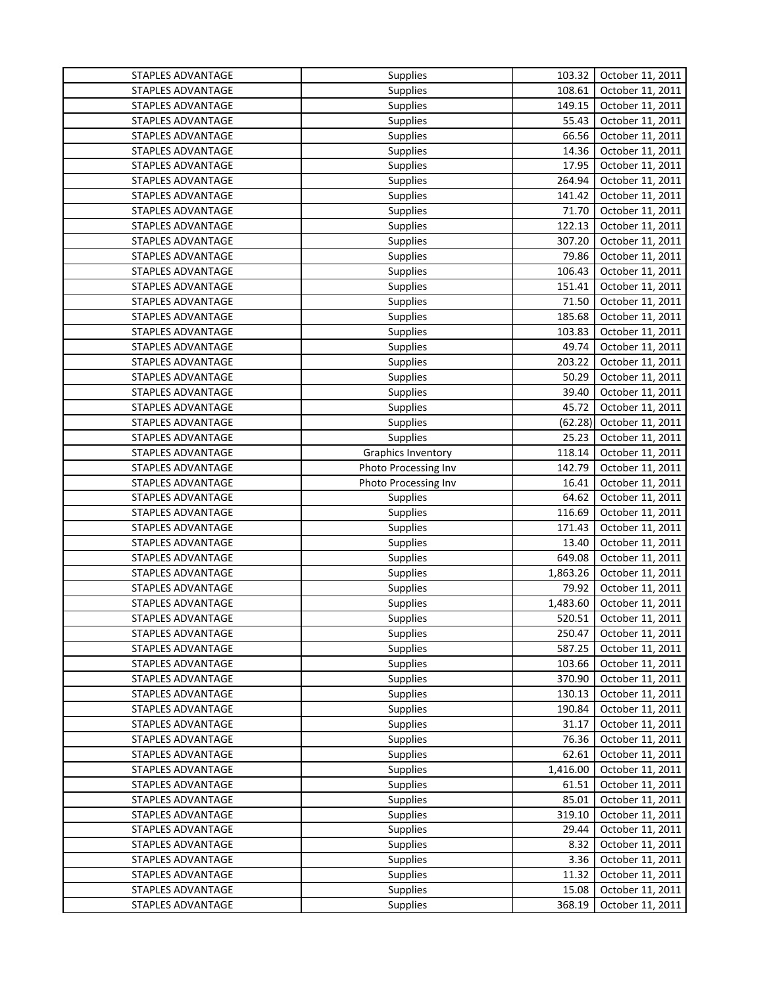| STAPLES ADVANTAGE | Supplies             | 103.32   | October 11, 2011 |
|-------------------|----------------------|----------|------------------|
| STAPLES ADVANTAGE | Supplies             | 108.61   | October 11, 2011 |
| STAPLES ADVANTAGE | Supplies             | 149.15   | October 11, 2011 |
| STAPLES ADVANTAGE | Supplies             | 55.43    | October 11, 2011 |
| STAPLES ADVANTAGE | <b>Supplies</b>      | 66.56    | October 11, 2011 |
| STAPLES ADVANTAGE | Supplies             | 14.36    | October 11, 2011 |
| STAPLES ADVANTAGE | <b>Supplies</b>      | 17.95    | October 11, 2011 |
| STAPLES ADVANTAGE | <b>Supplies</b>      | 264.94   | October 11, 2011 |
| STAPLES ADVANTAGE | <b>Supplies</b>      | 141.42   | October 11, 2011 |
| STAPLES ADVANTAGE | Supplies             | 71.70    | October 11, 2011 |
| STAPLES ADVANTAGE | Supplies             | 122.13   | October 11, 2011 |
| STAPLES ADVANTAGE | <b>Supplies</b>      | 307.20   | October 11, 2011 |
| STAPLES ADVANTAGE | <b>Supplies</b>      | 79.86    | October 11, 2011 |
| STAPLES ADVANTAGE | Supplies             | 106.43   | October 11, 2011 |
| STAPLES ADVANTAGE | Supplies             | 151.41   | October 11, 2011 |
| STAPLES ADVANTAGE | Supplies             | 71.50    | October 11, 2011 |
| STAPLES ADVANTAGE | <b>Supplies</b>      | 185.68   | October 11, 2011 |
| STAPLES ADVANTAGE | <b>Supplies</b>      | 103.83   | October 11, 2011 |
| STAPLES ADVANTAGE | <b>Supplies</b>      | 49.74    | October 11, 2011 |
| STAPLES ADVANTAGE | <b>Supplies</b>      | 203.22   | October 11, 2011 |
| STAPLES ADVANTAGE | <b>Supplies</b>      | 50.29    | October 11, 2011 |
| STAPLES ADVANTAGE | <b>Supplies</b>      | 39.40    | October 11, 2011 |
| STAPLES ADVANTAGE | <b>Supplies</b>      | 45.72    | October 11, 2011 |
| STAPLES ADVANTAGE | <b>Supplies</b>      | (62.28)  | October 11, 2011 |
| STAPLES ADVANTAGE | Supplies             | 25.23    | October 11, 2011 |
| STAPLES ADVANTAGE | Graphics Inventory   | 118.14   | October 11, 2011 |
| STAPLES ADVANTAGE | Photo Processing Inv | 142.79   | October 11, 2011 |
| STAPLES ADVANTAGE | Photo Processing Inv | 16.41    | October 11, 2011 |
| STAPLES ADVANTAGE | Supplies             | 64.62    | October 11, 2011 |
| STAPLES ADVANTAGE | <b>Supplies</b>      | 116.69   | October 11, 2011 |
| STAPLES ADVANTAGE | <b>Supplies</b>      | 171.43   | October 11, 2011 |
| STAPLES ADVANTAGE | <b>Supplies</b>      | 13.40    | October 11, 2011 |
| STAPLES ADVANTAGE | <b>Supplies</b>      | 649.08   | October 11, 2011 |
| STAPLES ADVANTAGE | <b>Supplies</b>      | 1,863.26 | October 11, 2011 |
| STAPLES ADVANTAGE | <b>Supplies</b>      | 79.92    | October 11, 2011 |
| STAPLES ADVANTAGE | Supplies             | 1,483.60 | October 11, 2011 |
| STAPLES ADVANTAGE | <b>Supplies</b>      | 520.51   | October 11, 2011 |
| STAPLES ADVANTAGE | Supplies             | 250.47   | October 11, 2011 |
| STAPLES ADVANTAGE | <b>Supplies</b>      | 587.25   | October 11, 2011 |
| STAPLES ADVANTAGE | <b>Supplies</b>      | 103.66   | October 11, 2011 |
| STAPLES ADVANTAGE | <b>Supplies</b>      | 370.90   | October 11, 2011 |
| STAPLES ADVANTAGE | Supplies             | 130.13   | October 11, 2011 |
| STAPLES ADVANTAGE | <b>Supplies</b>      | 190.84   | October 11, 2011 |
| STAPLES ADVANTAGE | <b>Supplies</b>      | 31.17    | October 11, 2011 |
| STAPLES ADVANTAGE | <b>Supplies</b>      | 76.36    | October 11, 2011 |
| STAPLES ADVANTAGE | <b>Supplies</b>      | 62.61    | October 11, 2011 |
| STAPLES ADVANTAGE | Supplies             | 1,416.00 | October 11, 2011 |
| STAPLES ADVANTAGE | Supplies             | 61.51    | October 11, 2011 |
| STAPLES ADVANTAGE | Supplies             | 85.01    | October 11, 2011 |
| STAPLES ADVANTAGE | Supplies             | 319.10   | October 11, 2011 |
| STAPLES ADVANTAGE | Supplies             | 29.44    | October 11, 2011 |
| STAPLES ADVANTAGE | Supplies             | 8.32     | October 11, 2011 |
| STAPLES ADVANTAGE | Supplies             | 3.36     | October 11, 2011 |
| STAPLES ADVANTAGE | Supplies             | 11.32    | October 11, 2011 |
| STAPLES ADVANTAGE | <b>Supplies</b>      | 15.08    | October 11, 2011 |
| STAPLES ADVANTAGE | Supplies             | 368.19   | October 11, 2011 |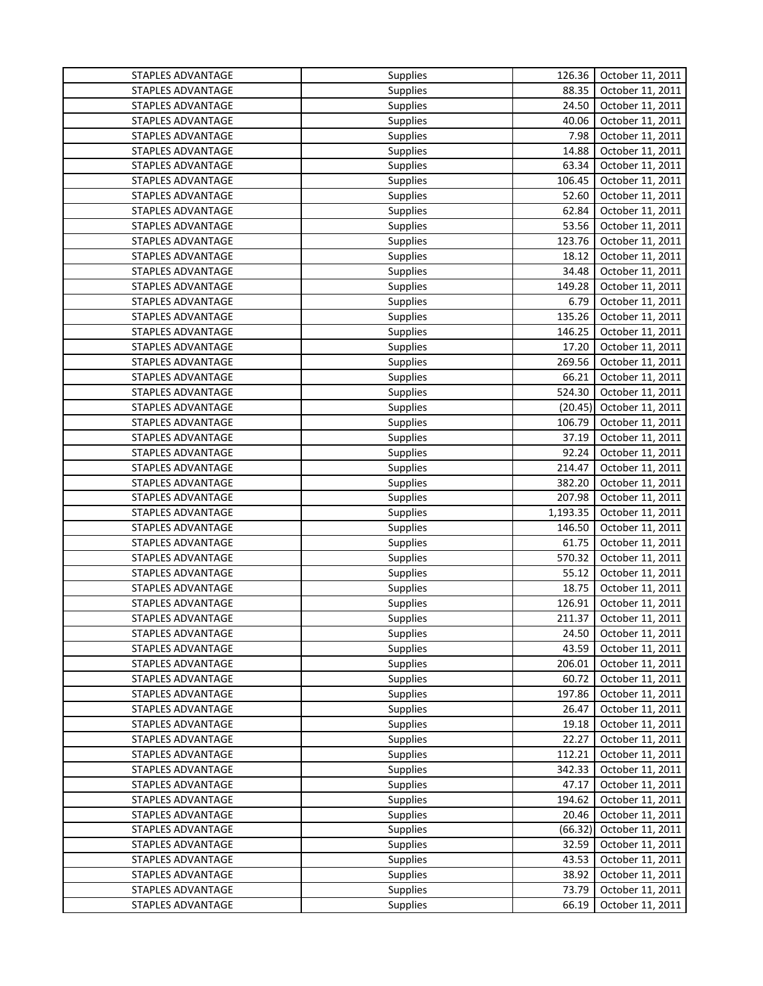| STAPLES ADVANTAGE<br>Supplies<br>88.35<br>October 11, 2011<br>STAPLES ADVANTAGE<br>Supplies<br>24.50<br>October 11, 2011<br>STAPLES ADVANTAGE<br>40.06<br>October 11, 2011<br>Supplies<br>STAPLES ADVANTAGE<br>7.98<br>October 11, 2011<br><b>Supplies</b><br>STAPLES ADVANTAGE<br>14.88<br>October 11, 2011<br><b>Supplies</b><br>63.34<br>STAPLES ADVANTAGE<br><b>Supplies</b><br>October 11, 2011<br>106.45<br>STAPLES ADVANTAGE<br><b>Supplies</b><br>October 11, 2011<br>STAPLES ADVANTAGE<br><b>Supplies</b><br>52.60<br>October 11, 2011<br>62.84<br>STAPLES ADVANTAGE<br>Supplies<br>October 11, 2011<br>53.56<br>STAPLES ADVANTAGE<br>Supplies<br>October 11, 2011<br>123.76<br>October 11, 2011<br>STAPLES ADVANTAGE<br><b>Supplies</b><br>STAPLES ADVANTAGE<br><b>Supplies</b><br>18.12<br>October 11, 2011<br>34.48<br>STAPLES ADVANTAGE<br><b>Supplies</b><br>October 11, 2011<br>STAPLES ADVANTAGE<br>149.28<br>October 11, 2011<br>Supplies<br>STAPLES ADVANTAGE<br>6.79<br>Supplies<br>October 11, 2011<br>135.26<br>STAPLES ADVANTAGE<br>October 11, 2011<br><b>Supplies</b><br>STAPLES ADVANTAGE<br>146.25<br>October 11, 2011<br><b>Supplies</b><br>STAPLES ADVANTAGE<br>17.20<br>October 11, 2011<br><b>Supplies</b><br>269.56<br>STAPLES ADVANTAGE<br>October 11, 2011<br><b>Supplies</b><br>STAPLES ADVANTAGE<br>66.21<br>October 11, 2011<br><b>Supplies</b><br>524.30<br>STAPLES ADVANTAGE<br>October 11, 2011<br><b>Supplies</b><br>STAPLES ADVANTAGE<br>(20.45)<br>October 11, 2011<br>Supplies<br>October 11, 2011<br>STAPLES ADVANTAGE<br>106.79<br><b>Supplies</b><br>October 11, 2011<br>STAPLES ADVANTAGE<br>37.19<br>Supplies<br>STAPLES ADVANTAGE<br>92.24<br>October 11, 2011<br><b>Supplies</b><br>October 11, 2011<br>STAPLES ADVANTAGE<br>214.47<br><b>Supplies</b><br>STAPLES ADVANTAGE<br>382.20<br>October 11, 2011<br><b>Supplies</b><br>STAPLES ADVANTAGE<br>207.98<br>October 11, 2011<br>Supplies<br>STAPLES ADVANTAGE<br>1,193.35<br>October 11, 2011<br><b>Supplies</b><br>STAPLES ADVANTAGE<br>146.50<br>October 11, 2011<br><b>Supplies</b><br>STAPLES ADVANTAGE<br>61.75<br>October 11, 2011<br><b>Supplies</b><br>570.32<br>STAPLES ADVANTAGE<br>October 11, 2011<br><b>Supplies</b> |
|----------------------------------------------------------------------------------------------------------------------------------------------------------------------------------------------------------------------------------------------------------------------------------------------------------------------------------------------------------------------------------------------------------------------------------------------------------------------------------------------------------------------------------------------------------------------------------------------------------------------------------------------------------------------------------------------------------------------------------------------------------------------------------------------------------------------------------------------------------------------------------------------------------------------------------------------------------------------------------------------------------------------------------------------------------------------------------------------------------------------------------------------------------------------------------------------------------------------------------------------------------------------------------------------------------------------------------------------------------------------------------------------------------------------------------------------------------------------------------------------------------------------------------------------------------------------------------------------------------------------------------------------------------------------------------------------------------------------------------------------------------------------------------------------------------------------------------------------------------------------------------------------------------------------------------------------------------------------------------------------------------------------------------------------------------------------------------------------------------------------------------------------------------------------------------------------------------------------------------------|
|                                                                                                                                                                                                                                                                                                                                                                                                                                                                                                                                                                                                                                                                                                                                                                                                                                                                                                                                                                                                                                                                                                                                                                                                                                                                                                                                                                                                                                                                                                                                                                                                                                                                                                                                                                                                                                                                                                                                                                                                                                                                                                                                                                                                                                        |
|                                                                                                                                                                                                                                                                                                                                                                                                                                                                                                                                                                                                                                                                                                                                                                                                                                                                                                                                                                                                                                                                                                                                                                                                                                                                                                                                                                                                                                                                                                                                                                                                                                                                                                                                                                                                                                                                                                                                                                                                                                                                                                                                                                                                                                        |
|                                                                                                                                                                                                                                                                                                                                                                                                                                                                                                                                                                                                                                                                                                                                                                                                                                                                                                                                                                                                                                                                                                                                                                                                                                                                                                                                                                                                                                                                                                                                                                                                                                                                                                                                                                                                                                                                                                                                                                                                                                                                                                                                                                                                                                        |
|                                                                                                                                                                                                                                                                                                                                                                                                                                                                                                                                                                                                                                                                                                                                                                                                                                                                                                                                                                                                                                                                                                                                                                                                                                                                                                                                                                                                                                                                                                                                                                                                                                                                                                                                                                                                                                                                                                                                                                                                                                                                                                                                                                                                                                        |
|                                                                                                                                                                                                                                                                                                                                                                                                                                                                                                                                                                                                                                                                                                                                                                                                                                                                                                                                                                                                                                                                                                                                                                                                                                                                                                                                                                                                                                                                                                                                                                                                                                                                                                                                                                                                                                                                                                                                                                                                                                                                                                                                                                                                                                        |
|                                                                                                                                                                                                                                                                                                                                                                                                                                                                                                                                                                                                                                                                                                                                                                                                                                                                                                                                                                                                                                                                                                                                                                                                                                                                                                                                                                                                                                                                                                                                                                                                                                                                                                                                                                                                                                                                                                                                                                                                                                                                                                                                                                                                                                        |
|                                                                                                                                                                                                                                                                                                                                                                                                                                                                                                                                                                                                                                                                                                                                                                                                                                                                                                                                                                                                                                                                                                                                                                                                                                                                                                                                                                                                                                                                                                                                                                                                                                                                                                                                                                                                                                                                                                                                                                                                                                                                                                                                                                                                                                        |
|                                                                                                                                                                                                                                                                                                                                                                                                                                                                                                                                                                                                                                                                                                                                                                                                                                                                                                                                                                                                                                                                                                                                                                                                                                                                                                                                                                                                                                                                                                                                                                                                                                                                                                                                                                                                                                                                                                                                                                                                                                                                                                                                                                                                                                        |
|                                                                                                                                                                                                                                                                                                                                                                                                                                                                                                                                                                                                                                                                                                                                                                                                                                                                                                                                                                                                                                                                                                                                                                                                                                                                                                                                                                                                                                                                                                                                                                                                                                                                                                                                                                                                                                                                                                                                                                                                                                                                                                                                                                                                                                        |
|                                                                                                                                                                                                                                                                                                                                                                                                                                                                                                                                                                                                                                                                                                                                                                                                                                                                                                                                                                                                                                                                                                                                                                                                                                                                                                                                                                                                                                                                                                                                                                                                                                                                                                                                                                                                                                                                                                                                                                                                                                                                                                                                                                                                                                        |
|                                                                                                                                                                                                                                                                                                                                                                                                                                                                                                                                                                                                                                                                                                                                                                                                                                                                                                                                                                                                                                                                                                                                                                                                                                                                                                                                                                                                                                                                                                                                                                                                                                                                                                                                                                                                                                                                                                                                                                                                                                                                                                                                                                                                                                        |
|                                                                                                                                                                                                                                                                                                                                                                                                                                                                                                                                                                                                                                                                                                                                                                                                                                                                                                                                                                                                                                                                                                                                                                                                                                                                                                                                                                                                                                                                                                                                                                                                                                                                                                                                                                                                                                                                                                                                                                                                                                                                                                                                                                                                                                        |
|                                                                                                                                                                                                                                                                                                                                                                                                                                                                                                                                                                                                                                                                                                                                                                                                                                                                                                                                                                                                                                                                                                                                                                                                                                                                                                                                                                                                                                                                                                                                                                                                                                                                                                                                                                                                                                                                                                                                                                                                                                                                                                                                                                                                                                        |
|                                                                                                                                                                                                                                                                                                                                                                                                                                                                                                                                                                                                                                                                                                                                                                                                                                                                                                                                                                                                                                                                                                                                                                                                                                                                                                                                                                                                                                                                                                                                                                                                                                                                                                                                                                                                                                                                                                                                                                                                                                                                                                                                                                                                                                        |
|                                                                                                                                                                                                                                                                                                                                                                                                                                                                                                                                                                                                                                                                                                                                                                                                                                                                                                                                                                                                                                                                                                                                                                                                                                                                                                                                                                                                                                                                                                                                                                                                                                                                                                                                                                                                                                                                                                                                                                                                                                                                                                                                                                                                                                        |
|                                                                                                                                                                                                                                                                                                                                                                                                                                                                                                                                                                                                                                                                                                                                                                                                                                                                                                                                                                                                                                                                                                                                                                                                                                                                                                                                                                                                                                                                                                                                                                                                                                                                                                                                                                                                                                                                                                                                                                                                                                                                                                                                                                                                                                        |
|                                                                                                                                                                                                                                                                                                                                                                                                                                                                                                                                                                                                                                                                                                                                                                                                                                                                                                                                                                                                                                                                                                                                                                                                                                                                                                                                                                                                                                                                                                                                                                                                                                                                                                                                                                                                                                                                                                                                                                                                                                                                                                                                                                                                                                        |
|                                                                                                                                                                                                                                                                                                                                                                                                                                                                                                                                                                                                                                                                                                                                                                                                                                                                                                                                                                                                                                                                                                                                                                                                                                                                                                                                                                                                                                                                                                                                                                                                                                                                                                                                                                                                                                                                                                                                                                                                                                                                                                                                                                                                                                        |
|                                                                                                                                                                                                                                                                                                                                                                                                                                                                                                                                                                                                                                                                                                                                                                                                                                                                                                                                                                                                                                                                                                                                                                                                                                                                                                                                                                                                                                                                                                                                                                                                                                                                                                                                                                                                                                                                                                                                                                                                                                                                                                                                                                                                                                        |
|                                                                                                                                                                                                                                                                                                                                                                                                                                                                                                                                                                                                                                                                                                                                                                                                                                                                                                                                                                                                                                                                                                                                                                                                                                                                                                                                                                                                                                                                                                                                                                                                                                                                                                                                                                                                                                                                                                                                                                                                                                                                                                                                                                                                                                        |
|                                                                                                                                                                                                                                                                                                                                                                                                                                                                                                                                                                                                                                                                                                                                                                                                                                                                                                                                                                                                                                                                                                                                                                                                                                                                                                                                                                                                                                                                                                                                                                                                                                                                                                                                                                                                                                                                                                                                                                                                                                                                                                                                                                                                                                        |
|                                                                                                                                                                                                                                                                                                                                                                                                                                                                                                                                                                                                                                                                                                                                                                                                                                                                                                                                                                                                                                                                                                                                                                                                                                                                                                                                                                                                                                                                                                                                                                                                                                                                                                                                                                                                                                                                                                                                                                                                                                                                                                                                                                                                                                        |
|                                                                                                                                                                                                                                                                                                                                                                                                                                                                                                                                                                                                                                                                                                                                                                                                                                                                                                                                                                                                                                                                                                                                                                                                                                                                                                                                                                                                                                                                                                                                                                                                                                                                                                                                                                                                                                                                                                                                                                                                                                                                                                                                                                                                                                        |
|                                                                                                                                                                                                                                                                                                                                                                                                                                                                                                                                                                                                                                                                                                                                                                                                                                                                                                                                                                                                                                                                                                                                                                                                                                                                                                                                                                                                                                                                                                                                                                                                                                                                                                                                                                                                                                                                                                                                                                                                                                                                                                                                                                                                                                        |
|                                                                                                                                                                                                                                                                                                                                                                                                                                                                                                                                                                                                                                                                                                                                                                                                                                                                                                                                                                                                                                                                                                                                                                                                                                                                                                                                                                                                                                                                                                                                                                                                                                                                                                                                                                                                                                                                                                                                                                                                                                                                                                                                                                                                                                        |
|                                                                                                                                                                                                                                                                                                                                                                                                                                                                                                                                                                                                                                                                                                                                                                                                                                                                                                                                                                                                                                                                                                                                                                                                                                                                                                                                                                                                                                                                                                                                                                                                                                                                                                                                                                                                                                                                                                                                                                                                                                                                                                                                                                                                                                        |
|                                                                                                                                                                                                                                                                                                                                                                                                                                                                                                                                                                                                                                                                                                                                                                                                                                                                                                                                                                                                                                                                                                                                                                                                                                                                                                                                                                                                                                                                                                                                                                                                                                                                                                                                                                                                                                                                                                                                                                                                                                                                                                                                                                                                                                        |
|                                                                                                                                                                                                                                                                                                                                                                                                                                                                                                                                                                                                                                                                                                                                                                                                                                                                                                                                                                                                                                                                                                                                                                                                                                                                                                                                                                                                                                                                                                                                                                                                                                                                                                                                                                                                                                                                                                                                                                                                                                                                                                                                                                                                                                        |
|                                                                                                                                                                                                                                                                                                                                                                                                                                                                                                                                                                                                                                                                                                                                                                                                                                                                                                                                                                                                                                                                                                                                                                                                                                                                                                                                                                                                                                                                                                                                                                                                                                                                                                                                                                                                                                                                                                                                                                                                                                                                                                                                                                                                                                        |
|                                                                                                                                                                                                                                                                                                                                                                                                                                                                                                                                                                                                                                                                                                                                                                                                                                                                                                                                                                                                                                                                                                                                                                                                                                                                                                                                                                                                                                                                                                                                                                                                                                                                                                                                                                                                                                                                                                                                                                                                                                                                                                                                                                                                                                        |
|                                                                                                                                                                                                                                                                                                                                                                                                                                                                                                                                                                                                                                                                                                                                                                                                                                                                                                                                                                                                                                                                                                                                                                                                                                                                                                                                                                                                                                                                                                                                                                                                                                                                                                                                                                                                                                                                                                                                                                                                                                                                                                                                                                                                                                        |
|                                                                                                                                                                                                                                                                                                                                                                                                                                                                                                                                                                                                                                                                                                                                                                                                                                                                                                                                                                                                                                                                                                                                                                                                                                                                                                                                                                                                                                                                                                                                                                                                                                                                                                                                                                                                                                                                                                                                                                                                                                                                                                                                                                                                                                        |
| STAPLES ADVANTAGE<br>55.12<br>October 11, 2011<br><b>Supplies</b>                                                                                                                                                                                                                                                                                                                                                                                                                                                                                                                                                                                                                                                                                                                                                                                                                                                                                                                                                                                                                                                                                                                                                                                                                                                                                                                                                                                                                                                                                                                                                                                                                                                                                                                                                                                                                                                                                                                                                                                                                                                                                                                                                                      |
| 18.75<br>STAPLES ADVANTAGE<br>October 11, 2011<br><b>Supplies</b>                                                                                                                                                                                                                                                                                                                                                                                                                                                                                                                                                                                                                                                                                                                                                                                                                                                                                                                                                                                                                                                                                                                                                                                                                                                                                                                                                                                                                                                                                                                                                                                                                                                                                                                                                                                                                                                                                                                                                                                                                                                                                                                                                                      |
| STAPLES ADVANTAGE<br>126.91<br>October 11, 2011<br>Supplies                                                                                                                                                                                                                                                                                                                                                                                                                                                                                                                                                                                                                                                                                                                                                                                                                                                                                                                                                                                                                                                                                                                                                                                                                                                                                                                                                                                                                                                                                                                                                                                                                                                                                                                                                                                                                                                                                                                                                                                                                                                                                                                                                                            |
| STAPLES ADVANTAGE<br>211.37<br>October 11, 2011<br><b>Supplies</b>                                                                                                                                                                                                                                                                                                                                                                                                                                                                                                                                                                                                                                                                                                                                                                                                                                                                                                                                                                                                                                                                                                                                                                                                                                                                                                                                                                                                                                                                                                                                                                                                                                                                                                                                                                                                                                                                                                                                                                                                                                                                                                                                                                     |
| Supplies<br>24.50<br>October 11, 2011<br>STAPLES ADVANTAGE                                                                                                                                                                                                                                                                                                                                                                                                                                                                                                                                                                                                                                                                                                                                                                                                                                                                                                                                                                                                                                                                                                                                                                                                                                                                                                                                                                                                                                                                                                                                                                                                                                                                                                                                                                                                                                                                                                                                                                                                                                                                                                                                                                             |
| 43.59<br>STAPLES ADVANTAGE<br><b>Supplies</b><br>October 11, 2011                                                                                                                                                                                                                                                                                                                                                                                                                                                                                                                                                                                                                                                                                                                                                                                                                                                                                                                                                                                                                                                                                                                                                                                                                                                                                                                                                                                                                                                                                                                                                                                                                                                                                                                                                                                                                                                                                                                                                                                                                                                                                                                                                                      |
| STAPLES ADVANTAGE<br><b>Supplies</b><br>206.01<br>October 11, 2011                                                                                                                                                                                                                                                                                                                                                                                                                                                                                                                                                                                                                                                                                                                                                                                                                                                                                                                                                                                                                                                                                                                                                                                                                                                                                                                                                                                                                                                                                                                                                                                                                                                                                                                                                                                                                                                                                                                                                                                                                                                                                                                                                                     |
| STAPLES ADVANTAGE<br><b>Supplies</b><br>60.72<br>October 11, 2011                                                                                                                                                                                                                                                                                                                                                                                                                                                                                                                                                                                                                                                                                                                                                                                                                                                                                                                                                                                                                                                                                                                                                                                                                                                                                                                                                                                                                                                                                                                                                                                                                                                                                                                                                                                                                                                                                                                                                                                                                                                                                                                                                                      |
| 197.86<br>STAPLES ADVANTAGE<br>Supplies<br>October 11, 2011                                                                                                                                                                                                                                                                                                                                                                                                                                                                                                                                                                                                                                                                                                                                                                                                                                                                                                                                                                                                                                                                                                                                                                                                                                                                                                                                                                                                                                                                                                                                                                                                                                                                                                                                                                                                                                                                                                                                                                                                                                                                                                                                                                            |
| STAPLES ADVANTAGE<br><b>Supplies</b><br>26.47<br>October 11, 2011                                                                                                                                                                                                                                                                                                                                                                                                                                                                                                                                                                                                                                                                                                                                                                                                                                                                                                                                                                                                                                                                                                                                                                                                                                                                                                                                                                                                                                                                                                                                                                                                                                                                                                                                                                                                                                                                                                                                                                                                                                                                                                                                                                      |
| October 11, 2011<br>STAPLES ADVANTAGE<br><b>Supplies</b><br>19.18                                                                                                                                                                                                                                                                                                                                                                                                                                                                                                                                                                                                                                                                                                                                                                                                                                                                                                                                                                                                                                                                                                                                                                                                                                                                                                                                                                                                                                                                                                                                                                                                                                                                                                                                                                                                                                                                                                                                                                                                                                                                                                                                                                      |
| 22.27<br>STAPLES ADVANTAGE<br><b>Supplies</b><br>October 11, 2011                                                                                                                                                                                                                                                                                                                                                                                                                                                                                                                                                                                                                                                                                                                                                                                                                                                                                                                                                                                                                                                                                                                                                                                                                                                                                                                                                                                                                                                                                                                                                                                                                                                                                                                                                                                                                                                                                                                                                                                                                                                                                                                                                                      |
| 112.21<br>October 11, 2011<br>STAPLES ADVANTAGE<br><b>Supplies</b>                                                                                                                                                                                                                                                                                                                                                                                                                                                                                                                                                                                                                                                                                                                                                                                                                                                                                                                                                                                                                                                                                                                                                                                                                                                                                                                                                                                                                                                                                                                                                                                                                                                                                                                                                                                                                                                                                                                                                                                                                                                                                                                                                                     |
| Supplies<br>342.33<br>October 11, 2011<br>STAPLES ADVANTAGE                                                                                                                                                                                                                                                                                                                                                                                                                                                                                                                                                                                                                                                                                                                                                                                                                                                                                                                                                                                                                                                                                                                                                                                                                                                                                                                                                                                                                                                                                                                                                                                                                                                                                                                                                                                                                                                                                                                                                                                                                                                                                                                                                                            |
| STAPLES ADVANTAGE<br>Supplies<br>47.17<br>October 11, 2011                                                                                                                                                                                                                                                                                                                                                                                                                                                                                                                                                                                                                                                                                                                                                                                                                                                                                                                                                                                                                                                                                                                                                                                                                                                                                                                                                                                                                                                                                                                                                                                                                                                                                                                                                                                                                                                                                                                                                                                                                                                                                                                                                                             |
| Supplies<br>194.62<br>October 11, 2011<br>STAPLES ADVANTAGE                                                                                                                                                                                                                                                                                                                                                                                                                                                                                                                                                                                                                                                                                                                                                                                                                                                                                                                                                                                                                                                                                                                                                                                                                                                                                                                                                                                                                                                                                                                                                                                                                                                                                                                                                                                                                                                                                                                                                                                                                                                                                                                                                                            |
| October 11, 2011<br>STAPLES ADVANTAGE<br>Supplies<br>20.46                                                                                                                                                                                                                                                                                                                                                                                                                                                                                                                                                                                                                                                                                                                                                                                                                                                                                                                                                                                                                                                                                                                                                                                                                                                                                                                                                                                                                                                                                                                                                                                                                                                                                                                                                                                                                                                                                                                                                                                                                                                                                                                                                                             |
| Supplies<br>(66.32)<br>October 11, 2011<br>STAPLES ADVANTAGE                                                                                                                                                                                                                                                                                                                                                                                                                                                                                                                                                                                                                                                                                                                                                                                                                                                                                                                                                                                                                                                                                                                                                                                                                                                                                                                                                                                                                                                                                                                                                                                                                                                                                                                                                                                                                                                                                                                                                                                                                                                                                                                                                                           |
| October 11, 2011<br>STAPLES ADVANTAGE<br>Supplies<br>32.59                                                                                                                                                                                                                                                                                                                                                                                                                                                                                                                                                                                                                                                                                                                                                                                                                                                                                                                                                                                                                                                                                                                                                                                                                                                                                                                                                                                                                                                                                                                                                                                                                                                                                                                                                                                                                                                                                                                                                                                                                                                                                                                                                                             |
| October 11, 2011<br>STAPLES ADVANTAGE<br>Supplies<br>43.53                                                                                                                                                                                                                                                                                                                                                                                                                                                                                                                                                                                                                                                                                                                                                                                                                                                                                                                                                                                                                                                                                                                                                                                                                                                                                                                                                                                                                                                                                                                                                                                                                                                                                                                                                                                                                                                                                                                                                                                                                                                                                                                                                                             |
| STAPLES ADVANTAGE<br>Supplies<br>38.92<br>October 11, 2011                                                                                                                                                                                                                                                                                                                                                                                                                                                                                                                                                                                                                                                                                                                                                                                                                                                                                                                                                                                                                                                                                                                                                                                                                                                                                                                                                                                                                                                                                                                                                                                                                                                                                                                                                                                                                                                                                                                                                                                                                                                                                                                                                                             |
| 73.79<br>October 11, 2011<br>STAPLES ADVANTAGE<br><b>Supplies</b>                                                                                                                                                                                                                                                                                                                                                                                                                                                                                                                                                                                                                                                                                                                                                                                                                                                                                                                                                                                                                                                                                                                                                                                                                                                                                                                                                                                                                                                                                                                                                                                                                                                                                                                                                                                                                                                                                                                                                                                                                                                                                                                                                                      |
| STAPLES ADVANTAGE<br>Supplies<br>66.19<br>October 11, 2011                                                                                                                                                                                                                                                                                                                                                                                                                                                                                                                                                                                                                                                                                                                                                                                                                                                                                                                                                                                                                                                                                                                                                                                                                                                                                                                                                                                                                                                                                                                                                                                                                                                                                                                                                                                                                                                                                                                                                                                                                                                                                                                                                                             |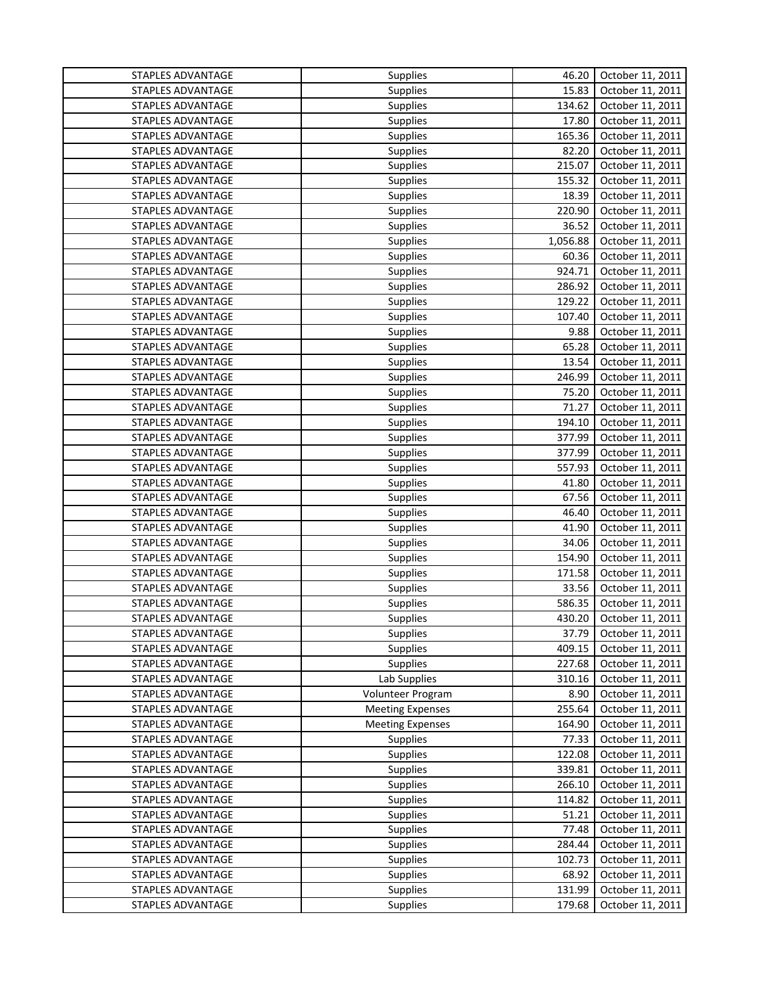| STAPLES ADVANTAGE | Supplies                | 46.20    | October 11, 2011 |
|-------------------|-------------------------|----------|------------------|
| STAPLES ADVANTAGE | Supplies                | 15.83    | October 11, 2011 |
| STAPLES ADVANTAGE | Supplies                | 134.62   | October 11, 2011 |
| STAPLES ADVANTAGE | <b>Supplies</b>         | 17.80    | October 11, 2011 |
| STAPLES ADVANTAGE | <b>Supplies</b>         | 165.36   | October 11, 2011 |
| STAPLES ADVANTAGE | <b>Supplies</b>         | 82.20    | October 11, 2011 |
| STAPLES ADVANTAGE | <b>Supplies</b>         | 215.07   | October 11, 2011 |
| STAPLES ADVANTAGE | <b>Supplies</b>         | 155.32   | October 11, 2011 |
| STAPLES ADVANTAGE | <b>Supplies</b>         | 18.39    | October 11, 2011 |
| STAPLES ADVANTAGE | Supplies                | 220.90   | October 11, 2011 |
| STAPLES ADVANTAGE | Supplies                | 36.52    | October 11, 2011 |
| STAPLES ADVANTAGE | Supplies                | 1,056.88 | October 11, 2011 |
| STAPLES ADVANTAGE | <b>Supplies</b>         | 60.36    | October 11, 2011 |
| STAPLES ADVANTAGE | <b>Supplies</b>         | 924.71   | October 11, 2011 |
| STAPLES ADVANTAGE | Supplies                | 286.92   | October 11, 2011 |
| STAPLES ADVANTAGE | Supplies                | 129.22   | October 11, 2011 |
| STAPLES ADVANTAGE | <b>Supplies</b>         | 107.40   | October 11, 2011 |
| STAPLES ADVANTAGE | <b>Supplies</b>         | 9.88     | October 11, 2011 |
| STAPLES ADVANTAGE | <b>Supplies</b>         | 65.28    | October 11, 2011 |
| STAPLES ADVANTAGE | <b>Supplies</b>         | 13.54    | October 11, 2011 |
| STAPLES ADVANTAGE | <b>Supplies</b>         | 246.99   | October 11, 2011 |
| STAPLES ADVANTAGE | <b>Supplies</b>         | 75.20    | October 11, 2011 |
| STAPLES ADVANTAGE | Supplies                | 71.27    | October 11, 2011 |
| STAPLES ADVANTAGE | <b>Supplies</b>         | 194.10   | October 11, 2011 |
| STAPLES ADVANTAGE | Supplies                | 377.99   | October 11, 2011 |
| STAPLES ADVANTAGE | <b>Supplies</b>         | 377.99   | October 11, 2011 |
| STAPLES ADVANTAGE | <b>Supplies</b>         | 557.93   | October 11, 2011 |
| STAPLES ADVANTAGE | <b>Supplies</b>         | 41.80    | October 11, 2011 |
| STAPLES ADVANTAGE | Supplies                | 67.56    | October 11, 2011 |
| STAPLES ADVANTAGE | <b>Supplies</b>         | 46.40    | October 11, 2011 |
| STAPLES ADVANTAGE | <b>Supplies</b>         | 41.90    | October 11, 2011 |
| STAPLES ADVANTAGE | <b>Supplies</b>         | 34.06    | October 11, 2011 |
| STAPLES ADVANTAGE | <b>Supplies</b>         | 154.90   | October 11, 2011 |
| STAPLES ADVANTAGE | <b>Supplies</b>         | 171.58   | October 11, 2011 |
| STAPLES ADVANTAGE | <b>Supplies</b>         | 33.56    | October 11, 2011 |
| STAPLES ADVANTAGE | Supplies                | 586.35   | October 11, 2011 |
| STAPLES ADVANTAGE | <b>Supplies</b>         | 430.20   | October 11, 2011 |
| STAPLES ADVANTAGE | Supplies                | 37.79    | October 11, 2011 |
| STAPLES ADVANTAGE | <b>Supplies</b>         | 409.15   | October 11, 2011 |
| STAPLES ADVANTAGE | <b>Supplies</b>         | 227.68   | October 11, 2011 |
| STAPLES ADVANTAGE | Lab Supplies            | 310.16   | October 11, 2011 |
| STAPLES ADVANTAGE | Volunteer Program       | 8.90     | October 11, 2011 |
| STAPLES ADVANTAGE | <b>Meeting Expenses</b> | 255.64   | October 11, 2011 |
| STAPLES ADVANTAGE | <b>Meeting Expenses</b> | 164.90   | October 11, 2011 |
| STAPLES ADVANTAGE | <b>Supplies</b>         | 77.33    | October 11, 2011 |
| STAPLES ADVANTAGE | Supplies                | 122.08   | October 11, 2011 |
| STAPLES ADVANTAGE | Supplies                | 339.81   | October 11, 2011 |
| STAPLES ADVANTAGE | Supplies                | 266.10   | October 11, 2011 |
| STAPLES ADVANTAGE | Supplies                | 114.82   | October 11, 2011 |
| STAPLES ADVANTAGE | Supplies                | 51.21    | October 11, 2011 |
| STAPLES ADVANTAGE | Supplies                | 77.48    | October 11, 2011 |
| STAPLES ADVANTAGE | Supplies                | 284.44   | October 11, 2011 |
| STAPLES ADVANTAGE | Supplies                | 102.73   | October 11, 2011 |
| STAPLES ADVANTAGE | Supplies                | 68.92    | October 11, 2011 |
| STAPLES ADVANTAGE | Supplies                | 131.99   | October 11, 2011 |
| STAPLES ADVANTAGE | Supplies                | 179.68   | October 11, 2011 |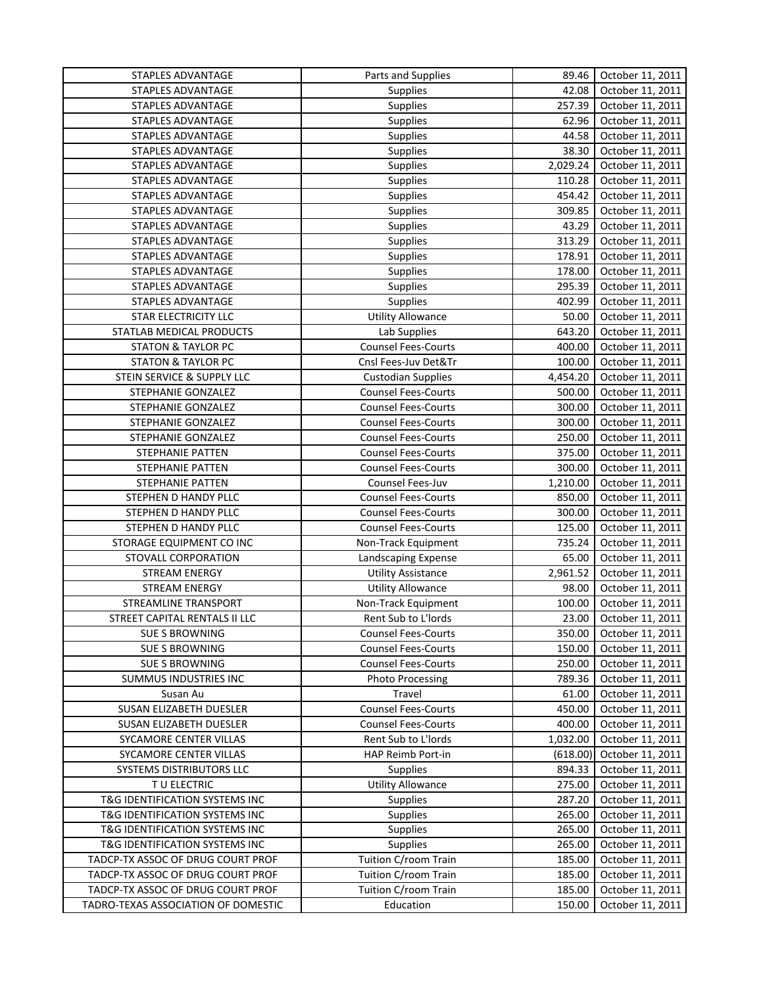| STAPLES ADVANTAGE                   | Parts and Supplies         | 89.46    | October 11, 2011 |
|-------------------------------------|----------------------------|----------|------------------|
| STAPLES ADVANTAGE                   | Supplies                   | 42.08    | October 11, 2011 |
| STAPLES ADVANTAGE                   | Supplies                   | 257.39   | October 11, 2011 |
| STAPLES ADVANTAGE                   | Supplies                   | 62.96    | October 11, 2011 |
| STAPLES ADVANTAGE                   | <b>Supplies</b>            | 44.58    | October 11, 2011 |
| STAPLES ADVANTAGE                   | Supplies                   | 38.30    | October 11, 2011 |
| STAPLES ADVANTAGE                   | <b>Supplies</b>            | 2,029.24 | October 11, 2011 |
| STAPLES ADVANTAGE                   | <b>Supplies</b>            | 110.28   | October 11, 2011 |
| STAPLES ADVANTAGE                   | <b>Supplies</b>            | 454.42   | October 11, 2011 |
| STAPLES ADVANTAGE                   | Supplies                   | 309.85   | October 11, 2011 |
| STAPLES ADVANTAGE                   | Supplies                   | 43.29    | October 11, 2011 |
| STAPLES ADVANTAGE                   | <b>Supplies</b>            | 313.29   | October 11, 2011 |
| STAPLES ADVANTAGE                   | <b>Supplies</b>            | 178.91   | October 11, 2011 |
| STAPLES ADVANTAGE                   | Supplies                   | 178.00   | October 11, 2011 |
| STAPLES ADVANTAGE                   | Supplies                   | 295.39   | October 11, 2011 |
| STAPLES ADVANTAGE                   | Supplies                   | 402.99   | October 11, 2011 |
| STAR ELECTRICITY LLC                | Utility Allowance          | 50.00    | October 11, 2011 |
| STATLAB MEDICAL PRODUCTS            | Lab Supplies               | 643.20   | October 11, 2011 |
| <b>STATON &amp; TAYLOR PC</b>       | <b>Counsel Fees-Courts</b> | 400.00   | October 11, 2011 |
| <b>STATON &amp; TAYLOR PC</b>       | Cnsl Fees-Juv Det&Tr       | 100.00   | October 11, 2011 |
| STEIN SERVICE & SUPPLY LLC          | <b>Custodian Supplies</b>  | 4,454.20 | October 11, 2011 |
| STEPHANIE GONZALEZ                  | <b>Counsel Fees-Courts</b> | 500.00   | October 11, 2011 |
| STEPHANIE GONZALEZ                  | <b>Counsel Fees-Courts</b> | 300.00   | October 11, 2011 |
|                                     |                            |          |                  |
| STEPHANIE GONZALEZ                  | <b>Counsel Fees-Courts</b> | 300.00   | October 11, 2011 |
| STEPHANIE GONZALEZ                  | <b>Counsel Fees-Courts</b> | 250.00   | October 11, 2011 |
| STEPHANIE PATTEN                    | <b>Counsel Fees-Courts</b> | 375.00   | October 11, 2011 |
| STEPHANIE PATTEN                    | <b>Counsel Fees-Courts</b> | 300.00   | October 11, 2011 |
| STEPHANIE PATTEN                    | Counsel Fees-Juv           | 1,210.00 | October 11, 2011 |
| STEPHEN D HANDY PLLC                | <b>Counsel Fees-Courts</b> | 850.00   | October 11, 2011 |
| STEPHEN D HANDY PLLC                | <b>Counsel Fees-Courts</b> | 300.00   | October 11, 2011 |
| STEPHEN D HANDY PLLC                | <b>Counsel Fees-Courts</b> | 125.00   | October 11, 2011 |
| STORAGE EQUIPMENT CO INC            | Non-Track Equipment        | 735.24   | October 11, 2011 |
| STOVALL CORPORATION                 | Landscaping Expense        | 65.00    | October 11, 2011 |
| STREAM ENERGY                       | <b>Utility Assistance</b>  | 2,961.52 | October 11, 2011 |
| <b>STREAM ENERGY</b>                | <b>Utility Allowance</b>   | 98.00    | October 11, 2011 |
| STREAMLINE TRANSPORT                | Non-Track Equipment        | 100.00   | October 11, 2011 |
| STREET CAPITAL RENTALS II LLC       | Rent Sub to L'Iords        | 23.00    | October 11, 2011 |
| <b>SUE S BROWNING</b>               | <b>Counsel Fees-Courts</b> | 350.00   | October 11, 2011 |
| <b>SUE S BROWNING</b>               | <b>Counsel Fees-Courts</b> | 150.00   | October 11, 2011 |
| <b>SUE S BROWNING</b>               | <b>Counsel Fees-Courts</b> | 250.00   | October 11, 2011 |
| SUMMUS INDUSTRIES INC               | <b>Photo Processing</b>    | 789.36   | October 11, 2011 |
| Susan Au                            | Travel                     | 61.00    | October 11, 2011 |
| SUSAN ELIZABETH DUESLER             | <b>Counsel Fees-Courts</b> | 450.00   | October 11, 2011 |
| SUSAN ELIZABETH DUESLER             | <b>Counsel Fees-Courts</b> | 400.00   | October 11, 2011 |
| SYCAMORE CENTER VILLAS              | Rent Sub to L'Iords        | 1,032.00 | October 11, 2011 |
| SYCAMORE CENTER VILLAS              | HAP Reimb Port-in          | (618.00) | October 11, 2011 |
| SYSTEMS DISTRIBUTORS LLC            | <b>Supplies</b>            | 894.33   | October 11, 2011 |
| T U ELECTRIC                        | <b>Utility Allowance</b>   | 275.00   | October 11, 2011 |
| T&G IDENTIFICATION SYSTEMS INC      | Supplies                   | 287.20   | October 11, 2011 |
| T&G IDENTIFICATION SYSTEMS INC      | Supplies                   | 265.00   | October 11, 2011 |
| T&G IDENTIFICATION SYSTEMS INC      | Supplies                   | 265.00   | October 11, 2011 |
| T&G IDENTIFICATION SYSTEMS INC      | <b>Supplies</b>            | 265.00   | October 11, 2011 |
| TADCP-TX ASSOC OF DRUG COURT PROF   | Tuition C/room Train       | 185.00   | October 11, 2011 |
| TADCP-TX ASSOC OF DRUG COURT PROF   | Tuition C/room Train       | 185.00   | October 11, 2011 |
| TADCP-TX ASSOC OF DRUG COURT PROF   | Tuition C/room Train       | 185.00   | October 11, 2011 |
| TADRO-TEXAS ASSOCIATION OF DOMESTIC | Education                  | 150.00   | October 11, 2011 |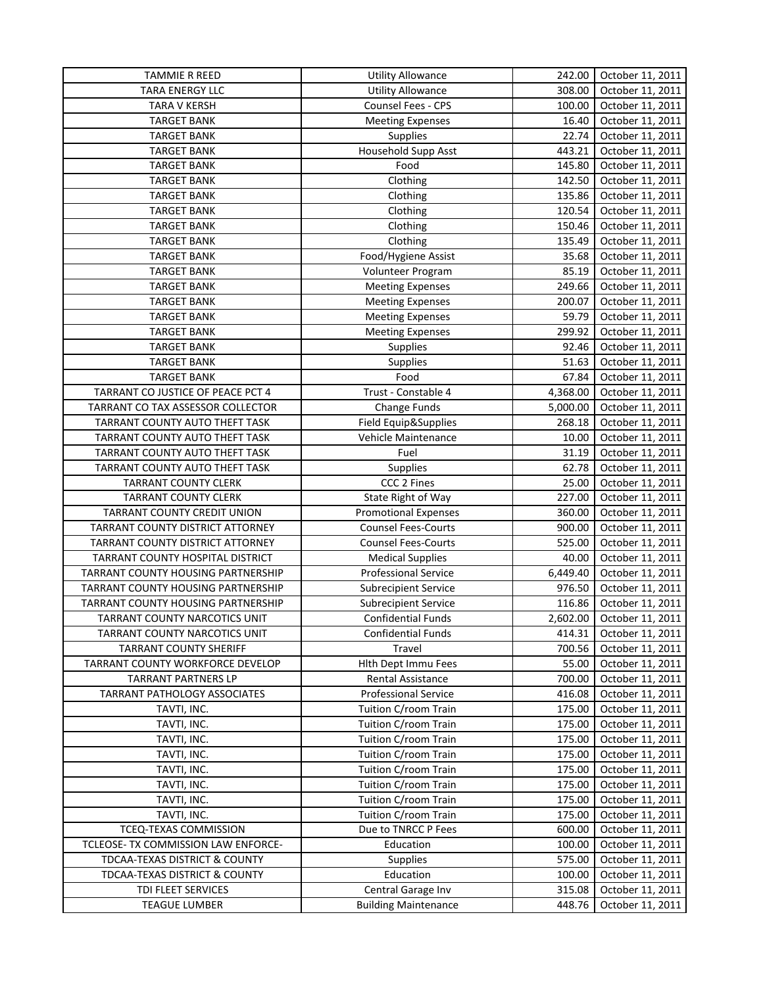| <b>TAMMIE R REED</b>                | <b>Utility Allowance</b>    | 242.00   | October 11, 2011 |
|-------------------------------------|-----------------------------|----------|------------------|
| TARA ENERGY LLC                     | <b>Utility Allowance</b>    | 308.00   | October 11, 2011 |
| <b>TARA V KERSH</b>                 | Counsel Fees - CPS          | 100.00   | October 11, 2011 |
| <b>TARGET BANK</b>                  | <b>Meeting Expenses</b>     | 16.40    | October 11, 2011 |
| <b>TARGET BANK</b>                  | Supplies                    | 22.74    | October 11, 2011 |
| <b>TARGET BANK</b>                  | Household Supp Asst         | 443.21   | October 11, 2011 |
| <b>TARGET BANK</b>                  | Food                        | 145.80   | October 11, 2011 |
| <b>TARGET BANK</b>                  | Clothing                    | 142.50   | October 11, 2011 |
| <b>TARGET BANK</b>                  | Clothing                    | 135.86   | October 11, 2011 |
| <b>TARGET BANK</b>                  | Clothing                    | 120.54   | October 11, 2011 |
| <b>TARGET BANK</b>                  | Clothing                    | 150.46   | October 11, 2011 |
| <b>TARGET BANK</b>                  | Clothing                    | 135.49   | October 11, 2011 |
| <b>TARGET BANK</b>                  | Food/Hygiene Assist         | 35.68    | October 11, 2011 |
| <b>TARGET BANK</b>                  | Volunteer Program           | 85.19    | October 11, 2011 |
| <b>TARGET BANK</b>                  | <b>Meeting Expenses</b>     | 249.66   | October 11, 2011 |
| <b>TARGET BANK</b>                  | <b>Meeting Expenses</b>     | 200.07   | October 11, 2011 |
| <b>TARGET BANK</b>                  | <b>Meeting Expenses</b>     | 59.79    | October 11, 2011 |
| <b>TARGET BANK</b>                  | <b>Meeting Expenses</b>     | 299.92   | October 11, 2011 |
| <b>TARGET BANK</b>                  | <b>Supplies</b>             | 92.46    | October 11, 2011 |
| <b>TARGET BANK</b>                  | Supplies                    | 51.63    | October 11, 2011 |
| <b>TARGET BANK</b>                  | Food                        | 67.84    | October 11, 2011 |
| TARRANT CO JUSTICE OF PEACE PCT 4   | Trust - Constable 4         | 4,368.00 | October 11, 2011 |
| TARRANT CO TAX ASSESSOR COLLECTOR   | Change Funds                | 5,000.00 | October 11, 2011 |
| TARRANT COUNTY AUTO THEFT TASK      | Field Equip&Supplies        | 268.18   | October 11, 2011 |
| TARRANT COUNTY AUTO THEFT TASK      | Vehicle Maintenance         | 10.00    | October 11, 2011 |
| TARRANT COUNTY AUTO THEFT TASK      | Fuel                        | 31.19    | October 11, 2011 |
| TARRANT COUNTY AUTO THEFT TASK      | Supplies                    | 62.78    | October 11, 2011 |
| <b>TARRANT COUNTY CLERK</b>         | CCC 2 Fines                 | 25.00    | October 11, 2011 |
| <b>TARRANT COUNTY CLERK</b>         | State Right of Way          | 227.00   | October 11, 2011 |
| TARRANT COUNTY CREDIT UNION         | <b>Promotional Expenses</b> | 360.00   | October 11, 2011 |
| TARRANT COUNTY DISTRICT ATTORNEY    | <b>Counsel Fees-Courts</b>  | 900.00   | October 11, 2011 |
| TARRANT COUNTY DISTRICT ATTORNEY    | <b>Counsel Fees-Courts</b>  | 525.00   | October 11, 2011 |
| TARRANT COUNTY HOSPITAL DISTRICT    | <b>Medical Supplies</b>     | 40.00    | October 11, 2011 |
| TARRANT COUNTY HOUSING PARTNERSHIP  | Professional Service        | 6,449.40 | October 11, 2011 |
| TARRANT COUNTY HOUSING PARTNERSHIP  | <b>Subrecipient Service</b> | 976.50   | October 11, 2011 |
| TARRANT COUNTY HOUSING PARTNERSHIP  | Subrecipient Service        | 116.86   | October 11, 2011 |
| TARRANT COUNTY NARCOTICS UNIT       | <b>Confidential Funds</b>   | 2,602.00 | October 11, 2011 |
| TARRANT COUNTY NARCOTICS UNIT       | Confidential Funds          | 414.31   | October 11, 2011 |
| <b>TARRANT COUNTY SHERIFF</b>       | Travel                      | 700.56   | October 11, 2011 |
| TARRANT COUNTY WORKFORCE DEVELOP    | Hith Dept Immu Fees         | 55.00    | October 11, 2011 |
| <b>TARRANT PARTNERS LP</b>          | <b>Rental Assistance</b>    | 700.00   | October 11, 2011 |
| <b>TARRANT PATHOLOGY ASSOCIATES</b> | <b>Professional Service</b> | 416.08   | October 11, 2011 |
| TAVTI, INC.                         | Tuition C/room Train        | 175.00   | October 11, 2011 |
| TAVTI, INC.                         | Tuition C/room Train        | 175.00   | October 11, 2011 |
| TAVTI, INC.                         | Tuition C/room Train        | 175.00   | October 11, 2011 |
| TAVTI, INC.                         | Tuition C/room Train        | 175.00   | October 11, 2011 |
| TAVTI, INC.                         | Tuition C/room Train        | 175.00   | October 11, 2011 |
| TAVTI, INC.                         | Tuition C/room Train        | 175.00   | October 11, 2011 |
| TAVTI, INC.                         | Tuition C/room Train        | 175.00   | October 11, 2011 |
| TAVTI, INC.                         | Tuition C/room Train        | 175.00   | October 11, 2011 |
| TCEQ-TEXAS COMMISSION               | Due to TNRCC P Fees         | 600.00   | October 11, 2011 |
| TCLEOSE- TX COMMISSION LAW ENFORCE- | Education                   | 100.00   | October 11, 2011 |
| TDCAA-TEXAS DISTRICT & COUNTY       | <b>Supplies</b>             | 575.00   | October 11, 2011 |
| TDCAA-TEXAS DISTRICT & COUNTY       | Education                   | 100.00   | October 11, 2011 |
| TDI FLEET SERVICES                  | Central Garage Inv          | 315.08   | October 11, 2011 |
| <b>TEAGUE LUMBER</b>                | <b>Building Maintenance</b> | 448.76   | October 11, 2011 |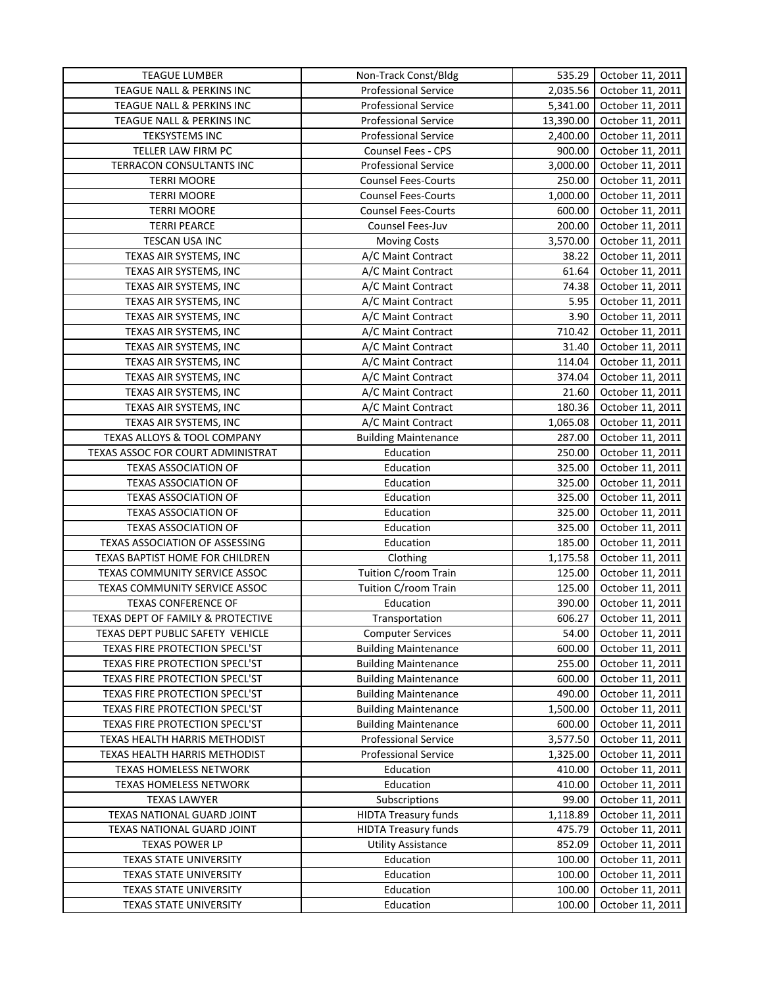| <b>TEAGUE LUMBER</b>              | Non-Track Const/Bldg        | 535.29                | October 11, 2011 |
|-----------------------------------|-----------------------------|-----------------------|------------------|
| TEAGUE NALL & PERKINS INC         | <b>Professional Service</b> | 2,035.56              | October 11, 2011 |
| TEAGUE NALL & PERKINS INC         | <b>Professional Service</b> | 5,341.00              | October 11, 2011 |
| TEAGUE NALL & PERKINS INC         | <b>Professional Service</b> | 13,390.00             | October 11, 2011 |
| <b>TEKSYSTEMS INC</b>             | <b>Professional Service</b> | 2,400.00              | October 11, 2011 |
| TELLER LAW FIRM PC                | Counsel Fees - CPS          | 900.00                | October 11, 2011 |
| TERRACON CONSULTANTS INC          | <b>Professional Service</b> | $\overline{3,000.00}$ | October 11, 2011 |
| <b>TERRI MOORE</b>                | <b>Counsel Fees-Courts</b>  | 250.00                | October 11, 2011 |
| <b>TERRI MOORE</b>                | <b>Counsel Fees-Courts</b>  | 1,000.00              | October 11, 2011 |
| <b>TERRI MOORE</b>                | <b>Counsel Fees-Courts</b>  | 600.00                | October 11, 2011 |
| <b>TERRI PEARCE</b>               | Counsel Fees-Juv            | 200.00                | October 11, 2011 |
| TESCAN USA INC                    | <b>Moving Costs</b>         | 3,570.00              | October 11, 2011 |
| TEXAS AIR SYSTEMS, INC            | A/C Maint Contract          | 38.22                 | October 11, 2011 |
| TEXAS AIR SYSTEMS, INC            | A/C Maint Contract          | 61.64                 | October 11, 2011 |
| TEXAS AIR SYSTEMS, INC            | A/C Maint Contract          | 74.38                 | October 11, 2011 |
| TEXAS AIR SYSTEMS, INC            | A/C Maint Contract          | 5.95                  | October 11, 2011 |
| TEXAS AIR SYSTEMS, INC            | A/C Maint Contract          | 3.90                  | October 11, 2011 |
| TEXAS AIR SYSTEMS, INC            | A/C Maint Contract          | 710.42                | October 11, 2011 |
| TEXAS AIR SYSTEMS, INC            | A/C Maint Contract          | 31.40                 | October 11, 2011 |
| TEXAS AIR SYSTEMS, INC            | A/C Maint Contract          | 114.04                | October 11, 2011 |
| TEXAS AIR SYSTEMS, INC            | A/C Maint Contract          | 374.04                | October 11, 2011 |
| TEXAS AIR SYSTEMS, INC            | A/C Maint Contract          | 21.60                 | October 11, 2011 |
| TEXAS AIR SYSTEMS, INC            | A/C Maint Contract          | 180.36                | October 11, 2011 |
| TEXAS AIR SYSTEMS, INC            | A/C Maint Contract          | 1,065.08              | October 11, 2011 |
| TEXAS ALLOYS & TOOL COMPANY       | <b>Building Maintenance</b> | 287.00                | October 11, 2011 |
| TEXAS ASSOC FOR COURT ADMINISTRAT | Education                   | 250.00                | October 11, 2011 |
| <b>TEXAS ASSOCIATION OF</b>       | Education                   | 325.00                | October 11, 2011 |
| <b>TEXAS ASSOCIATION OF</b>       | Education                   | 325.00                | October 11, 2011 |
| <b>TEXAS ASSOCIATION OF</b>       | Education                   | 325.00                | October 11, 2011 |
| <b>TEXAS ASSOCIATION OF</b>       | Education                   | 325.00                | October 11, 2011 |
| <b>TEXAS ASSOCIATION OF</b>       | Education                   | 325.00                | October 11, 2011 |
| TEXAS ASSOCIATION OF ASSESSING    | Education                   | 185.00                | October 11, 2011 |
| TEXAS BAPTIST HOME FOR CHILDREN   | Clothing                    | 1,175.58              | October 11, 2011 |
| TEXAS COMMUNITY SERVICE ASSOC     | Tuition C/room Train        | 125.00                | October 11, 2011 |
| TEXAS COMMUNITY SERVICE ASSOC     | Tuition C/room Train        | 125.00                | October 11, 2011 |
| <b>TEXAS CONFERENCE OF</b>        | Education                   | 390.00                | October 11, 2011 |
| TEXAS DEPT OF FAMILY & PROTECTIVE | Transportation              | 606.27                | October 11, 2011 |
| TEXAS DEPT PUBLIC SAFETY VEHICLE  | <b>Computer Services</b>    | 54.00                 | October 11, 2011 |
| TEXAS FIRE PROTECTION SPECL'ST    | <b>Building Maintenance</b> | 600.00                | October 11, 2011 |
| TEXAS FIRE PROTECTION SPECL'ST    | <b>Building Maintenance</b> | 255.00                | October 11, 2011 |
| TEXAS FIRE PROTECTION SPECL'ST    | <b>Building Maintenance</b> | 600.00                | October 11, 2011 |
| TEXAS FIRE PROTECTION SPECL'ST    | <b>Building Maintenance</b> | 490.00                | October 11, 2011 |
| TEXAS FIRE PROTECTION SPECL'ST    | <b>Building Maintenance</b> | 1,500.00              | October 11, 2011 |
| TEXAS FIRE PROTECTION SPECL'ST    | <b>Building Maintenance</b> | 600.00                | October 11, 2011 |
| TEXAS HEALTH HARRIS METHODIST     | <b>Professional Service</b> | 3,577.50              | October 11, 2011 |
| TEXAS HEALTH HARRIS METHODIST     | <b>Professional Service</b> | 1,325.00              | October 11, 2011 |
| TEXAS HOMELESS NETWORK            | Education                   | 410.00                | October 11, 2011 |
| TEXAS HOMELESS NETWORK            | Education                   | 410.00                | October 11, 2011 |
| <b>TEXAS LAWYER</b>               | Subscriptions               | 99.00                 | October 11, 2011 |
| TEXAS NATIONAL GUARD JOINT        | <b>HIDTA Treasury funds</b> | 1,118.89              | October 11, 2011 |
| TEXAS NATIONAL GUARD JOINT        | <b>HIDTA Treasury funds</b> | 475.79                | October 11, 2011 |
| <b>TEXAS POWER LP</b>             | <b>Utility Assistance</b>   | 852.09                | October 11, 2011 |
| TEXAS STATE UNIVERSITY            | Education                   | 100.00                | October 11, 2011 |
| TEXAS STATE UNIVERSITY            | Education                   | 100.00                | October 11, 2011 |
| TEXAS STATE UNIVERSITY            | Education                   | 100.00                | October 11, 2011 |
| TEXAS STATE UNIVERSITY            | Education                   | 100.00                | October 11, 2011 |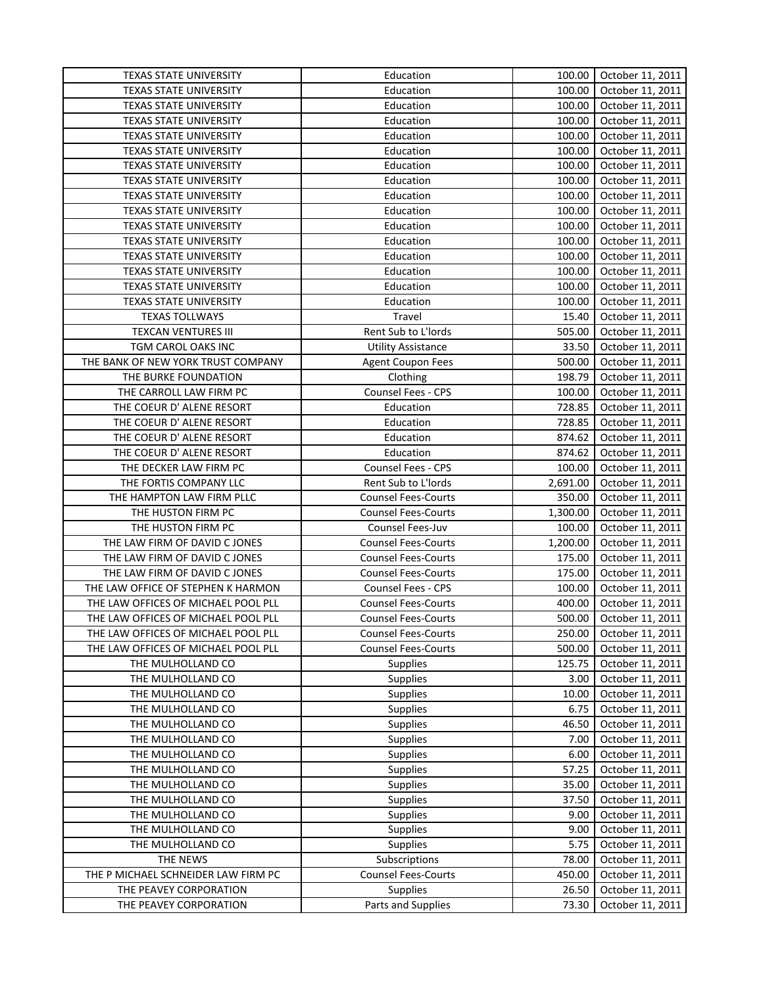| Education<br>100.00<br>October 11, 2011<br><b>TEXAS STATE UNIVERSITY</b><br><b>TEXAS STATE UNIVERSITY</b><br>Education<br>100.00<br>October 11, 2011<br>Education<br>100.00<br>October 11, 2011<br><b>TEXAS STATE UNIVERSITY</b><br>TEXAS STATE UNIVERSITY<br>Education<br>100.00<br>October 11, 2011<br>TEXAS STATE UNIVERSITY<br>Education<br>100.00<br>October 11, 2011<br>Education<br>100.00<br><b>TEXAS STATE UNIVERSITY</b><br>October 11, 2011<br>Education<br>100.00<br><b>TEXAS STATE UNIVERSITY</b><br>October 11, 2011<br>Education<br>100.00<br><b>TEXAS STATE UNIVERSITY</b><br>October 11, 2011<br>Education<br>100.00<br><b>TEXAS STATE UNIVERSITY</b><br>October 11, 2011<br>Education<br><b>TEXAS STATE UNIVERSITY</b><br>100.00<br>October 11, 2011<br>Education<br>October 11, 2011<br><b>TEXAS STATE UNIVERSITY</b><br>100.00<br>Education<br><b>TEXAS STATE UNIVERSITY</b><br>100.00<br>October 11, 2011<br>Education<br><b>TEXAS STATE UNIVERSITY</b><br>100.00<br>October 11, 2011<br>TEXAS STATE UNIVERSITY<br>Education<br>100.00<br>October 11, 2011<br>TEXAS STATE UNIVERSITY<br>Education<br>100.00<br>October 11, 2011<br><b>TEXAS TOLLWAYS</b><br>Travel<br>15.40<br>October 11, 2011<br>TEXCAN VENTURES III<br>Rent Sub to L'Iords<br>505.00<br>October 11, 2011<br>TGM CAROL OAKS INC<br><b>Utility Assistance</b><br>33.50<br>October 11, 2011<br>THE BANK OF NEW YORK TRUST COMPANY<br><b>Agent Coupon Fees</b><br>500.00<br>October 11, 2011<br>198.79<br>THE BURKE FOUNDATION<br>Clothing<br>October 11, 2011<br>Counsel Fees - CPS<br>THE CARROLL LAW FIRM PC<br>100.00<br>October 11, 2011<br>728.85<br>THE COEUR D' ALENE RESORT<br>Education<br>October 11, 2011<br>THE COEUR D' ALENE RESORT<br>October 11, 2011<br>Education<br>728.85<br>THE COEUR D' ALENE RESORT<br>Education<br>874.62<br>October 11, 2011<br>THE COEUR D' ALENE RESORT<br>Education<br>874.62<br>October 11, 2011<br>October 11, 2011<br>THE DECKER LAW FIRM PC<br>Counsel Fees - CPS<br>100.00<br>2,691.00<br>THE FORTIS COMPANY LLC<br>Rent Sub to L'Iords<br>October 11, 2011<br>THE HAMPTON LAW FIRM PLLC<br><b>Counsel Fees-Courts</b><br>350.00<br>October 11, 2011<br>THE HUSTON FIRM PC<br><b>Counsel Fees-Courts</b><br>1,300.00<br>October 11, 2011<br>THE HUSTON FIRM PC<br>100.00<br>Counsel Fees-Juv<br>October 11, 2011<br>THE LAW FIRM OF DAVID C JONES<br><b>Counsel Fees-Courts</b><br>1,200.00<br>October 11, 2011<br>175.00<br>THE LAW FIRM OF DAVID C JONES<br><b>Counsel Fees-Courts</b><br>October 11, 2011<br>175.00<br>THE LAW FIRM OF DAVID C JONES<br><b>Counsel Fees-Courts</b><br>October 11, 2011<br>THE LAW OFFICE OF STEPHEN K HARMON<br>100.00<br><b>Counsel Fees - CPS</b><br>October 11, 2011<br>THE LAW OFFICES OF MICHAEL POOL PLL<br><b>Counsel Fees-Courts</b><br>400.00<br>October 11, 2011<br>THE LAW OFFICES OF MICHAEL POOL PLL<br>500.00<br>October 11, 2011<br><b>Counsel Fees-Courts</b><br><b>Counsel Fees-Courts</b><br>250.00<br>October 11, 2011<br>THE LAW OFFICES OF MICHAEL POOL PLL<br>THE LAW OFFICES OF MICHAEL POOL PLL<br><b>Counsel Fees-Courts</b><br>500.00<br>October 11, 2011<br>THE MULHOLLAND CO<br><b>Supplies</b><br>125.75<br>October 11, 2011<br>THE MULHOLLAND CO<br><b>Supplies</b><br>3.00<br>October 11, 2011<br>THE MULHOLLAND CO<br><b>Supplies</b><br>10.00<br>October 11, 2011<br>THE MULHOLLAND CO<br><b>Supplies</b><br>6.75<br>October 11, 2011<br>THE MULHOLLAND CO<br>46.50<br>October 11, 2011<br><b>Supplies</b><br>THE MULHOLLAND CO<br><b>Supplies</b><br>7.00<br>October 11, 2011<br>THE MULHOLLAND CO<br>October 11, 2011<br><b>Supplies</b><br>6.00<br>THE MULHOLLAND CO<br>57.25<br><b>Supplies</b><br>October 11, 2011<br>THE MULHOLLAND CO<br>Supplies<br>35.00<br>October 11, 2011<br>Supplies<br>37.50<br>October 11, 2011<br>THE MULHOLLAND CO<br>THE MULHOLLAND CO<br>Supplies<br>9.00<br>October 11, 2011<br>THE MULHOLLAND CO<br>Supplies<br>9.00<br>October 11, 2011<br>5.75<br>October 11, 2011<br>THE MULHOLLAND CO<br>Supplies<br>Subscriptions<br>October 11, 2011<br>THE NEWS<br>78.00<br><b>Counsel Fees-Courts</b><br>THE P MICHAEL SCHNEIDER LAW FIRM PC<br>450.00<br>October 11, 2011<br>THE PEAVEY CORPORATION<br><b>Supplies</b><br>26.50<br>October 11, 2011<br>Parts and Supplies<br>73.30<br>October 11, 2011<br>THE PEAVEY CORPORATION | <b>TEXAS STATE UNIVERSITY</b> | Education | 100.00 | October 11, 2011 |
|-------------------------------------------------------------------------------------------------------------------------------------------------------------------------------------------------------------------------------------------------------------------------------------------------------------------------------------------------------------------------------------------------------------------------------------------------------------------------------------------------------------------------------------------------------------------------------------------------------------------------------------------------------------------------------------------------------------------------------------------------------------------------------------------------------------------------------------------------------------------------------------------------------------------------------------------------------------------------------------------------------------------------------------------------------------------------------------------------------------------------------------------------------------------------------------------------------------------------------------------------------------------------------------------------------------------------------------------------------------------------------------------------------------------------------------------------------------------------------------------------------------------------------------------------------------------------------------------------------------------------------------------------------------------------------------------------------------------------------------------------------------------------------------------------------------------------------------------------------------------------------------------------------------------------------------------------------------------------------------------------------------------------------------------------------------------------------------------------------------------------------------------------------------------------------------------------------------------------------------------------------------------------------------------------------------------------------------------------------------------------------------------------------------------------------------------------------------------------------------------------------------------------------------------------------------------------------------------------------------------------------------------------------------------------------------------------------------------------------------------------------------------------------------------------------------------------------------------------------------------------------------------------------------------------------------------------------------------------------------------------------------------------------------------------------------------------------------------------------------------------------------------------------------------------------------------------------------------------------------------------------------------------------------------------------------------------------------------------------------------------------------------------------------------------------------------------------------------------------------------------------------------------------------------------------------------------------------------------------------------------------------------------------------------------------------------------------------------------------------------------------------------------------------------------------------------------------------------------------------------------------------------------------------------------------------------------------------------------------------------------------------------------------------------------------------------------------------------------------------------------------------------------------------------------------------------------------------------------------------------------------------------------------------------------------------------------------------------------------------------------|-------------------------------|-----------|--------|------------------|
|                                                                                                                                                                                                                                                                                                                                                                                                                                                                                                                                                                                                                                                                                                                                                                                                                                                                                                                                                                                                                                                                                                                                                                                                                                                                                                                                                                                                                                                                                                                                                                                                                                                                                                                                                                                                                                                                                                                                                                                                                                                                                                                                                                                                                                                                                                                                                                                                                                                                                                                                                                                                                                                                                                                                                                                                                                                                                                                                                                                                                                                                                                                                                                                                                                                                                                                                                                                                                                                                                                                                                                                                                                                                                                                                                                                                                                                                                                                                                                                                                                                                                                                                                                                                                                                                                                                                                                         |                               |           |        |                  |
|                                                                                                                                                                                                                                                                                                                                                                                                                                                                                                                                                                                                                                                                                                                                                                                                                                                                                                                                                                                                                                                                                                                                                                                                                                                                                                                                                                                                                                                                                                                                                                                                                                                                                                                                                                                                                                                                                                                                                                                                                                                                                                                                                                                                                                                                                                                                                                                                                                                                                                                                                                                                                                                                                                                                                                                                                                                                                                                                                                                                                                                                                                                                                                                                                                                                                                                                                                                                                                                                                                                                                                                                                                                                                                                                                                                                                                                                                                                                                                                                                                                                                                                                                                                                                                                                                                                                                                         |                               |           |        |                  |
|                                                                                                                                                                                                                                                                                                                                                                                                                                                                                                                                                                                                                                                                                                                                                                                                                                                                                                                                                                                                                                                                                                                                                                                                                                                                                                                                                                                                                                                                                                                                                                                                                                                                                                                                                                                                                                                                                                                                                                                                                                                                                                                                                                                                                                                                                                                                                                                                                                                                                                                                                                                                                                                                                                                                                                                                                                                                                                                                                                                                                                                                                                                                                                                                                                                                                                                                                                                                                                                                                                                                                                                                                                                                                                                                                                                                                                                                                                                                                                                                                                                                                                                                                                                                                                                                                                                                                                         |                               |           |        |                  |
|                                                                                                                                                                                                                                                                                                                                                                                                                                                                                                                                                                                                                                                                                                                                                                                                                                                                                                                                                                                                                                                                                                                                                                                                                                                                                                                                                                                                                                                                                                                                                                                                                                                                                                                                                                                                                                                                                                                                                                                                                                                                                                                                                                                                                                                                                                                                                                                                                                                                                                                                                                                                                                                                                                                                                                                                                                                                                                                                                                                                                                                                                                                                                                                                                                                                                                                                                                                                                                                                                                                                                                                                                                                                                                                                                                                                                                                                                                                                                                                                                                                                                                                                                                                                                                                                                                                                                                         |                               |           |        |                  |
|                                                                                                                                                                                                                                                                                                                                                                                                                                                                                                                                                                                                                                                                                                                                                                                                                                                                                                                                                                                                                                                                                                                                                                                                                                                                                                                                                                                                                                                                                                                                                                                                                                                                                                                                                                                                                                                                                                                                                                                                                                                                                                                                                                                                                                                                                                                                                                                                                                                                                                                                                                                                                                                                                                                                                                                                                                                                                                                                                                                                                                                                                                                                                                                                                                                                                                                                                                                                                                                                                                                                                                                                                                                                                                                                                                                                                                                                                                                                                                                                                                                                                                                                                                                                                                                                                                                                                                         |                               |           |        |                  |
|                                                                                                                                                                                                                                                                                                                                                                                                                                                                                                                                                                                                                                                                                                                                                                                                                                                                                                                                                                                                                                                                                                                                                                                                                                                                                                                                                                                                                                                                                                                                                                                                                                                                                                                                                                                                                                                                                                                                                                                                                                                                                                                                                                                                                                                                                                                                                                                                                                                                                                                                                                                                                                                                                                                                                                                                                                                                                                                                                                                                                                                                                                                                                                                                                                                                                                                                                                                                                                                                                                                                                                                                                                                                                                                                                                                                                                                                                                                                                                                                                                                                                                                                                                                                                                                                                                                                                                         |                               |           |        |                  |
|                                                                                                                                                                                                                                                                                                                                                                                                                                                                                                                                                                                                                                                                                                                                                                                                                                                                                                                                                                                                                                                                                                                                                                                                                                                                                                                                                                                                                                                                                                                                                                                                                                                                                                                                                                                                                                                                                                                                                                                                                                                                                                                                                                                                                                                                                                                                                                                                                                                                                                                                                                                                                                                                                                                                                                                                                                                                                                                                                                                                                                                                                                                                                                                                                                                                                                                                                                                                                                                                                                                                                                                                                                                                                                                                                                                                                                                                                                                                                                                                                                                                                                                                                                                                                                                                                                                                                                         |                               |           |        |                  |
|                                                                                                                                                                                                                                                                                                                                                                                                                                                                                                                                                                                                                                                                                                                                                                                                                                                                                                                                                                                                                                                                                                                                                                                                                                                                                                                                                                                                                                                                                                                                                                                                                                                                                                                                                                                                                                                                                                                                                                                                                                                                                                                                                                                                                                                                                                                                                                                                                                                                                                                                                                                                                                                                                                                                                                                                                                                                                                                                                                                                                                                                                                                                                                                                                                                                                                                                                                                                                                                                                                                                                                                                                                                                                                                                                                                                                                                                                                                                                                                                                                                                                                                                                                                                                                                                                                                                                                         |                               |           |        |                  |
|                                                                                                                                                                                                                                                                                                                                                                                                                                                                                                                                                                                                                                                                                                                                                                                                                                                                                                                                                                                                                                                                                                                                                                                                                                                                                                                                                                                                                                                                                                                                                                                                                                                                                                                                                                                                                                                                                                                                                                                                                                                                                                                                                                                                                                                                                                                                                                                                                                                                                                                                                                                                                                                                                                                                                                                                                                                                                                                                                                                                                                                                                                                                                                                                                                                                                                                                                                                                                                                                                                                                                                                                                                                                                                                                                                                                                                                                                                                                                                                                                                                                                                                                                                                                                                                                                                                                                                         |                               |           |        |                  |
|                                                                                                                                                                                                                                                                                                                                                                                                                                                                                                                                                                                                                                                                                                                                                                                                                                                                                                                                                                                                                                                                                                                                                                                                                                                                                                                                                                                                                                                                                                                                                                                                                                                                                                                                                                                                                                                                                                                                                                                                                                                                                                                                                                                                                                                                                                                                                                                                                                                                                                                                                                                                                                                                                                                                                                                                                                                                                                                                                                                                                                                                                                                                                                                                                                                                                                                                                                                                                                                                                                                                                                                                                                                                                                                                                                                                                                                                                                                                                                                                                                                                                                                                                                                                                                                                                                                                                                         |                               |           |        |                  |
|                                                                                                                                                                                                                                                                                                                                                                                                                                                                                                                                                                                                                                                                                                                                                                                                                                                                                                                                                                                                                                                                                                                                                                                                                                                                                                                                                                                                                                                                                                                                                                                                                                                                                                                                                                                                                                                                                                                                                                                                                                                                                                                                                                                                                                                                                                                                                                                                                                                                                                                                                                                                                                                                                                                                                                                                                                                                                                                                                                                                                                                                                                                                                                                                                                                                                                                                                                                                                                                                                                                                                                                                                                                                                                                                                                                                                                                                                                                                                                                                                                                                                                                                                                                                                                                                                                                                                                         |                               |           |        |                  |
|                                                                                                                                                                                                                                                                                                                                                                                                                                                                                                                                                                                                                                                                                                                                                                                                                                                                                                                                                                                                                                                                                                                                                                                                                                                                                                                                                                                                                                                                                                                                                                                                                                                                                                                                                                                                                                                                                                                                                                                                                                                                                                                                                                                                                                                                                                                                                                                                                                                                                                                                                                                                                                                                                                                                                                                                                                                                                                                                                                                                                                                                                                                                                                                                                                                                                                                                                                                                                                                                                                                                                                                                                                                                                                                                                                                                                                                                                                                                                                                                                                                                                                                                                                                                                                                                                                                                                                         |                               |           |        |                  |
|                                                                                                                                                                                                                                                                                                                                                                                                                                                                                                                                                                                                                                                                                                                                                                                                                                                                                                                                                                                                                                                                                                                                                                                                                                                                                                                                                                                                                                                                                                                                                                                                                                                                                                                                                                                                                                                                                                                                                                                                                                                                                                                                                                                                                                                                                                                                                                                                                                                                                                                                                                                                                                                                                                                                                                                                                                                                                                                                                                                                                                                                                                                                                                                                                                                                                                                                                                                                                                                                                                                                                                                                                                                                                                                                                                                                                                                                                                                                                                                                                                                                                                                                                                                                                                                                                                                                                                         |                               |           |        |                  |
|                                                                                                                                                                                                                                                                                                                                                                                                                                                                                                                                                                                                                                                                                                                                                                                                                                                                                                                                                                                                                                                                                                                                                                                                                                                                                                                                                                                                                                                                                                                                                                                                                                                                                                                                                                                                                                                                                                                                                                                                                                                                                                                                                                                                                                                                                                                                                                                                                                                                                                                                                                                                                                                                                                                                                                                                                                                                                                                                                                                                                                                                                                                                                                                                                                                                                                                                                                                                                                                                                                                                                                                                                                                                                                                                                                                                                                                                                                                                                                                                                                                                                                                                                                                                                                                                                                                                                                         |                               |           |        |                  |
|                                                                                                                                                                                                                                                                                                                                                                                                                                                                                                                                                                                                                                                                                                                                                                                                                                                                                                                                                                                                                                                                                                                                                                                                                                                                                                                                                                                                                                                                                                                                                                                                                                                                                                                                                                                                                                                                                                                                                                                                                                                                                                                                                                                                                                                                                                                                                                                                                                                                                                                                                                                                                                                                                                                                                                                                                                                                                                                                                                                                                                                                                                                                                                                                                                                                                                                                                                                                                                                                                                                                                                                                                                                                                                                                                                                                                                                                                                                                                                                                                                                                                                                                                                                                                                                                                                                                                                         |                               |           |        |                  |
|                                                                                                                                                                                                                                                                                                                                                                                                                                                                                                                                                                                                                                                                                                                                                                                                                                                                                                                                                                                                                                                                                                                                                                                                                                                                                                                                                                                                                                                                                                                                                                                                                                                                                                                                                                                                                                                                                                                                                                                                                                                                                                                                                                                                                                                                                                                                                                                                                                                                                                                                                                                                                                                                                                                                                                                                                                                                                                                                                                                                                                                                                                                                                                                                                                                                                                                                                                                                                                                                                                                                                                                                                                                                                                                                                                                                                                                                                                                                                                                                                                                                                                                                                                                                                                                                                                                                                                         |                               |           |        |                  |
|                                                                                                                                                                                                                                                                                                                                                                                                                                                                                                                                                                                                                                                                                                                                                                                                                                                                                                                                                                                                                                                                                                                                                                                                                                                                                                                                                                                                                                                                                                                                                                                                                                                                                                                                                                                                                                                                                                                                                                                                                                                                                                                                                                                                                                                                                                                                                                                                                                                                                                                                                                                                                                                                                                                                                                                                                                                                                                                                                                                                                                                                                                                                                                                                                                                                                                                                                                                                                                                                                                                                                                                                                                                                                                                                                                                                                                                                                                                                                                                                                                                                                                                                                                                                                                                                                                                                                                         |                               |           |        |                  |
|                                                                                                                                                                                                                                                                                                                                                                                                                                                                                                                                                                                                                                                                                                                                                                                                                                                                                                                                                                                                                                                                                                                                                                                                                                                                                                                                                                                                                                                                                                                                                                                                                                                                                                                                                                                                                                                                                                                                                                                                                                                                                                                                                                                                                                                                                                                                                                                                                                                                                                                                                                                                                                                                                                                                                                                                                                                                                                                                                                                                                                                                                                                                                                                                                                                                                                                                                                                                                                                                                                                                                                                                                                                                                                                                                                                                                                                                                                                                                                                                                                                                                                                                                                                                                                                                                                                                                                         |                               |           |        |                  |
|                                                                                                                                                                                                                                                                                                                                                                                                                                                                                                                                                                                                                                                                                                                                                                                                                                                                                                                                                                                                                                                                                                                                                                                                                                                                                                                                                                                                                                                                                                                                                                                                                                                                                                                                                                                                                                                                                                                                                                                                                                                                                                                                                                                                                                                                                                                                                                                                                                                                                                                                                                                                                                                                                                                                                                                                                                                                                                                                                                                                                                                                                                                                                                                                                                                                                                                                                                                                                                                                                                                                                                                                                                                                                                                                                                                                                                                                                                                                                                                                                                                                                                                                                                                                                                                                                                                                                                         |                               |           |        |                  |
|                                                                                                                                                                                                                                                                                                                                                                                                                                                                                                                                                                                                                                                                                                                                                                                                                                                                                                                                                                                                                                                                                                                                                                                                                                                                                                                                                                                                                                                                                                                                                                                                                                                                                                                                                                                                                                                                                                                                                                                                                                                                                                                                                                                                                                                                                                                                                                                                                                                                                                                                                                                                                                                                                                                                                                                                                                                                                                                                                                                                                                                                                                                                                                                                                                                                                                                                                                                                                                                                                                                                                                                                                                                                                                                                                                                                                                                                                                                                                                                                                                                                                                                                                                                                                                                                                                                                                                         |                               |           |        |                  |
|                                                                                                                                                                                                                                                                                                                                                                                                                                                                                                                                                                                                                                                                                                                                                                                                                                                                                                                                                                                                                                                                                                                                                                                                                                                                                                                                                                                                                                                                                                                                                                                                                                                                                                                                                                                                                                                                                                                                                                                                                                                                                                                                                                                                                                                                                                                                                                                                                                                                                                                                                                                                                                                                                                                                                                                                                                                                                                                                                                                                                                                                                                                                                                                                                                                                                                                                                                                                                                                                                                                                                                                                                                                                                                                                                                                                                                                                                                                                                                                                                                                                                                                                                                                                                                                                                                                                                                         |                               |           |        |                  |
|                                                                                                                                                                                                                                                                                                                                                                                                                                                                                                                                                                                                                                                                                                                                                                                                                                                                                                                                                                                                                                                                                                                                                                                                                                                                                                                                                                                                                                                                                                                                                                                                                                                                                                                                                                                                                                                                                                                                                                                                                                                                                                                                                                                                                                                                                                                                                                                                                                                                                                                                                                                                                                                                                                                                                                                                                                                                                                                                                                                                                                                                                                                                                                                                                                                                                                                                                                                                                                                                                                                                                                                                                                                                                                                                                                                                                                                                                                                                                                                                                                                                                                                                                                                                                                                                                                                                                                         |                               |           |        |                  |
|                                                                                                                                                                                                                                                                                                                                                                                                                                                                                                                                                                                                                                                                                                                                                                                                                                                                                                                                                                                                                                                                                                                                                                                                                                                                                                                                                                                                                                                                                                                                                                                                                                                                                                                                                                                                                                                                                                                                                                                                                                                                                                                                                                                                                                                                                                                                                                                                                                                                                                                                                                                                                                                                                                                                                                                                                                                                                                                                                                                                                                                                                                                                                                                                                                                                                                                                                                                                                                                                                                                                                                                                                                                                                                                                                                                                                                                                                                                                                                                                                                                                                                                                                                                                                                                                                                                                                                         |                               |           |        |                  |
|                                                                                                                                                                                                                                                                                                                                                                                                                                                                                                                                                                                                                                                                                                                                                                                                                                                                                                                                                                                                                                                                                                                                                                                                                                                                                                                                                                                                                                                                                                                                                                                                                                                                                                                                                                                                                                                                                                                                                                                                                                                                                                                                                                                                                                                                                                                                                                                                                                                                                                                                                                                                                                                                                                                                                                                                                                                                                                                                                                                                                                                                                                                                                                                                                                                                                                                                                                                                                                                                                                                                                                                                                                                                                                                                                                                                                                                                                                                                                                                                                                                                                                                                                                                                                                                                                                                                                                         |                               |           |        |                  |
|                                                                                                                                                                                                                                                                                                                                                                                                                                                                                                                                                                                                                                                                                                                                                                                                                                                                                                                                                                                                                                                                                                                                                                                                                                                                                                                                                                                                                                                                                                                                                                                                                                                                                                                                                                                                                                                                                                                                                                                                                                                                                                                                                                                                                                                                                                                                                                                                                                                                                                                                                                                                                                                                                                                                                                                                                                                                                                                                                                                                                                                                                                                                                                                                                                                                                                                                                                                                                                                                                                                                                                                                                                                                                                                                                                                                                                                                                                                                                                                                                                                                                                                                                                                                                                                                                                                                                                         |                               |           |        |                  |
|                                                                                                                                                                                                                                                                                                                                                                                                                                                                                                                                                                                                                                                                                                                                                                                                                                                                                                                                                                                                                                                                                                                                                                                                                                                                                                                                                                                                                                                                                                                                                                                                                                                                                                                                                                                                                                                                                                                                                                                                                                                                                                                                                                                                                                                                                                                                                                                                                                                                                                                                                                                                                                                                                                                                                                                                                                                                                                                                                                                                                                                                                                                                                                                                                                                                                                                                                                                                                                                                                                                                                                                                                                                                                                                                                                                                                                                                                                                                                                                                                                                                                                                                                                                                                                                                                                                                                                         |                               |           |        |                  |
|                                                                                                                                                                                                                                                                                                                                                                                                                                                                                                                                                                                                                                                                                                                                                                                                                                                                                                                                                                                                                                                                                                                                                                                                                                                                                                                                                                                                                                                                                                                                                                                                                                                                                                                                                                                                                                                                                                                                                                                                                                                                                                                                                                                                                                                                                                                                                                                                                                                                                                                                                                                                                                                                                                                                                                                                                                                                                                                                                                                                                                                                                                                                                                                                                                                                                                                                                                                                                                                                                                                                                                                                                                                                                                                                                                                                                                                                                                                                                                                                                                                                                                                                                                                                                                                                                                                                                                         |                               |           |        |                  |
|                                                                                                                                                                                                                                                                                                                                                                                                                                                                                                                                                                                                                                                                                                                                                                                                                                                                                                                                                                                                                                                                                                                                                                                                                                                                                                                                                                                                                                                                                                                                                                                                                                                                                                                                                                                                                                                                                                                                                                                                                                                                                                                                                                                                                                                                                                                                                                                                                                                                                                                                                                                                                                                                                                                                                                                                                                                                                                                                                                                                                                                                                                                                                                                                                                                                                                                                                                                                                                                                                                                                                                                                                                                                                                                                                                                                                                                                                                                                                                                                                                                                                                                                                                                                                                                                                                                                                                         |                               |           |        |                  |
|                                                                                                                                                                                                                                                                                                                                                                                                                                                                                                                                                                                                                                                                                                                                                                                                                                                                                                                                                                                                                                                                                                                                                                                                                                                                                                                                                                                                                                                                                                                                                                                                                                                                                                                                                                                                                                                                                                                                                                                                                                                                                                                                                                                                                                                                                                                                                                                                                                                                                                                                                                                                                                                                                                                                                                                                                                                                                                                                                                                                                                                                                                                                                                                                                                                                                                                                                                                                                                                                                                                                                                                                                                                                                                                                                                                                                                                                                                                                                                                                                                                                                                                                                                                                                                                                                                                                                                         |                               |           |        |                  |
|                                                                                                                                                                                                                                                                                                                                                                                                                                                                                                                                                                                                                                                                                                                                                                                                                                                                                                                                                                                                                                                                                                                                                                                                                                                                                                                                                                                                                                                                                                                                                                                                                                                                                                                                                                                                                                                                                                                                                                                                                                                                                                                                                                                                                                                                                                                                                                                                                                                                                                                                                                                                                                                                                                                                                                                                                                                                                                                                                                                                                                                                                                                                                                                                                                                                                                                                                                                                                                                                                                                                                                                                                                                                                                                                                                                                                                                                                                                                                                                                                                                                                                                                                                                                                                                                                                                                                                         |                               |           |        |                  |
|                                                                                                                                                                                                                                                                                                                                                                                                                                                                                                                                                                                                                                                                                                                                                                                                                                                                                                                                                                                                                                                                                                                                                                                                                                                                                                                                                                                                                                                                                                                                                                                                                                                                                                                                                                                                                                                                                                                                                                                                                                                                                                                                                                                                                                                                                                                                                                                                                                                                                                                                                                                                                                                                                                                                                                                                                                                                                                                                                                                                                                                                                                                                                                                                                                                                                                                                                                                                                                                                                                                                                                                                                                                                                                                                                                                                                                                                                                                                                                                                                                                                                                                                                                                                                                                                                                                                                                         |                               |           |        |                  |
|                                                                                                                                                                                                                                                                                                                                                                                                                                                                                                                                                                                                                                                                                                                                                                                                                                                                                                                                                                                                                                                                                                                                                                                                                                                                                                                                                                                                                                                                                                                                                                                                                                                                                                                                                                                                                                                                                                                                                                                                                                                                                                                                                                                                                                                                                                                                                                                                                                                                                                                                                                                                                                                                                                                                                                                                                                                                                                                                                                                                                                                                                                                                                                                                                                                                                                                                                                                                                                                                                                                                                                                                                                                                                                                                                                                                                                                                                                                                                                                                                                                                                                                                                                                                                                                                                                                                                                         |                               |           |        |                  |
|                                                                                                                                                                                                                                                                                                                                                                                                                                                                                                                                                                                                                                                                                                                                                                                                                                                                                                                                                                                                                                                                                                                                                                                                                                                                                                                                                                                                                                                                                                                                                                                                                                                                                                                                                                                                                                                                                                                                                                                                                                                                                                                                                                                                                                                                                                                                                                                                                                                                                                                                                                                                                                                                                                                                                                                                                                                                                                                                                                                                                                                                                                                                                                                                                                                                                                                                                                                                                                                                                                                                                                                                                                                                                                                                                                                                                                                                                                                                                                                                                                                                                                                                                                                                                                                                                                                                                                         |                               |           |        |                  |
|                                                                                                                                                                                                                                                                                                                                                                                                                                                                                                                                                                                                                                                                                                                                                                                                                                                                                                                                                                                                                                                                                                                                                                                                                                                                                                                                                                                                                                                                                                                                                                                                                                                                                                                                                                                                                                                                                                                                                                                                                                                                                                                                                                                                                                                                                                                                                                                                                                                                                                                                                                                                                                                                                                                                                                                                                                                                                                                                                                                                                                                                                                                                                                                                                                                                                                                                                                                                                                                                                                                                                                                                                                                                                                                                                                                                                                                                                                                                                                                                                                                                                                                                                                                                                                                                                                                                                                         |                               |           |        |                  |
|                                                                                                                                                                                                                                                                                                                                                                                                                                                                                                                                                                                                                                                                                                                                                                                                                                                                                                                                                                                                                                                                                                                                                                                                                                                                                                                                                                                                                                                                                                                                                                                                                                                                                                                                                                                                                                                                                                                                                                                                                                                                                                                                                                                                                                                                                                                                                                                                                                                                                                                                                                                                                                                                                                                                                                                                                                                                                                                                                                                                                                                                                                                                                                                                                                                                                                                                                                                                                                                                                                                                                                                                                                                                                                                                                                                                                                                                                                                                                                                                                                                                                                                                                                                                                                                                                                                                                                         |                               |           |        |                  |
|                                                                                                                                                                                                                                                                                                                                                                                                                                                                                                                                                                                                                                                                                                                                                                                                                                                                                                                                                                                                                                                                                                                                                                                                                                                                                                                                                                                                                                                                                                                                                                                                                                                                                                                                                                                                                                                                                                                                                                                                                                                                                                                                                                                                                                                                                                                                                                                                                                                                                                                                                                                                                                                                                                                                                                                                                                                                                                                                                                                                                                                                                                                                                                                                                                                                                                                                                                                                                                                                                                                                                                                                                                                                                                                                                                                                                                                                                                                                                                                                                                                                                                                                                                                                                                                                                                                                                                         |                               |           |        |                  |
|                                                                                                                                                                                                                                                                                                                                                                                                                                                                                                                                                                                                                                                                                                                                                                                                                                                                                                                                                                                                                                                                                                                                                                                                                                                                                                                                                                                                                                                                                                                                                                                                                                                                                                                                                                                                                                                                                                                                                                                                                                                                                                                                                                                                                                                                                                                                                                                                                                                                                                                                                                                                                                                                                                                                                                                                                                                                                                                                                                                                                                                                                                                                                                                                                                                                                                                                                                                                                                                                                                                                                                                                                                                                                                                                                                                                                                                                                                                                                                                                                                                                                                                                                                                                                                                                                                                                                                         |                               |           |        |                  |
|                                                                                                                                                                                                                                                                                                                                                                                                                                                                                                                                                                                                                                                                                                                                                                                                                                                                                                                                                                                                                                                                                                                                                                                                                                                                                                                                                                                                                                                                                                                                                                                                                                                                                                                                                                                                                                                                                                                                                                                                                                                                                                                                                                                                                                                                                                                                                                                                                                                                                                                                                                                                                                                                                                                                                                                                                                                                                                                                                                                                                                                                                                                                                                                                                                                                                                                                                                                                                                                                                                                                                                                                                                                                                                                                                                                                                                                                                                                                                                                                                                                                                                                                                                                                                                                                                                                                                                         |                               |           |        |                  |
|                                                                                                                                                                                                                                                                                                                                                                                                                                                                                                                                                                                                                                                                                                                                                                                                                                                                                                                                                                                                                                                                                                                                                                                                                                                                                                                                                                                                                                                                                                                                                                                                                                                                                                                                                                                                                                                                                                                                                                                                                                                                                                                                                                                                                                                                                                                                                                                                                                                                                                                                                                                                                                                                                                                                                                                                                                                                                                                                                                                                                                                                                                                                                                                                                                                                                                                                                                                                                                                                                                                                                                                                                                                                                                                                                                                                                                                                                                                                                                                                                                                                                                                                                                                                                                                                                                                                                                         |                               |           |        |                  |
|                                                                                                                                                                                                                                                                                                                                                                                                                                                                                                                                                                                                                                                                                                                                                                                                                                                                                                                                                                                                                                                                                                                                                                                                                                                                                                                                                                                                                                                                                                                                                                                                                                                                                                                                                                                                                                                                                                                                                                                                                                                                                                                                                                                                                                                                                                                                                                                                                                                                                                                                                                                                                                                                                                                                                                                                                                                                                                                                                                                                                                                                                                                                                                                                                                                                                                                                                                                                                                                                                                                                                                                                                                                                                                                                                                                                                                                                                                                                                                                                                                                                                                                                                                                                                                                                                                                                                                         |                               |           |        |                  |
|                                                                                                                                                                                                                                                                                                                                                                                                                                                                                                                                                                                                                                                                                                                                                                                                                                                                                                                                                                                                                                                                                                                                                                                                                                                                                                                                                                                                                                                                                                                                                                                                                                                                                                                                                                                                                                                                                                                                                                                                                                                                                                                                                                                                                                                                                                                                                                                                                                                                                                                                                                                                                                                                                                                                                                                                                                                                                                                                                                                                                                                                                                                                                                                                                                                                                                                                                                                                                                                                                                                                                                                                                                                                                                                                                                                                                                                                                                                                                                                                                                                                                                                                                                                                                                                                                                                                                                         |                               |           |        |                  |
|                                                                                                                                                                                                                                                                                                                                                                                                                                                                                                                                                                                                                                                                                                                                                                                                                                                                                                                                                                                                                                                                                                                                                                                                                                                                                                                                                                                                                                                                                                                                                                                                                                                                                                                                                                                                                                                                                                                                                                                                                                                                                                                                                                                                                                                                                                                                                                                                                                                                                                                                                                                                                                                                                                                                                                                                                                                                                                                                                                                                                                                                                                                                                                                                                                                                                                                                                                                                                                                                                                                                                                                                                                                                                                                                                                                                                                                                                                                                                                                                                                                                                                                                                                                                                                                                                                                                                                         |                               |           |        |                  |
|                                                                                                                                                                                                                                                                                                                                                                                                                                                                                                                                                                                                                                                                                                                                                                                                                                                                                                                                                                                                                                                                                                                                                                                                                                                                                                                                                                                                                                                                                                                                                                                                                                                                                                                                                                                                                                                                                                                                                                                                                                                                                                                                                                                                                                                                                                                                                                                                                                                                                                                                                                                                                                                                                                                                                                                                                                                                                                                                                                                                                                                                                                                                                                                                                                                                                                                                                                                                                                                                                                                                                                                                                                                                                                                                                                                                                                                                                                                                                                                                                                                                                                                                                                                                                                                                                                                                                                         |                               |           |        |                  |
|                                                                                                                                                                                                                                                                                                                                                                                                                                                                                                                                                                                                                                                                                                                                                                                                                                                                                                                                                                                                                                                                                                                                                                                                                                                                                                                                                                                                                                                                                                                                                                                                                                                                                                                                                                                                                                                                                                                                                                                                                                                                                                                                                                                                                                                                                                                                                                                                                                                                                                                                                                                                                                                                                                                                                                                                                                                                                                                                                                                                                                                                                                                                                                                                                                                                                                                                                                                                                                                                                                                                                                                                                                                                                                                                                                                                                                                                                                                                                                                                                                                                                                                                                                                                                                                                                                                                                                         |                               |           |        |                  |
|                                                                                                                                                                                                                                                                                                                                                                                                                                                                                                                                                                                                                                                                                                                                                                                                                                                                                                                                                                                                                                                                                                                                                                                                                                                                                                                                                                                                                                                                                                                                                                                                                                                                                                                                                                                                                                                                                                                                                                                                                                                                                                                                                                                                                                                                                                                                                                                                                                                                                                                                                                                                                                                                                                                                                                                                                                                                                                                                                                                                                                                                                                                                                                                                                                                                                                                                                                                                                                                                                                                                                                                                                                                                                                                                                                                                                                                                                                                                                                                                                                                                                                                                                                                                                                                                                                                                                                         |                               |           |        |                  |
|                                                                                                                                                                                                                                                                                                                                                                                                                                                                                                                                                                                                                                                                                                                                                                                                                                                                                                                                                                                                                                                                                                                                                                                                                                                                                                                                                                                                                                                                                                                                                                                                                                                                                                                                                                                                                                                                                                                                                                                                                                                                                                                                                                                                                                                                                                                                                                                                                                                                                                                                                                                                                                                                                                                                                                                                                                                                                                                                                                                                                                                                                                                                                                                                                                                                                                                                                                                                                                                                                                                                                                                                                                                                                                                                                                                                                                                                                                                                                                                                                                                                                                                                                                                                                                                                                                                                                                         |                               |           |        |                  |
|                                                                                                                                                                                                                                                                                                                                                                                                                                                                                                                                                                                                                                                                                                                                                                                                                                                                                                                                                                                                                                                                                                                                                                                                                                                                                                                                                                                                                                                                                                                                                                                                                                                                                                                                                                                                                                                                                                                                                                                                                                                                                                                                                                                                                                                                                                                                                                                                                                                                                                                                                                                                                                                                                                                                                                                                                                                                                                                                                                                                                                                                                                                                                                                                                                                                                                                                                                                                                                                                                                                                                                                                                                                                                                                                                                                                                                                                                                                                                                                                                                                                                                                                                                                                                                                                                                                                                                         |                               |           |        |                  |
|                                                                                                                                                                                                                                                                                                                                                                                                                                                                                                                                                                                                                                                                                                                                                                                                                                                                                                                                                                                                                                                                                                                                                                                                                                                                                                                                                                                                                                                                                                                                                                                                                                                                                                                                                                                                                                                                                                                                                                                                                                                                                                                                                                                                                                                                                                                                                                                                                                                                                                                                                                                                                                                                                                                                                                                                                                                                                                                                                                                                                                                                                                                                                                                                                                                                                                                                                                                                                                                                                                                                                                                                                                                                                                                                                                                                                                                                                                                                                                                                                                                                                                                                                                                                                                                                                                                                                                         |                               |           |        |                  |
|                                                                                                                                                                                                                                                                                                                                                                                                                                                                                                                                                                                                                                                                                                                                                                                                                                                                                                                                                                                                                                                                                                                                                                                                                                                                                                                                                                                                                                                                                                                                                                                                                                                                                                                                                                                                                                                                                                                                                                                                                                                                                                                                                                                                                                                                                                                                                                                                                                                                                                                                                                                                                                                                                                                                                                                                                                                                                                                                                                                                                                                                                                                                                                                                                                                                                                                                                                                                                                                                                                                                                                                                                                                                                                                                                                                                                                                                                                                                                                                                                                                                                                                                                                                                                                                                                                                                                                         |                               |           |        |                  |
|                                                                                                                                                                                                                                                                                                                                                                                                                                                                                                                                                                                                                                                                                                                                                                                                                                                                                                                                                                                                                                                                                                                                                                                                                                                                                                                                                                                                                                                                                                                                                                                                                                                                                                                                                                                                                                                                                                                                                                                                                                                                                                                                                                                                                                                                                                                                                                                                                                                                                                                                                                                                                                                                                                                                                                                                                                                                                                                                                                                                                                                                                                                                                                                                                                                                                                                                                                                                                                                                                                                                                                                                                                                                                                                                                                                                                                                                                                                                                                                                                                                                                                                                                                                                                                                                                                                                                                         |                               |           |        |                  |
|                                                                                                                                                                                                                                                                                                                                                                                                                                                                                                                                                                                                                                                                                                                                                                                                                                                                                                                                                                                                                                                                                                                                                                                                                                                                                                                                                                                                                                                                                                                                                                                                                                                                                                                                                                                                                                                                                                                                                                                                                                                                                                                                                                                                                                                                                                                                                                                                                                                                                                                                                                                                                                                                                                                                                                                                                                                                                                                                                                                                                                                                                                                                                                                                                                                                                                                                                                                                                                                                                                                                                                                                                                                                                                                                                                                                                                                                                                                                                                                                                                                                                                                                                                                                                                                                                                                                                                         |                               |           |        |                  |
|                                                                                                                                                                                                                                                                                                                                                                                                                                                                                                                                                                                                                                                                                                                                                                                                                                                                                                                                                                                                                                                                                                                                                                                                                                                                                                                                                                                                                                                                                                                                                                                                                                                                                                                                                                                                                                                                                                                                                                                                                                                                                                                                                                                                                                                                                                                                                                                                                                                                                                                                                                                                                                                                                                                                                                                                                                                                                                                                                                                                                                                                                                                                                                                                                                                                                                                                                                                                                                                                                                                                                                                                                                                                                                                                                                                                                                                                                                                                                                                                                                                                                                                                                                                                                                                                                                                                                                         |                               |           |        |                  |
|                                                                                                                                                                                                                                                                                                                                                                                                                                                                                                                                                                                                                                                                                                                                                                                                                                                                                                                                                                                                                                                                                                                                                                                                                                                                                                                                                                                                                                                                                                                                                                                                                                                                                                                                                                                                                                                                                                                                                                                                                                                                                                                                                                                                                                                                                                                                                                                                                                                                                                                                                                                                                                                                                                                                                                                                                                                                                                                                                                                                                                                                                                                                                                                                                                                                                                                                                                                                                                                                                                                                                                                                                                                                                                                                                                                                                                                                                                                                                                                                                                                                                                                                                                                                                                                                                                                                                                         |                               |           |        |                  |
|                                                                                                                                                                                                                                                                                                                                                                                                                                                                                                                                                                                                                                                                                                                                                                                                                                                                                                                                                                                                                                                                                                                                                                                                                                                                                                                                                                                                                                                                                                                                                                                                                                                                                                                                                                                                                                                                                                                                                                                                                                                                                                                                                                                                                                                                                                                                                                                                                                                                                                                                                                                                                                                                                                                                                                                                                                                                                                                                                                                                                                                                                                                                                                                                                                                                                                                                                                                                                                                                                                                                                                                                                                                                                                                                                                                                                                                                                                                                                                                                                                                                                                                                                                                                                                                                                                                                                                         |                               |           |        |                  |
|                                                                                                                                                                                                                                                                                                                                                                                                                                                                                                                                                                                                                                                                                                                                                                                                                                                                                                                                                                                                                                                                                                                                                                                                                                                                                                                                                                                                                                                                                                                                                                                                                                                                                                                                                                                                                                                                                                                                                                                                                                                                                                                                                                                                                                                                                                                                                                                                                                                                                                                                                                                                                                                                                                                                                                                                                                                                                                                                                                                                                                                                                                                                                                                                                                                                                                                                                                                                                                                                                                                                                                                                                                                                                                                                                                                                                                                                                                                                                                                                                                                                                                                                                                                                                                                                                                                                                                         |                               |           |        |                  |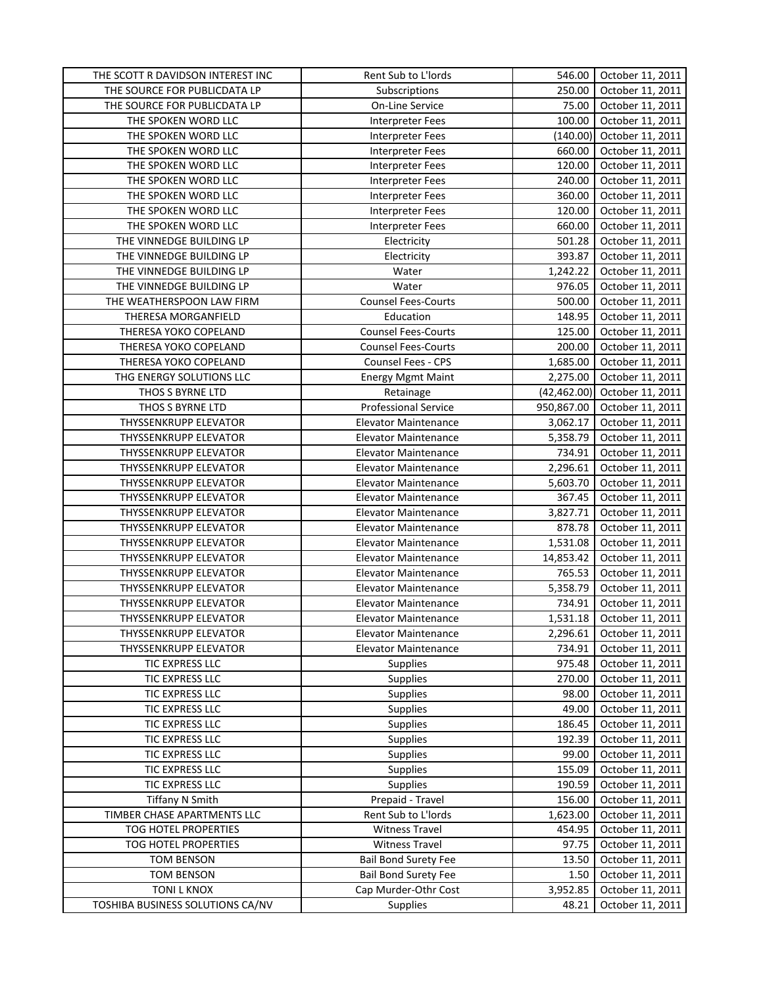| THE SCOTT R DAVIDSON INTEREST INC | Rent Sub to L'Iords         | 546.00       | October 11, 2011 |
|-----------------------------------|-----------------------------|--------------|------------------|
| THE SOURCE FOR PUBLICDATA LP      | Subscriptions               | 250.00       | October 11, 2011 |
| THE SOURCE FOR PUBLICDATA LP      | On-Line Service             | 75.00        | October 11, 2011 |
| THE SPOKEN WORD LLC               | Interpreter Fees            | 100.00       | October 11, 2011 |
| THE SPOKEN WORD LLC               | Interpreter Fees            | (140.00)     | October 11, 2011 |
| THE SPOKEN WORD LLC               | Interpreter Fees            | 660.00       | October 11, 2011 |
| THE SPOKEN WORD LLC               | Interpreter Fees            | 120.00       | October 11, 2011 |
| THE SPOKEN WORD LLC               | Interpreter Fees            | 240.00       | October 11, 2011 |
| THE SPOKEN WORD LLC               | Interpreter Fees            | 360.00       | October 11, 2011 |
| THE SPOKEN WORD LLC               | Interpreter Fees            | 120.00       | October 11, 2011 |
| THE SPOKEN WORD LLC               | <b>Interpreter Fees</b>     | 660.00       | October 11, 2011 |
| THE VINNEDGE BUILDING LP          | Electricity                 | 501.28       | October 11, 2011 |
| THE VINNEDGE BUILDING LP          | Electricity                 | 393.87       | October 11, 2011 |
| THE VINNEDGE BUILDING LP          | Water                       | 1,242.22     | October 11, 2011 |
| THE VINNEDGE BUILDING LP          | Water                       | 976.05       | October 11, 2011 |
| THE WEATHERSPOON LAW FIRM         | <b>Counsel Fees-Courts</b>  | 500.00       | October 11, 2011 |
| THERESA MORGANFIELD               | Education                   | 148.95       | October 11, 2011 |
| THERESA YOKO COPELAND             | <b>Counsel Fees-Courts</b>  | 125.00       | October 11, 2011 |
| THERESA YOKO COPELAND             |                             |              |                  |
|                                   | <b>Counsel Fees-Courts</b>  | 200.00       | October 11, 2011 |
| THERESA YOKO COPELAND             | Counsel Fees - CPS          | 1,685.00     | October 11, 2011 |
| THG ENERGY SOLUTIONS LLC          | <b>Energy Mgmt Maint</b>    | 2,275.00     | October 11, 2011 |
| THOS S BYRNE LTD                  | Retainage                   | (42, 462.00) | October 11, 2011 |
| THOS S BYRNE LTD                  | <b>Professional Service</b> | 950,867.00   | October 11, 2011 |
| THYSSENKRUPP ELEVATOR             | Elevator Maintenance        | 3,062.17     | October 11, 2011 |
| THYSSENKRUPP ELEVATOR             | Elevator Maintenance        | 5,358.79     | October 11, 2011 |
| THYSSENKRUPP ELEVATOR             | Elevator Maintenance        | 734.91       | October 11, 2011 |
| THYSSENKRUPP ELEVATOR             | <b>Elevator Maintenance</b> | 2,296.61     | October 11, 2011 |
| THYSSENKRUPP ELEVATOR             | Elevator Maintenance        | 5,603.70     | October 11, 2011 |
| THYSSENKRUPP ELEVATOR             | Elevator Maintenance        | 367.45       | October 11, 2011 |
| THYSSENKRUPP ELEVATOR             | <b>Elevator Maintenance</b> | 3,827.71     | October 11, 2011 |
| THYSSENKRUPP ELEVATOR             | <b>Elevator Maintenance</b> | 878.78       | October 11, 2011 |
| THYSSENKRUPP ELEVATOR             | <b>Elevator Maintenance</b> | 1,531.08     | October 11, 2011 |
| THYSSENKRUPP ELEVATOR             | <b>Elevator Maintenance</b> | 14,853.42    | October 11, 2011 |
| THYSSENKRUPP ELEVATOR             | <b>Elevator Maintenance</b> | 765.53       | October 11, 2011 |
| THYSSENKRUPP ELEVATOR             | <b>Elevator Maintenance</b> | 5,358.79     | October 11, 2011 |
| THYSSENKRUPP ELEVATOR             | <b>Elevator Maintenance</b> | 734.91       | October 11, 2011 |
| <b>THYSSENKRUPP ELEVATOR</b>      | <b>Elevator Maintenance</b> | 1,531.18     | October 11, 2011 |
| <b>THYSSENKRUPP ELEVATOR</b>      | <b>Elevator Maintenance</b> | 2,296.61     | October 11, 2011 |
| THYSSENKRUPP ELEVATOR             | <b>Elevator Maintenance</b> | 734.91       | October 11, 2011 |
| TIC EXPRESS LLC                   | <b>Supplies</b>             | 975.48       | October 11, 2011 |
| TIC EXPRESS LLC                   | <b>Supplies</b>             | 270.00       | October 11, 2011 |
| TIC EXPRESS LLC                   | <b>Supplies</b>             | 98.00        | October 11, 2011 |
| TIC EXPRESS LLC                   | <b>Supplies</b>             | 49.00        | October 11, 2011 |
| TIC EXPRESS LLC                   | <b>Supplies</b>             | 186.45       | October 11, 2011 |
| TIC EXPRESS LLC                   | <b>Supplies</b>             | 192.39       | October 11, 2011 |
| TIC EXPRESS LLC                   | Supplies                    | 99.00        | October 11, 2011 |
| TIC EXPRESS LLC                   | Supplies                    | 155.09       | October 11, 2011 |
| TIC EXPRESS LLC                   | <b>Supplies</b>             | 190.59       | October 11, 2011 |
| <b>Tiffany N Smith</b>            | Prepaid - Travel            | 156.00       | October 11, 2011 |
| TIMBER CHASE APARTMENTS LLC       | Rent Sub to L'Iords         | 1,623.00     | October 11, 2011 |
| TOG HOTEL PROPERTIES              | <b>Witness Travel</b>       | 454.95       | October 11, 2011 |
| TOG HOTEL PROPERTIES              | <b>Witness Travel</b>       | 97.75        | October 11, 2011 |
| <b>TOM BENSON</b>                 | <b>Bail Bond Surety Fee</b> | 13.50        | October 11, 2011 |
| <b>TOM BENSON</b>                 | <b>Bail Bond Surety Fee</b> | 1.50         | October 11, 2011 |
|                                   | Cap Murder-Othr Cost        |              |                  |
| TONI L KNOX                       |                             | 3,952.85     | October 11, 2011 |
| TOSHIBA BUSINESS SOLUTIONS CA/NV  | Supplies                    | 48.21        | October 11, 2011 |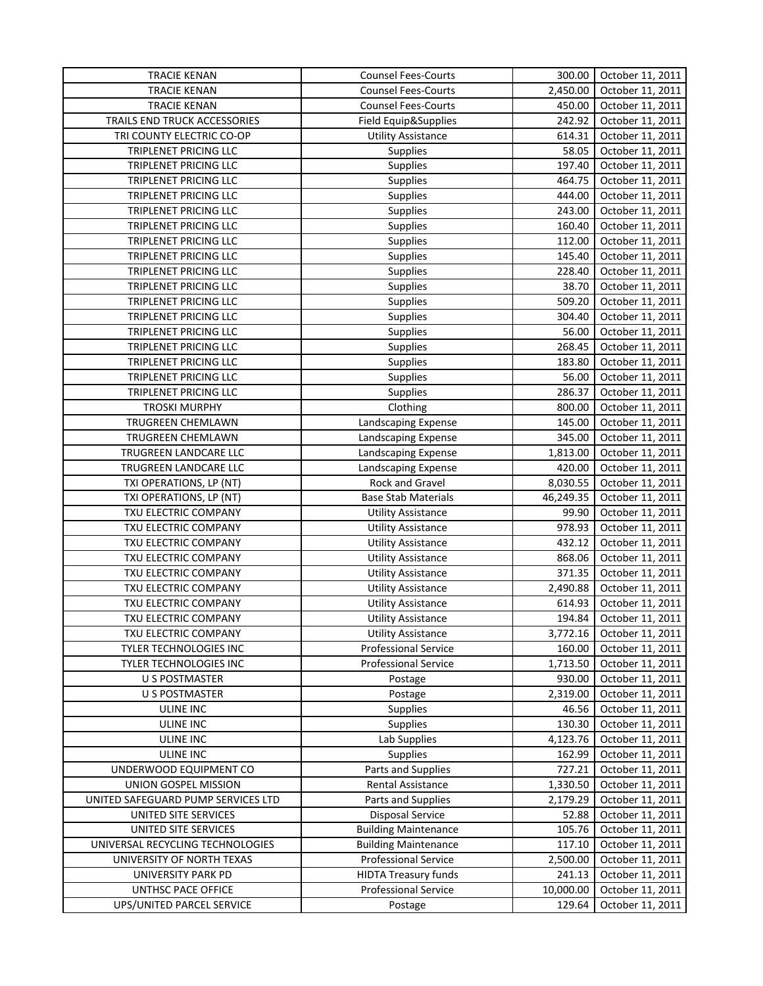| <b>TRACIE KENAN</b>                | <b>Counsel Fees-Courts</b>  | 300.00    | October 11, 2011 |
|------------------------------------|-----------------------------|-----------|------------------|
| <b>TRACIE KENAN</b>                | <b>Counsel Fees-Courts</b>  | 2,450.00  | October 11, 2011 |
| <b>TRACIE KENAN</b>                | <b>Counsel Fees-Courts</b>  | 450.00    | October 11, 2011 |
| TRAILS END TRUCK ACCESSORIES       | Field Equip&Supplies        | 242.92    | October 11, 2011 |
| TRI COUNTY ELECTRIC CO-OP          | <b>Utility Assistance</b>   | 614.31    | October 11, 2011 |
| TRIPLENET PRICING LLC              | Supplies                    | 58.05     | October 11, 2011 |
| TRIPLENET PRICING LLC              | <b>Supplies</b>             | 197.40    | October 11, 2011 |
| TRIPLENET PRICING LLC              | <b>Supplies</b>             | 464.75    | October 11, 2011 |
| TRIPLENET PRICING LLC              | <b>Supplies</b>             | 444.00    | October 11, 2011 |
| TRIPLENET PRICING LLC              | Supplies                    | 243.00    | October 11, 2011 |
| TRIPLENET PRICING LLC              | <b>Supplies</b>             | 160.40    | October 11, 2011 |
| TRIPLENET PRICING LLC              | <b>Supplies</b>             | 112.00    | October 11, 2011 |
| TRIPLENET PRICING LLC              | <b>Supplies</b>             | 145.40    | October 11, 2011 |
| TRIPLENET PRICING LLC              | <b>Supplies</b>             | 228.40    | October 11, 2011 |
| TRIPLENET PRICING LLC              | Supplies                    | 38.70     | October 11, 2011 |
| TRIPLENET PRICING LLC              | Supplies                    | 509.20    | October 11, 2011 |
| TRIPLENET PRICING LLC              |                             | 304.40    | October 11, 2011 |
|                                    | <b>Supplies</b>             |           |                  |
| TRIPLENET PRICING LLC              | <b>Supplies</b>             | 56.00     | October 11, 2011 |
| TRIPLENET PRICING LLC              | <b>Supplies</b>             | 268.45    | October 11, 2011 |
| TRIPLENET PRICING LLC              | <b>Supplies</b>             | 183.80    | October 11, 2011 |
| TRIPLENET PRICING LLC              | <b>Supplies</b>             | 56.00     | October 11, 2011 |
| TRIPLENET PRICING LLC              | <b>Supplies</b>             | 286.37    | October 11, 2011 |
| <b>TROSKI MURPHY</b>               | Clothing                    | 800.00    | October 11, 2011 |
| TRUGREEN CHEMLAWN                  | Landscaping Expense         | 145.00    | October 11, 2011 |
| TRUGREEN CHEMLAWN                  | Landscaping Expense         | 345.00    | October 11, 2011 |
| TRUGREEN LANDCARE LLC              | Landscaping Expense         | 1,813.00  | October 11, 2011 |
| TRUGREEN LANDCARE LLC              | Landscaping Expense         | 420.00    | October 11, 2011 |
| TXI OPERATIONS, LP (NT)            | Rock and Gravel             | 8,030.55  | October 11, 2011 |
| TXI OPERATIONS, LP (NT)            | <b>Base Stab Materials</b>  | 46,249.35 | October 11, 2011 |
| TXU ELECTRIC COMPANY               | <b>Utility Assistance</b>   | 99.90     | October 11, 2011 |
| TXU ELECTRIC COMPANY               | <b>Utility Assistance</b>   | 978.93    | October 11, 2011 |
| TXU ELECTRIC COMPANY               | <b>Utility Assistance</b>   | 432.12    | October 11, 2011 |
| TXU ELECTRIC COMPANY               | <b>Utility Assistance</b>   | 868.06    | October 11, 2011 |
| TXU ELECTRIC COMPANY               | <b>Utility Assistance</b>   | 371.35    | October 11, 2011 |
| TXU ELECTRIC COMPANY               | <b>Utility Assistance</b>   | 2,490.88  | October 11, 2011 |
| TXU ELECTRIC COMPANY               | <b>Utility Assistance</b>   | 614.93    | October 11, 2011 |
| TXU ELECTRIC COMPANY               | <b>Utility Assistance</b>   | 194.84    | October 11, 2011 |
| TXU ELECTRIC COMPANY               | <b>Utility Assistance</b>   | 3,772.16  | October 11, 2011 |
| TYLER TECHNOLOGIES INC             | <b>Professional Service</b> | 160.00    | October 11, 2011 |
| TYLER TECHNOLOGIES INC             | <b>Professional Service</b> | 1,713.50  | October 11, 2011 |
| U S POSTMASTER                     | Postage                     | 930.00    | October 11, 2011 |
| U S POSTMASTER                     | Postage                     | 2,319.00  | October 11, 2011 |
| <b>ULINE INC</b>                   | Supplies                    | 46.56     | October 11, 2011 |
| <b>ULINE INC</b>                   | Supplies                    | 130.30    | October 11, 2011 |
| <b>ULINE INC</b>                   | Lab Supplies                | 4,123.76  | October 11, 2011 |
| ULINE INC                          | Supplies                    | 162.99    | October 11, 2011 |
| UNDERWOOD EQUIPMENT CO             | Parts and Supplies          | 727.21    | October 11, 2011 |
| UNION GOSPEL MISSION               | Rental Assistance           | 1,330.50  | October 11, 2011 |
| UNITED SAFEGUARD PUMP SERVICES LTD | Parts and Supplies          | 2,179.29  | October 11, 2011 |
| UNITED SITE SERVICES               | <b>Disposal Service</b>     | 52.88     | October 11, 2011 |
| UNITED SITE SERVICES               | <b>Building Maintenance</b> | 105.76    | October 11, 2011 |
| UNIVERSAL RECYCLING TECHNOLOGIES   | <b>Building Maintenance</b> | 117.10    | October 11, 2011 |
| UNIVERSITY OF NORTH TEXAS          | <b>Professional Service</b> | 2,500.00  | October 11, 2011 |
| UNIVERSITY PARK PD                 | <b>HIDTA Treasury funds</b> | 241.13    | October 11, 2011 |
|                                    | <b>Professional Service</b> |           |                  |
| UNTHSC PACE OFFICE                 |                             | 10,000.00 | October 11, 2011 |
| UPS/UNITED PARCEL SERVICE          | Postage                     | 129.64    | October 11, 2011 |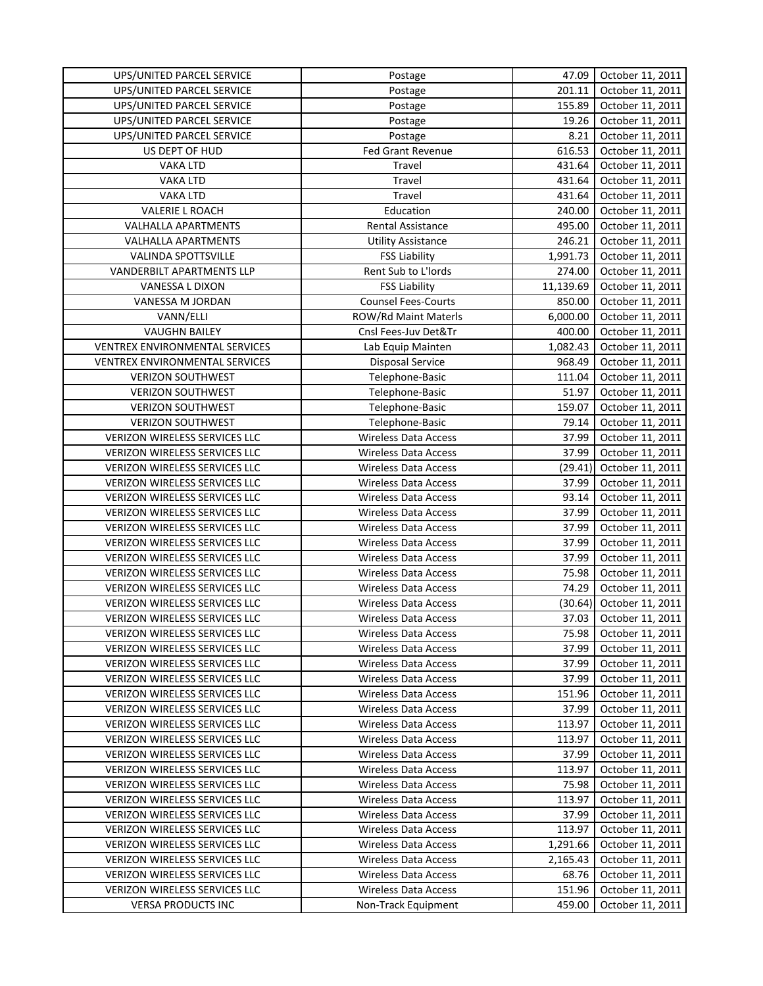| UPS/UNITED PARCEL SERVICE             | Postage                     | 47.09     | October 11, 2011 |
|---------------------------------------|-----------------------------|-----------|------------------|
| UPS/UNITED PARCEL SERVICE             | Postage                     | 201.11    | October 11, 2011 |
| UPS/UNITED PARCEL SERVICE             | Postage                     | 155.89    | October 11, 2011 |
| UPS/UNITED PARCEL SERVICE             | Postage                     | 19.26     | October 11, 2011 |
| UPS/UNITED PARCEL SERVICE             | Postage                     | 8.21      | October 11, 2011 |
| US DEPT OF HUD                        | Fed Grant Revenue           | 616.53    | October 11, 2011 |
| <b>VAKA LTD</b>                       | Travel                      | 431.64    | October 11, 2011 |
| <b>VAKA LTD</b>                       | Travel                      | 431.64    | October 11, 2011 |
| <b>VAKA LTD</b>                       | Travel                      | 431.64    | October 11, 2011 |
| <b>VALERIE L ROACH</b>                | Education                   | 240.00    | October 11, 2011 |
| <b>VALHALLA APARTMENTS</b>            | Rental Assistance           | 495.00    | October 11, 2011 |
| VALHALLA APARTMENTS                   | <b>Utility Assistance</b>   | 246.21    | October 11, 2011 |
| VALINDA SPOTTSVILLE                   | <b>FSS Liability</b>        | 1,991.73  | October 11, 2011 |
| VANDERBILT APARTMENTS LLP             | Rent Sub to L'Iords         | 274.00    | October 11, 2011 |
| VANESSA L DIXON                       | <b>FSS Liability</b>        | 11,139.69 | October 11, 2011 |
| VANESSA M JORDAN                      | <b>Counsel Fees-Courts</b>  | 850.00    | October 11, 2011 |
| VANN/ELLI                             | ROW/Rd Maint Materls        | 6,000.00  | October 11, 2011 |
| <b>VAUGHN BAILEY</b>                  | Cnsl Fees-Juv Det&Tr        | 400.00    | October 11, 2011 |
| <b>VENTREX ENVIRONMENTAL SERVICES</b> | Lab Equip Mainten           | 1,082.43  | October 11, 2011 |
| <b>VENTREX ENVIRONMENTAL SERVICES</b> | <b>Disposal Service</b>     | 968.49    | October 11, 2011 |
| <b>VERIZON SOUTHWEST</b>              | Telephone-Basic             | 111.04    | October 11, 2011 |
| <b>VERIZON SOUTHWEST</b>              | Telephone-Basic             | 51.97     | October 11, 2011 |
| <b>VERIZON SOUTHWEST</b>              | Telephone-Basic             | 159.07    | October 11, 2011 |
| <b>VERIZON SOUTHWEST</b>              | Telephone-Basic             | 79.14     | October 11, 2011 |
| VERIZON WIRELESS SERVICES LLC         | <b>Wireless Data Access</b> | 37.99     | October 11, 2011 |
| VERIZON WIRELESS SERVICES LLC         | <b>Wireless Data Access</b> | 37.99     | October 11, 2011 |
| VERIZON WIRELESS SERVICES LLC         | <b>Wireless Data Access</b> | (29.41)   | October 11, 2011 |
| VERIZON WIRELESS SERVICES LLC         | <b>Wireless Data Access</b> | 37.99     | October 11, 2011 |
| VERIZON WIRELESS SERVICES LLC         | <b>Wireless Data Access</b> | 93.14     | October 11, 2011 |
| VERIZON WIRELESS SERVICES LLC         | <b>Wireless Data Access</b> | 37.99     | October 11, 2011 |
| VERIZON WIRELESS SERVICES LLC         | <b>Wireless Data Access</b> | 37.99     | October 11, 2011 |
| VERIZON WIRELESS SERVICES LLC         | <b>Wireless Data Access</b> | 37.99     | October 11, 2011 |
| VERIZON WIRELESS SERVICES LLC         | <b>Wireless Data Access</b> | 37.99     | October 11, 2011 |
| VERIZON WIRELESS SERVICES LLC         | <b>Wireless Data Access</b> | 75.98     | October 11, 2011 |
| VERIZON WIRELESS SERVICES LLC         | <b>Wireless Data Access</b> | 74.29     | October 11, 2011 |
| <b>VERIZON WIRELESS SERVICES LLC</b>  | <b>Wireless Data Access</b> | (30.64)   | October 11, 2011 |
| VERIZON WIRELESS SERVICES LLC         | <b>Wireless Data Access</b> | 37.03     | October 11, 2011 |
| <b>VERIZON WIRELESS SERVICES LLC</b>  | <b>Wireless Data Access</b> | 75.98     | October 11, 2011 |
| <b>VERIZON WIRELESS SERVICES LLC</b>  | <b>Wireless Data Access</b> | 37.99     | October 11, 2011 |
| VERIZON WIRELESS SERVICES LLC         | <b>Wireless Data Access</b> | 37.99     | October 11, 2011 |
| VERIZON WIRELESS SERVICES LLC         | <b>Wireless Data Access</b> | 37.99     | October 11, 2011 |
| <b>VERIZON WIRELESS SERVICES LLC</b>  | <b>Wireless Data Access</b> | 151.96    | October 11, 2011 |
| VERIZON WIRELESS SERVICES LLC         | <b>Wireless Data Access</b> | 37.99     | October 11, 2011 |
| VERIZON WIRELESS SERVICES LLC         | <b>Wireless Data Access</b> | 113.97    | October 11, 2011 |
| VERIZON WIRELESS SERVICES LLC         | <b>Wireless Data Access</b> | 113.97    | October 11, 2011 |
| VERIZON WIRELESS SERVICES LLC         | <b>Wireless Data Access</b> | 37.99     | October 11, 2011 |
| VERIZON WIRELESS SERVICES LLC         | <b>Wireless Data Access</b> | 113.97    | October 11, 2011 |
| <b>VERIZON WIRELESS SERVICES LLC</b>  | <b>Wireless Data Access</b> | 75.98     | October 11, 2011 |
| VERIZON WIRELESS SERVICES LLC         | <b>Wireless Data Access</b> | 113.97    | October 11, 2011 |
| VERIZON WIRELESS SERVICES LLC         | <b>Wireless Data Access</b> | 37.99     | October 11, 2011 |
| <b>VERIZON WIRELESS SERVICES LLC</b>  | <b>Wireless Data Access</b> | 113.97    | October 11, 2011 |
| VERIZON WIRELESS SERVICES LLC         | <b>Wireless Data Access</b> | 1,291.66  | October 11, 2011 |
| VERIZON WIRELESS SERVICES LLC         | <b>Wireless Data Access</b> | 2,165.43  | October 11, 2011 |
| VERIZON WIRELESS SERVICES LLC         | <b>Wireless Data Access</b> | 68.76     | October 11, 2011 |
| VERIZON WIRELESS SERVICES LLC         | <b>Wireless Data Access</b> | 151.96    | October 11, 2011 |
| <b>VERSA PRODUCTS INC</b>             | Non-Track Equipment         | 459.00    | October 11, 2011 |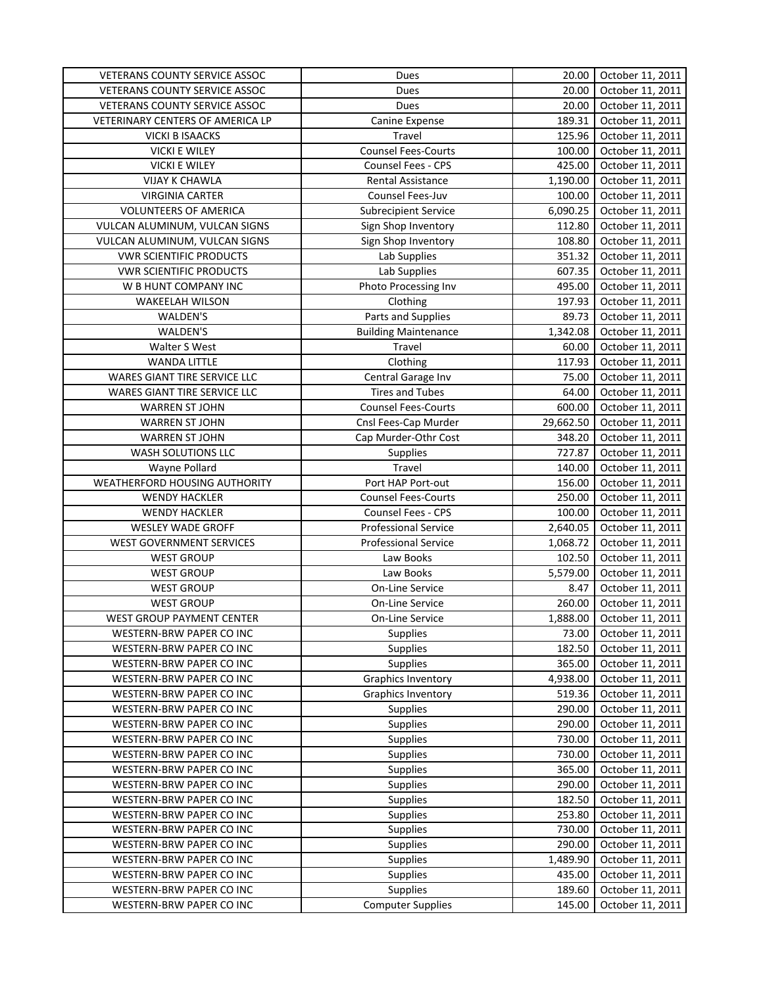| VETERANS COUNTY SERVICE ASSOC    | Dues                        | 20.00     | October 11, 2011 |
|----------------------------------|-----------------------------|-----------|------------------|
| VETERANS COUNTY SERVICE ASSOC    | Dues                        | 20.00     | October 11, 2011 |
| VETERANS COUNTY SERVICE ASSOC    | Dues                        | 20.00     | October 11, 2011 |
| VETERINARY CENTERS OF AMERICA LP | Canine Expense              | 189.31    | October 11, 2011 |
| <b>VICKI B ISAACKS</b>           | Travel                      | 125.96    | October 11, 2011 |
| VICKI E WILEY                    | <b>Counsel Fees-Courts</b>  | 100.00    | October 11, 2011 |
| <b>VICKI E WILEY</b>             | Counsel Fees - CPS          | 425.00    | October 11, 2011 |
| <b>VIJAY K CHAWLA</b>            | <b>Rental Assistance</b>    | 1,190.00  | October 11, 2011 |
| <b>VIRGINIA CARTER</b>           | Counsel Fees-Juv            | 100.00    | October 11, 2011 |
| <b>VOLUNTEERS OF AMERICA</b>     | <b>Subrecipient Service</b> | 6,090.25  | October 11, 2011 |
| VULCAN ALUMINUM, VULCAN SIGNS    | Sign Shop Inventory         | 112.80    | October 11, 2011 |
| VULCAN ALUMINUM, VULCAN SIGNS    | Sign Shop Inventory         | 108.80    | October 11, 2011 |
| <b>VWR SCIENTIFIC PRODUCTS</b>   | Lab Supplies                | 351.32    | October 11, 2011 |
| <b>VWR SCIENTIFIC PRODUCTS</b>   | Lab Supplies                | 607.35    | October 11, 2011 |
| W B HUNT COMPANY INC             | Photo Processing Inv        | 495.00    | October 11, 2011 |
| <b>WAKEELAH WILSON</b>           | Clothing                    | 197.93    | October 11, 2011 |
| WALDEN'S                         | Parts and Supplies          | 89.73     | October 11, 2011 |
| WALDEN'S                         | <b>Building Maintenance</b> | 1,342.08  | October 11, 2011 |
| Walter S West                    | Travel                      | 60.00     | October 11, 2011 |
| <b>WANDA LITTLE</b>              | Clothing                    | 117.93    | October 11, 2011 |
| WARES GIANT TIRE SERVICE LLC     | Central Garage Inv          | 75.00     | October 11, 2011 |
| WARES GIANT TIRE SERVICE LLC     | <b>Tires and Tubes</b>      | 64.00     | October 11, 2011 |
| <b>WARREN ST JOHN</b>            | <b>Counsel Fees-Courts</b>  | 600.00    | October 11, 2011 |
| <b>WARREN ST JOHN</b>            | Cnsl Fees-Cap Murder        | 29,662.50 | October 11, 2011 |
| <b>WARREN ST JOHN</b>            | Cap Murder-Othr Cost        | 348.20    | October 11, 2011 |
| <b>WASH SOLUTIONS LLC</b>        | Supplies                    | 727.87    | October 11, 2011 |
| Wayne Pollard                    | Travel                      | 140.00    | October 11, 2011 |
| WEATHERFORD HOUSING AUTHORITY    | Port HAP Port-out           | 156.00    | October 11, 2011 |
| <b>WENDY HACKLER</b>             | <b>Counsel Fees-Courts</b>  | 250.00    | October 11, 2011 |
| <b>WENDY HACKLER</b>             | Counsel Fees - CPS          | 100.00    | October 11, 2011 |
| WESLEY WADE GROFF                | <b>Professional Service</b> | 2,640.05  | October 11, 2011 |
| WEST GOVERNMENT SERVICES         | <b>Professional Service</b> | 1,068.72  | October 11, 2011 |
| <b>WEST GROUP</b>                | Law Books                   | 102.50    | October 11, 2011 |
| <b>WEST GROUP</b>                | Law Books                   | 5,579.00  | October 11, 2011 |
| <b>WEST GROUP</b>                | On-Line Service             | 8.47      | October 11, 2011 |
| <b>WEST GROUP</b>                | On-Line Service             | 260.00    | October 11, 2011 |
| <b>WEST GROUP PAYMENT CENTER</b> | On-Line Service             | 1,888.00  | October 11, 2011 |
| WESTERN-BRW PAPER CO INC         | <b>Supplies</b>             | 73.00     | October 11, 2011 |
| WESTERN-BRW PAPER CO INC         | <b>Supplies</b>             | 182.50    | October 11, 2011 |
| WESTERN-BRW PAPER CO INC         | <b>Supplies</b>             | 365.00    | October 11, 2011 |
| WESTERN-BRW PAPER CO INC         | <b>Graphics Inventory</b>   | 4,938.00  | October 11, 2011 |
| WESTERN-BRW PAPER CO INC         | Graphics Inventory          | 519.36    | October 11, 2011 |
| WESTERN-BRW PAPER CO INC         | <b>Supplies</b>             | 290.00    | October 11, 2011 |
| WESTERN-BRW PAPER CO INC         | <b>Supplies</b>             | 290.00    | October 11, 2011 |
| WESTERN-BRW PAPER CO INC         | <b>Supplies</b>             | 730.00    | October 11, 2011 |
| WESTERN-BRW PAPER CO INC         | <b>Supplies</b>             | 730.00    | October 11, 2011 |
| WESTERN-BRW PAPER CO INC         | <b>Supplies</b>             | 365.00    | October 11, 2011 |
| WESTERN-BRW PAPER CO INC         | <b>Supplies</b>             | 290.00    | October 11, 2011 |
| WESTERN-BRW PAPER CO INC         | <b>Supplies</b>             | 182.50    | October 11, 2011 |
| WESTERN-BRW PAPER CO INC         | <b>Supplies</b>             | 253.80    | October 11, 2011 |
| WESTERN-BRW PAPER CO INC         | Supplies                    | 730.00    | October 11, 2011 |
| WESTERN-BRW PAPER CO INC         | <b>Supplies</b>             | 290.00    | October 11, 2011 |
| WESTERN-BRW PAPER CO INC         | <b>Supplies</b>             | 1,489.90  | October 11, 2011 |
| WESTERN-BRW PAPER CO INC         | <b>Supplies</b>             | 435.00    | October 11, 2011 |
| WESTERN-BRW PAPER CO INC         | Supplies                    | 189.60    | October 11, 2011 |
| WESTERN-BRW PAPER CO INC         | <b>Computer Supplies</b>    | 145.00    | October 11, 2011 |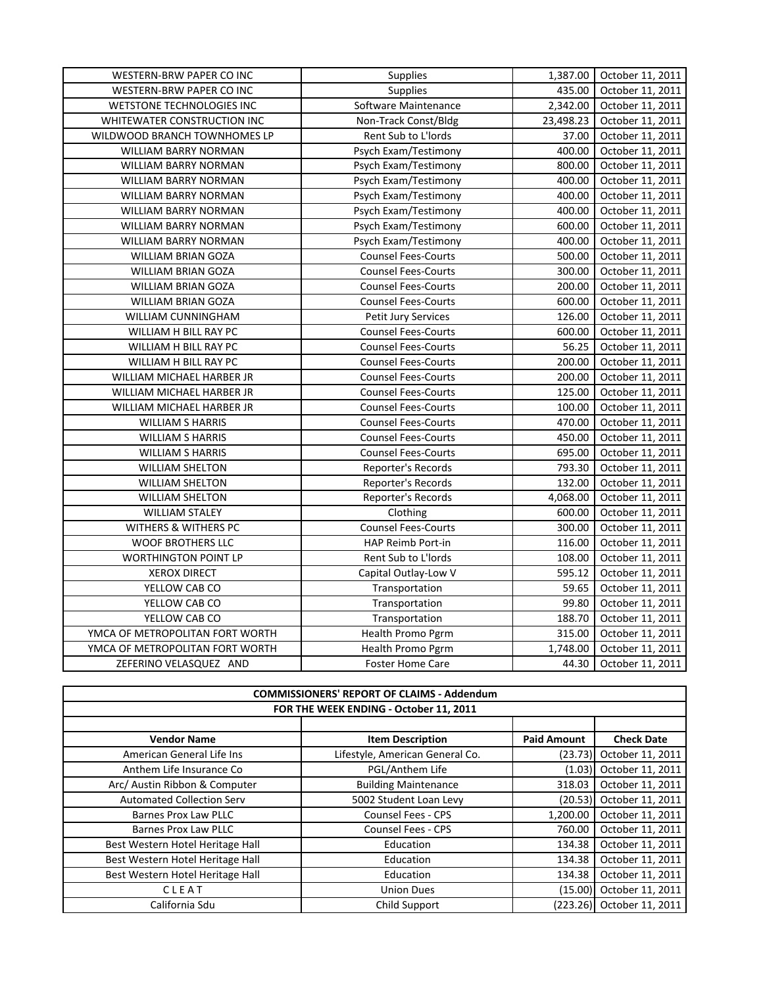| WESTERN-BRW PAPER CO INC        | Supplies                   |           | 1,387.00 October 11, 2011 |
|---------------------------------|----------------------------|-----------|---------------------------|
| WESTERN-BRW PAPER CO INC        | Supplies                   | 435.00    | October 11, 2011          |
| WETSTONE TECHNOLOGIES INC       | Software Maintenance       | 2,342.00  | October 11, 2011          |
| WHITEWATER CONSTRUCTION INC     | Non-Track Const/Bldg       | 23,498.23 | October 11, 2011          |
| WILDWOOD BRANCH TOWNHOMES LP    | Rent Sub to L'Iords        | 37.00     | October 11, 2011          |
| WILLIAM BARRY NORMAN            | Psych Exam/Testimony       | 400.00    | October 11, 2011          |
| WILLIAM BARRY NORMAN            | Psych Exam/Testimony       | 800.00    | October 11, 2011          |
| WILLIAM BARRY NORMAN            | Psych Exam/Testimony       | 400.00    | October 11, 2011          |
| WILLIAM BARRY NORMAN            | Psych Exam/Testimony       | 400.00    | October 11, 2011          |
| <b>WILLIAM BARRY NORMAN</b>     | Psych Exam/Testimony       | 400.00    | October 11, 2011          |
| WILLIAM BARRY NORMAN            | Psych Exam/Testimony       | 600.00    | October 11, 2011          |
| WILLIAM BARRY NORMAN            | Psych Exam/Testimony       | 400.00    | October 11, 2011          |
| WILLIAM BRIAN GOZA              | <b>Counsel Fees-Courts</b> | 500.00    | October 11, 2011          |
| <b>WILLIAM BRIAN GOZA</b>       | <b>Counsel Fees-Courts</b> | 300.00    | October 11, 2011          |
| WILLIAM BRIAN GOZA              | <b>Counsel Fees-Courts</b> | 200.00    | October 11, 2011          |
| WILLIAM BRIAN GOZA              | <b>Counsel Fees-Courts</b> | 600.00    | October 11, 2011          |
| WILLIAM CUNNINGHAM              | Petit Jury Services        | 126.00    | October 11, 2011          |
| WILLIAM H BILL RAY PC           | <b>Counsel Fees-Courts</b> | 600.00    | October 11, 2011          |
| WILLIAM H BILL RAY PC           | <b>Counsel Fees-Courts</b> | 56.25     | October 11, 2011          |
| WILLIAM H BILL RAY PC           | <b>Counsel Fees-Courts</b> | 200.00    | October 11, 2011          |
| WILLIAM MICHAEL HARBER JR       | <b>Counsel Fees-Courts</b> | 200.00    | October 11, 2011          |
| WILLIAM MICHAEL HARBER JR       | <b>Counsel Fees-Courts</b> | 125.00    | October 11, 2011          |
| WILLIAM MICHAEL HARBER JR       | <b>Counsel Fees-Courts</b> | 100.00    | October 11, 2011          |
| <b>WILLIAM S HARRIS</b>         | <b>Counsel Fees-Courts</b> | 470.00    | October 11, 2011          |
| <b>WILLIAM S HARRIS</b>         | <b>Counsel Fees-Courts</b> | 450.00    | October 11, 2011          |
| <b>WILLIAM S HARRIS</b>         | <b>Counsel Fees-Courts</b> | 695.00    | October 11, 2011          |
| <b>WILLIAM SHELTON</b>          | Reporter's Records         | 793.30    | October 11, 2011          |
| <b>WILLIAM SHELTON</b>          | Reporter's Records         | 132.00    | October 11, 2011          |
| <b>WILLIAM SHELTON</b>          | Reporter's Records         | 4,068.00  | October 11, 2011          |
| <b>WILLIAM STALEY</b>           | Clothing                   | 600.00    | October 11, 2011          |
| WITHERS & WITHERS PC            | <b>Counsel Fees-Courts</b> | 300.00    | October 11, 2011          |
| <b>WOOF BROTHERS LLC</b>        | HAP Reimb Port-in          | 116.00    | October 11, 2011          |
| <b>WORTHINGTON POINT LP</b>     | Rent Sub to L'Iords        | 108.00    | October 11, 2011          |
| <b>XEROX DIRECT</b>             | Capital Outlay-Low V       | 595.12    | October 11, 2011          |
| YELLOW CAB CO                   | Transportation             | 59.65     | October 11, 2011          |
| YELLOW CAB CO                   | Transportation             | 99.80     | October 11, 2011          |
| YELLOW CAB CO                   | Transportation             | 188.70    | October 11, 2011          |
| YMCA OF METROPOLITAN FORT WORTH | Health Promo Pgrm          | 315.00    | October 11, 2011          |
| YMCA OF METROPOLITAN FORT WORTH | Health Promo Pgrm          | 1,748.00  | October 11, 2011          |
| ZEFERINO VELASQUEZ AND          | <b>Foster Home Care</b>    | 44.30     | October 11, 2011          |

| <b>COMMISSIONERS' REPORT OF CLAIMS - Addendum</b> |                                 |                    |                           |  |  |
|---------------------------------------------------|---------------------------------|--------------------|---------------------------|--|--|
| FOR THE WEEK ENDING - October 11, 2011            |                                 |                    |                           |  |  |
|                                                   |                                 |                    |                           |  |  |
| <b>Vendor Name</b>                                | <b>Item Description</b>         | <b>Paid Amount</b> | <b>Check Date</b>         |  |  |
| American General Life Ins                         | Lifestyle, American General Co. | (23.73)            | October 11, 2011          |  |  |
| Anthem Life Insurance Co                          | PGL/Anthem Life                 | (1.03)             | October 11, 2011          |  |  |
| Arc/ Austin Ribbon & Computer                     | <b>Building Maintenance</b>     | 318.03             | October 11, 2011          |  |  |
| <b>Automated Collection Serv</b>                  | 5002 Student Loan Levy          | (20.53)            | October 11, 2011          |  |  |
| Barnes Prox Law PLLC                              | <b>Counsel Fees - CPS</b>       | 1,200.00           | October 11, 2011          |  |  |
| Barnes Prox Law PLLC                              | <b>Counsel Fees - CPS</b>       | 760.00             | October 11, 2011          |  |  |
| Best Western Hotel Heritage Hall                  | Education                       | 134.38             | October 11, 2011          |  |  |
| Best Western Hotel Heritage Hall                  | Education                       | 134.38             | October 11, 2011          |  |  |
| Best Western Hotel Heritage Hall                  | Education                       | 134.38             | October 11, 2011          |  |  |
| CLEAT                                             | <b>Union Dues</b>               | (15.00)            | October 11, 2011          |  |  |
| California Sdu                                    | Child Support                   |                    | (223.26) October 11, 2011 |  |  |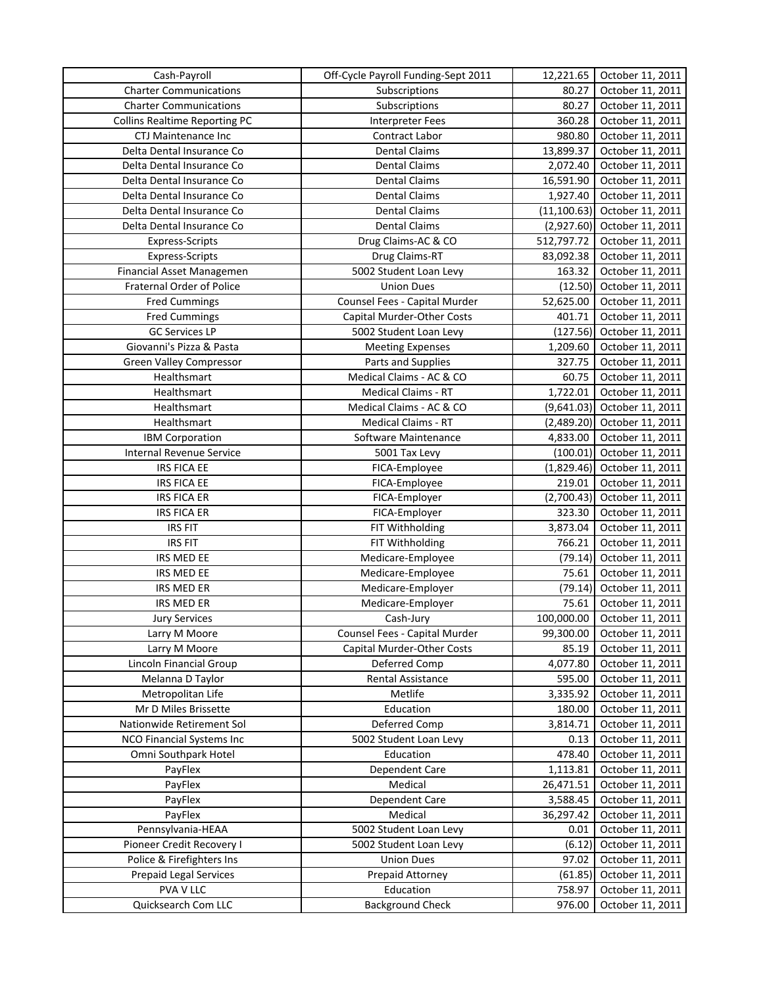| Cash-Payroll                         | Off-Cycle Payroll Funding-Sept 2011 | 12,221.65    | October 11, 2011 |
|--------------------------------------|-------------------------------------|--------------|------------------|
| <b>Charter Communications</b>        | Subscriptions                       | 80.27        | October 11, 2011 |
| <b>Charter Communications</b>        | Subscriptions                       | 80.27        | October 11, 2011 |
| <b>Collins Realtime Reporting PC</b> | Interpreter Fees                    | 360.28       | October 11, 2011 |
| CTJ Maintenance Inc                  | Contract Labor                      | 980.80       | October 11, 2011 |
| Delta Dental Insurance Co            | <b>Dental Claims</b>                | 13,899.37    | October 11, 2011 |
| Delta Dental Insurance Co            | <b>Dental Claims</b>                | 2,072.40     | October 11, 2011 |
| Delta Dental Insurance Co            | <b>Dental Claims</b>                | 16,591.90    | October 11, 2011 |
| Delta Dental Insurance Co            | <b>Dental Claims</b>                | 1,927.40     | October 11, 2011 |
| Delta Dental Insurance Co            | <b>Dental Claims</b>                | (11, 100.63) | October 11, 2011 |
| Delta Dental Insurance Co            | <b>Dental Claims</b>                | (2,927.60)   | October 11, 2011 |
| Express-Scripts                      | Drug Claims-AC & CO                 | 512,797.72   | October 11, 2011 |
| <b>Express-Scripts</b>               | Drug Claims-RT                      | 83,092.38    | October 11, 2011 |
| Financial Asset Managemen            | 5002 Student Loan Levy              | 163.32       | October 11, 2011 |
| Fraternal Order of Police            | <b>Union Dues</b>                   | (12.50)      | October 11, 2011 |
| <b>Fred Cummings</b>                 | Counsel Fees - Capital Murder       | 52,625.00    | October 11, 2011 |
| <b>Fred Cummings</b>                 | Capital Murder-Other Costs          | 401.71       | October 11, 2011 |
| <b>GC Services LP</b>                | 5002 Student Loan Levy              | (127.56)     | October 11, 2011 |
| Giovanni's Pizza & Pasta             | <b>Meeting Expenses</b>             | 1,209.60     | October 11, 2011 |
| <b>Green Valley Compressor</b>       | Parts and Supplies                  | 327.75       | October 11, 2011 |
| Healthsmart                          | Medical Claims - AC & CO            | 60.75        | October 11, 2011 |
| Healthsmart                          | Medical Claims - RT                 | 1,722.01     | October 11, 2011 |
| Healthsmart                          | Medical Claims - AC & CO            |              | October 11, 2011 |
|                                      |                                     | (9,641.03)   |                  |
| Healthsmart                          | <b>Medical Claims - RT</b>          | (2,489.20)   | October 11, 2011 |
| <b>IBM Corporation</b>               | Software Maintenance                | 4,833.00     | October 11, 2011 |
| <b>Internal Revenue Service</b>      | 5001 Tax Levy                       | (100.01)     | October 11, 2011 |
| <b>IRS FICA EE</b>                   | FICA-Employee                       | (1,829.46)   | October 11, 2011 |
| <b>IRS FICA EE</b>                   | FICA-Employee                       | 219.01       | October 11, 2011 |
| <b>IRS FICA ER</b>                   | FICA-Employer                       | (2,700.43)   | October 11, 2011 |
| <b>IRS FICA ER</b>                   | FICA-Employer                       | 323.30       | October 11, 2011 |
| <b>IRS FIT</b>                       | FIT Withholding                     | 3,873.04     | October 11, 2011 |
| <b>IRS FIT</b>                       | FIT Withholding                     | 766.21       | October 11, 2011 |
| IRS MED EE                           | Medicare-Employee                   | (79.14)      | October 11, 2011 |
| IRS MED EE                           | Medicare-Employee                   | 75.61        | October 11, 2011 |
| IRS MED ER                           | Medicare-Employer                   | (79.14)      | October 11, 2011 |
| IRS MED ER                           | Medicare-Employer                   | 75.61        | October 11, 2011 |
| <b>Jury Services</b>                 | Cash-Jury                           | 100,000.00   | October 11, 2011 |
| Larry M Moore                        | Counsel Fees - Capital Murder       | 99,300.00    | October 11, 2011 |
| Larry M Moore                        | Capital Murder-Other Costs          | 85.19        | October 11, 2011 |
| Lincoln Financial Group              | Deferred Comp                       | 4,077.80     | October 11, 2011 |
| Melanna D Taylor                     | Rental Assistance                   | 595.00       | October 11, 2011 |
| Metropolitan Life                    | Metlife                             | 3,335.92     | October 11, 2011 |
| Mr D Miles Brissette                 | Education                           | 180.00       | October 11, 2011 |
| Nationwide Retirement Sol            | Deferred Comp                       | 3,814.71     | October 11, 2011 |
| NCO Financial Systems Inc            | 5002 Student Loan Levy              | 0.13         | October 11, 2011 |
| Omni Southpark Hotel                 | Education                           | 478.40       | October 11, 2011 |
| PayFlex                              | Dependent Care                      | 1,113.81     | October 11, 2011 |
| PayFlex                              | Medical                             | 26,471.51    | October 11, 2011 |
| PayFlex                              | Dependent Care                      | 3,588.45     | October 11, 2011 |
| PayFlex                              | Medical                             | 36,297.42    | October 11, 2011 |
| Pennsylvania-HEAA                    | 5002 Student Loan Levy              | 0.01         | October 11, 2011 |
| Pioneer Credit Recovery I            | 5002 Student Loan Levy              | (6.12)       | October 11, 2011 |
| Police & Firefighters Ins            | <b>Union Dues</b>                   | 97.02        | October 11, 2011 |
| <b>Prepaid Legal Services</b>        | Prepaid Attorney                    | (61.85)      | October 11, 2011 |
| PVA V LLC                            | Education                           | 758.97       | October 11, 2011 |
| Quicksearch Com LLC                  | <b>Background Check</b>             | 976.00       | October 11, 2011 |